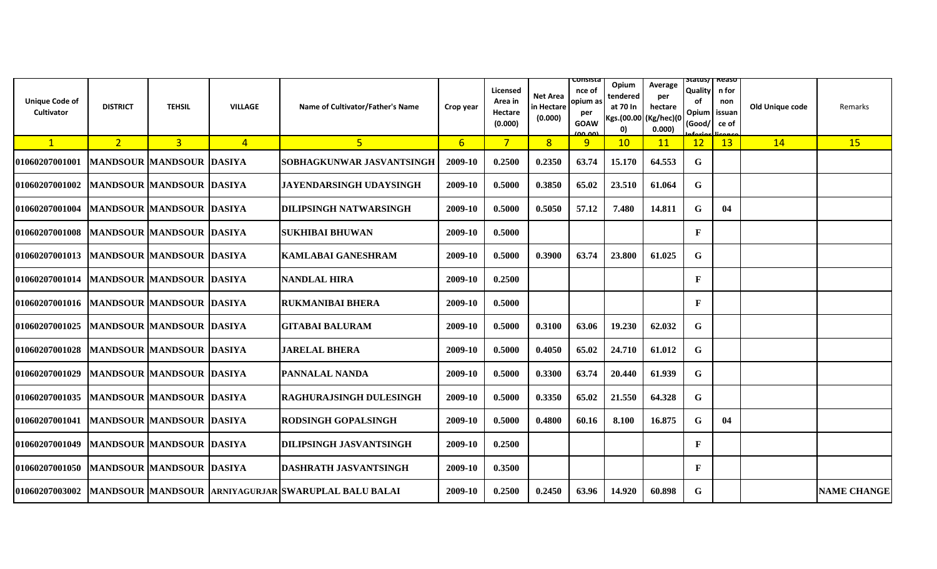| <b>Unique Code of</b><br><b>Cultivator</b> | <b>DISTRICT</b> | <b>TEHSIL</b>                   | <b>VILLAGE</b> | Name of Cultivator/Father's Name                    | Crop year      | Licensed<br>Area in<br>Hectare<br>(0.000) | Net Area<br>in Hectare<br>(0.000) | consista<br>nce of<br>opium as<br>per<br><b>GOAW</b><br>دمہ مم | Opium<br>tendered<br>at 70 In<br>Kgs.(00.00<br>$\vert$ 0) | Average<br>per<br>hectare<br>(Kg/hec)(0<br>0.000) | Status/  Reaso<br><b>Quality</b><br>оf<br>Opium<br>(Good/ | n for<br>non<br>issuan<br>ce of | Old Unique code | Remarks            |
|--------------------------------------------|-----------------|---------------------------------|----------------|-----------------------------------------------------|----------------|-------------------------------------------|-----------------------------------|----------------------------------------------------------------|-----------------------------------------------------------|---------------------------------------------------|-----------------------------------------------------------|---------------------------------|-----------------|--------------------|
| $\mathbf{1}$                               | 2 <sup>1</sup>  | 3 <sup>1</sup>                  | $\overline{4}$ | $5\phantom{1}$                                      | 6 <sup>1</sup> | $7^{\circ}$                               | 8                                 | 9                                                              | 10                                                        | 11                                                | 12                                                        | 13                              | 14              | 15                 |
| 01060207001001                             |                 | <b>MANDSOUR MANDSOUR DASIYA</b> |                | SOBHAGKUNWAR JASVANTSINGH                           | 2009-10        | 0.2500                                    | 0.2350                            | 63.74                                                          | 15.170                                                    | 64.553                                            | G                                                         |                                 |                 |                    |
| 01060207001002                             |                 | <b>MANDSOUR MANDSOUR DASIYA</b> |                | JAYENDARSINGH UDAYSINGH                             | 2009-10        | 0.5000                                    | 0.3850                            | 65.02                                                          | 23.510                                                    | 61.064                                            | G                                                         |                                 |                 |                    |
| 01060207001004                             |                 | <b>MANDSOUR MANDSOUR DASIYA</b> |                | <b>DILIPSINGH NATWARSINGH</b>                       | 2009-10        | 0.5000                                    | 0.5050                            | 57.12                                                          | 7.480                                                     | 14.811                                            | G                                                         | 04                              |                 |                    |
| 01060207001008                             |                 | <b>MANDSOUR MANDSOUR DASIYA</b> |                | <b>SUKHIBAI BHUWAN</b>                              | 2009-10        | 0.5000                                    |                                   |                                                                |                                                           |                                                   | F                                                         |                                 |                 |                    |
| 01060207001013                             |                 | <b>MANDSOUR MANDSOUR DASIYA</b> |                | <b>KAMLABAI GANESHRAM</b>                           | 2009-10        | 0.5000                                    | 0.3900                            | 63.74                                                          | 23.800                                                    | 61.025                                            | G.                                                        |                                 |                 |                    |
| 01060207001014                             |                 | <b>MANDSOUR MANDSOUR DASIYA</b> |                | <b>NANDLAL HIRA</b>                                 | 2009-10        | 0.2500                                    |                                   |                                                                |                                                           |                                                   | F                                                         |                                 |                 |                    |
| 01060207001016                             |                 | MANDSOUR MANDSOUR DASIYA        |                | <b>RUKMANIBAI BHERA</b>                             | 2009-10        | 0.5000                                    |                                   |                                                                |                                                           |                                                   | F                                                         |                                 |                 |                    |
| 01060207001025                             |                 | <b>MANDSOUR MANDSOUR DASIYA</b> |                | <b>GITABAI BALURAM</b>                              | 2009-10        | 0.5000                                    | 0.3100                            | 63.06                                                          | 19.230                                                    | 62.032                                            | G                                                         |                                 |                 |                    |
| 01060207001028                             |                 | <b>MANDSOUR MANDSOUR DASIYA</b> |                | <b>JARELAL BHERA</b>                                | 2009-10        | 0.5000                                    | 0.4050                            | 65.02                                                          | 24.710                                                    | 61.012                                            | G                                                         |                                 |                 |                    |
| 01060207001029                             |                 | <b>MANDSOUR MANDSOUR DASIYA</b> |                | <b>PANNALAL NANDA</b>                               | 2009-10        | 0.5000                                    | 0.3300                            | 63.74                                                          | 20.440                                                    | 61.939                                            | G                                                         |                                 |                 |                    |
| 01060207001035                             |                 | <b>MANDSOUR MANDSOUR DASIYA</b> |                | <b>RAGHURAJSINGH DULESINGH</b>                      | 2009-10        | 0.5000                                    | 0.3350                            | 65.02                                                          | 21.550                                                    | 64.328                                            | G                                                         |                                 |                 |                    |
| 01060207001041                             |                 | <b>MANDSOUR MANDSOUR DASIYA</b> |                | <b>RODSINGH GOPALSINGH</b>                          | 2009-10        | 0.5000                                    | 0.4800                            | 60.16                                                          | 8.100                                                     | 16.875                                            | G                                                         | 04                              |                 |                    |
| 01060207001049                             |                 | <b>MANDSOUR MANDSOUR DASIYA</b> |                | <b>DILIPSINGH JASVANTSINGH</b>                      | 2009-10        | 0.2500                                    |                                   |                                                                |                                                           |                                                   | F                                                         |                                 |                 |                    |
| 01060207001050                             |                 | <b>MANDSOUR MANDSOUR DASIYA</b> |                | DASHRATH JASVANTSINGH                               | 2009-10        | 0.3500                                    |                                   |                                                                |                                                           |                                                   | F                                                         |                                 |                 |                    |
| 01060207003002                             |                 |                                 |                | MANDSOUR MANDSOUR ARNIYAGURJAR SWARUPLAL BALU BALAI | 2009-10        | 0.2500                                    | 0.2450                            | 63.96                                                          | 14.920                                                    | 60.898                                            | G                                                         |                                 |                 | <b>NAME CHANGE</b> |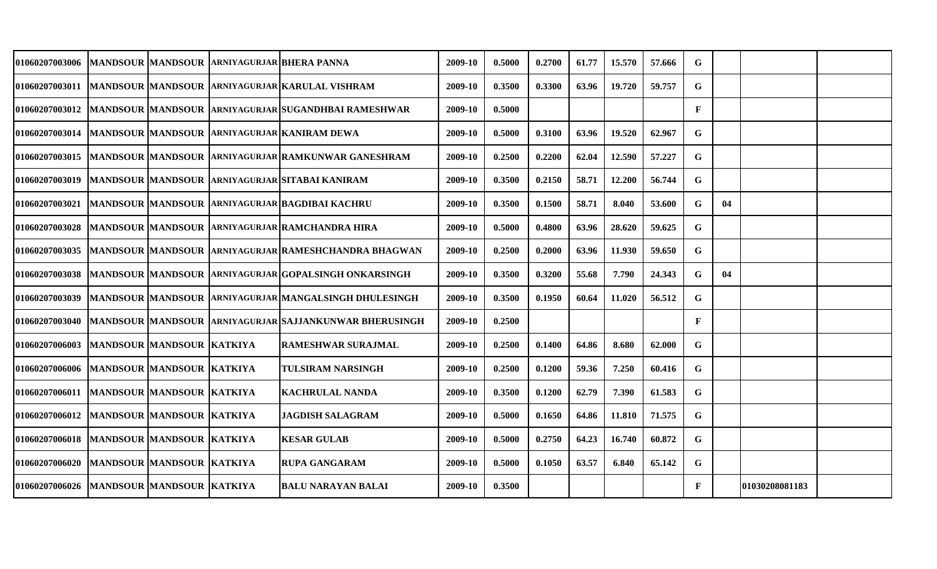| 01060207003006 MANDSOUR MANDSOUR ARNIYAGURJAR BHERA PANNA |                           |  |                                                                       | 2009-10 | 0.5000 | 0.2700 | 61.77 | 15.570 | 57.666 | G            |    |                |  |
|-----------------------------------------------------------|---------------------------|--|-----------------------------------------------------------------------|---------|--------|--------|-------|--------|--------|--------------|----|----------------|--|
|                                                           |                           |  | 01060207003011  MANDSOUR  MANDSOUR  ARNIYAGURJAR KARULAL VISHRAM      | 2009-10 | 0.3500 | 0.3300 | 63.96 | 19.720 | 59.757 | G            |    |                |  |
|                                                           |                           |  | 01060207003012  MANDSOUR  MANDSOUR  ARNIYAGURJAR SUGANDHBAI RAMESHWAR | 2009-10 | 0.5000 |        |       |        |        | $\mathbf{F}$ |    |                |  |
|                                                           |                           |  | 01060207003014  MANDSOUR  MANDSOUR  ARNIYAGURJAR  KANIRAM DEWA        | 2009-10 | 0.5000 | 0.3100 | 63.96 | 19.520 | 62.967 | G            |    |                |  |
|                                                           |                           |  | 01060207003015  MANDSOUR  MANDSOUR  ARNIYAGURJAR RAMKUNWAR GANESHRAM  | 2009-10 | 0.2500 | 0.2200 | 62.04 | 12.590 | 57.227 | $\mathbf G$  |    |                |  |
| 01060207003019                                            |                           |  | MANDSOUR MANDSOUR ARNIYAGURJAR SITABAI KANIRAM                        | 2009-10 | 0.3500 | 0.2150 | 58.71 | 12.200 | 56.744 | G            |    |                |  |
| <b>01060207003021</b>                                     |                           |  | MANDSOUR MANDSOUR   ARNIYAGURJAR BAGDIBAI KACHRU                      | 2009-10 | 0.3500 | 0.1500 | 58.71 | 8.040  | 53.600 | G            | 04 |                |  |
| <b>01060207003028</b>                                     |                           |  | MANDSOUR MANDSOUR ARNIYAGURJAR RAMCHANDRA HIRA                        | 2009-10 | 0.5000 | 0.4800 | 63.96 | 28.620 | 59.625 | G            |    |                |  |
| <b>01060207003035</b>                                     |                           |  | MANDSOUR MANDSOUR ARNIYAGURJAR RAMESHCHANDRA BHAGWAN                  | 2009-10 | 0.2500 | 0.2000 | 63.96 | 11.930 | 59.650 | G            |    |                |  |
| <b>01060207003038</b>                                     |                           |  | MANDSOUR MANDSOUR ARNIYAGURJAR GOPALSINGH ONKARSINGH                  | 2009-10 | 0.3500 | 0.3200 | 55.68 | 7.790  | 24.343 | G            | 04 |                |  |
| 01060207003039                                            |                           |  | MANDSOUR MANDSOUR ARNIYAGURJAR MANGALSINGH DHULESINGH                 | 2009-10 | 0.3500 | 0.1950 | 60.64 | 11.020 | 56.512 | G            |    |                |  |
| 01060207003040                                            |                           |  | MANDSOUR MANDSOUR ARNIYAGURJAR SAJJANKUNWAR BHERUSINGH                | 2009-10 | 0.2500 |        |       |        |        | $\mathbf{F}$ |    |                |  |
| <b>01060207006003</b>                                     | MANDSOUR MANDSOUR KATKIYA |  | <b>RAMESHWAR SURAJMAL</b>                                             | 2009-10 | 0.2500 | 0.1400 | 64.86 | 8.680  | 62.000 | G            |    |                |  |
| 01060207006006                                            | MANDSOUR MANDSOUR KATKIYA |  | <b>TULSIRAM NARSINGH</b>                                              | 2009-10 | 0.2500 | 0.1200 | 59.36 | 7.250  | 60.416 | G            |    |                |  |
| 01060207006011  MANDSOUR  MANDSOUR  KATKIYA               |                           |  | <b>KACHRULAL NANDA</b>                                                | 2009-10 | 0.3500 | 0.1200 | 62.79 | 7.390  | 61.583 | G            |    |                |  |
| 01060207006012  MANDSOUR  MANDSOUR  KATKIYA               |                           |  | <b>JAGDISH SALAGRAM</b>                                               | 2009-10 | 0.5000 | 0.1650 | 64.86 | 11.810 | 71.575 | G            |    |                |  |
| 01060207006018  MANDSOUR  MANDSOUR  KATKIYA               |                           |  | <b>KESAR GULAB</b>                                                    | 2009-10 | 0.5000 | 0.2750 | 64.23 | 16.740 | 60.872 | G            |    |                |  |
| 01060207006020 MANDSOUR MANDSOUR KATKIYA                  |                           |  | <b>RUPA GANGARAM</b>                                                  | 2009-10 | 0.5000 | 0.1050 | 63.57 | 6.840  | 65.142 | G            |    |                |  |
| 01060207006026  MANDSOUR MANDSOUR KATKIYA                 |                           |  | <b>BALU NARAYAN BALAI</b>                                             | 2009-10 | 0.3500 |        |       |        |        | $\mathbf{F}$ |    | 01030208081183 |  |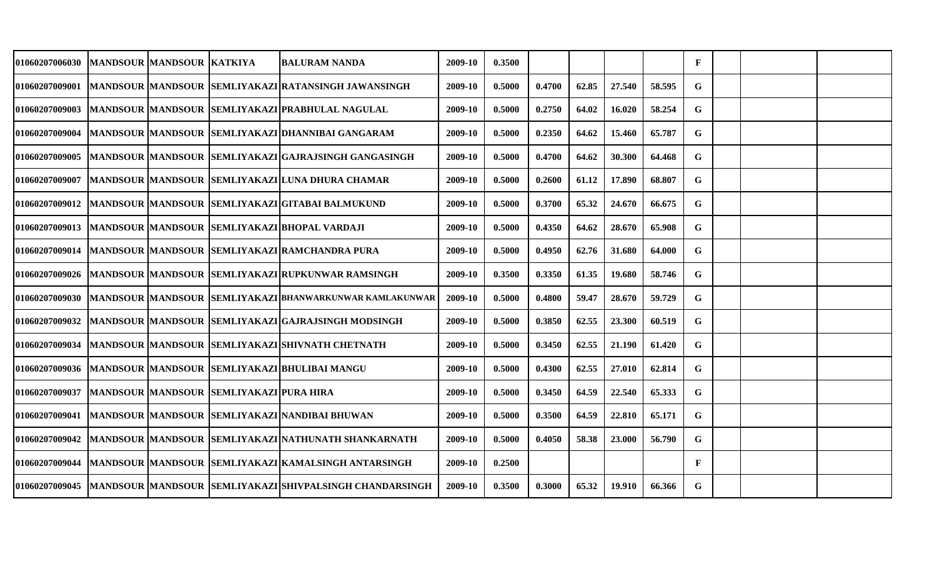| 01060207006030        | MANDSOUR  MANDSOUR  KATKIYA |                                                | IBALURAM NANDA                                                            | 2009-10 | 0.3500 |        |       |        |        | $\mathbf{F}$ |  |  |
|-----------------------|-----------------------------|------------------------------------------------|---------------------------------------------------------------------------|---------|--------|--------|-------|--------|--------|--------------|--|--|
| 01060207009001        |                             |                                                | MANDSOUR MANDSOUR SEMLIYAKAZI RATANSINGH JAWANSINGH                       | 2009-10 | 0.5000 | 0.4700 | 62.85 | 27.540 | 58.595 | G            |  |  |
| 01060207009003        |                             |                                                | MANDSOUR MANDSOUR SEMLIYAKAZI PRABHULAL NAGULAL                           | 2009-10 | 0.5000 | 0.2750 | 64.02 | 16.020 | 58.254 | G            |  |  |
| <b>01060207009004</b> |                             |                                                | MANDSOUR MANDSOUR SEMLIYAKAZI DHANNIBAI GANGARAM                          | 2009-10 | 0.5000 | 0.2350 | 64.62 | 15.460 | 65.787 | G            |  |  |
| <b>01060207009005</b> |                             |                                                | MANDSOUR MANDSOUR SEMLIYAKAZI GAJRAJSINGH GANGASINGH                      | 2009-10 | 0.5000 | 0.4700 | 64.62 | 30.300 | 64.468 | G            |  |  |
| 01060207009007        |                             |                                                | MANDSOUR MANDSOUR SEMLIYAKAZI LUNA DHURA CHAMAR                           | 2009-10 | 0.5000 | 0.2600 | 61.12 | 17.890 | 68.807 | G            |  |  |
| 01060207009012        |                             |                                                | MANDSOUR MANDSOUR SEMLIYAKAZI GITABAI BALMUKUND                           | 2009-10 | 0.5000 | 0.3700 | 65.32 | 24.670 | 66.675 | G            |  |  |
| 01060207009013        |                             |                                                | MANDSOUR MANDSOUR SEMLIYAKAZI BHOPAL VARDAJI                              | 2009-10 | 0.5000 | 0.4350 | 64.62 | 28.670 | 65.908 | G            |  |  |
| 01060207009014        |                             |                                                | MANDSOUR MANDSOUR SEMLIYAKAZI RAMCHANDRA PURA                             | 2009-10 | 0.5000 | 0.4950 | 62.76 | 31.680 | 64.000 | G            |  |  |
| 01060207009026        |                             |                                                | MANDSOUR MANDSOUR SEMLIYAKAZI RUPKUNWAR RAMSINGH                          | 2009-10 | 0.3500 | 0.3350 | 61.35 | 19.680 | 58.746 | G            |  |  |
| 01060207009030        |                             |                                                | MANDSOUR MANDSOUR SEMLIYAKAZI BHANWARKUNWAR KAMLAKUNWAR                   | 2009-10 | 0.5000 | 0.4800 | 59.47 | 28.670 | 59.729 | G            |  |  |
| 01060207009032        |                             |                                                | MANDSOUR MANDSOUR SEMLIYAKAZI GAJRAJSINGH MODSINGH                        | 2009-10 | 0.5000 | 0.3850 | 62.55 | 23.300 | 60.519 | G            |  |  |
| 01060207009034        |                             |                                                | MANDSOUR MANDSOUR SEMLIYAKAZI SHIVNATH CHETNATH                           | 2009-10 | 0.5000 | 0.3450 | 62.55 | 21.190 | 61.420 | G            |  |  |
| 01060207009036        |                             |                                                | MANDSOUR MANDSOUR SEMLIYAKAZI BHULIBAI MANGU                              | 2009-10 | 0.5000 | 0.4300 | 62.55 | 27.010 | 62.814 | G            |  |  |
| 01060207009037        |                             | <b>MANDSOUR MANDSOUR SEMLIYAKAZI PURA HIRA</b> |                                                                           | 2009-10 | 0.5000 | 0.3450 | 64.59 | 22.540 | 65.333 | G            |  |  |
| 01060207009041        |                             |                                                | MANDSOUR MANDSOUR SEMLIYAKAZI NANDIBAI BHUWAN                             | 2009-10 | 0.5000 | 0.3500 | 64.59 | 22.810 | 65.171 | G            |  |  |
| 01060207009042        |                             |                                                | MANDSOUR MANDSOUR SEMLIYAKAZI NATHUNATH SHANKARNATH                       | 2009-10 | 0.5000 | 0.4050 | 58.38 | 23.000 | 56.790 | G            |  |  |
| 01060207009044        |                             |                                                | MANDSOUR MANDSOUR SEMLIYAKAZI KAMALSINGH ANTARSINGH                       | 2009-10 | 0.2500 |        |       |        |        | $\mathbf{F}$ |  |  |
|                       |                             |                                                | 01060207009045  MANDSOUR  MANDSOUR  SEMLIYAKAZI SHIVPALSINGH CHANDARSINGH | 2009-10 | 0.3500 | 0.3000 | 65.32 | 19.910 | 66.366 | G            |  |  |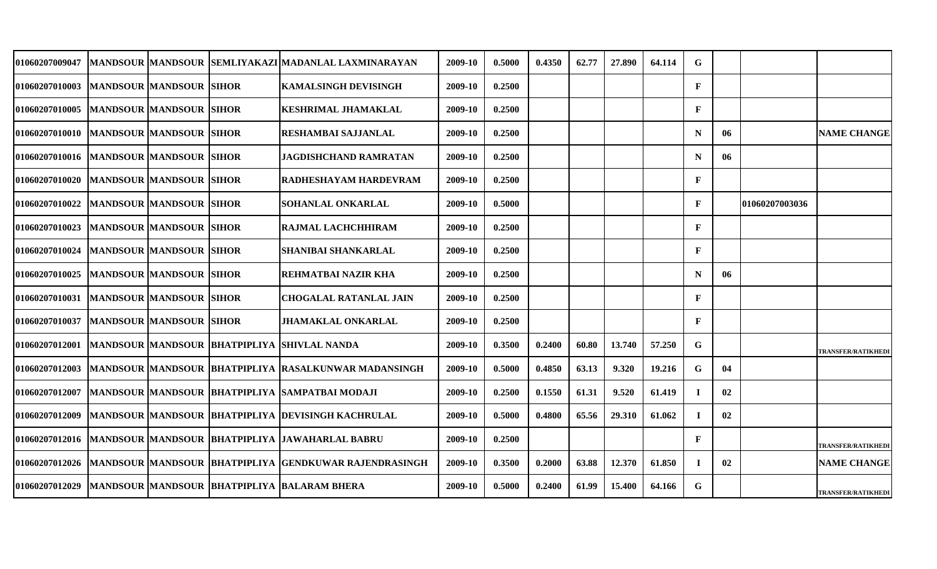| 01060207009047                           |                                | MANDSOUR MANDSOUR SEMLIYAKAZI MADANLAL LAXMINARAYAN   | 2009-10 | 0.5000 | 0.4350 | 62.77 | 27.890 | 64.114 | G            |    |                |                           |
|------------------------------------------|--------------------------------|-------------------------------------------------------|---------|--------|--------|-------|--------|--------|--------------|----|----------------|---------------------------|
| <b>01060207010003</b>                    | <b>MANDSOUR MANDSOUR SIHOR</b> | <b>KAMALSINGH DEVISINGH</b>                           | 2009-10 | 0.2500 |        |       |        |        | $\mathbf{F}$ |    |                |                           |
| 01060207010005                           | <b>MANDSOUR MANDSOUR SIHOR</b> | <b>KESHRIMAL JHAMAKLAL</b>                            | 2009-10 | 0.2500 |        |       |        |        | $\mathbf{F}$ |    |                |                           |
| 01060207010010                           | <b>MANDSOUR MANDSOUR SIHOR</b> | <b>RESHAMBAI SAJJANLAL</b>                            | 2009-10 | 0.2500 |        |       |        |        | N            | 06 |                | <b>NAME CHANGE</b>        |
| 01060207010016  MANDSOUR  MANDSOUR SIHOR |                                | <b>JAGDISHCHAND RAMRATAN</b>                          | 2009-10 | 0.2500 |        |       |        |        | N            | 06 |                |                           |
| 01060207010020                           | MANDSOUR MANDSOUR SIHOR        | <b>RADHESHAYAM HARDEVRAM</b>                          | 2009-10 | 0.2500 |        |       |        |        | $\mathbf F$  |    |                |                           |
| 01060207010022                           | <b>MANDSOUR MANDSOUR SIHOR</b> | <b>SOHANLAL ONKARLAL</b>                              | 2009-10 | 0.5000 |        |       |        |        | $\mathbf{F}$ |    | 01060207003036 |                           |
| 01060207010023                           | MANDSOUR MANDSOUR SIHOR        | RAJMAL LACHCHHIRAM                                    | 2009-10 | 0.2500 |        |       |        |        | $\mathbf F$  |    |                |                           |
| 01060207010024                           | <b>MANDSOUR MANDSOUR SIHOR</b> | <b>SHANIBAI SHANKARLAL</b>                            | 2009-10 | 0.2500 |        |       |        |        | $\mathbf{F}$ |    |                |                           |
| 01060207010025                           | <b>MANDSOUR MANDSOUR SIHOR</b> | <b>REHMATBAI NAZIR KHA</b>                            | 2009-10 | 0.2500 |        |       |        |        | N            | 06 |                |                           |
| 01060207010031                           | MANDSOUR MANDSOUR SIHOR        | <b>CHOGALAL RATANLAL JAIN</b>                         | 2009-10 | 0.2500 |        |       |        |        | $\mathbf{F}$ |    |                |                           |
| 01060207010037                           | <b>MANDSOUR MANDSOUR SIHOR</b> | <b>JHAMAKLAL ONKARLAL</b>                             | 2009-10 | 0.2500 |        |       |        |        | $\mathbf{F}$ |    |                |                           |
| 01060207012001                           |                                | MANDSOUR MANDSOUR BHATPIPLIYA SHIVLAL NANDA           | 2009-10 | 0.3500 | 0.2400 | 60.80 | 13.740 | 57.250 | G            |    |                | <b>TRANSFER/RATIKHED</b>  |
| 01060207012003                           |                                | MANDSOUR MANDSOUR BHATPIPLIYA RASALKUNWAR MADANSINGH  | 2009-10 | 0.5000 | 0.4850 | 63.13 | 9.320  | 19.216 | G            | 04 |                |                           |
| <b>01060207012007</b>                    |                                | MANDSOUR MANDSOUR BHATPIPLIYA SAMPATBAI MODAJI        | 2009-10 | 0.2500 | 0.1550 | 61.31 | 9.520  | 61.419 | $\bf{I}$     | 02 |                |                           |
| 01060207012009                           |                                | MANDSOUR MANDSOUR BHATPIPLIYA DEVISINGH KACHRULAL     | 2009-10 | 0.5000 | 0.4800 | 65.56 | 29.310 | 61.062 | $\mathbf{I}$ | 02 |                |                           |
| 01060207012016                           |                                | MANDSOUR MANDSOUR BHATPIPLIYA JAWAHARLAL BABRU        | 2009-10 | 0.2500 |        |       |        |        | $\mathbf{F}$ |    |                | <b>TRANSFER/RATIKHEDI</b> |
| <b>01060207012026</b>                    |                                | MANDSOUR MANDSOUR BHATPIPLIYA GENDKUWAR RAJENDRASINGH | 2009-10 | 0.3500 | 0.2000 | 63.88 | 12.370 | 61.850 | $\mathbf{I}$ | 02 |                | <b>NAME CHANGE</b>        |
| <b>01060207012029</b>                    |                                | MANDSOUR MANDSOUR BHATPIPLIYA BALARAM BHERA           | 2009-10 | 0.5000 | 0.2400 | 61.99 | 15.400 | 64.166 | G            |    |                | <b>TRANSFER/RATIKHEDI</b> |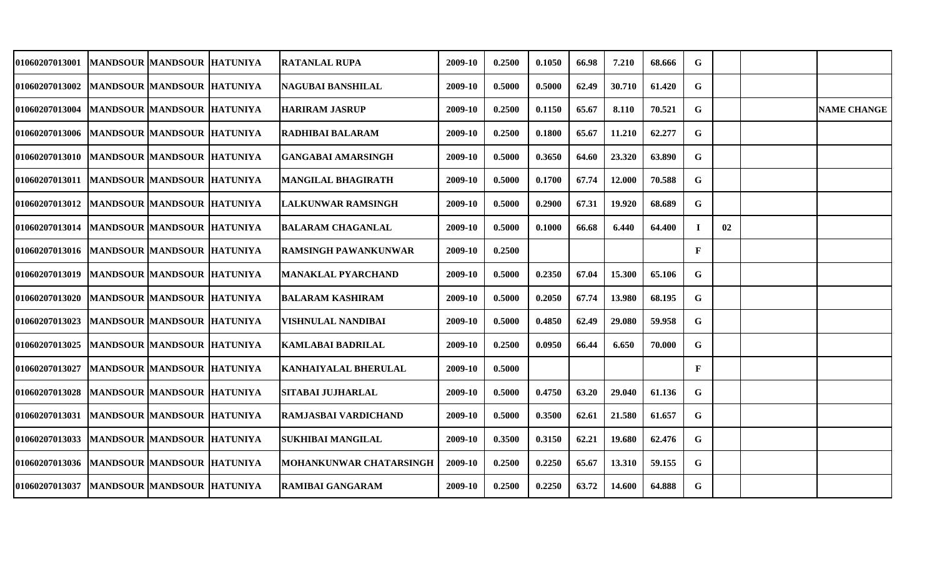| 01060207013001                                  |                              | MANDSOUR MANDSOUR HATUNIYA        | <b>RATANLAL RUPA</b>           | 2009-10 | 0.2500 | 0.1050 | 66.98 | 7.210  | 68.666 | G            |    |                    |
|-------------------------------------------------|------------------------------|-----------------------------------|--------------------------------|---------|--------|--------|-------|--------|--------|--------------|----|--------------------|
| <b>01060207013002</b>                           | MANDSOUR  MANDSOUR  HATUNIYA |                                   | NAGUBAI BANSHILAL              | 2009-10 | 0.5000 | 0.5000 | 62.49 | 30.710 | 61.420 | G            |    |                    |
| 01060207013004                                  | MANDSOUR MANDSOUR HATUNIYA   |                                   | <b>HARIRAM JASRUP</b>          | 2009-10 | 0.2500 | 0.1150 | 65.67 | 8.110  | 70.521 | G            |    | <b>NAME CHANGE</b> |
| 01060207013006   MANDSOUR   MANDSOUR   HATUNIYA |                              |                                   | RADHIBAI BALARAM               | 2009-10 | 0.2500 | 0.1800 | 65.67 | 11.210 | 62.277 | G            |    |                    |
| 01060207013010   MANDSOUR   MANDSOUR   HATUNIYA |                              |                                   | <b>GANGABAI AMARSINGH</b>      | 2009-10 | 0.5000 | 0.3650 | 64.60 | 23.320 | 63.890 | G            |    |                    |
| 01060207013011   MANDSOUR   MANDSOUR   HATUNIYA |                              |                                   | <b>MANGILAL BHAGIRATH</b>      | 2009-10 | 0.5000 | 0.1700 | 67.74 | 12.000 | 70.588 | G            |    |                    |
| <b>01060207013012</b>                           | MANDSOUR MANDSOUR HATUNIYA   |                                   | LALKUNWAR RAMSINGH             | 2009-10 | 0.5000 | 0.2900 | 67.31 | 19.920 | 68.689 | G            |    |                    |
| <b>01060207013014</b>                           | MANDSOUR MANDSOUR HATUNIYA   |                                   | BALARAM CHAGANLAL              | 2009-10 | 0.5000 | 0.1000 | 66.68 | 6.440  | 64.400 | -1           | 02 |                    |
| 01060207013016  MANDSOUR  MANDSOUR  HATUNIYA    |                              |                                   | RAMSINGH PAWANKUNWAR           | 2009-10 | 0.2500 |        |       |        |        | $\mathbf{F}$ |    |                    |
| <b>01060207013019</b>                           | MANDSOUR MANDSOUR HATUNIYA   |                                   | <b>MANAKLAL PYARCHAND</b>      | 2009-10 | 0.5000 | 0.2350 | 67.04 | 15.300 | 65.106 | G            |    |                    |
| <b>01060207013020</b>                           | MANDSOUR MANDSOUR HATUNIYA   |                                   | <b>BALARAM KASHIRAM</b>        | 2009-10 | 0.5000 | 0.2050 | 67.74 | 13.980 | 68.195 | G            |    |                    |
| <b>01060207013023</b>                           | MANDSOUR MANDSOUR HATUNIYA   |                                   | <b>VISHNULAL NANDIBAI</b>      | 2009-10 | 0.5000 | 0.4850 | 62.49 | 29.080 | 59.958 | G            |    |                    |
| <b>01060207013025</b>                           | MANDSOUR MANDSOUR HATUNIYA   |                                   | <b>KAMLABAI BADRILAL</b>       | 2009-10 | 0.2500 | 0.0950 | 66.44 | 6.650  | 70.000 | G            |    |                    |
| <b>01060207013027</b>                           |                              | <b>MANDSOUR MANDSOUR HATUNIYA</b> | KANHAIYALAL BHERULAL           | 2009-10 | 0.5000 |        |       |        |        | $\mathbf{F}$ |    |                    |
| 01060207013028                                  | MANDSOUR MANDSOUR HATUNIYA   |                                   | SITABAI JUJHARLAL              | 2009-10 | 0.5000 | 0.4750 | 63.20 | 29.040 | 61.136 | G            |    |                    |
| 01060207013031                                  | MANDSOUR MANDSOUR HATUNIYA   |                                   | RAMJASBAI VARDICHAND           | 2009-10 | 0.5000 | 0.3500 | 62.61 | 21.580 | 61.657 | G            |    |                    |
| 01060207013033                                  | MANDSOUR MANDSOUR HATUNIYA   |                                   | <b>SUKHIBAI MANGILAL</b>       | 2009-10 | 0.3500 | 0.3150 | 62.21 | 19.680 | 62.476 | G            |    |                    |
| 01060207013036  MANDSOUR MANDSOUR HATUNIYA      |                              |                                   | <b>MOHANKUNWAR CHATARSINGH</b> | 2009-10 | 0.2500 | 0.2250 | 65.67 | 13.310 | 59.155 | G            |    |                    |
| <b>01060207013037</b>                           | MANDSOUR MANDSOUR HATUNIYA   |                                   | <b>RAMIBAI GANGARAM</b>        | 2009-10 | 0.2500 | 0.2250 | 63.72 | 14.600 | 64.888 | G            |    |                    |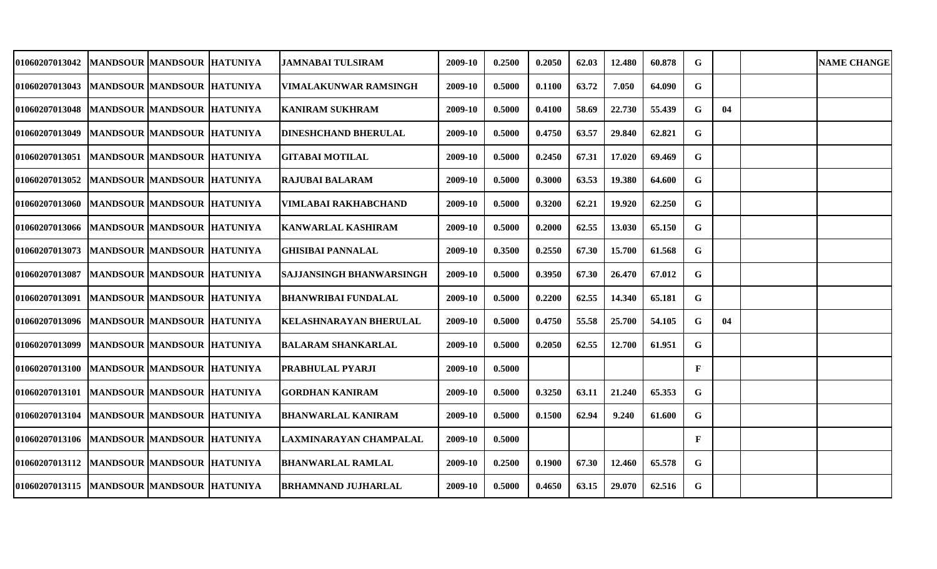| <b>01060207013042</b>                           | MANDSOUR MANDSOUR HATUNIYA |  | JAMNABAI TULSIRAM               | 2009-10 | 0.2500 | 0.2050 | 62.03 | 12.480 | 60.878 | G            |    | <b>NAME CHANGE</b> |
|-------------------------------------------------|----------------------------|--|---------------------------------|---------|--------|--------|-------|--------|--------|--------------|----|--------------------|
| <b>01060207013043</b>                           | MANDSOUR MANDSOUR HATUNIYA |  | VIMALAKUNWAR RAMSINGH           | 2009-10 | 0.5000 | 0.1100 | 63.72 | 7.050  | 64.090 | G            |    |                    |
| 01060207013048  MANDSOUR  MANDSOUR  HATUNIYA    |                            |  | <b>KANIRAM SUKHRAM</b>          | 2009-10 | 0.5000 | 0.4100 | 58.69 | 22.730 | 55.439 | G            | 04 |                    |
| 01060207013049   MANDSOUR   MANDSOUR   HATUNIYA |                            |  | <b>DINESHCHAND BHERULAL</b>     | 2009-10 | 0.5000 | 0.4750 | 63.57 | 29.840 | 62.821 | G            |    |                    |
| 01060207013051   MANDSOUR   MANDSOUR   HATUNIYA |                            |  | <b>GITABAI MOTILAL</b>          | 2009-10 | 0.5000 | 0.2450 | 67.31 | 17.020 | 69.469 | G            |    |                    |
| <b>01060207013052</b>                           | MANDSOUR MANDSOUR HATUNIYA |  | <b>RAJUBAI BALARAM</b>          | 2009-10 | 0.5000 | 0.3000 | 63.53 | 19.380 | 64.600 | G            |    |                    |
| <b>01060207013060</b>                           | MANDSOUR MANDSOUR HATUNIYA |  | <b>VIMLABAI RAKHABCHAND</b>     | 2009-10 | 0.5000 | 0.3200 | 62.21 | 19.920 | 62.250 | G            |    |                    |
| 01060207013066  MANDSOUR  MANDSOUR  HATUNIYA    |                            |  | KANWARLAL KASHIRAM              | 2009-10 | 0.5000 | 0.2000 | 62.55 | 13.030 | 65.150 | G            |    |                    |
| <b>01060207013073</b>                           | MANDSOUR MANDSOUR HATUNIYA |  | <b>GHISIBAI PANNALAL</b>        | 2009-10 | 0.3500 | 0.2550 | 67.30 | 15.700 | 61.568 | G            |    |                    |
| <b>01060207013087</b>                           | MANDSOUR MANDSOUR HATUNIYA |  | <b>SAJJANSINGH BHANWARSINGH</b> | 2009-10 | 0.5000 | 0.3950 | 67.30 | 26.470 | 67.012 | G            |    |                    |
| 01060207013091                                  | MANDSOUR MANDSOUR HATUNIYA |  | <b>BHANWRIBAI FUNDALAL</b>      | 2009-10 | 0.5000 | 0.2200 | 62.55 | 14.340 | 65.181 | G            |    |                    |
| 01060207013096                                  | MANDSOUR MANDSOUR HATUNIYA |  | KELASHNARAYAN BHERULAL          | 2009-10 | 0.5000 | 0.4750 | 55.58 | 25.700 | 54.105 | G            | 04 |                    |
| <b>01060207013099</b>                           | MANDSOUR MANDSOUR HATUNIYA |  | <b>BALARAM SHANKARLAL</b>       | 2009-10 | 0.5000 | 0.2050 | 62.55 | 12.700 | 61.951 | G            |    |                    |
| <b>01060207013100</b>                           | MANDSOUR MANDSOUR HATUNIYA |  | PRABHULAL PYARJI                | 2009-10 | 0.5000 |        |       |        |        | $\mathbf{F}$ |    |                    |
| 01060207013101                                  | MANDSOUR MANDSOUR HATUNIYA |  | <b>GORDHAN KANIRAM</b>          | 2009-10 | 0.5000 | 0.3250 | 63.11 | 21.240 | 65.353 | G            |    |                    |
| 01060207013104                                  | MANDSOUR MANDSOUR HATUNIYA |  | <b>BHANWARLAL KANIRAM</b>       | 2009-10 | 0.5000 | 0.1500 | 62.94 | 9.240  | 61.600 | G            |    |                    |
| 01060207013106  MANDSOUR  MANDSOUR  HATUNIYA    |                            |  | LAXMINARAYAN CHAMPALAL          | 2009-10 | 0.5000 |        |       |        |        | $\mathbf{F}$ |    |                    |
| 01060207013112   MANDSOUR   MANDSOUR   HATUNIYA |                            |  | <b>BHANWARLAL RAMLAL</b>        | 2009-10 | 0.2500 | 0.1900 | 67.30 | 12.460 | 65.578 | G            |    |                    |
| 01060207013115  MANDSOUR MANDSOUR HATUNIYA      |                            |  | <b>BRHAMNAND JUJHARLAL</b>      | 2009-10 | 0.5000 | 0.4650 | 63.15 | 29.070 | 62.516 | G            |    |                    |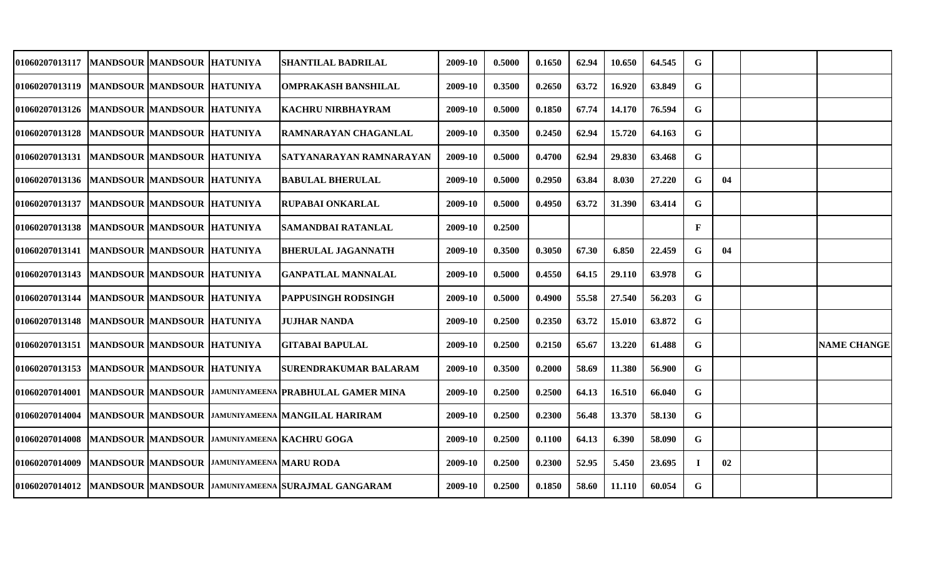| <b>01060207013117</b>                           | MANDSOUR MANDSOUR HATUNIYA   |                                   |                                           | SHANTILAL BADRILAL                                               | 2009-10 | 0.5000 | 0.1650 | 62.94 | 10.650 | 64.545 | G            |    |                    |
|-------------------------------------------------|------------------------------|-----------------------------------|-------------------------------------------|------------------------------------------------------------------|---------|--------|--------|-------|--------|--------|--------------|----|--------------------|
| 01060207013119  MANDSOUR  MANDSOUR  HATUNIYA    |                              |                                   |                                           | <b>OMPRAKASH BANSHILAL</b>                                       | 2009-10 | 0.3500 | 0.2650 | 63.72 | 16.920 | 63.849 | G            |    |                    |
| 01060207013126  MANDSOUR  MANDSOUR  HATUNIYA    |                              |                                   |                                           | <b>KACHRU NIRBHAYRAM</b>                                         | 2009-10 | 0.5000 | 0.1850 | 67.74 | 14.170 | 76.594 | G            |    |                    |
| 01060207013128   MANDSOUR   MANDSOUR   HATUNIYA |                              |                                   |                                           | <b>RAMNARAYAN CHAGANLAL</b>                                      | 2009-10 | 0.3500 | 0.2450 | 62.94 | 15.720 | 64.163 | G            |    |                    |
| 01060207013131  MANDSOUR MANDSOUR HATUNIYA      |                              |                                   |                                           | SATYANARAYAN RAMNARAYAN                                          | 2009-10 | 0.5000 | 0.4700 | 62.94 | 29.830 | 63.468 | G            |    |                    |
| 01060207013136  MANDSOUR MANDSOUR HATUNIYA      |                              |                                   |                                           | <b>BABULAL BHERULAL</b>                                          | 2009-10 | 0.5000 | 0.2950 | 63.84 | 8.030  | 27.220 | G            | 04 |                    |
| <b>01060207013137</b>                           | MANDSOUR  MANDSOUR  HATUNIYA |                                   |                                           | RUPABAI ONKARLAL                                                 | 2009-10 | 0.5000 | 0.4950 | 63.72 | 31.390 | 63.414 | G            |    |                    |
| 01060207013138                                  | MANDSOUR MANDSOUR HATUNIYA   |                                   |                                           | SAMANDBAI RATANLAL                                               | 2009-10 | 0.2500 |        |       |        |        | $\mathbf{F}$ |    |                    |
| 01060207013141  MANDSOUR  MANDSOUR  HATUNIYA    |                              |                                   |                                           | <b>BHERULAL JAGANNATH</b>                                        | 2009-10 | 0.3500 | 0.3050 | 67.30 | 6.850  | 22.459 | G            | 04 |                    |
| 01060207013143  MANDSOUR MANDSOUR HATUNIYA      |                              |                                   |                                           | <b>GANPATLAL MANNALAL</b>                                        | 2009-10 | 0.5000 | 0.4550 | 64.15 | 29.110 | 63.978 | G            |    |                    |
| 01060207013144                                  | MANDSOUR MANDSOUR HATUNIYA   |                                   |                                           | <b> PAPPUSINGH RODSINGH</b>                                      | 2009-10 | 0.5000 | 0.4900 | 55.58 | 27.540 | 56.203 | G            |    |                    |
| <b>01060207013148</b>                           | MANDSOUR MANDSOUR HATUNIYA   |                                   |                                           | <b>JUJHAR NANDA</b>                                              | 2009-10 | 0.2500 | 0.2350 | 63.72 | 15.010 | 63.872 | G            |    |                    |
| <b>01060207013151</b>                           | MANDSOUR MANDSOUR HATUNIYA   |                                   |                                           | <b>GITABAI BAPULAL</b>                                           | 2009-10 | 0.2500 | 0.2150 | 65.67 | 13.220 | 61.488 | G            |    | <b>NAME CHANGE</b> |
| <b>01060207013153</b>                           |                              | <b>MANDSOUR MANDSOUR HATUNIYA</b> |                                           | <b>SURENDRAKUMAR BALARAM</b>                                     | 2009-10 | 0.3500 | 0.2000 | 58.69 | 11.380 | 56.900 | G            |    |                    |
| 01060207014001                                  |                              |                                   |                                           | MANDSOUR MANDSOUR JAMUNIYAMEENA PRABHULAL GAMER MINA             | 2009-10 | 0.2500 | 0.2500 | 64.13 | 16.510 | 66.040 | G            |    |                    |
| 01060207014004                                  |                              |                                   |                                           | MANDSOUR MANDSOUR JAMUNIYAMEENA MANGILAL HARIRAM                 | 2009-10 | 0.2500 | 0.2300 | 56.48 | 13.370 | 58.130 | G            |    |                    |
| 01060207014008                                  |                              |                                   |                                           | MANDSOUR MANDSOUR JAMUNIYAMEENA KACHRU GOGA                      | 2009-10 | 0.2500 | 0.1100 | 64.13 | 6.390  | 58.090 | G            |    |                    |
| 01060207014009                                  |                              |                                   | MANDSOUR MANDSOUR JAMUNIYAMEENA MARU RODA |                                                                  | 2009-10 | 0.2500 | 0.2300 | 52.95 | 5.450  | 23.695 | Ι.           | 02 |                    |
|                                                 |                              |                                   |                                           | 01060207014012 MANDSOUR MANDSOUR JAMUNIYAMEENA SURAJMAL GANGARAM | 2009-10 | 0.2500 | 0.1850 | 58.60 | 11.110 | 60.054 | G            |    |                    |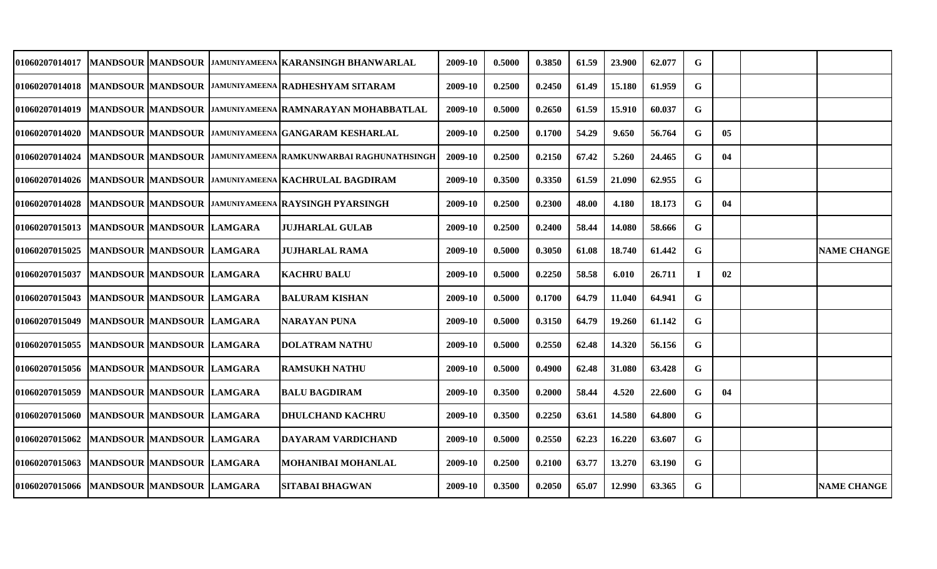| <b>01060207014017</b>                        |                           | MANDSOUR  MANDSOUR  JAMUNIYAMEENA  KARANSINGH BHANWARLAL                  | 2009-10 | 0.5000 | 0.3850 | 61.59 | 23.900 | 62.077 | G           |    |                    |
|----------------------------------------------|---------------------------|---------------------------------------------------------------------------|---------|--------|--------|-------|--------|--------|-------------|----|--------------------|
| <b>01060207014018</b>                        |                           | MANDSOUR MANDSOUR JAMUNIYAMEENA RADHESHYAM SITARAM                        | 2009-10 | 0.2500 | 0.2450 | 61.49 | 15.180 | 61.959 | G           |    |                    |
| 01060207014019                               |                           | MANDSOUR MANDSOUR JAMUNIYAMEENA RAMNARAYAN MOHABBATLAL                    | 2009-10 | 0.5000 | 0.2650 | 61.59 | 15.910 | 60.037 | G           |    |                    |
| <b>01060207014020</b>                        |                           | MANDSOUR MANDSOUR JAMUNIYAMEENA GANGARAM KESHARLAL                        | 2009-10 | 0.2500 | 0.1700 | 54.29 | 9.650  | 56.764 | G.          | 05 |                    |
| <b>01060207014024</b>                        |                           | MANDSOUR MANDSOUR JAMUNIYAMEENA RAMKUNWARBAI RAGHUNATHSINGH               | 2009-10 | 0.2500 | 0.2150 | 67.42 | 5.260  | 24.465 | G           | 04 |                    |
|                                              |                           | 01060207014026   MANDSOUR   MANDSOUR   JAMUNIYAMEENA   KACHRULAL BAGDIRAM | 2009-10 | 0.3500 | 0.3350 | 61.59 | 21.090 | 62.955 | G           |    |                    |
|                                              |                           | 01060207014028  MANDSOUR  MANDSOUR  JAMUNIYAMEENA  RAYSINGH PYARSINGH     | 2009-10 | 0.2500 | 0.2300 | 48.00 | 4.180  | 18.173 | G           | 04 |                    |
| 01060207015013   MANDSOUR   MANDSOUR LAMGARA |                           | <b>JUJHARLAL GULAB</b>                                                    | 2009-10 | 0.2500 | 0.2400 | 58.44 | 14.080 | 58.666 | G           |    |                    |
| 01060207015025                               | MANDSOUR MANDSOUR LAMGARA | <b>JUJHARLAL RAMA</b>                                                     | 2009-10 | 0.5000 | 0.3050 | 61.08 | 18.740 | 61.442 | G           |    | <b>NAME CHANGE</b> |
| 01060207015037                               | MANDSOUR MANDSOUR LAMGARA | <b>KACHRU BALU</b>                                                        | 2009-10 | 0.5000 | 0.2250 | 58.58 | 6.010  | 26.711 | $\bf{I}$    | 02 |                    |
| <b>01060207015043</b>                        | MANDSOUR MANDSOUR LAMGARA | <b>BALURAM KISHAN</b>                                                     | 2009-10 | 0.5000 | 0.1700 | 64.79 | 11.040 | 64.941 | $\mathbf G$ |    |                    |
| 01060207015049                               | MANDSOUR MANDSOUR LAMGARA | <b>NARAYAN PUNA</b>                                                       | 2009-10 | 0.5000 | 0.3150 | 64.79 | 19.260 | 61.142 | G           |    |                    |
| 01060207015055                               | MANDSOUR MANDSOUR LAMGARA | <b>DOLATRAM NATHU</b>                                                     | 2009-10 | 0.5000 | 0.2550 | 62.48 | 14.320 | 56.156 | G           |    |                    |
| 01060207015056  MANDSOUR MANDSOUR LAMGARA    |                           | <b>RAMSUKH NATHU</b>                                                      | 2009-10 | 0.5000 | 0.4900 | 62.48 | 31.080 | 63.428 | G           |    |                    |
| <b>01060207015059</b>                        | MANDSOUR MANDSOUR LAMGARA | <b>BALU BAGDIRAM</b>                                                      | 2009-10 | 0.3500 | 0.2000 | 58.44 | 4.520  | 22.600 | G           | 04 |                    |
| <b>01060207015060</b>                        | MANDSOUR MANDSOUR LAMGARA | <b>DHULCHAND KACHRU</b>                                                   | 2009-10 | 0.3500 | 0.2250 | 63.61 | 14.580 | 64.800 | G           |    |                    |
| <b>01060207015062</b>                        | MANDSOUR MANDSOUR LAMGARA | DAYARAM VARDICHAND                                                        | 2009-10 | 0.5000 | 0.2550 | 62.23 | 16.220 | 63.607 | G           |    |                    |
| <b>01060207015063</b>                        | MANDSOUR MANDSOUR LAMGARA | MOHANIBAI MOHANLAL                                                        | 2009-10 | 0.2500 | 0.2100 | 63.77 | 13.270 | 63.190 | G           |    |                    |
| 01060207015066 MANDSOUR MANDSOUR LAMGARA     |                           | SITABAI BHAGWAN                                                           | 2009-10 | 0.3500 | 0.2050 | 65.07 | 12.990 | 63.365 | G           |    | <b>NAME CHANGE</b> |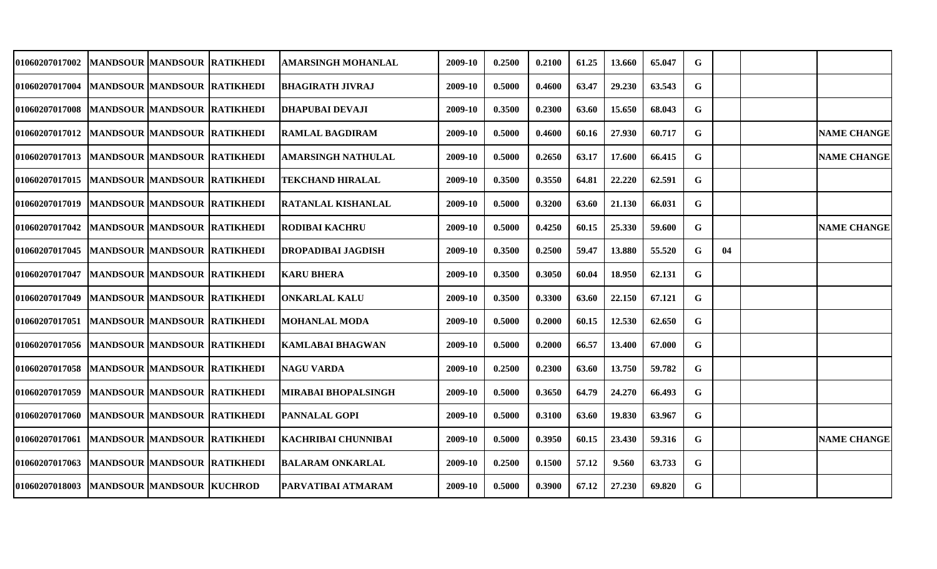| 01060207017002                                   | <b>MANDSOUR MANDSOUR RATIKHEDI</b> | AMARSINGH MOHANLAL         | 2009-10 | 0.2500 | 0.2100 | 61.25 | 13.660 | 65.047 | G  |    |                    |
|--------------------------------------------------|------------------------------------|----------------------------|---------|--------|--------|-------|--------|--------|----|----|--------------------|
| <b>01060207017004</b>                            | MANDSOUR MANDSOUR RATIKHEDI        | <b>BHAGIRATH JIVRAJ</b>    | 2009-10 | 0.5000 | 0.4600 | 63.47 | 29.230 | 63.543 | G  |    |                    |
| 01060207017008                                   | MANDSOUR MANDSOUR RATIKHEDI        | <b>DHAPUBAI DEVAJI</b>     | 2009-10 | 0.3500 | 0.2300 | 63.60 | 15.650 | 68.043 | G  |    |                    |
| 01060207017012  MANDSOUR  MANDSOUR  RATIKHEDI    |                                    | <b>RAMLAL BAGDIRAM</b>     | 2009-10 | 0.5000 | 0.4600 | 60.16 | 27.930 | 60.717 | G  |    | <b>NAME CHANGE</b> |
| 01060207017013   MANDSOUR   MANDSOUR   RATIKHEDI |                                    | <b>AMARSINGH NATHULAL</b>  | 2009-10 | 0.5000 | 0.2650 | 63.17 | 17.600 | 66.415 | G  |    | <b>NAME CHANGE</b> |
| <b>01060207017015</b>                            | MANDSOUR MANDSOUR RATIKHEDI        | <b>TEKCHAND HIRALAL</b>    | 2009-10 | 0.3500 | 0.3550 | 64.81 | 22.220 | 62.591 | G  |    |                    |
| 01060207017019                                   | MANDSOUR MANDSOUR RATIKHEDI        | RATANLAL KISHANLAL         | 2009-10 | 0.5000 | 0.3200 | 63.60 | 21.130 | 66.031 | G  |    |                    |
| <b>01060207017042</b>                            | MANDSOUR MANDSOUR RATIKHEDI        | <b>RODIBAI KACHRU</b>      | 2009-10 | 0.5000 | 0.4250 | 60.15 | 25.330 | 59.600 | G  |    | <b>NAME CHANGE</b> |
| <b>01060207017045</b>                            | MANDSOUR  MANDSOUR  RATIKHEDI      | <b>DROPADIBAI JAGDISH</b>  | 2009-10 | 0.3500 | 0.2500 | 59.47 | 13.880 | 55.520 | G  | 04 |                    |
| <b>01060207017047</b>                            | MANDSOUR MANDSOUR RATIKHEDI        | <b>KARU BHERA</b>          | 2009-10 | 0.3500 | 0.3050 | 60.04 | 18.950 | 62.131 | G  |    |                    |
| <b>01060207017049</b>                            | MANDSOUR MANDSOUR RATIKHEDI        | <b>ONKARLAL KALU</b>       | 2009-10 | 0.3500 | 0.3300 | 63.60 | 22.150 | 67.121 | G  |    |                    |
| <b>01060207017051</b>                            | <b>MANDSOUR MANDSOUR RATIKHEDI</b> | MOHANLAL MODA              | 2009-10 | 0.5000 | 0.2000 | 60.15 | 12.530 | 62.650 | G  |    |                    |
| <b>01060207017056</b>                            | MANDSOUR MANDSOUR RATIKHEDI        | <b>KAMLABAI BHAGWAN</b>    | 2009-10 | 0.5000 | 0.2000 | 66.57 | 13.400 | 67.000 | G  |    |                    |
| <b>01060207017058</b>                            | MANDSOUR MANDSOUR RATIKHEDI        | NAGU VARDA                 | 2009-10 | 0.2500 | 0.2300 | 63.60 | 13.750 | 59.782 | G  |    |                    |
| <b>01060207017059</b>                            | MANDSOUR MANDSOUR RATIKHEDI        | <b>MIRABAI BHOPALSINGH</b> | 2009-10 | 0.5000 | 0.3650 | 64.79 | 24.270 | 66.493 | G  |    |                    |
| <b>01060207017060</b>                            | MANDSOUR MANDSOUR RATIKHEDI        | <b>PANNALAL GOPI</b>       | 2009-10 | 0.5000 | 0.3100 | 63.60 | 19.830 | 63.967 | G. |    |                    |
| 01060207017061  MANDSOUR  MANDSOUR  RATIKHEDI    |                                    | <b>KACHRIBAI CHUNNIBAI</b> | 2009-10 | 0.5000 | 0.3950 | 60.15 | 23.430 | 59.316 | G. |    | <b>NAME CHANGE</b> |
| 01060207017063                                   | <b>MANDSOUR MANDSOUR RATIKHEDI</b> | <b>BALARAM ONKARLAL</b>    | 2009-10 | 0.2500 | 0.1500 | 57.12 | 9.560  | 63.733 | G  |    |                    |
| 01060207018003                                   | <b>MANDSOUR MANDSOUR KUCHROD</b>   | PARVATIBAI ATMARAM         | 2009-10 | 0.5000 | 0.3900 | 67.12 | 27.230 | 69.820 | G  |    |                    |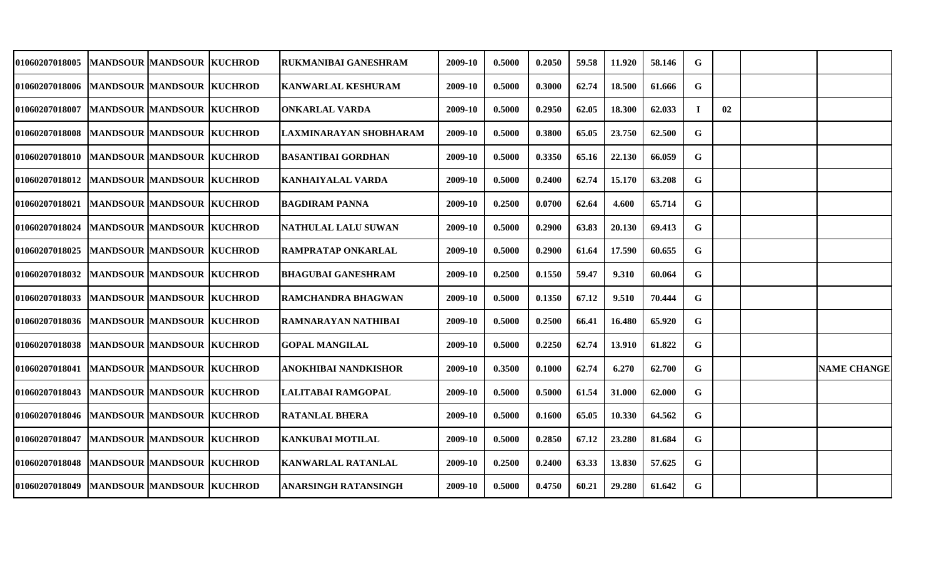| 01060207018005                                 |                                  | <b>MANDSOUR MANDSOUR KUCHROD</b> | RUKMANIBAI GANESHRAM        | 2009-10 | 0.5000 | 0.2050 | 59.58 | 11.920 | 58.146 | G  |    |                    |
|------------------------------------------------|----------------------------------|----------------------------------|-----------------------------|---------|--------|--------|-------|--------|--------|----|----|--------------------|
| 01060207018006   MANDSOUR   MANDSOUR   KUCHROD |                                  |                                  | KANWARLAL KESHURAM          | 2009-10 | 0.5000 | 0.3000 | 62.74 | 18.500 | 61.666 | G  |    |                    |
| 01060207018007                                 | <b>MANDSOUR MANDSOUR KUCHROD</b> |                                  | <b>ONKARLAL VARDA</b>       | 2009-10 | 0.5000 | 0.2950 | 62.05 | 18.300 | 62.033 | Т. | 02 |                    |
| 01060207018008  MANDSOUR  MANDSOUR KUCHROD     |                                  |                                  | LAXMINARAYAN SHOBHARAM      | 2009-10 | 0.5000 | 0.3800 | 65.05 | 23.750 | 62.500 | G  |    |                    |
| 01060207018010   MANDSOUR   MANDSOUR   KUCHROD |                                  |                                  | <b>BASANTIBAI GORDHAN</b>   | 2009-10 | 0.5000 | 0.3350 | 65.16 | 22.130 | 66.059 | G  |    |                    |
| 01060207018012  MANDSOUR  MANDSOUR KUCHROD     |                                  |                                  | KANHAIYALAL VARDA           | 2009-10 | 0.5000 | 0.2400 | 62.74 | 15.170 | 63.208 | G  |    |                    |
| <b>01060207018021</b>                          | <b>MANDSOUR MANDSOUR KUCHROD</b> |                                  | <b>BAGDIRAM PANNA</b>       | 2009-10 | 0.2500 | 0.0700 | 62.64 | 4.600  | 65.714 | G  |    |                    |
| <b>01060207018024</b>                          | MANDSOUR  MANDSOUR  KUCHROD      |                                  | NATHULAL LALU SUWAN         | 2009-10 | 0.5000 | 0.2900 | 63.83 | 20.130 | 69.413 | G  |    |                    |
| <b>01060207018025</b>                          | <b>MANDSOUR MANDSOUR KUCHROD</b> |                                  | RAMPRATAP ONKARLAL          | 2009-10 | 0.5000 | 0.2900 | 61.64 | 17.590 | 60.655 | G  |    |                    |
| <b>01060207018032</b>                          | <b>MANDSOUR MANDSOUR KUCHROD</b> |                                  | <b>BHAGUBAI GANESHRAM</b>   | 2009-10 | 0.2500 | 0.1550 | 59.47 | 9.310  | 60.064 | G  |    |                    |
| <b>01060207018033</b>                          | MANDSOUR MANDSOUR KUCHROD        |                                  | RAMCHANDRA BHAGWAN          | 2009-10 | 0.5000 | 0.1350 | 67.12 | 9.510  | 70.444 | G  |    |                    |
| <b>01060207018036</b>                          | <b>MANDSOUR MANDSOUR KUCHROD</b> |                                  | RAMNARAYAN NATHIBAI         | 2009-10 | 0.5000 | 0.2500 | 66.41 | 16.480 | 65.920 | G  |    |                    |
| <b>01060207018038</b>                          | <b>MANDSOUR MANDSOUR KUCHROD</b> |                                  | <b>GOPAL MANGILAL</b>       | 2009-10 | 0.5000 | 0.2250 | 62.74 | 13.910 | 61.822 | G  |    |                    |
| <b>01060207018041</b>                          | <b>MANDSOUR MANDSOUR KUCHROD</b> |                                  | ANOKHIBAI NANDKISHOR        | 2009-10 | 0.3500 | 0.1000 | 62.74 | 6.270  | 62.700 | G  |    | <b>NAME CHANGE</b> |
| <b>01060207018043</b>                          | MANDSOUR MANDSOUR KUCHROD        |                                  | LALITABAI RAMGOPAL          | 2009-10 | 0.5000 | 0.5000 | 61.54 | 31.000 | 62.000 | G  |    |                    |
| <b>01060207018046</b>                          | <b>MANDSOUR MANDSOUR KUCHROD</b> |                                  | <b>RATANLAL BHERA</b>       | 2009-10 | 0.5000 | 0.1600 | 65.05 | 10.330 | 64.562 | G  |    |                    |
| 01060207018047                                 | MANDSOUR MANDSOUR KUCHROD        |                                  | <b>KANKUBAI MOTILAL</b>     | 2009-10 | 0.5000 | 0.2850 | 67.12 | 23.280 | 81.684 | G  |    |                    |
| 01060207018048                                 | MANDSOUR MANDSOUR KUCHROD        |                                  | <b>KANWARLAL RATANLAL</b>   | 2009-10 | 0.2500 | 0.2400 | 63.33 | 13.830 | 57.625 | G  |    |                    |
| 01060207018049                                 | <b>MANDSOUR MANDSOUR KUCHROD</b> |                                  | <b>ANARSINGH RATANSINGH</b> | 2009-10 | 0.5000 | 0.4750 | 60.21 | 29.280 | 61.642 | G  |    |                    |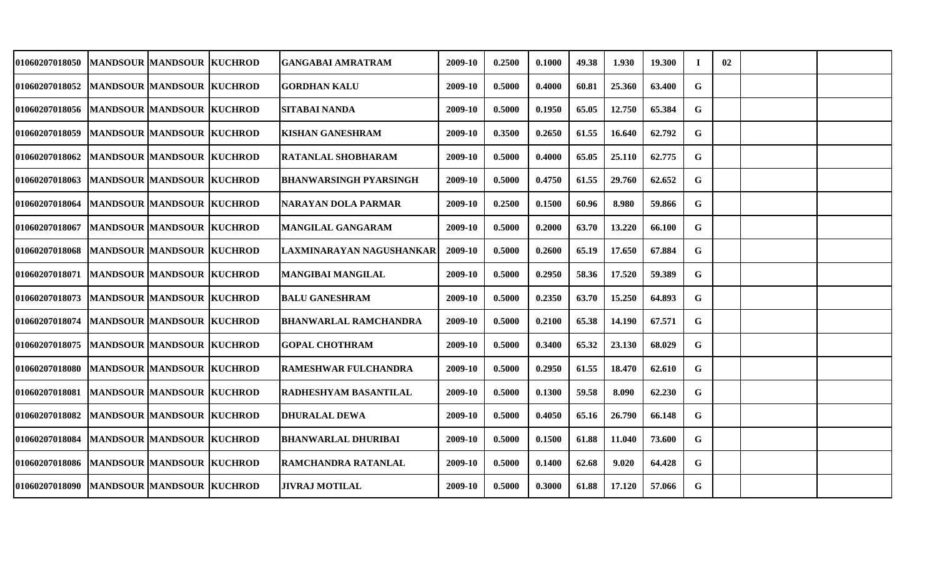| <b>01060207018050</b>                       | MANDSOUR  MANDSOUR  KUCHROD      |                            | GANGABAI AMRATRAM            | 2009-10 | 0.2500 | 0.1000 | 49.38 | 1.930  | 19.300 | T.          | 02 |  |
|---------------------------------------------|----------------------------------|----------------------------|------------------------------|---------|--------|--------|-------|--------|--------|-------------|----|--|
| <b>01060207018052</b>                       | MANDSOUR MANDSOUR KUCHROD        |                            | <b>GORDHAN KALU</b>          | 2009-10 | 0.5000 | 0.4000 | 60.81 | 25.360 | 63.400 | G           |    |  |
| 01060207018056  MANDSOUR  MANDSOUR  KUCHROD |                                  |                            | <b>SITABAI NANDA</b>         | 2009-10 | 0.5000 | 0.1950 | 65.05 | 12.750 | 65.384 | G           |    |  |
| <b>01060207018059</b>                       | MANDSOUR MANDSOUR KUCHROD        |                            | <b>KISHAN GANESHRAM</b>      | 2009-10 | 0.3500 | 0.2650 | 61.55 | 16.640 | 62.792 | G           |    |  |
| <b>01060207018062</b>                       | <b>MANDSOUR MANDSOUR KUCHROD</b> |                            | <b>RATANLAL SHOBHARAM</b>    | 2009-10 | 0.5000 | 0.4000 | 65.05 | 25.110 | 62.775 | G           |    |  |
| <b>01060207018063</b>                       | MANDSOUR MANDSOUR KUCHROD        |                            | BHANWARSINGH PYARSINGH       | 2009-10 | 0.5000 | 0.4750 | 61.55 | 29.760 | 62.652 | G           |    |  |
| <b>01060207018064</b>                       |                                  | MANDSOUR MANDSOUR  KUCHROD | NARAYAN DOLA PARMAR          | 2009-10 | 0.2500 | 0.1500 | 60.96 | 8.980  | 59.866 | G           |    |  |
| <b>01060207018067</b>                       | <b>MANDSOUR MANDSOUR KUCHROD</b> |                            | <b>MANGILAL GANGARAM</b>     | 2009-10 | 0.5000 | 0.2000 | 63.70 | 13.220 | 66.100 | G           |    |  |
| 01060207018068                              | <b>MANDSOUR MANDSOUR KUCHROD</b> |                            | LAXMINARAYAN NAGUSHANKAR     | 2009-10 | 0.5000 | 0.2600 | 65.19 | 17.650 | 67.884 | G           |    |  |
| 01060207018071  MANDSOUR  MANDSOUR  KUCHROD |                                  |                            | <b>MANGIBAI MANGILAL</b>     | 2009-10 | 0.5000 | 0.2950 | 58.36 | 17.520 | 59.389 | G           |    |  |
| 01060207018073                              | MANDSOUR MANDSOUR KUCHROD        |                            | <b>BALU GANESHRAM</b>        | 2009-10 | 0.5000 | 0.2350 | 63.70 | 15.250 | 64.893 | G           |    |  |
| <b>01060207018074</b>                       | MANDSOUR MANDSOUR KUCHROD        |                            | <b>BHANWARLAL RAMCHANDRA</b> | 2009-10 | 0.5000 | 0.2100 | 65.38 | 14.190 | 67.571 | $\mathbf G$ |    |  |
| 01060207018075                              | <b>MANDSOUR MANDSOUR KUCHROD</b> |                            | <b>GOPAL CHOTHRAM</b>        | 2009-10 | 0.5000 | 0.3400 | 65.32 | 23.130 | 68.029 | G           |    |  |
| <b>01060207018080</b>                       | MANDSOUR MANDSOUR KUCHROD        |                            | <b>RAMESHWAR FULCHANDRA</b>  | 2009-10 | 0.5000 | 0.2950 | 61.55 | 18.470 | 62.610 | G           |    |  |
| 01060207018081                              | <b>MANDSOUR MANDSOUR KUCHROD</b> |                            | RADHESHYAM BASANTILAL        | 2009-10 | 0.5000 | 0.1300 | 59.58 | 8.090  | 62.230 | G           |    |  |
| 01060207018082                              | <b>MANDSOUR MANDSOUR KUCHROD</b> |                            | <b>DHURALAL DEWA</b>         | 2009-10 | 0.5000 | 0.4050 | 65.16 | 26.790 | 66.148 | G           |    |  |
| 01060207018084                              | MANDSOUR MANDSOUR KUCHROD        |                            | <b>BHANWARLAL DHURIBAI</b>   | 2009-10 | 0.5000 | 0.1500 | 61.88 | 11.040 | 73.600 | G           |    |  |
| 01060207018086  MANDSOUR MANDSOUR KUCHROD   |                                  |                            | <b>RAMCHANDRA RATANLAL</b>   | 2009-10 | 0.5000 | 0.1400 | 62.68 | 9.020  | 64.428 | G           |    |  |
| 01060207018090                              | MANDSOUR MANDSOUR KUCHROD        |                            | <b>JIVRAJ MOTILAL</b>        | 2009-10 | 0.5000 | 0.3000 | 61.88 | 17.120 | 57.066 | G           |    |  |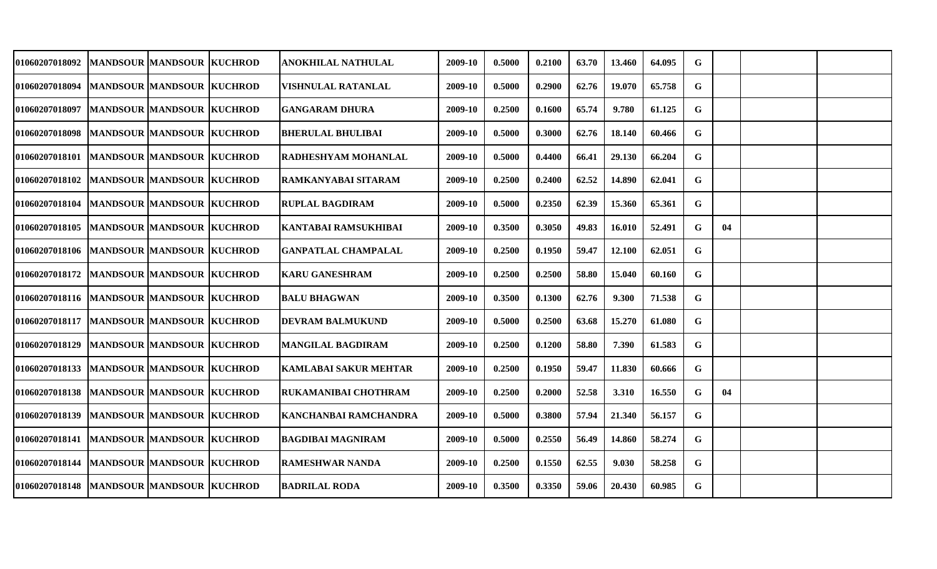| 01060207018092                              |                                  | MANDSOUR MANDSOUR KUCHROD  | <b>ANOKHILAL NATHULAL</b>    | 2009-10 | 0.5000 | 0.2100 | 63.70 | 13.460 | 64.095 | G           |    |  |
|---------------------------------------------|----------------------------------|----------------------------|------------------------------|---------|--------|--------|-------|--------|--------|-------------|----|--|
| <b>01060207018094</b>                       | <b>MANDSOUR MANDSOUR KUCHROD</b> |                            | VISHNULAL RATANLAL           | 2009-10 | 0.5000 | 0.2900 | 62.76 | 19.070 | 65.758 | G           |    |  |
| 01060207018097                              | MANDSOUR MANDSOUR KUCHROD        |                            | <b>GANGARAM DHURA</b>        | 2009-10 | 0.2500 | 0.1600 | 65.74 | 9.780  | 61.125 | G           |    |  |
| 01060207018098 MANDSOUR MANDSOUR KUCHROD    |                                  |                            | <b>BHERULAL BHULIBAI</b>     | 2009-10 | 0.5000 | 0.3000 | 62.76 | 18.140 | 60.466 | G           |    |  |
| 01060207018101  MANDSOUR MANDSOUR KUCHROD   |                                  |                            | RADHESHYAM MOHANLAL          | 2009-10 | 0.5000 | 0.4400 | 66.41 | 29.130 | 66.204 | $\mathbf G$ |    |  |
| <b>01060207018102</b>                       | <b>MANDSOUR MANDSOUR KUCHROD</b> |                            | RAMKANYABAI SITARAM          | 2009-10 | 0.2500 | 0.2400 | 62.52 | 14.890 | 62.041 | G           |    |  |
| <b>01060207018104</b>                       |                                  | MANDSOUR MANDSOUR  KUCHROD | <b>RUPLAL BAGDIRAM</b>       | 2009-10 | 0.5000 | 0.2350 | 62.39 | 15.360 | 65.361 | G           |    |  |
| <b>01060207018105</b>                       | <b>MANDSOUR MANDSOUR KUCHROD</b> |                            | KANTABAI RAMSUKHIBAI         | 2009-10 | 0.3500 | 0.3050 | 49.83 | 16.010 | 52.491 | G           | 04 |  |
| 01060207018106  MANDSOUR  MANDSOUR  KUCHROD |                                  |                            | <b>GANPATLAL CHAMPALAL</b>   | 2009-10 | 0.2500 | 0.1950 | 59.47 | 12.100 | 62.051 | G           |    |  |
| 01060207018172  MANDSOUR  MANDSOUR  KUCHROD |                                  |                            | <b>KARU GANESHRAM</b>        | 2009-10 | 0.2500 | 0.2500 | 58.80 | 15.040 | 60.160 | G           |    |  |
| 01060207018116 MANDSOUR MANDSOUR KUCHROD    |                                  |                            | <b>BALU BHAGWAN</b>          | 2009-10 | 0.3500 | 0.1300 | 62.76 | 9.300  | 71.538 | G           |    |  |
| <b>01060207018117</b>                       | MANDSOUR MANDSOUR KUCHROD        |                            | DEVRAM BALMUKUND             | 2009-10 | 0.5000 | 0.2500 | 63.68 | 15.270 | 61.080 | G           |    |  |
| <b>01060207018129</b>                       | <b>MANDSOUR MANDSOUR KUCHROD</b> |                            | <b>MANGILAL BAGDIRAM</b>     | 2009-10 | 0.2500 | 0.1200 | 58.80 | 7.390  | 61.583 | G           |    |  |
| <b>01060207018133</b>                       | MANDSOUR MANDSOUR KUCHROD        |                            | <b>KAMLABAI SAKUR MEHTAR</b> | 2009-10 | 0.2500 | 0.1950 | 59.47 | 11.830 | 60.666 | G           |    |  |
| 01060207018138                              | MANDSOUR MANDSOUR KUCHROD        |                            | RUKAMANIBAI CHOTHRAM         | 2009-10 | 0.2500 | 0.2000 | 52.58 | 3.310  | 16.550 | G           | 04 |  |
| 01060207018139                              | <b>MANDSOUR MANDSOUR KUCHROD</b> |                            | KANCHANBAI RAMCHANDRA        | 2009-10 | 0.5000 | 0.3800 | 57.94 | 21.340 | 56.157 | G           |    |  |
| 01060207018141  MANDSOUR  MANDSOUR  KUCHROD |                                  |                            | <b>BAGDIBAI MAGNIRAM</b>     | 2009-10 | 0.5000 | 0.2550 | 56.49 | 14.860 | 58.274 | G           |    |  |
| 01060207018144                              | MANDSOUR MANDSOUR KUCHROD        |                            | <b>RAMESHWAR NANDA</b>       | 2009-10 | 0.2500 | 0.1550 | 62.55 | 9.030  | 58.258 | G           |    |  |
| 01060207018148  MANDSOUR MANDSOUR KUCHROD   |                                  |                            | <b>BADRILAL RODA</b>         | 2009-10 | 0.3500 | 0.3350 | 59.06 | 20.430 | 60.985 | G           |    |  |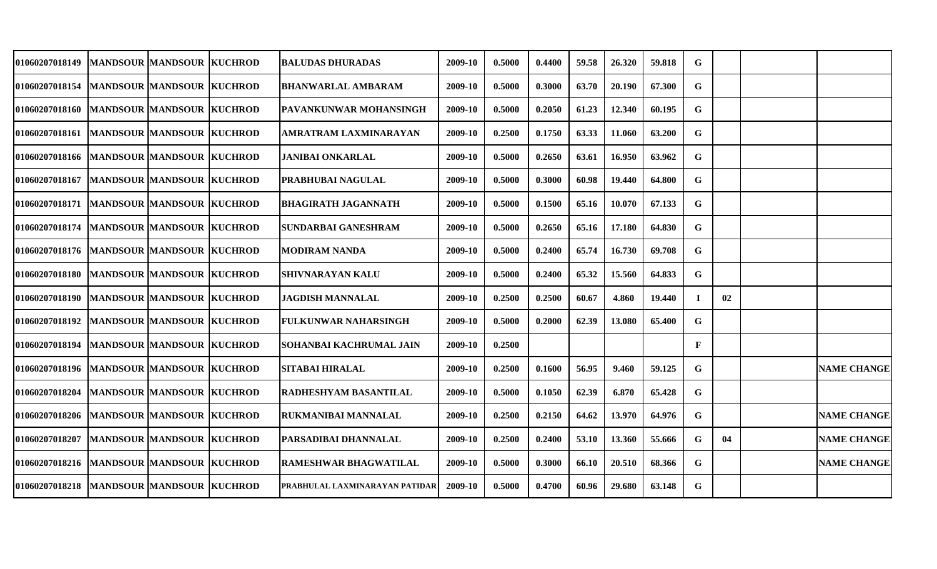| <b>01060207018149</b>                       | MANDSOUR  MANDSOUR  KUCHROD      | BALUDAS DHURADAS               | 2009-10 | 0.5000 | 0.4400 | 59.58 | 26.320 | 59.818 | G           |    |                    |
|---------------------------------------------|----------------------------------|--------------------------------|---------|--------|--------|-------|--------|--------|-------------|----|--------------------|
| 01060207018154                              | <b>MANDSOUR MANDSOUR KUCHROD</b> | <b>BHANWARLAL AMBARAM</b>      | 2009-10 | 0.5000 | 0.3000 | 63.70 | 20.190 | 67.300 | G           |    |                    |
| 01060207018160                              | MANDSOUR MANDSOUR KUCHROD        | <b>PAVANKUNWAR MOHANSINGH</b>  | 2009-10 | 0.5000 | 0.2050 | 61.23 | 12.340 | 60.195 | G           |    |                    |
| 01060207018161                              | <b>MANDSOUR MANDSOUR KUCHROD</b> | AMRATRAM LAXMINARAYAN          | 2009-10 | 0.2500 | 0.1750 | 63.33 | 11.060 | 63.200 | G           |    |                    |
| 01060207018166                              | <b>MANDSOUR MANDSOUR KUCHROD</b> | JANIBAI ONKARLAL               | 2009-10 | 0.5000 | 0.2650 | 63.61 | 16.950 | 63.962 | G           |    |                    |
| 01060207018167                              | MANDSOUR MANDSOUR KUCHROD        | PRABHUBAI NAGULAL              | 2009-10 | 0.5000 | 0.3000 | 60.98 | 19.440 | 64.800 | G           |    |                    |
| 01060207018171  MANDSOUR  MANDSOUR  KUCHROD |                                  | <b>BHAGIRATH JAGANNATH</b>     | 2009-10 | 0.5000 | 0.1500 | 65.16 | 10.070 | 67.133 | G           |    |                    |
| 01060207018174                              | <b>MANDSOUR MANDSOUR KUCHROD</b> | SUNDARBAI GANESHRAM            | 2009-10 | 0.5000 | 0.2650 | 65.16 | 17.180 | 64.830 | G           |    |                    |
| 01060207018176                              | <b>MANDSOUR MANDSOUR KUCHROD</b> | <b>MODIRAM NANDA</b>           | 2009-10 | 0.5000 | 0.2400 | 65.74 | 16.730 | 69.708 | G           |    |                    |
| 01060207018180                              | <b>MANDSOUR MANDSOUR KUCHROD</b> | <b>SHIVNARAYAN KALU</b>        | 2009-10 | 0.5000 | 0.2400 | 65.32 | 15.560 | 64.833 | $\mathbf G$ |    |                    |
| 01060207018190                              | <b>MANDSOUR MANDSOUR KUCHROD</b> | <b>JAGDISH MANNALAL</b>        | 2009-10 | 0.2500 | 0.2500 | 60.67 | 4.860  | 19.440 | $\bf{I}$    | 02 |                    |
| 01060207018192                              | <b>MANDSOUR MANDSOUR KUCHROD</b> | <b>FULKUNWAR NAHARSINGH</b>    | 2009-10 | 0.5000 | 0.2000 | 62.39 | 13.080 | 65.400 | G           |    |                    |
| 01060207018194                              | <b>MANDSOUR MANDSOUR KUCHROD</b> | SOHANBAI KACHRUMAL JAIN        | 2009-10 | 0.2500 |        |       |        |        | $\mathbf F$ |    |                    |
| <b>01060207018196</b>                       | <b>MANDSOUR MANDSOUR KUCHROD</b> | <b>SITABAI HIRALAL</b>         | 2009-10 | 0.2500 | 0.1600 | 56.95 | 9.460  | 59.125 | G           |    | <b>NAME CHANGE</b> |
| 01060207018204                              | <b>MANDSOUR MANDSOUR KUCHROD</b> | RADHESHYAM BASANTILAL          | 2009-10 | 0.5000 | 0.1050 | 62.39 | 6.870  | 65.428 | G           |    |                    |
| 01060207018206                              | MANDSOUR  MANDSOUR  KUCHROD      | RUKMANIBAI MANNALAL            | 2009-10 | 0.2500 | 0.2150 | 64.62 | 13.970 | 64.976 | G           |    | <b>NAME CHANGE</b> |
| 01060207018207                              | <b>MANDSOUR MANDSOUR KUCHROD</b> | <b>PARSADIBAI DHANNALAL</b>    | 2009-10 | 0.2500 | 0.2400 | 53.10 | 13.360 | 55.666 | G           | 04 | <b>NAME CHANGE</b> |
| 01060207018216                              | <b>MANDSOUR MANDSOUR KUCHROD</b> | <b>RAMESHWAR BHAGWATILAL</b>   | 2009-10 | 0.5000 | 0.3000 | 66.10 | 20.510 | 68.366 | G           |    | <b>NAME CHANGE</b> |
| 01060207018218                              | <b>MANDSOUR MANDSOUR KUCHROD</b> | PRABHULAL LAXMINARAYAN PATIDAR | 2009-10 | 0.5000 | 0.4700 | 60.96 | 29.680 | 63.148 | $\mathbf G$ |    |                    |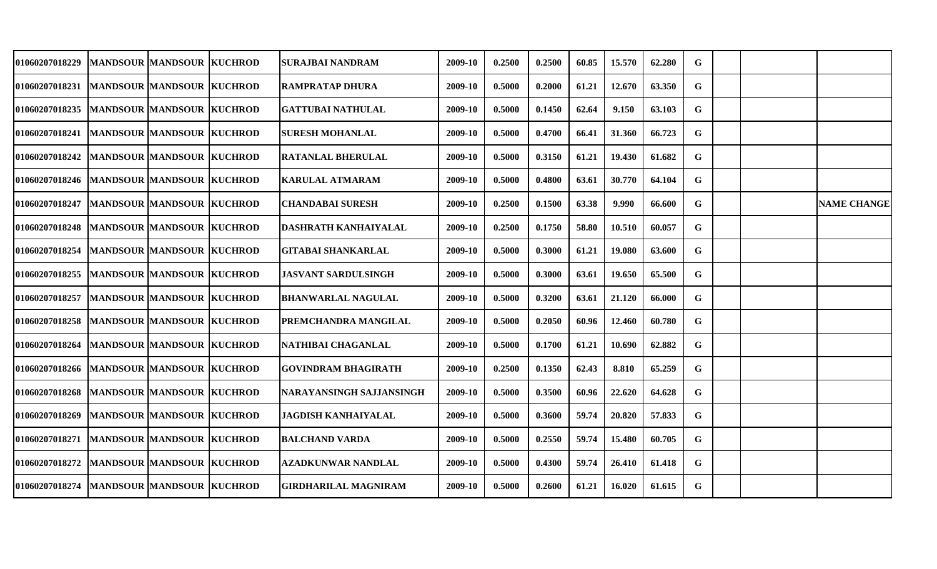| <b>01060207018229</b>                          |                                  | <b>MANDSOUR MANDSOUR KUCHROD</b> | SURAJBAI NANDRAM            | 2009-10 | 0.2500 | 0.2500 | 60.85 | 15.570 | 62.280 | G  |  |                    |
|------------------------------------------------|----------------------------------|----------------------------------|-----------------------------|---------|--------|--------|-------|--------|--------|----|--|--------------------|
| <b>01060207018231</b>                          | MANDSOUR MANDSOUR KUCHROD        |                                  | <b>RAMPRATAP DHURA</b>      | 2009-10 | 0.5000 | 0.2000 | 61.21 | 12.670 | 63.350 | G  |  |                    |
| 01060207018235                                 | MANDSOUR MANDSOUR KUCHROD        |                                  | <b>GATTUBAI NATHULAL</b>    | 2009-10 | 0.5000 | 0.1450 | 62.64 | 9.150  | 63.103 | G  |  |                    |
| 01060207018241   MANDSOUR   MANDSOUR   KUCHROD |                                  |                                  | <b>SURESH MOHANLAL</b>      | 2009-10 | 0.5000 | 0.4700 | 66.41 | 31.360 | 66.723 | G  |  |                    |
| <b>01060207018242</b>                          | MANDSOUR MANDSOUR KUCHROD        |                                  | <b>RATANLAL BHERULAL</b>    | 2009-10 | 0.5000 | 0.3150 | 61.21 | 19.430 | 61.682 | G  |  |                    |
| <b>01060207018246</b>                          | MANDSOUR MANDSOUR KUCHROD        |                                  | KARULAL ATMARAM             | 2009-10 | 0.5000 | 0.4800 | 63.61 | 30.770 | 64.104 | G  |  |                    |
| <b>01060207018247</b>                          |                                  | MANDSOUR MANDSOUR  KUCHROD       | <b>CHANDABAI SURESH</b>     | 2009-10 | 0.2500 | 0.1500 | 63.38 | 9.990  | 66.600 | G  |  | <b>NAME CHANGE</b> |
| <b>01060207018248</b>                          | <b>MANDSOUR MANDSOUR KUCHROD</b> |                                  | DASHRATH KANHAIYALAL        | 2009-10 | 0.2500 | 0.1750 | 58.80 | 10.510 | 60.057 | G  |  |                    |
| <b>01060207018254</b>                          | <b>MANDSOUR MANDSOUR KUCHROD</b> |                                  | <b>GITABAI SHANKARLAL</b>   | 2009-10 | 0.5000 | 0.3000 | 61.21 | 19.080 | 63.600 | G  |  |                    |
| 01060207018255                                 | <b>MANDSOUR MANDSOUR KUCHROD</b> |                                  | JASVANT SARDULSINGH         | 2009-10 | 0.5000 | 0.3000 | 63.61 | 19.650 | 65.500 | G  |  |                    |
| 01060207018257                                 | MANDSOUR MANDSOUR KUCHROD        |                                  | <b>BHANWARLAL NAGULAL</b>   | 2009-10 | 0.5000 | 0.3200 | 63.61 | 21.120 | 66.000 | G  |  |                    |
| <b>01060207018258</b>                          | MANDSOUR MANDSOUR KUCHROD        |                                  | PREMCHANDRA MANGILAL        | 2009-10 | 0.5000 | 0.2050 | 60.96 | 12.460 | 60.780 | G  |  |                    |
| <b>01060207018264</b>                          |                                  | <b>MANDSOUR MANDSOUR KUCHROD</b> | NATHIBAI CHAGANLAL          | 2009-10 | 0.5000 | 0.1700 | 61.21 | 10.690 | 62.882 | G  |  |                    |
| <b>01060207018266</b>                          | MANDSOUR MANDSOUR KUCHROD        |                                  | <b>GOVINDRAM BHAGIRATH</b>  | 2009-10 | 0.2500 | 0.1350 | 62.43 | 8.810  | 65.259 | G  |  |                    |
| 01060207018268                                 | MANDSOUR MANDSOUR KUCHROD        |                                  | NARAYANSINGH SAJJANSINGH    | 2009-10 | 0.5000 | 0.3500 | 60.96 | 22.620 | 64.628 | G  |  |                    |
| <b>01060207018269</b>                          | MANDSOUR MANDSOUR KUCHROD        |                                  | <b>JAGDISH KANHAIYALAL</b>  | 2009-10 | 0.5000 | 0.3600 | 59.74 | 20.820 | 57.833 | G  |  |                    |
| 01060207018271  MANDSOUR  MANDSOUR KUCHROD     |                                  |                                  | <b>BALCHAND VARDA</b>       | 2009-10 | 0.5000 | 0.2550 | 59.74 | 15.480 | 60.705 | G. |  |                    |
| 01060207018272                                 | MANDSOUR MANDSOUR KUCHROD        |                                  | <b>AZADKUNWAR NANDLAL</b>   | 2009-10 | 0.5000 | 0.4300 | 59.74 | 26.410 | 61.418 | G  |  |                    |
| 01060207018274                                 | MANDSOUR MANDSOUR KUCHROD        |                                  | <b>GIRDHARILAL MAGNIRAM</b> | 2009-10 | 0.5000 | 0.2600 | 61.21 | 16.020 | 61.615 | G  |  |                    |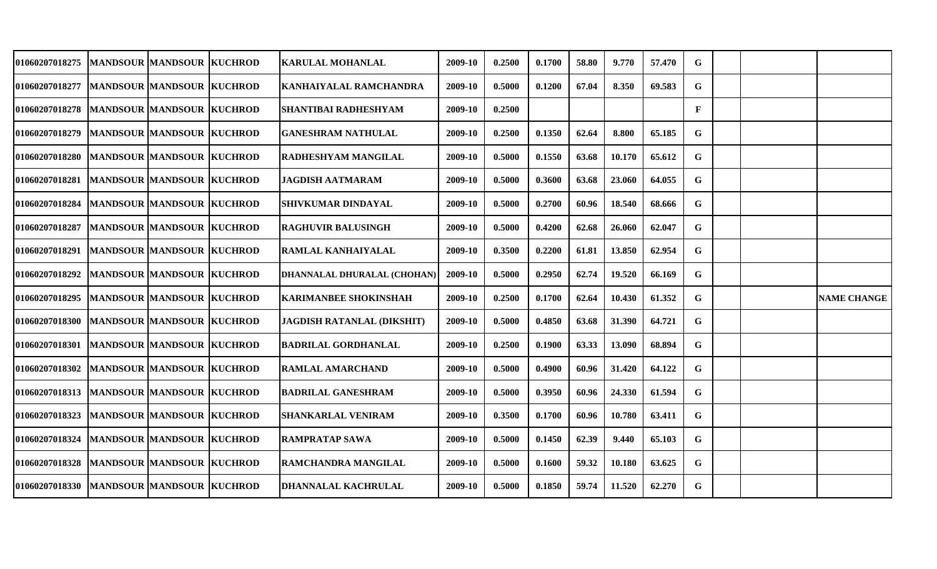| 01060207018275                                 |                                  | <b>MANDSOUR MANDSOUR KUCHROD</b> | <b>KARULAL MOHANLAL</b>           | 2009-10 | 0.2500 | 0.1700 | 58.80 | 9.770  | 57.470 | G            |  |                    |
|------------------------------------------------|----------------------------------|----------------------------------|-----------------------------------|---------|--------|--------|-------|--------|--------|--------------|--|--------------------|
| 01060207018277                                 | <b>MANDSOUR MANDSOUR KUCHROD</b> |                                  | KANHAIYALAL RAMCHANDRA            | 2009-10 | 0.5000 | 0.1200 | 67.04 | 8.350  | 69.583 | G            |  |                    |
| 01060207018278  MANDSOUR  MANDSOUR  KUCHROD    |                                  |                                  | SHANTIBAI RADHESHYAM              | 2009-10 | 0.2500 |        |       |        |        | $\mathbf{F}$ |  |                    |
| 01060207018279                                 | MANDSOUR MANDSOUR KUCHROD        |                                  | <b>GANESHRAM NATHULAL</b>         | 2009-10 | 0.2500 | 0.1350 | 62.64 | 8.800  | 65.185 | G            |  |                    |
| <b>01060207018280</b>                          | MANDSOUR MANDSOUR KUCHROD        |                                  | RADHESHYAM MANGILAL               | 2009-10 | 0.5000 | 0.1550 | 63.68 | 10.170 | 65.612 | G            |  |                    |
| <b>01060207018281</b>                          | <b>MANDSOUR MANDSOUR KUCHROD</b> |                                  | <b>JAGDISH AATMARAM</b>           | 2009-10 | 0.5000 | 0.3600 | 63.68 | 23.060 | 64.055 | G            |  |                    |
| <b>01060207018284</b>                          |                                  | MANDSOUR MANDSOUR  KUCHROD       | SHIVKUMAR DINDAYAL                | 2009-10 | 0.5000 | 0.2700 | 60.96 | 18.540 | 68.666 | G            |  |                    |
| 01060207018287                                 | <b>MANDSOUR MANDSOUR KUCHROD</b> |                                  | <b>RAGHUVIR BALUSINGH</b>         | 2009-10 | 0.5000 | 0.4200 | 62.68 | 26.060 | 62.047 | G            |  |                    |
| <b>01060207018291</b>                          | <b>MANDSOUR MANDSOUR KUCHROD</b> |                                  | RAMLAL KANHAIYALAL                | 2009-10 | 0.3500 | 0.2200 | 61.81 | 13.850 | 62.954 | G            |  |                    |
| 01060207018292                                 | <b>MANDSOUR MANDSOUR KUCHROD</b> |                                  | DHANNALAL DHURALAL (CHOHAN)       | 2009-10 | 0.5000 | 0.2950 | 62.74 | 19.520 | 66.169 | G            |  |                    |
| 01060207018295                                 | MANDSOUR MANDSOUR KUCHROD        |                                  | <b>KARIMANBEE SHOKINSHAH</b>      | 2009-10 | 0.2500 | 0.1700 | 62.64 | 10.430 | 61.352 | G            |  | <b>NAME CHANGE</b> |
| 01060207018300                                 | MANDSOUR MANDSOUR KUCHROD        |                                  | <b>JAGDISH RATANLAL (DIKSHIT)</b> | 2009-10 | 0.5000 | 0.4850 | 63.68 | 31.390 | 64.721 | G            |  |                    |
| <b>01060207018301</b>                          | <b>MANDSOUR MANDSOUR KUCHROD</b> |                                  | <b>BADRILAL GORDHANLAL</b>        | 2009-10 | 0.2500 | 0.1900 | 63.33 | 13.090 | 68.894 | G            |  |                    |
| <b>01060207018302</b>                          |                                  | <b>MANDSOUR MANDSOUR KUCHROD</b> | <b>RAMLAL AMARCHAND</b>           | 2009-10 | 0.5000 | 0.4900 | 60.96 | 31.420 | 64.122 | G            |  |                    |
| 01060207018313   MANDSOUR   MANDSOUR   KUCHROD |                                  |                                  | <b>BADRILAL GANESHRAM</b>         | 2009-10 | 0.5000 | 0.3950 | 60.96 | 24.330 | 61.594 | G            |  |                    |
| 01060207018323                                 | MANDSOUR MANDSOUR KUCHROD        |                                  | <b>SHANKARLAL VENIRAM</b>         | 2009-10 | 0.3500 | 0.1700 | 60.96 | 10.780 | 63.411 | G            |  |                    |
| 01060207018324                                 | MANDSOUR MANDSOUR KUCHROD        |                                  | <b>RAMPRATAP SAWA</b>             | 2009-10 | 0.5000 | 0.1450 | 62.39 | 9.440  | 65.103 | G.           |  |                    |
| 01060207018328                                 | <b>MANDSOUR MANDSOUR KUCHROD</b> |                                  | <b>RAMCHANDRA MANGILAL</b>        | 2009-10 | 0.5000 | 0.1600 | 59.32 | 10.180 | 63.625 | G            |  |                    |
| 01060207018330                                 | MANDSOUR MANDSOUR KUCHROD        |                                  | <b>DHANNALAL KACHRULAL</b>        | 2009-10 | 0.5000 | 0.1850 | 59.74 | 11.520 | 62.270 | G            |  |                    |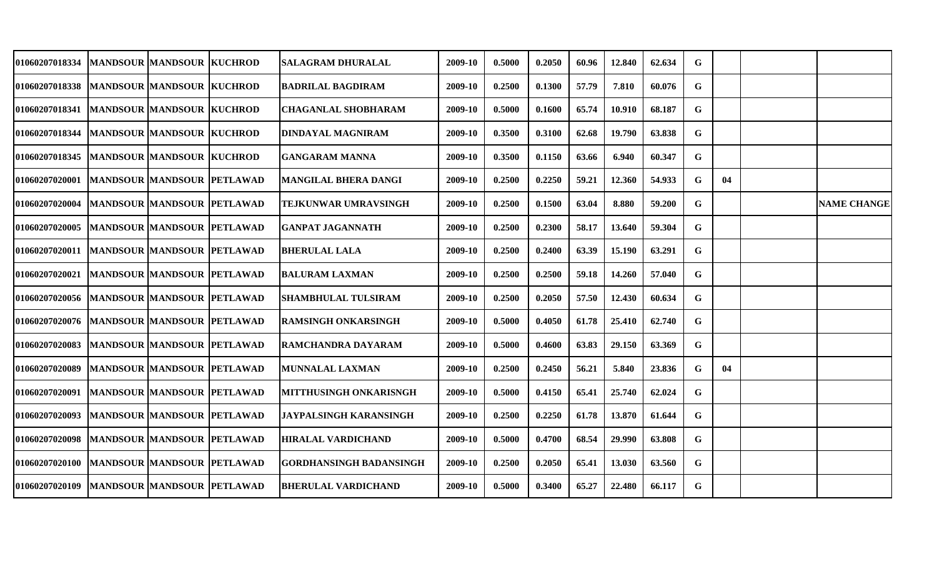| 01060207018334                                  |                                   | MANDSOUR  MANDSOUR  KUCHROD       | SALAGRAM DHURALAL              | 2009-10 | 0.5000 | 0.2050 | 60.96 | 12.840 | 62.634 | G  |    |                    |
|-------------------------------------------------|-----------------------------------|-----------------------------------|--------------------------------|---------|--------|--------|-------|--------|--------|----|----|--------------------|
| 01060207018338  MANDSOUR  MANDSOUR  KUCHROD     |                                   |                                   | <b>BADRILAL BAGDIRAM</b>       | 2009-10 | 0.2500 | 0.1300 | 57.79 | 7.810  | 60.076 | G  |    |                    |
| 01060207018341                                  | MANDSOUR MANDSOUR KUCHROD         |                                   | <b>CHAGANLAL SHOBHARAM</b>     | 2009-10 | 0.5000 | 0.1600 | 65.74 | 10.910 | 68.187 | G  |    |                    |
| 01060207018344                                  | MANDSOUR MANDSOUR KUCHROD         |                                   | <b>DINDAYAL MAGNIRAM</b>       | 2009-10 | 0.3500 | 0.3100 | 62.68 | 19.790 | 63.838 | G  |    |                    |
| 01060207018345                                  | MANDSOUR MANDSOUR KUCHROD         |                                   | <b>GANGARAM MANNA</b>          | 2009-10 | 0.3500 | 0.1150 | 63.66 | 6.940  | 60.347 | G  |    |                    |
| <b>01060207020001</b>                           | MANDSOUR MANDSOUR PETLAWAD        |                                   | <b>MANGILAL BHERA DANGI</b>    | 2009-10 | 0.2500 | 0.2250 | 59.21 | 12.360 | 54.933 | G. | 04 |                    |
| <b>01060207020004</b>                           | MANDSOUR MANDSOUR PETLAWAD        |                                   | TEJKUNWAR UMRAVSINGH           | 2009-10 | 0.2500 | 0.1500 | 63.04 | 8.880  | 59.200 | G  |    | <b>NAME CHANGE</b> |
| <b>01060207020005</b>                           | MANDSOUR MANDSOUR PETLAWAD        |                                   | <b>GANPAT JAGANNATH</b>        | 2009-10 | 0.2500 | 0.2300 | 58.17 | 13.640 | 59.304 | G  |    |                    |
| 01060207020011   MANDSOUR   MANDSOUR   PETLAWAD |                                   |                                   | <b>BHERULAL LALA</b>           | 2009-10 | 0.2500 | 0.2400 | 63.39 | 15.190 | 63.291 | G  |    |                    |
| <b>01060207020021</b>                           | MANDSOUR MANDSOUR PETLAWAD        |                                   | <b>BALURAM LAXMAN</b>          | 2009-10 | 0.2500 | 0.2500 | 59.18 | 14.260 | 57.040 | G  |    |                    |
| <b>01060207020056</b>                           | MANDSOUR MANDSOUR PETLAWAD        |                                   | <b>SHAMBHULAL TULSIRAM</b>     | 2009-10 | 0.2500 | 0.2050 | 57.50 | 12.430 | 60.634 | G  |    |                    |
| <b>01060207020076</b>                           | MANDSOUR MANDSOUR PETLAWAD        |                                   | <b>RAMSINGH ONKARSINGH</b>     | 2009-10 | 0.5000 | 0.4050 | 61.78 | 25.410 | 62.740 | G  |    |                    |
| <b>01060207020083</b>                           |                                   | <b>MANDSOUR MANDSOUR PETLAWAD</b> | RAMCHANDRA DAYARAM             | 2009-10 | 0.5000 | 0.4600 | 63.83 | 29.150 | 63.369 | G  |    |                    |
| <b>01060207020089</b>                           |                                   | <b>MANDSOUR MANDSOUR PETLAWAD</b> | <b>MUNNALAL LAXMAN</b>         | 2009-10 | 0.2500 | 0.2450 | 56.21 | 5.840  | 23.836 | G  | 04 |                    |
| <b>01060207020091</b>                           | MANDSOUR MANDSOUR PETLAWAD        |                                   | <b>MITTHUSINGH ONKARISNGH</b>  | 2009-10 | 0.5000 | 0.4150 | 65.41 | 25.740 | 62.024 | G  |    |                    |
| 01060207020093                                  | MANDSOUR MANDSOUR PETLAWAD        |                                   | <b>JAYPALSINGH KARANSINGH</b>  | 2009-10 | 0.2500 | 0.2250 | 61.78 | 13.870 | 61.644 | G. |    |                    |
| 01060207020098                                  | MANDSOUR MANDSOUR PETLAWAD        |                                   | <b>HIRALAL VARDICHAND</b>      | 2009-10 | 0.5000 | 0.4700 | 68.54 | 29.990 | 63.808 | G. |    |                    |
| 01060207020100                                  | MANDSOUR MANDSOUR PETLAWAD        |                                   | <b>GORDHANSINGH BADANSINGH</b> | 2009-10 | 0.2500 | 0.2050 | 65.41 | 13.030 | 63.560 | G  |    |                    |
| <b>01060207020109</b>                           | <b>MANDSOUR MANDSOUR PETLAWAD</b> |                                   | <b>BHERULAL VARDICHAND</b>     | 2009-10 | 0.5000 | 0.3400 | 65.27 | 22.480 | 66.117 | G  |    |                    |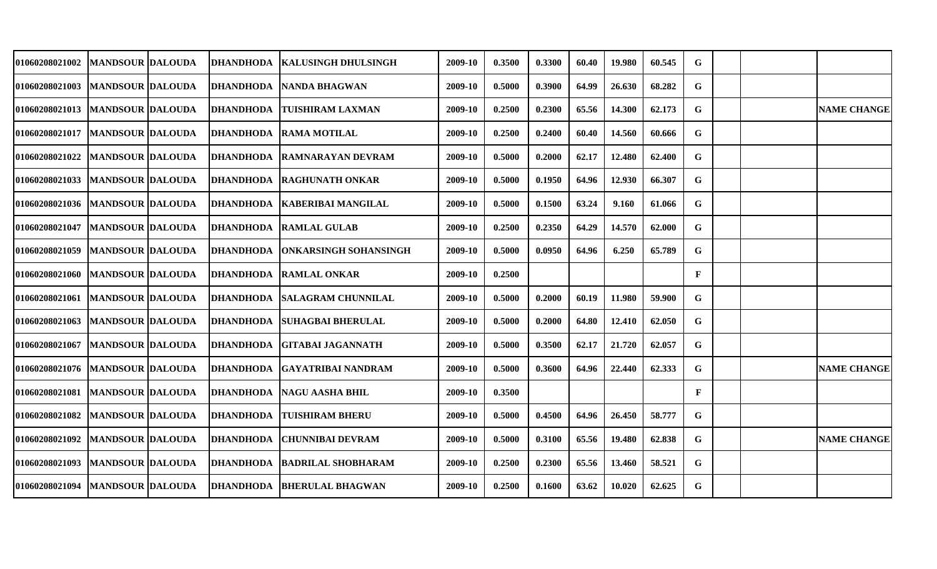| 01060208021002                    | <b>IMANDSOUR DALOUDA</b>  |                  | DHANDHODA   KALUSINGH DHULSINGH    | 2009-10 | 0.3500 | 0.3300 | 60.40 | 19.980 | 60.545 | G            |  |                    |
|-----------------------------------|---------------------------|------------------|------------------------------------|---------|--------|--------|-------|--------|--------|--------------|--|--------------------|
| <b>01060208021003</b>             | <b>MANDSOUR DALOUDA</b>   | <b>DHANDHODA</b> | <b>NANDA BHAGWAN</b>               | 2009-10 | 0.5000 | 0.3900 | 64.99 | 26.630 | 68.282 | G            |  |                    |
| 01060208021013  MANDSOUR DALOUDA  |                           | DHANDHODA        | <b>TUISHIRAM LAXMAN</b>            | 2009-10 | 0.2500 | 0.2300 | 65.56 | 14.300 | 62.173 | G            |  | <b>NAME CHANGE</b> |
| 01060208021017                    | <b>MANDSOUR DALOUDA</b>   |                  | <b>DHANDHODA RAMA MOTILAL</b>      | 2009-10 | 0.2500 | 0.2400 | 60.40 | 14.560 | 60.666 | G            |  |                    |
| 01060208021022                    | <b>MANDSOUR DALOUDA</b>   |                  | DHANDHODA   RAMNARAYAN DEVRAM      | 2009-10 | 0.5000 | 0.2000 | 62.17 | 12.480 | 62.400 | G            |  |                    |
| 01060208021033                    | <b>MANDSOUR DALOUDA</b>   |                  | DHANDHODA  RAGHUNATH ONKAR         | 2009-10 | 0.5000 | 0.1950 | 64.96 | 12.930 | 66.307 | G            |  |                    |
| <b>01060208021036</b>             | <b>MANDSOUR DALOUDA</b>   |                  | DHANDHODA   KABERIBAI MANGILAL     | 2009-10 | 0.5000 | 0.1500 | 63.24 | 9.160  | 61.066 | G            |  |                    |
| 01060208021047                    | <b>MANDSOUR DALOUDA</b>   |                  | DHANDHODA RAMLAL GULAB             | 2009-10 | 0.2500 | 0.2350 | 64.29 | 14.570 | 62.000 | G            |  |                    |
| <b>01060208021059</b>             | <b>IMANDSOUR IDALOUDA</b> |                  | DHANDHODA   ONKARSINGH SOHANSINGH  | 2009-10 | 0.5000 | 0.0950 | 64.96 | 6.250  | 65.789 | G            |  |                    |
| 01060208021060 IMANDSOUR IDALOUDA |                           |                  | DHANDHODA RAMLAL ONKAR             | 2009-10 | 0.2500 |        |       |        |        | $\mathbf{F}$ |  |                    |
| 01060208021061 MANDSOUR DALOUDA   |                           |                  | DHANDHODA SALAGRAM CHUNNILAL       | 2009-10 | 0.5000 | 0.2000 | 60.19 | 11.980 | 59.900 | G            |  |                    |
| 01060208021063                    | <b>MANDSOUR DALOUDA</b>   |                  | <b>DHANDHODA SUHAGBAI BHERULAL</b> | 2009-10 | 0.5000 | 0.2000 | 64.80 | 12.410 | 62.050 | G            |  |                    |
| 01060208021067                    | <b>MANDSOUR DALOUDA</b>   | <b>DHANDHODA</b> | <b>GITABAI JAGANNATH</b>           | 2009-10 | 0.5000 | 0.3500 | 62.17 | 21.720 | 62.057 | G            |  |                    |
| 01060208021076                    | <b>MANDSOUR DALOUDA</b>   | <b>DHANDHODA</b> | <b>GAYATRIBAI NANDRAM</b>          | 2009-10 | 0.5000 | 0.3600 | 64.96 | 22.440 | 62.333 | G            |  | <b>NAME CHANGE</b> |
| <b>01060208021081</b>             | <b>MANDSOUR DALOUDA</b>   | <b>DHANDHODA</b> | <b>NAGU AASHA BHIL</b>             | 2009-10 | 0.3500 |        |       |        |        | F            |  |                    |
| 01060208021082                    | <b>MANDSOUR DALOUDA</b>   | <b>DHANDHODA</b> | <b>TUISHIRAM BHERU</b>             | 2009-10 | 0.5000 | 0.4500 | 64.96 | 26.450 | 58.777 | G            |  |                    |
| 01060208021092                    | <b>MANDSOUR DALOUDA</b>   | <b>DHANDHODA</b> | <b>CHUNNIBAI DEVRAM</b>            | 2009-10 | 0.5000 | 0.3100 | 65.56 | 19.480 | 62.838 | G            |  | <b>NAME CHANGE</b> |
| 01060208021093                    | <b>MANDSOUR DALOUDA</b>   |                  | DHANDHODA  BADRILAL SHOBHARAM      | 2009-10 | 0.2500 | 0.2300 | 65.56 | 13.460 | 58.521 | G            |  |                    |
| 01060208021094                    | <b>MANDSOUR DALOUDA</b>   |                  | DHANDHODA BHERULAL BHAGWAN         | 2009-10 | 0.2500 | 0.1600 | 63.62 | 10.020 | 62.625 | G            |  |                    |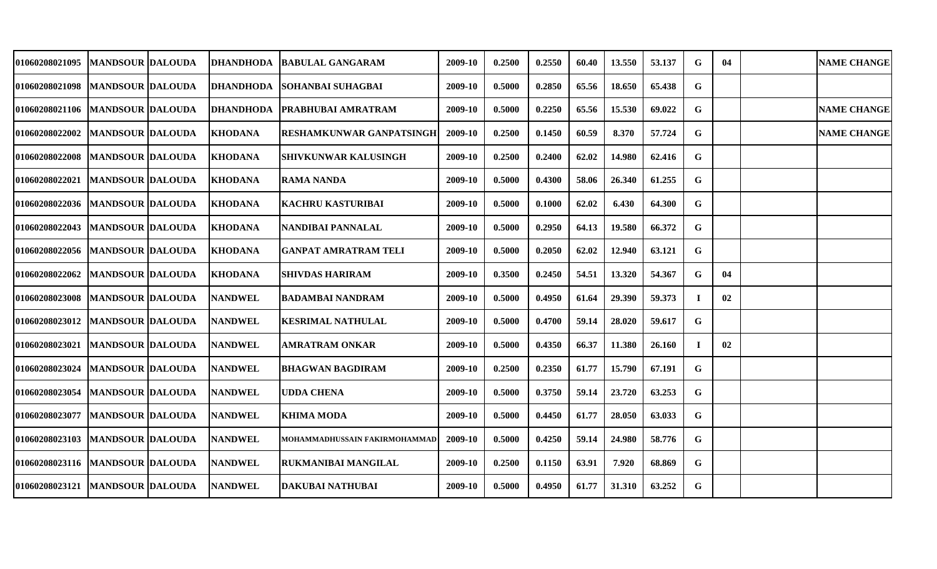| 01060208021095                      | <b>MANDSOUR DALOUDA</b>   | <b>DHANDHODA</b> | <b>BABULAL GANGARAM</b>         | 2009-10 | 0.2500 | 0.2550 | 60.40 | 13.550 | 53.137 | G  | 04 | <b>NAME CHANGE</b> |
|-------------------------------------|---------------------------|------------------|---------------------------------|---------|--------|--------|-------|--------|--------|----|----|--------------------|
| 01060208021098                      | <b>MANDSOUR DALOUDA</b>   | DHANDHODA        | <b>ISOHANBAI SUHAGBAI</b>       | 2009-10 | 0.5000 | 0.2850 | 65.56 | 18.650 | 65.438 | G  |    |                    |
| 01060208021106   MANDSOUR DALOUDA   |                           |                  | DHANDHODA   PRABHUBAI AMRATRAM  | 2009-10 | 0.5000 | 0.2250 | 65.56 | 15.530 | 69.022 | G  |    | <b>NAME CHANGE</b> |
| 01060208022002                      | <b>MANDSOUR DALOUDA</b>   | <b>KHODANA</b>   | <b>RESHAMKUNWAR GANPATSINGH</b> | 2009-10 | 0.2500 | 0.1450 | 60.59 | 8.370  | 57.724 | G  |    | <b>NAME CHANGE</b> |
| 01060208022008                      | <b>MANDSOUR DALOUDA</b>   | <b>KHODANA</b>   | <b>SHIVKUNWAR KALUSINGH</b>     | 2009-10 | 0.2500 | 0.2400 | 62.02 | 14.980 | 62.416 | G  |    |                    |
| <b>01060208022021</b>               | <b>MANDSOUR DALOUDA</b>   | <b>KHODANA</b>   | <b>RAMA NANDA</b>               | 2009-10 | 0.5000 | 0.4300 | 58.06 | 26.340 | 61.255 | G  |    |                    |
| 01060208022036                      | <b>IMANDSOUR IDALOUDA</b> | <b>KHODANA</b>   | KACHRU KASTURIBAI               | 2009-10 | 0.5000 | 0.1000 | 62.02 | 6.430  | 64.300 | G  |    |                    |
| 01060208022043                      | <b>IMANDSOUR IDALOUDA</b> | <b>KHODANA</b>   | NANDIBAI PANNALAL               | 2009-10 | 0.5000 | 0.2950 | 64.13 | 19.580 | 66.372 | G  |    |                    |
| 01060208022056   MANDSOUR DALOUDA   |                           | <b>KHODANA</b>   | <b>GANPAT AMRATRAM TELI</b>     | 2009-10 | 0.5000 | 0.2050 | 62.02 | 12.940 | 63.121 | G  |    |                    |
| <b>01060208022062</b>               | <b>MANDSOUR DALOUDA</b>   | <b>KHODANA</b>   | <b>SHIVDAS HARIRAM</b>          | 2009-10 | 0.3500 | 0.2450 | 54.51 | 13.320 | 54.367 | G  | 04 |                    |
| 01060208023008                      | <b>MANDSOUR DALOUDA</b>   | <b>NANDWEL</b>   | <b>BADAMBAI NANDRAM</b>         | 2009-10 | 0.5000 | 0.4950 | 61.64 | 29.390 | 59.373 | I  | 02 |                    |
| 01060208023012                      | <b>MANDSOUR DALOUDA</b>   | <b>NANDWEL</b>   | <b>KESRIMAL NATHULAL</b>        | 2009-10 | 0.5000 | 0.4700 | 59.14 | 28.020 | 59.617 | G  |    |                    |
| 01060208023021                      | <b>MANDSOUR DALOUDA</b>   | <b>NANDWEL</b>   | <b>AMRATRAM ONKAR</b>           | 2009-10 | 0.5000 | 0.4350 | 66.37 | 11.380 | 26.160 | л. | 02 |                    |
| 01060208023024                      | <b>MANDSOUR DALOUDA</b>   | <b>NANDWEL</b>   | <b>BHAGWAN BAGDIRAM</b>         | 2009-10 | 0.2500 | 0.2350 | 61.77 | 15.790 | 67.191 | G  |    |                    |
| 01060208023054                      | <b>MANDSOUR DALOUDA</b>   | <b>NANDWEL</b>   | <b>UDDA CHENA</b>               | 2009-10 | 0.5000 | 0.3750 | 59.14 | 23.720 | 63.253 | G  |    |                    |
| 01060208023077                      | <b>MANDSOUR DALOUDA</b>   | <b>NANDWEL</b>   | <b>KHIMA MODA</b>               | 2009-10 | 0.5000 | 0.4450 | 61.77 | 28.050 | 63.033 | G  |    |                    |
| 01060208023103                      | <b>MANDSOUR DALOUDA</b>   | <b>NANDWEL</b>   | MOHAMMADHUSSAIN FAKIRMOHAMMAD   | 2009-10 | 0.5000 | 0.4250 | 59.14 | 24.980 | 58.776 | G  |    |                    |
| 01060208023116   MANDSOUR   DALOUDA |                           | <b>NANDWEL</b>   | RUKMANIBAI MANGILAL             | 2009-10 | 0.2500 | 0.1150 | 63.91 | 7.920  | 68.869 | G  |    |                    |
| 01060208023121                      | <b>MANDSOUR DALOUDA</b>   | <b>NANDWEL</b>   | <b>DAKUBAI NATHUBAI</b>         | 2009-10 | 0.5000 | 0.4950 | 61.77 | 31.310 | 63.252 | G  |    |                    |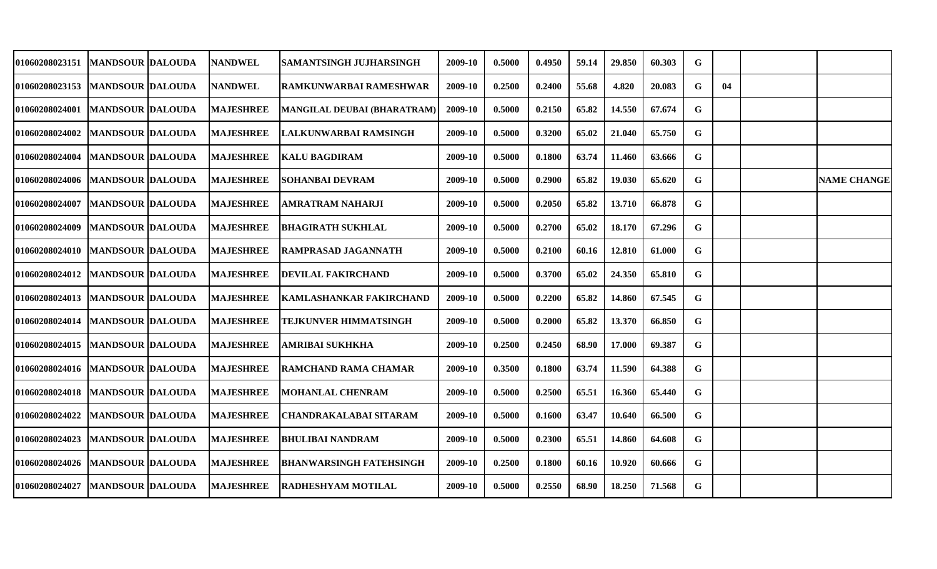| 01060208023151                    | <b>IMANDSOUR IDALOUDA</b> | <b>NANDWEL</b>   | SAMANTSINGH JUJHARSINGH            | 2009-10 | 0.5000 | 0.4950 | 59.14 | 29.850 | 60.303 | G |    |                    |
|-----------------------------------|---------------------------|------------------|------------------------------------|---------|--------|--------|-------|--------|--------|---|----|--------------------|
| <b>01060208023153</b>             | <b>MANDSOUR DALOUDA</b>   | <b>NANDWEL</b>   | RAMKUNWARBAI RAMESHWAR             | 2009-10 | 0.2500 | 0.2400 | 55.68 | 4.820  | 20.083 | G | 04 |                    |
| <b>01060208024001</b>             | <b>MANDSOUR DALOUDA</b>   | <b>MAJESHREE</b> | <b>MANGILAL DEUBAI (BHARATRAM)</b> | 2009-10 | 0.5000 | 0.2150 | 65.82 | 14.550 | 67.674 | G |    |                    |
| 01060208024002                    | <b>MANDSOUR DALOUDA</b>   | <b>MAJESHREE</b> | LALKUNWARBAI RAMSINGH              | 2009-10 | 0.5000 | 0.3200 | 65.02 | 21.040 | 65.750 | G |    |                    |
| 01060208024004                    | <b>MANDSOUR DALOUDA</b>   | <b>MAJESHREE</b> | <b>KALU BAGDIRAM</b>               | 2009-10 | 0.5000 | 0.1800 | 63.74 | 11.460 | 63.666 | G |    |                    |
| 01060208024006  MANDSOUR  DALOUDA |                           | <b>MAJESHREE</b> | <b>SOHANBAI DEVRAM</b>             | 2009-10 | 0.5000 | 0.2900 | 65.82 | 19.030 | 65.620 | G |    | <b>NAME CHANGE</b> |
| 01060208024007                    | <b>MANDSOUR DALOUDA</b>   | <b>MAJESHREE</b> | <b>AMRATRAM NAHARJI</b>            | 2009-10 | 0.5000 | 0.2050 | 65.82 | 13.710 | 66.878 | G |    |                    |
| 01060208024009                    | <b>MANDSOUR DALOUDA</b>   | <b>MAJESHREE</b> | <b>BHAGIRATH SUKHLAL</b>           | 2009-10 | 0.5000 | 0.2700 | 65.02 | 18.170 | 67.296 | G |    |                    |
| 01060208024010 IMANDSOUR IDALOUDA |                           | <b>MAJESHREE</b> | RAMPRASAD JAGANNATH                | 2009-10 | 0.5000 | 0.2100 | 60.16 | 12.810 | 61.000 | G |    |                    |
| <b>01060208024012</b>             | <b>MANDSOUR DALOUDA</b>   | <b>MAJESHREE</b> | <b>DEVILAL FAKIRCHAND</b>          | 2009-10 | 0.5000 | 0.3700 | 65.02 | 24.350 | 65.810 | G |    |                    |
| 01060208024013  MANDSOUR DALOUDA  |                           | <b>MAJESHREE</b> | <b>KAMLASHANKAR FAKIRCHAND</b>     | 2009-10 | 0.5000 | 0.2200 | 65.82 | 14.860 | 67.545 | G |    |                    |
| 01060208024014                    | <b>MANDSOUR DALOUDA</b>   | <b>MAJESHREE</b> | <b>TEJKUNVER HIMMATSINGH</b>       | 2009-10 | 0.5000 | 0.2000 | 65.82 | 13.370 | 66.850 | G |    |                    |
| 01060208024015                    | <b>MANDSOUR DALOUDA</b>   | <b>MAJESHREE</b> | <b>AMRIBAI SUKHKHA</b>             | 2009-10 | 0.2500 | 0.2450 | 68.90 | 17.000 | 69.387 | G |    |                    |
| 01060208024016                    | <b>MANDSOUR DALOUDA</b>   | <b>MAJESHREE</b> | <b>RAMCHAND RAMA CHAMAR</b>        | 2009-10 | 0.3500 | 0.1800 | 63.74 | 11.590 | 64.388 | G |    |                    |
| 01060208024018                    | <b>MANDSOUR DALOUDA</b>   | <b>MAJESHREE</b> | <b>MOHANLAL CHENRAM</b>            | 2009-10 | 0.5000 | 0.2500 | 65.51 | 16.360 | 65.440 | G |    |                    |
| 01060208024022                    | <b>MANDSOUR DALOUDA</b>   | <b>MAJESHREE</b> | <b>CHANDRAKALABAI SITARAM</b>      | 2009-10 | 0.5000 | 0.1600 | 63.47 | 10.640 | 66.500 | G |    |                    |
| 01060208024023                    | <b>MANDSOUR DALOUDA</b>   | <b>MAJESHREE</b> | <b>BHULIBAI NANDRAM</b>            | 2009-10 | 0.5000 | 0.2300 | 65.51 | 14.860 | 64.608 | G |    |                    |
| 01060208024026                    | <b>MANDSOUR DALOUDA</b>   | <b>MAJESHREE</b> | <b>BHANWARSINGH FATEHSINGH</b>     | 2009-10 | 0.2500 | 0.1800 | 60.16 | 10.920 | 60.666 | G |    |                    |
| 01060208024027                    | <b>MANDSOUR DALOUDA</b>   | <b>MAJESHREE</b> | <b>RADHESHYAM MOTILAL</b>          | 2009-10 | 0.5000 | 0.2550 | 68.90 | 18.250 | 71.568 | G |    |                    |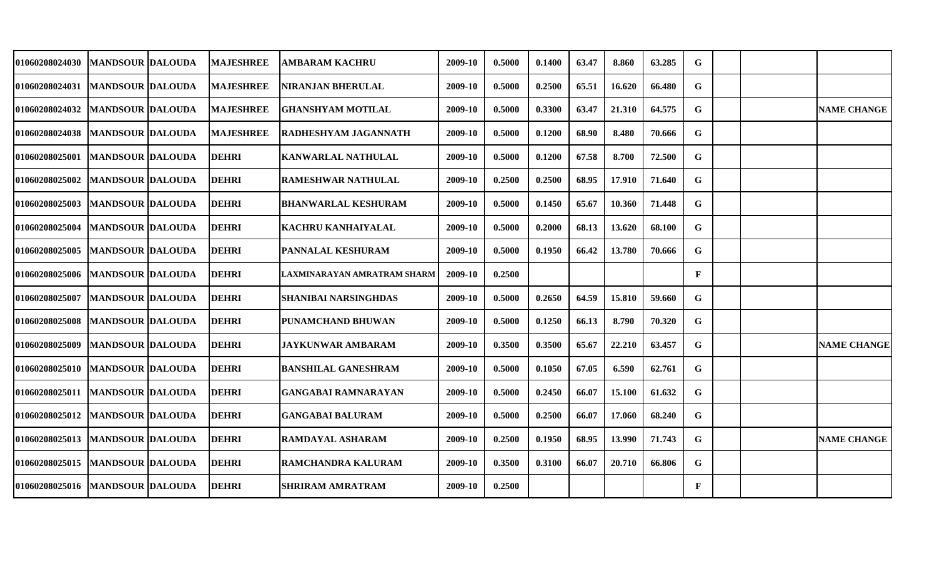| <b>01060208024030</b>             | <b>MANDSOUR DALOUDA</b> | <b>MAJESHREE</b> | AMBARAM KACHRU              | 2009-10 | 0.5000 | 0.1400 | 63.47 | 8.860  | 63.285 | G            |  |                    |
|-----------------------------------|-------------------------|------------------|-----------------------------|---------|--------|--------|-------|--------|--------|--------------|--|--------------------|
| 01060208024031                    | <b>MANDSOUR DALOUDA</b> | <b>MAJESHREE</b> | <b>NIRANJAN BHERULAL</b>    | 2009-10 | 0.5000 | 0.2500 | 65.51 | 16.620 | 66.480 | G            |  |                    |
| 01060208024032                    | <b>MANDSOUR DALOUDA</b> | <b>MAJESHREE</b> | <b>GHANSHYAM MOTILAL</b>    | 2009-10 | 0.5000 | 0.3300 | 63.47 | 21.310 | 64.575 | G            |  | <b>NAME CHANGE</b> |
| 01060208024038                    | <b>MANDSOUR DALOUDA</b> | <b>MAJESHREE</b> | RADHESHYAM JAGANNATH        | 2009-10 | 0.5000 | 0.1200 | 68.90 | 8.480  | 70.666 | G            |  |                    |
| 01060208025001                    | <b>MANDSOUR DALOUDA</b> | <b>DEHRI</b>     | <b>KANWARLAL NATHULAL</b>   | 2009-10 | 0.5000 | 0.1200 | 67.58 | 8.700  | 72.500 | G            |  |                    |
| 01060208025002                    | <b>MANDSOUR DALOUDA</b> | <b>DEHRI</b>     | <b>RAMESHWAR NATHULAL</b>   | 2009-10 | 0.2500 | 0.2500 | 68.95 | 17.910 | 71.640 | G            |  |                    |
| 01060208025003                    | <b>MANDSOUR DALOUDA</b> | <b>DEHRI</b>     | BHANWARLAL KESHURAM         | 2009-10 | 0.5000 | 0.1450 | 65.67 | 10.360 | 71.448 | G            |  |                    |
| <b>01060208025004</b>             | <b>MANDSOUR DALOUDA</b> | <b>DEHRI</b>     | KACHRU KANHAIYALAL          | 2009-10 | 0.5000 | 0.2000 | 68.13 | 13.620 | 68.100 | G            |  |                    |
| <b>01060208025005</b>             | <b>MANDSOUR DALOUDA</b> | <b>DEHRI</b>     | PANNALAL KESHURAM           | 2009-10 | 0.5000 | 0.1950 | 66.42 | 13.780 | 70.666 | G            |  |                    |
| 01060208025006   MANDSOUR DALOUDA |                         | <b>DEHRI</b>     | LAXMINARAYAN AMRATRAM SHARM | 2009-10 | 0.2500 |        |       |        |        | $\mathbf{F}$ |  |                    |
| <b>01060208025007</b>             | <b>MANDSOUR DALOUDA</b> | <b>DEHRI</b>     | <b>SHANIBAI NARSINGHDAS</b> | 2009-10 | 0.5000 | 0.2650 | 64.59 | 15.810 | 59.660 | G            |  |                    |
| <b>01060208025008</b>             | <b>MANDSOUR DALOUDA</b> | <b>DEHRI</b>     | <b>PUNAMCHAND BHUWAN</b>    | 2009-10 | 0.5000 | 0.1250 | 66.13 | 8.790  | 70.320 | G            |  |                    |
| <b>01060208025009</b>             | <b>MANDSOUR DALOUDA</b> | <b>DEHRI</b>     | <b>JAYKUNWAR AMBARAM</b>    | 2009-10 | 0.3500 | 0.3500 | 65.67 | 22.210 | 63.457 | G            |  | <b>NAME CHANGE</b> |
| <b>01060208025010</b>             | MANDSOUR  DALOUDA       | <b>DEHRI</b>     | <b>BANSHILAL GANESHRAM</b>  | 2009-10 | 0.5000 | 0.1050 | 67.05 | 6.590  | 62.761 | G            |  |                    |
| 01060208025011                    | <b>MANDSOUR DALOUDA</b> | <b>DEHRI</b>     | <b>GANGABAI RAMNARAYAN</b>  | 2009-10 | 0.5000 | 0.2450 | 66.07 | 15.100 | 61.632 | G            |  |                    |
| 01060208025012                    | <b>MANDSOUR DALOUDA</b> | <b>DEHRI</b>     | <b>GANGABAI BALURAM</b>     | 2009-10 | 0.5000 | 0.2500 | 66.07 | 17.060 | 68.240 | G.           |  |                    |
| 01060208025013  MANDSOUR DALOUDA  |                         | <b>DEHRI</b>     | <b>RAMDAYAL ASHARAM</b>     | 2009-10 | 0.2500 | 0.1950 | 68.95 | 13.990 | 71.743 | G.           |  | <b>NAME CHANGE</b> |
| 01060208025015                    | <b>MANDSOUR DALOUDA</b> | <b>DEHRI</b>     | RAMCHANDRA KALURAM          | 2009-10 | 0.3500 | 0.3100 | 66.07 | 20.710 | 66.806 | G            |  |                    |
| <b>01060208025016</b>             | <b>MANDSOUR DALOUDA</b> | <b>DEHRI</b>     | <b>SHRIRAM AMRATRAM</b>     | 2009-10 | 0.2500 |        |       |        |        | F            |  |                    |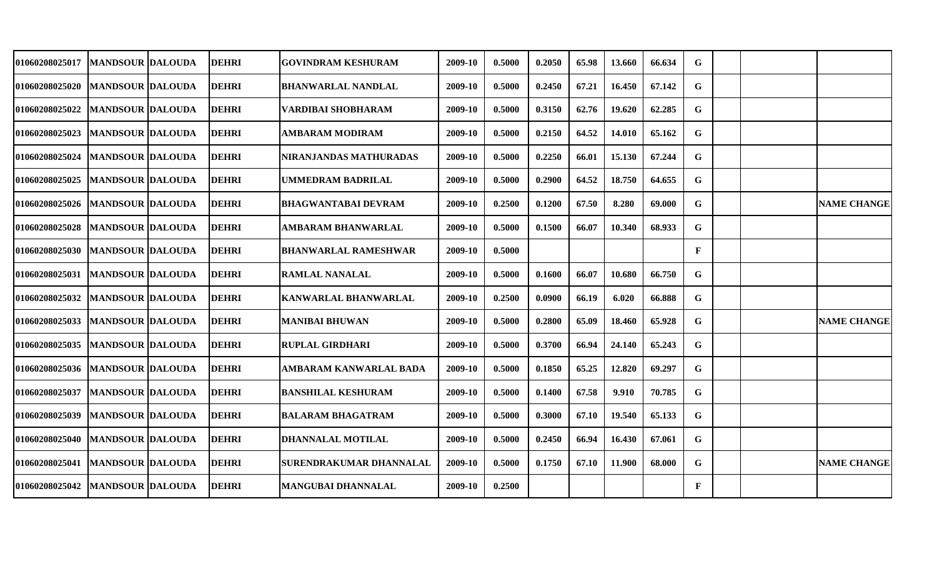| <b>01060208025017</b>             | <b>MANDSOUR DALOUDA</b> | <b>DEHRI</b> | <b>GOVINDRAM KESHURAM</b>      | 2009-10 | 0.5000 | 0.2050 | 65.98 | 13.660 | 66.634 | G            |  |                    |
|-----------------------------------|-------------------------|--------------|--------------------------------|---------|--------|--------|-------|--------|--------|--------------|--|--------------------|
| 01060208025020                    | <b>MANDSOUR DALOUDA</b> | <b>DEHRI</b> | <b>BHANWARLAL NANDLAL</b>      | 2009-10 | 0.5000 | 0.2450 | 67.21 | 16.450 | 67.142 | G            |  |                    |
| 01060208025022                    | <b>MANDSOUR DALOUDA</b> | <b>DEHRI</b> | VARDIBAI SHOBHARAM             | 2009-10 | 0.5000 | 0.3150 | 62.76 | 19.620 | 62.285 | G            |  |                    |
| 01060208025023                    | <b>MANDSOUR DALOUDA</b> | <b>DEHRI</b> | <b>AMBARAM MODIRAM</b>         | 2009-10 | 0.5000 | 0.2150 | 64.52 | 14.010 | 65.162 | G            |  |                    |
|                                   |                         |              |                                |         |        |        |       |        |        |              |  |                    |
| 01060208025024                    | <b>MANDSOUR DALOUDA</b> | <b>DEHRI</b> | NIRANJANDAS MATHURADAS         | 2009-10 | 0.5000 | 0.2250 | 66.01 | 15.130 | 67.244 | G            |  |                    |
| <b>01060208025025</b>             | <b>MANDSOUR DALOUDA</b> | <b>DEHRI</b> | <b>UMMEDRAM BADRILAL</b>       | 2009-10 | 0.5000 | 0.2900 | 64.52 | 18.750 | 64.655 | G            |  |                    |
| <b>01060208025026</b>             | <b>MANDSOUR DALOUDA</b> | <b>DEHRI</b> | BHAGWANTABAI DEVRAM            | 2009-10 | 0.2500 | 0.1200 | 67.50 | 8.280  | 69.000 | G            |  | <b>NAME CHANGE</b> |
| <b>01060208025028</b>             | <b>MANDSOUR DALOUDA</b> | <b>DEHRI</b> | <b>AMBARAM BHANWARLAL</b>      | 2009-10 | 0.5000 | 0.1500 | 66.07 | 10.340 | 68.933 | G            |  |                    |
| 01060208025030   MANDSOUR DALOUDA |                         | <b>DEHRI</b> | <b>BHANWARLAL RAMESHWAR</b>    | 2009-10 | 0.5000 |        |       |        |        | $\mathbf{F}$ |  |                    |
| <b>01060208025031</b>             | <b>MANDSOUR DALOUDA</b> | <b>DEHRI</b> | <b>RAMLAL NANALAL</b>          | 2009-10 | 0.5000 | 0.1600 | 66.07 | 10.680 | 66.750 | G            |  |                    |
| <b>01060208025032</b>             | <b>MANDSOUR DALOUDA</b> | <b>DEHRI</b> | <b>KANWARLAL BHANWARLAL</b>    | 2009-10 | 0.2500 | 0.0900 | 66.19 | 6.020  | 66.888 | G            |  |                    |
| <b>01060208025033</b>             | <b>MANDSOUR DALOUDA</b> | <b>DEHRI</b> | <b>MANIBAI BHUWAN</b>          | 2009-10 | 0.5000 | 0.2800 | 65.09 | 18.460 | 65.928 | G            |  | <b>NAME CHANGE</b> |
| 01060208025035                    | <b>MANDSOUR DALOUDA</b> | <b>DEHRI</b> | <b>RUPLAL GIRDHARI</b>         | 2009-10 | 0.5000 | 0.3700 | 66.94 | 24.140 | 65.243 | G            |  |                    |
| <b>01060208025036</b>             | MANDSOUR  DALOUDA       | <b>DEHRI</b> | AMBARAM KANWARLAL BADA         | 2009-10 | 0.5000 | 0.1850 | 65.25 | 12.820 | 69.297 | G            |  |                    |
| 01060208025037                    | <b>MANDSOUR DALOUDA</b> | <b>DEHRI</b> | <b>BANSHILAL KESHURAM</b>      | 2009-10 | 0.5000 | 0.1400 | 67.58 | 9.910  | 70.785 | G            |  |                    |
| 01060208025039                    | <b>MANDSOUR DALOUDA</b> | <b>DEHRI</b> | <b>BALARAM BHAGATRAM</b>       | 2009-10 | 0.5000 | 0.3000 | 67.10 | 19.540 | 65.133 | G.           |  |                    |
| 01060208025040                    | <b>MANDSOUR DALOUDA</b> | <b>DEHRI</b> | DHANNALAL MOTILAL              | 2009-10 | 0.5000 | 0.2450 | 66.94 | 16.430 | 67.061 | G.           |  |                    |
| 01060208025041                    | <b>MANDSOUR DALOUDA</b> | <b>DEHRI</b> | <b>SURENDRAKUMAR DHANNALAL</b> | 2009-10 | 0.5000 | 0.1750 | 67.10 | 11.900 | 68.000 | G.           |  | <b>NAME CHANGE</b> |
| <b>01060208025042</b>             | <b>MANDSOUR DALOUDA</b> | <b>DEHRI</b> | <b>MANGUBAI DHANNALAL</b>      | 2009-10 | 0.2500 |        |       |        |        | F            |  |                    |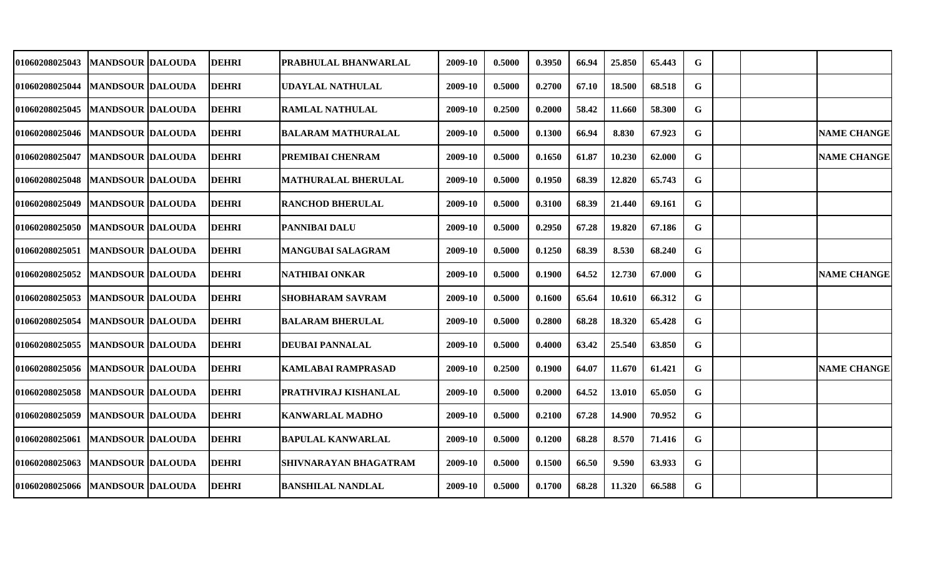| 01060208025043                   | <b>IMANDSOUR DALOUDA</b>  | <b>DEHRI</b> | PRABHULAL BHANWARLAL       | 2009-10 | 0.5000 | 0.3950 | 66.94 | 25.850 | 65.443 | G |  |                    |
|----------------------------------|---------------------------|--------------|----------------------------|---------|--------|--------|-------|--------|--------|---|--|--------------------|
| 01060208025044                   | <b>MANDSOUR DALOUDA</b>   | <b>DEHRI</b> | <b>UDAYLAL NATHULAL</b>    | 2009-10 | 0.5000 | 0.2700 | 67.10 | 18.500 | 68.518 | G |  |                    |
| <b>01060208025045</b>            | <b>MANDSOUR DALOUDA</b>   | <b>DEHRI</b> | <b>RAMLAL NATHULAL</b>     | 2009-10 | 0.2500 | 0.2000 | 58.42 | 11.660 | 58.300 | G |  |                    |
| 01060208025046  MANDSOUR DALOUDA |                           | <b>DEHRI</b> | <b>BALARAM MATHURALAL</b>  | 2009-10 | 0.5000 | 0.1300 | 66.94 | 8.830  | 67.923 | G |  | <b>NAME CHANGE</b> |
| 01060208025047                   | <b>MANDSOUR DALOUDA</b>   | <b>DEHRI</b> | PREMIBAI CHENRAM           | 2009-10 | 0.5000 | 0.1650 | 61.87 | 10.230 | 62.000 | G |  | <b>NAME CHANGE</b> |
| 01060208025048                   | <b>MANDSOUR DALOUDA</b>   | <b>DEHRI</b> | <b>MATHURALAL BHERULAL</b> | 2009-10 | 0.5000 | 0.1950 | 68.39 | 12.820 | 65.743 | G |  |                    |
| 01060208025049                   | <b>MANDSOUR DALOUDA</b>   | <b>DEHRI</b> | <b>RANCHOD BHERULAL</b>    | 2009-10 | 0.5000 | 0.3100 | 68.39 | 21.440 | 69.161 | G |  |                    |
| <b>01060208025050</b>            | <b>MANDSOUR DALOUDA</b>   | <b>DEHRI</b> | <b>PANNIBAI DALU</b>       | 2009-10 | 0.5000 | 0.2950 | 67.28 | 19.820 | 67.186 | G |  |                    |
| <b>01060208025051</b>            | <b>IMANDSOUR IDALOUDA</b> | <b>DEHRI</b> | MANGUBAI SALAGRAM          | 2009-10 | 0.5000 | 0.1250 | 68.39 | 8.530  | 68.240 | G |  |                    |
| <b>01060208025052</b>            | <b>MANDSOUR DALOUDA</b>   | <b>DEHRI</b> | NATHIBAI ONKAR             | 2009-10 | 0.5000 | 0.1900 | 64.52 | 12.730 | 67.000 | G |  | <b>NAME CHANGE</b> |
| 01060208025053                   | <b>MANDSOUR DALOUDA</b>   | <b>DEHRI</b> | <b>SHOBHARAM SAVRAM</b>    | 2009-10 | 0.5000 | 0.1600 | 65.64 | 10.610 | 66.312 | G |  |                    |
| 01060208025054                   | <b>MANDSOUR DALOUDA</b>   | <b>DEHRI</b> | <b>BALARAM BHERULAL</b>    | 2009-10 | 0.5000 | 0.2800 | 68.28 | 18.320 | 65.428 | G |  |                    |
| 01060208025055                   | <b>MANDSOUR DALOUDA</b>   | <b>DEHRI</b> | <b>DEUBAI PANNALAL</b>     | 2009-10 | 0.5000 | 0.4000 | 63.42 | 25.540 | 63.850 | G |  |                    |
| 01060208025056                   | <b>MANDSOUR DALOUDA</b>   | <b>DEHRI</b> | <b>KAMLABAI RAMPRASAD</b>  | 2009-10 | 0.2500 | 0.1900 | 64.07 | 11.670 | 61.421 | G |  | <b>NAME CHANGE</b> |
| 01060208025058                   | <b>MANDSOUR DALOUDA</b>   | <b>DEHRI</b> | PRATHVIRAJ KISHANLAL       | 2009-10 | 0.5000 | 0.2000 | 64.52 | 13.010 | 65.050 | G |  |                    |
| 01060208025059                   | <b>MANDSOUR DALOUDA</b>   | <b>DEHRI</b> | <b>KANWARLAL MADHO</b>     | 2009-10 | 0.5000 | 0.2100 | 67.28 | 14.900 | 70.952 | G |  |                    |
| 01060208025061                   | <b>MANDSOUR DALOUDA</b>   | <b>DEHRI</b> | <b>BAPULAL KANWARLAL</b>   | 2009-10 | 0.5000 | 0.1200 | 68.28 | 8.570  | 71.416 | G |  |                    |
| 01060208025063                   | <b>MANDSOUR DALOUDA</b>   | <b>DEHRI</b> | SHIVNARAYAN BHAGATRAM      | 2009-10 | 0.5000 | 0.1500 | 66.50 | 9.590  | 63.933 | G |  |                    |
| 01060208025066                   | <b>MANDSOUR DALOUDA</b>   | <b>DEHRI</b> | <b>BANSHILAL NANDLAL</b>   | 2009-10 | 0.5000 | 0.1700 | 68.28 | 11.320 | 66.588 | G |  |                    |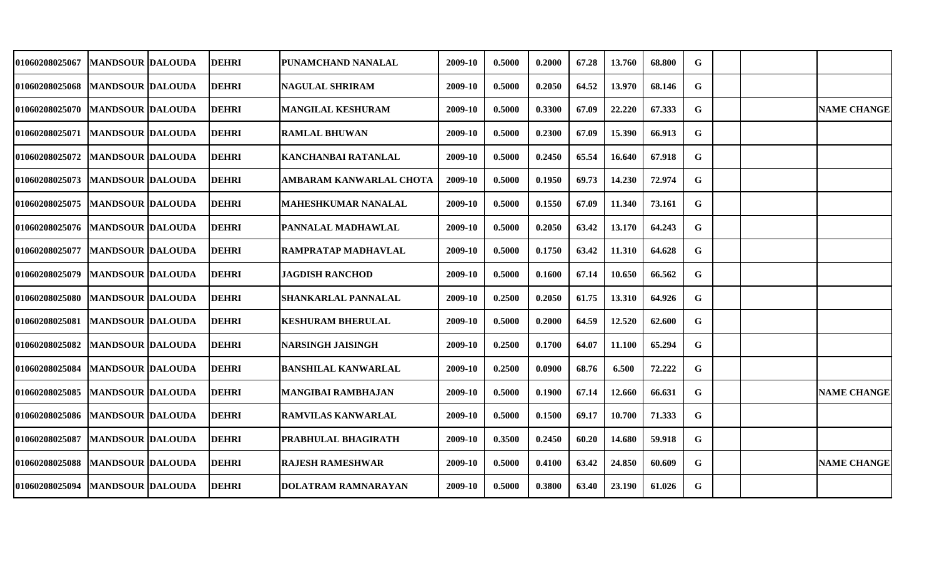| 01060208025067                    | <b>MANDSOUR DALOUDA</b> | <b>DEHRI</b> | PUNAMCHAND NANALAL         | 2009-10 | 0.5000 | 0.2000 | 67.28 | 13.760 | 68.800 | G  |  |                    |
|-----------------------------------|-------------------------|--------------|----------------------------|---------|--------|--------|-------|--------|--------|----|--|--------------------|
| 01060208025068                    | <b>MANDSOUR DALOUDA</b> | <b>DEHRI</b> | <b>NAGULAL SHRIRAM</b>     | 2009-10 | 0.5000 | 0.2050 | 64.52 | 13.970 | 68.146 | G  |  |                    |
| 01060208025070   MANDSOUR DALOUDA |                         | <b>DEHRI</b> | <b>MANGILAL KESHURAM</b>   | 2009-10 | 0.5000 | 0.3300 | 67.09 | 22.220 | 67.333 | G  |  | <b>NAME CHANGE</b> |
| 01060208025071   MANDSOUR DALOUDA |                         | <b>DEHRI</b> | <b>RAMLAL BHUWAN</b>       | 2009-10 | 0.5000 | 0.2300 | 67.09 | 15.390 | 66.913 | G  |  |                    |
| 01060208025072   MANDSOUR DALOUDA |                         | <b>DEHRI</b> | <b>KANCHANBAI RATANLAL</b> | 2009-10 | 0.5000 | 0.2450 | 65.54 | 16.640 | 67.918 | G  |  |                    |
| <b>01060208025073</b>             | <b>MANDSOUR DALOUDA</b> | <b>DEHRI</b> | AMBARAM KANWARLAL CHOTA    | 2009-10 | 0.5000 | 0.1950 | 69.73 | 14.230 | 72.974 | G. |  |                    |
| <b>01060208025075</b>             | <b>MANDSOUR DALOUDA</b> | <b>DEHRI</b> | <b>MAHESHKUMAR NANALAL</b> | 2009-10 | 0.5000 | 0.1550 | 67.09 | 11.340 | 73.161 | G  |  |                    |
| 01060208025076  MANDSOUR DALOUDA  |                         | <b>DEHRI</b> | PANNALAL MADHAWLAL         | 2009-10 | 0.5000 | 0.2050 | 63.42 | 13.170 | 64.243 | G  |  |                    |
| <b>01060208025077</b>             | <b>MANDSOUR DALOUDA</b> | <b>DEHRI</b> | RAMPRATAP MADHAVLAL        | 2009-10 | 0.5000 | 0.1750 | 63.42 | 11.310 | 64.628 | G  |  |                    |
| <b>01060208025079</b>             | <b>MANDSOUR DALOUDA</b> | <b>DEHRI</b> | <b>JAGDISH RANCHOD</b>     | 2009-10 | 0.5000 | 0.1600 | 67.14 | 10.650 | 66.562 | G  |  |                    |
| <b>01060208025080</b>             | <b>MANDSOUR DALOUDA</b> | <b>DEHRI</b> | <b>SHANKARLAL PANNALAL</b> | 2009-10 | 0.2500 | 0.2050 | 61.75 | 13.310 | 64.926 | G  |  |                    |
| 01060208025081                    | <b>MANDSOUR DALOUDA</b> | <b>DEHRI</b> | <b>KESHURAM BHERULAL</b>   | 2009-10 | 0.5000 | 0.2000 | 64.59 | 12.520 | 62.600 | G  |  |                    |
| <b>01060208025082</b>             | <b>MANDSOUR DALOUDA</b> | <b>DEHRI</b> | <b>NARSINGH JAISINGH</b>   | 2009-10 | 0.2500 | 0.1700 | 64.07 | 11.100 | 65.294 | G  |  |                    |
| 01060208025084                    | <b>MANDSOUR DALOUDA</b> | <b>DEHRI</b> | <b>BANSHILAL KANWARLAL</b> | 2009-10 | 0.2500 | 0.0900 | 68.76 | 6.500  | 72.222 | G  |  |                    |
| 01060208025085                    | <b>MANDSOUR DALOUDA</b> | <b>DEHRI</b> | <b>MANGIBAI RAMBHAJAN</b>  | 2009-10 | 0.5000 | 0.1900 | 67.14 | 12.660 | 66.631 | G  |  | <b>NAME CHANGE</b> |
| 01060208025086                    | <b>MANDSOUR DALOUDA</b> | <b>DEHRI</b> | RAMVILAS KANWARLAL         | 2009-10 | 0.5000 | 0.1500 | 69.17 | 10.700 | 71.333 | G. |  |                    |
| 01060208025087                    | <b>MANDSOUR DALOUDA</b> | <b>DEHRI</b> | PRABHULAL BHAGIRATH        | 2009-10 | 0.3500 | 0.2450 | 60.20 | 14.680 | 59.918 | G. |  |                    |
| 01060208025088                    | <b>MANDSOUR DALOUDA</b> | <b>DEHRI</b> | <b>RAJESH RAMESHWAR</b>    | 2009-10 | 0.5000 | 0.4100 | 63.42 | 24.850 | 60.609 | G  |  | <b>NAME CHANGE</b> |
| <b>01060208025094</b>             | <b>MANDSOUR DALOUDA</b> | <b>DEHRI</b> | <b>DOLATRAM RAMNARAYAN</b> | 2009-10 | 0.5000 | 0.3800 | 63.40 | 23.190 | 61.026 | G  |  |                    |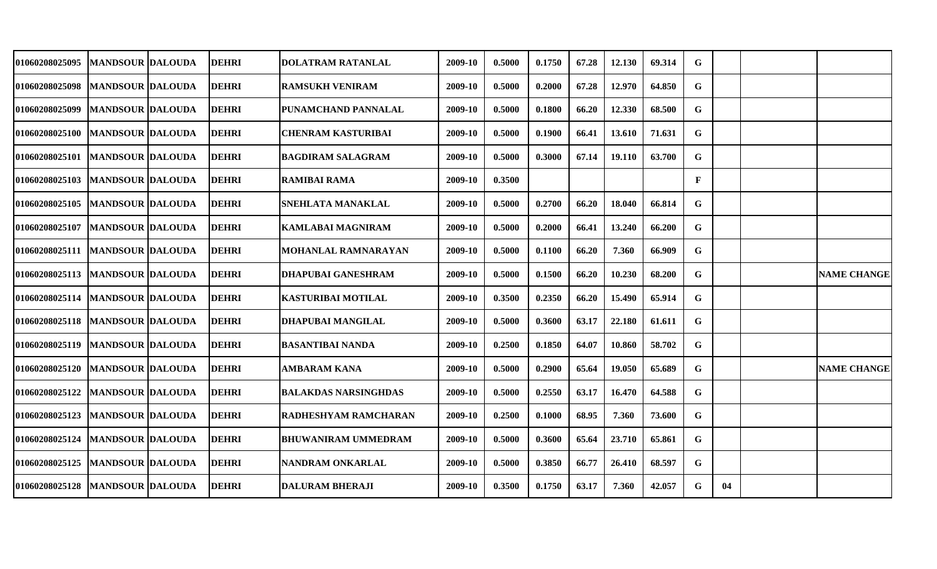| <b>01060208025095</b>             | <b>MANDSOUR DALOUDA</b> | <b>DEHRI</b> | DOLATRAM RATANLAL           | 2009-10 | 0.5000 | 0.1750 | 67.28 | 12.130 | 69.314 | G            |    |                    |
|-----------------------------------|-------------------------|--------------|-----------------------------|---------|--------|--------|-------|--------|--------|--------------|----|--------------------|
| 01060208025098                    | <b>MANDSOUR DALOUDA</b> | <b>DEHRI</b> | <b>RAMSUKH VENIRAM</b>      | 2009-10 | 0.5000 | 0.2000 | 67.28 | 12.970 | 64.850 | G            |    |                    |
| 01060208025099                    | <b>MANDSOUR DALOUDA</b> | <b>DEHRI</b> | PUNAMCHAND PANNALAL         | 2009-10 | 0.5000 | 0.1800 | 66.20 | 12.330 | 68.500 | G            |    |                    |
| 01060208025100   MANDSOUR DALOUDA |                         | <b>DEHRI</b> | <b>CHENRAM KASTURIBAI</b>   | 2009-10 | 0.5000 | 0.1900 | 66.41 | 13.610 | 71.631 | G            |    |                    |
| <b>01060208025101</b>             | <b>MANDSOUR DALOUDA</b> | <b>DEHRI</b> | <b>BAGDIRAM SALAGRAM</b>    | 2009-10 | 0.5000 | 0.3000 | 67.14 | 19.110 | 63.700 | G            |    |                    |
| <b>01060208025103</b>             | <b>MANDSOUR DALOUDA</b> | <b>DEHRI</b> | RAMIBAI RAMA                | 2009-10 | 0.3500 |        |       |        |        | $\mathbf{F}$ |    |                    |
| <b>01060208025105</b>             | MANDSOUR  DALOUDA       | <b>DEHRI</b> | SNEHLATA MANAKLAL           | 2009-10 | 0.5000 | 0.2700 | 66.20 | 18.040 | 66.814 | G            |    |                    |
| 01060208025107                    | <b>MANDSOUR DALOUDA</b> | <b>DEHRI</b> | <b>KAMLABAI MAGNIRAM</b>    | 2009-10 | 0.5000 | 0.2000 | 66.41 | 13.240 | 66.200 | G            |    |                    |
| 01060208025111   MANDSOUR DALOUDA |                         | <b>DEHRI</b> | MOHANLAL RAMNARAYAN         | 2009-10 | 0.5000 | 0.1100 | 66.20 | 7.360  | 66.909 | G            |    |                    |
| 01060208025113   MANDSOUR DALOUDA |                         | <b>DEHRI</b> | <b>DHAPUBAI GANESHRAM</b>   | 2009-10 | 0.5000 | 0.1500 | 66.20 | 10.230 | 68.200 | G            |    | <b>NAME CHANGE</b> |
| 01060208025114                    | <b>MANDSOUR DALOUDA</b> | <b>DEHRI</b> | KASTURIBAI MOTILAL          | 2009-10 | 0.3500 | 0.2350 | 66.20 | 15.490 | 65.914 | G.           |    |                    |
| 01060208025118   MANDSOUR DALOUDA |                         | <b>DEHRI</b> | <b>DHAPUBAI MANGILAL</b>    | 2009-10 | 0.5000 | 0.3600 | 63.17 | 22.180 | 61.611 | G            |    |                    |
| 01060208025119                    | <b>MANDSOUR DALOUDA</b> | <b>DEHRI</b> | <b>BASANTIBAI NANDA</b>     | 2009-10 | 0.2500 | 0.1850 | 64.07 | 10.860 | 58.702 | G            |    |                    |
| <b>01060208025120</b>             | <b>MANDSOUR DALOUDA</b> | <b>DEHRI</b> | <b>AMBARAM KANA</b>         | 2009-10 | 0.5000 | 0.2900 | 65.64 | 19.050 | 65.689 | G            |    | <b>NAME CHANGE</b> |
| 01060208025122                    | <b>MANDSOUR DALOUDA</b> | <b>DEHRI</b> | <b>BALAKDAS NARSINGHDAS</b> | 2009-10 | 0.5000 | 0.2550 | 63.17 | 16.470 | 64.588 | G            |    |                    |
| 01060208025123                    | <b>MANDSOUR DALOUDA</b> | <b>DEHRI</b> | RADHESHYAM RAMCHARAN        | 2009-10 | 0.2500 | 0.1000 | 68.95 | 7.360  | 73.600 | G            |    |                    |
| 01060208025124                    | <b>MANDSOUR DALOUDA</b> | <b>DEHRI</b> | <b>BHUWANIRAM UMMEDRAM</b>  | 2009-10 | 0.5000 | 0.3600 | 65.64 | 23.710 | 65.861 | G            |    |                    |
| 01060208025125                    | <b>MANDSOUR DALOUDA</b> | <b>DEHRI</b> | <b>NANDRAM ONKARLAL</b>     | 2009-10 | 0.5000 | 0.3850 | 66.77 | 26.410 | 68.597 | G            |    |                    |
| 01060208025128                    | <b>MANDSOUR DALOUDA</b> | <b>DEHRI</b> | <b>DALURAM BHERAJI</b>      | 2009-10 | 0.3500 | 0.1750 | 63.17 | 7.360  | 42.057 | G            | 04 |                    |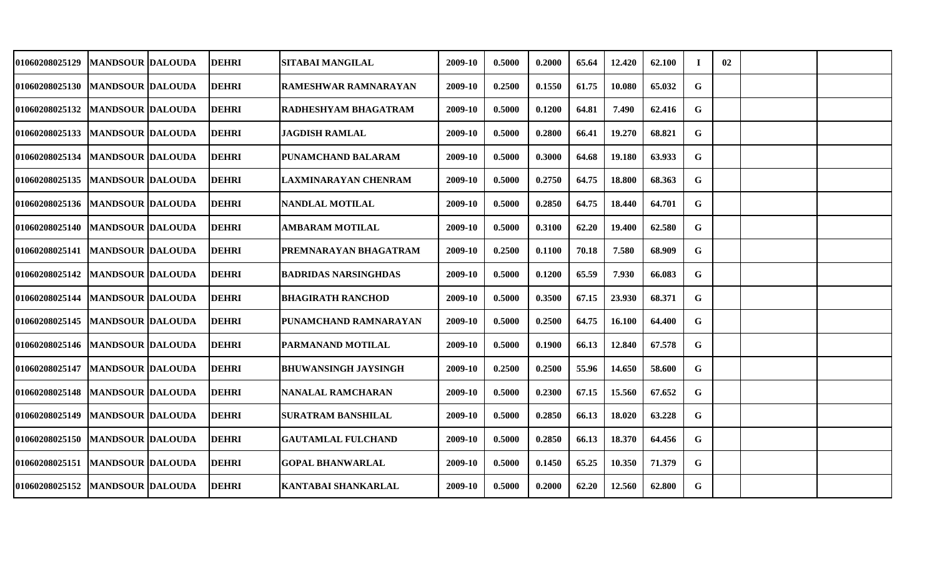| 01060208025129                    | MANDSOUR  DALOUDA       | <b>DEHRI</b> | SITABAI MANGILAL            | 2009-10 | 0.5000 | 0.2000 | 65.64 | 12.420 | 62.100 | $\mathbf I$ | 02 |  |
|-----------------------------------|-------------------------|--------------|-----------------------------|---------|--------|--------|-------|--------|--------|-------------|----|--|
| 01060208025130   MANDSOUR DALOUDA |                         | <b>DEHRI</b> | RAMESHWAR RAMNARAYAN        | 2009-10 | 0.2500 | 0.1550 | 61.75 | 10.080 | 65.032 | G           |    |  |
| 01060208025132                    | <b>MANDSOUR DALOUDA</b> | <b>DEHRI</b> | RADHESHYAM BHAGATRAM        | 2009-10 | 0.5000 | 0.1200 | 64.81 | 7.490  | 62.416 | G           |    |  |
| 01060208025133                    | <b>MANDSOUR DALOUDA</b> | <b>DEHRI</b> | <b>JAGDISH RAMLAL</b>       | 2009-10 | 0.5000 | 0.2800 | 66.41 | 19.270 | 68.821 | G           |    |  |
| 01060208025134   MANDSOUR DALOUDA |                         | <b>DEHRI</b> | PUNAMCHAND BALARAM          | 2009-10 | 0.5000 | 0.3000 | 64.68 | 19.180 | 63.933 | G           |    |  |
| <b>01060208025135</b>             | <b>MANDSOUR DALOUDA</b> | <b>DEHRI</b> | <b>LAXMINARAYAN CHENRAM</b> | 2009-10 | 0.5000 | 0.2750 | 64.75 | 18.800 | 68.363 | G           |    |  |
| 01060208025136  MANDSOUR  DALOUDA |                         | <b>DEHRI</b> | <b>NANDLAL MOTILAL</b>      | 2009-10 | 0.5000 | 0.2850 | 64.75 | 18.440 | 64.701 | G           |    |  |
| 01060208025140   MANDSOUR DALOUDA |                         | <b>DEHRI</b> | <b>AMBARAM MOTILAL</b>      | 2009-10 | 0.5000 | 0.3100 | 62.20 | 19.400 | 62.580 | G           |    |  |
| 01060208025141   MANDSOUR DALOUDA |                         | <b>DEHRI</b> | PREMNARAYAN BHAGATRAM       | 2009-10 | 0.2500 | 0.1100 | 70.18 | 7.580  | 68.909 | G           |    |  |
| 01060208025142   MANDSOUR DALOUDA |                         | <b>DEHRI</b> | <b>BADRIDAS NARSINGHDAS</b> | 2009-10 | 0.5000 | 0.1200 | 65.59 | 7.930  | 66.083 | G           |    |  |
| <b>01060208025144</b>             | <b>MANDSOUR DALOUDA</b> | <b>DEHRI</b> | <b>BHAGIRATH RANCHOD</b>    | 2009-10 | 0.5000 | 0.3500 | 67.15 | 23.930 | 68.371 | G           |    |  |
| <b>01060208025145</b>             | <b>MANDSOUR DALOUDA</b> | <b>DEHRI</b> | PUNAMCHAND RAMNARAYAN       | 2009-10 | 0.5000 | 0.2500 | 64.75 | 16.100 | 64.400 | G           |    |  |
| 01060208025146                    | <b>MANDSOUR DALOUDA</b> | <b>DEHRI</b> | PARMANAND MOTILAL           | 2009-10 | 0.5000 | 0.1900 | 66.13 | 12.840 | 67.578 | G           |    |  |
| <b>01060208025147</b>             | <b>MANDSOUR DALOUDA</b> | <b>DEHRI</b> | <b>BHUWANSINGH JAYSINGH</b> | 2009-10 | 0.2500 | 0.2500 | 55.96 | 14.650 | 58.600 | G           |    |  |
| 01060208025148                    | <b>MANDSOUR DALOUDA</b> | <b>DEHRI</b> | <b>NANALAL RAMCHARAN</b>    | 2009-10 | 0.5000 | 0.2300 | 67.15 | 15.560 | 67.652 | G           |    |  |
| 01060208025149                    | <b>MANDSOUR DALOUDA</b> | <b>DEHRI</b> | <b>SURATRAM BANSHILAL</b>   | 2009-10 | 0.5000 | 0.2850 | 66.13 | 18.020 | 63.228 | G.          |    |  |
| 01060208025150   MANDSOUR DALOUDA |                         | <b>DEHRI</b> | <b>GAUTAMLAL FULCHAND</b>   | 2009-10 | 0.5000 | 0.2850 | 66.13 | 18.370 | 64.456 | G.          |    |  |
| 01060208025151  MANDSOUR DALOUDA  |                         | <b>DEHRI</b> | <b>GOPAL BHANWARLAL</b>     | 2009-10 | 0.5000 | 0.1450 | 65.25 | 10.350 | 71.379 | G           |    |  |
| <b>01060208025152</b>             | <b>MANDSOUR DALOUDA</b> | <b>DEHRI</b> | <b>KANTABAI SHANKARLAL</b>  | 2009-10 | 0.5000 | 0.2000 | 62.20 | 12.560 | 62.800 | G           |    |  |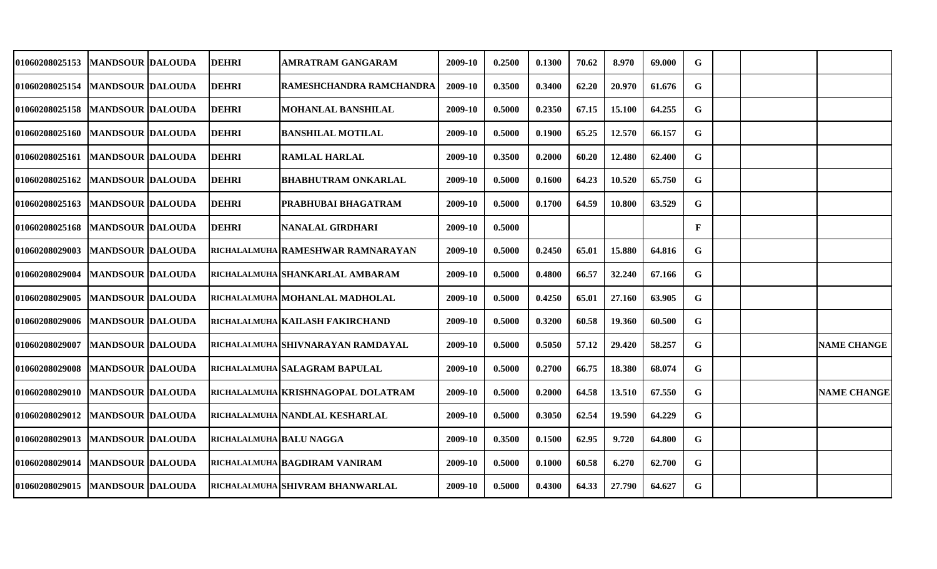| 01060208025153                    | <b>MANDSOUR DALOUDA</b> | <b>DEHRI</b>            | AMRATRAM GANGARAM                  | 2009-10 | 0.2500 | 0.1300 | 70.62 | 8.970  | 69.000 | G            |  |                    |
|-----------------------------------|-------------------------|-------------------------|------------------------------------|---------|--------|--------|-------|--------|--------|--------------|--|--------------------|
| <b>01060208025154</b>             | <b>MANDSOUR DALOUDA</b> | <b>DEHRI</b>            | RAMESHCHANDRA RAMCHANDRA           | 2009-10 | 0.3500 | 0.3400 | 62.20 | 20.970 | 61.676 | G            |  |                    |
| 01060208025158   MANDSOUR DALOUDA |                         | <b>DEHRI</b>            | <b>MOHANLAL BANSHILAL</b>          | 2009-10 | 0.5000 | 0.2350 | 67.15 | 15.100 | 64.255 | G            |  |                    |
| 01060208025160   MANDSOUR DALOUDA |                         | <b>DEHRI</b>            | <b>BANSHILAL MOTILAL</b>           | 2009-10 | 0.5000 | 0.1900 | 65.25 | 12.570 | 66.157 | G            |  |                    |
| 01060208025161                    | <b>MANDSOUR DALOUDA</b> | <b>DEHRI</b>            | <b>RAMLAL HARLAL</b>               | 2009-10 | 0.3500 | 0.2000 | 60.20 | 12.480 | 62.400 | G            |  |                    |
| <b>01060208025162</b>             | <b>MANDSOUR DALOUDA</b> | <b>DEHRI</b>            | <b>BHABHUTRAM ONKARLAL</b>         | 2009-10 | 0.5000 | 0.1600 | 64.23 | 10.520 | 65.750 | G            |  |                    |
| 01060208025163                    | <b>MANDSOUR DALOUDA</b> | <b>DEHRI</b>            | PRABHUBAI BHAGATRAM                | 2009-10 | 0.5000 | 0.1700 | 64.59 | 10.800 | 63.529 | G            |  |                    |
| 01060208025168                    | <b>MANDSOUR DALOUDA</b> | <b>DEHRI</b>            | <b>NANALAL GIRDHARI</b>            | 2009-10 | 0.5000 |        |       |        |        | $\mathbf{F}$ |  |                    |
| 01060208029003                    | <b>MANDSOUR DALOUDA</b> |                         | RICHALALMUHA RAMESHWAR RAMNARAYAN  | 2009-10 | 0.5000 | 0.2450 | 65.01 | 15.880 | 64.816 | G            |  |                    |
| <b>01060208029004</b>             | <b>MANDSOUR DALOUDA</b> |                         | RICHALALMUHA SHANKARLAL AMBARAM    | 2009-10 | 0.5000 | 0.4800 | 66.57 | 32.240 | 67.166 | G            |  |                    |
| <b>01060208029005</b>             | <b>MANDSOUR DALOUDA</b> |                         | RICHALALMUHA MOHANLAL MADHOLAL     | 2009-10 | 0.5000 | 0.4250 | 65.01 | 27.160 | 63.905 | G            |  |                    |
| <b>01060208029006</b>             | <b>MANDSOUR DALOUDA</b> |                         | RICHALALMUHA KAILASH FAKIRCHAND    | 2009-10 | 0.5000 | 0.3200 | 60.58 | 19.360 | 60.500 | G            |  |                    |
| <b>01060208029007</b>             | <b>MANDSOUR DALOUDA</b> |                         | RICHALALMUHA SHIVNARAYAN RAMDAYAL  | 2009-10 | 0.5000 | 0.5050 | 57.12 | 29.420 | 58.257 | G            |  | <b>NAME CHANGE</b> |
| <b>01060208029008</b>             | <b>MANDSOUR DALOUDA</b> |                         | richalalmuha salagram bapulal      | 2009-10 | 0.5000 | 0.2700 | 66.75 | 18.380 | 68.074 | G            |  |                    |
| <b>01060208029010</b>             | <b>MANDSOUR DALOUDA</b> |                         | RICHALALMUHA KRISHNAGOPAL DOLATRAM | 2009-10 | 0.5000 | 0.2000 | 64.58 | 13.510 | 67.550 | G            |  | <b>NAME CHANGE</b> |
| 01060208029012                    | <b>MANDSOUR DALOUDA</b> |                         | RICHALALMUHA NANDLAL KESHARLAL     | 2009-10 | 0.5000 | 0.3050 | 62.54 | 19.590 | 64.229 | G            |  |                    |
| 01060208029013  MANDSOUR  DALOUDA |                         | RICHALALMUHA BALU NAGGA |                                    | 2009-10 | 0.3500 | 0.1500 | 62.95 | 9.720  | 64.800 | G            |  |                    |
| 01060208029014                    | <b>MANDSOUR DALOUDA</b> |                         | RICHALALMUHA BAGDIRAM VANIRAM      | 2009-10 | 0.5000 | 0.1000 | 60.58 | 6.270  | 62.700 | G            |  |                    |
| <b>01060208029015</b>             | <b>MANDSOUR DALOUDA</b> |                         | RICHALALMUHA SHIVRAM BHANWARLAL    | 2009-10 | 0.5000 | 0.4300 | 64.33 | 27.790 | 64.627 | G            |  |                    |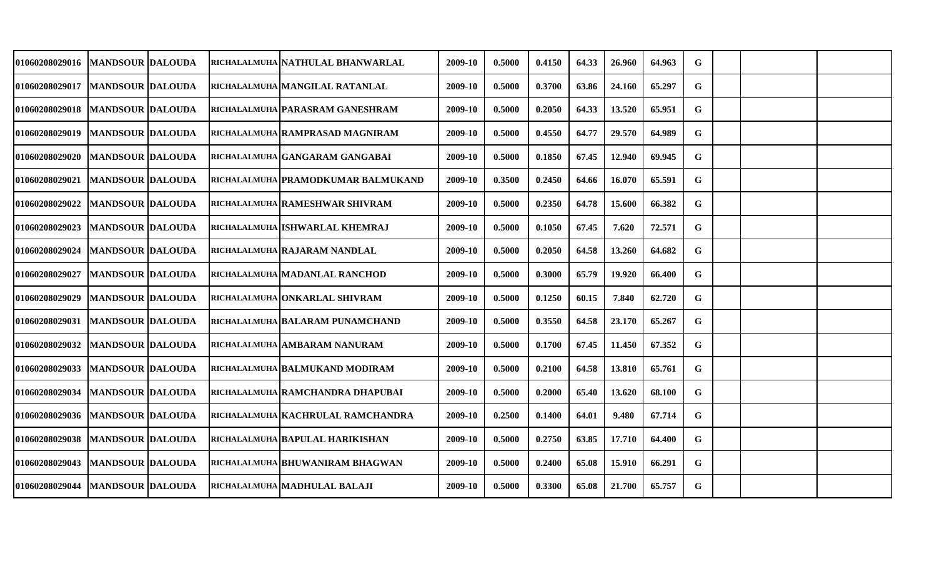|  |                                                                                                                                                                                                                                                                                                                                                                                                                                                                                                                                                    | 2009-10                                                                                                                                                                                                                                                                                                                                                                                                                                                                                                                                                                                                                                                                    | 0.5000 | 0.4150 | 64.33 | 26.960 | 64.963 | G |  |  |
|--|----------------------------------------------------------------------------------------------------------------------------------------------------------------------------------------------------------------------------------------------------------------------------------------------------------------------------------------------------------------------------------------------------------------------------------------------------------------------------------------------------------------------------------------------------|----------------------------------------------------------------------------------------------------------------------------------------------------------------------------------------------------------------------------------------------------------------------------------------------------------------------------------------------------------------------------------------------------------------------------------------------------------------------------------------------------------------------------------------------------------------------------------------------------------------------------------------------------------------------------|--------|--------|-------|--------|--------|---|--|--|
|  |                                                                                                                                                                                                                                                                                                                                                                                                                                                                                                                                                    | 2009-10                                                                                                                                                                                                                                                                                                                                                                                                                                                                                                                                                                                                                                                                    | 0.5000 | 0.3700 | 63.86 | 24.160 | 65.297 | G |  |  |
|  |                                                                                                                                                                                                                                                                                                                                                                                                                                                                                                                                                    | 2009-10                                                                                                                                                                                                                                                                                                                                                                                                                                                                                                                                                                                                                                                                    | 0.5000 | 0.2050 | 64.33 | 13.520 | 65.951 | G |  |  |
|  |                                                                                                                                                                                                                                                                                                                                                                                                                                                                                                                                                    | 2009-10                                                                                                                                                                                                                                                                                                                                                                                                                                                                                                                                                                                                                                                                    | 0.5000 | 0.4550 | 64.77 | 29.570 | 64.989 | G |  |  |
|  |                                                                                                                                                                                                                                                                                                                                                                                                                                                                                                                                                    | 2009-10                                                                                                                                                                                                                                                                                                                                                                                                                                                                                                                                                                                                                                                                    | 0.5000 | 0.1850 | 67.45 | 12.940 | 69.945 | G |  |  |
|  |                                                                                                                                                                                                                                                                                                                                                                                                                                                                                                                                                    | 2009-10                                                                                                                                                                                                                                                                                                                                                                                                                                                                                                                                                                                                                                                                    | 0.3500 | 0.2450 | 64.66 | 16.070 | 65.591 | G |  |  |
|  |                                                                                                                                                                                                                                                                                                                                                                                                                                                                                                                                                    | 2009-10                                                                                                                                                                                                                                                                                                                                                                                                                                                                                                                                                                                                                                                                    | 0.5000 | 0.2350 | 64.78 | 15.600 | 66.382 | G |  |  |
|  |                                                                                                                                                                                                                                                                                                                                                                                                                                                                                                                                                    | 2009-10                                                                                                                                                                                                                                                                                                                                                                                                                                                                                                                                                                                                                                                                    | 0.5000 | 0.1050 | 67.45 | 7.620  | 72.571 | G |  |  |
|  |                                                                                                                                                                                                                                                                                                                                                                                                                                                                                                                                                    | 2009-10                                                                                                                                                                                                                                                                                                                                                                                                                                                                                                                                                                                                                                                                    | 0.5000 | 0.2050 | 64.58 | 13.260 | 64.682 | G |  |  |
|  |                                                                                                                                                                                                                                                                                                                                                                                                                                                                                                                                                    | 2009-10                                                                                                                                                                                                                                                                                                                                                                                                                                                                                                                                                                                                                                                                    | 0.5000 | 0.3000 | 65.79 | 19.920 | 66.400 | G |  |  |
|  |                                                                                                                                                                                                                                                                                                                                                                                                                                                                                                                                                    | 2009-10                                                                                                                                                                                                                                                                                                                                                                                                                                                                                                                                                                                                                                                                    | 0.5000 | 0.1250 | 60.15 | 7.840  | 62.720 | G |  |  |
|  |                                                                                                                                                                                                                                                                                                                                                                                                                                                                                                                                                    | 2009-10                                                                                                                                                                                                                                                                                                                                                                                                                                                                                                                                                                                                                                                                    | 0.5000 | 0.3550 | 64.58 | 23.170 | 65.267 | G |  |  |
|  |                                                                                                                                                                                                                                                                                                                                                                                                                                                                                                                                                    | 2009-10                                                                                                                                                                                                                                                                                                                                                                                                                                                                                                                                                                                                                                                                    | 0.5000 | 0.1700 | 67.45 | 11.450 | 67.352 | G |  |  |
|  |                                                                                                                                                                                                                                                                                                                                                                                                                                                                                                                                                    | 2009-10                                                                                                                                                                                                                                                                                                                                                                                                                                                                                                                                                                                                                                                                    | 0.5000 | 0.2100 | 64.58 | 13.810 | 65.761 | G |  |  |
|  |                                                                                                                                                                                                                                                                                                                                                                                                                                                                                                                                                    | 2009-10                                                                                                                                                                                                                                                                                                                                                                                                                                                                                                                                                                                                                                                                    | 0.5000 | 0.2000 | 65.40 | 13.620 | 68.100 | G |  |  |
|  |                                                                                                                                                                                                                                                                                                                                                                                                                                                                                                                                                    | 2009-10                                                                                                                                                                                                                                                                                                                                                                                                                                                                                                                                                                                                                                                                    | 0.2500 | 0.1400 | 64.01 | 9.480  | 67.714 | G |  |  |
|  |                                                                                                                                                                                                                                                                                                                                                                                                                                                                                                                                                    | 2009-10                                                                                                                                                                                                                                                                                                                                                                                                                                                                                                                                                                                                                                                                    | 0.5000 | 0.2750 | 63.85 | 17.710 | 64.400 | G |  |  |
|  |                                                                                                                                                                                                                                                                                                                                                                                                                                                                                                                                                    | 2009-10                                                                                                                                                                                                                                                                                                                                                                                                                                                                                                                                                                                                                                                                    | 0.5000 | 0.2400 | 65.08 | 15.910 | 66.291 | G |  |  |
|  |                                                                                                                                                                                                                                                                                                                                                                                                                                                                                                                                                    | 2009-10                                                                                                                                                                                                                                                                                                                                                                                                                                                                                                                                                                                                                                                                    | 0.5000 | 0.3300 | 65.08 | 21.700 | 65.757 | G |  |  |
|  | 01060208029016   MANDSOUR DALOUDA<br><b>MANDSOUR DALOUDA</b><br>01060208029018   MANDSOUR DALOUDA<br><b>MANDSOUR DALOUDA</b><br><b>MANDSOUR DALOUDA</b><br><b>MANDSOUR DALOUDA</b><br><b>MANDSOUR DALOUDA</b><br><b>MANDSOUR IDALOUDA</b><br><b>MANDSOUR DALOUDA</b><br><b>MANDSOUR DALOUDA</b><br><b>MANDSOUR DALOUDA</b><br><b>MANDSOUR DALOUDA</b><br><b>MANDSOUR DALOUDA</b><br><b>MANDSOUR DALOUDA</b><br><b>MANDSOUR DALOUDA</b><br><b>MANDSOUR DALOUDA</b><br><b>MANDSOUR DALOUDA</b><br><b>MANDSOUR DALOUDA</b><br><b>MANDSOUR DALOUDA</b> | RICHALALMUHA NATHULAL BHANWARLAL<br>RICHALALMUHA MANGILAL RATANLAL<br>RICHALALMUHA PARASRAM GANESHRAM<br>RICHALALMUHA RAMPRASAD MAGNIRAM<br>RICHALALMUHA GANGARAM GANGABAI<br>RICHALALMUHA PRAMODKUMAR BALMUKAND<br>RICHALALMUHA RAMESHWAR SHIVRAM<br>RICHALALMUHA ISHWARLAL KHEMRAJ<br>RICHALALMUHA RAJARAM NANDLAL<br>RICHALALMUHA MADANLAL RANCHOD<br>RICHALALMUHA ONKARLAL SHIVRAM<br>RICHALALMUHA BALARAM PUNAMCHAND<br>RICHALALMUHA AMBARAM NANURAM<br>RICHALALMUHA BALMUKAND MODIRAM<br>RICHALALMUHA RAMCHANDRA DHAPUBAI<br>RICHALALMUHA KACHRULAL RAMCHANDRA<br>RICHALALMUHA BAPULAL HARIKISHAN<br>RICHALALMUHA BHUWANIRAM BHAGWAN<br>RICHALALMUHA MADHULAL BALAJI |        |        |       |        |        |   |  |  |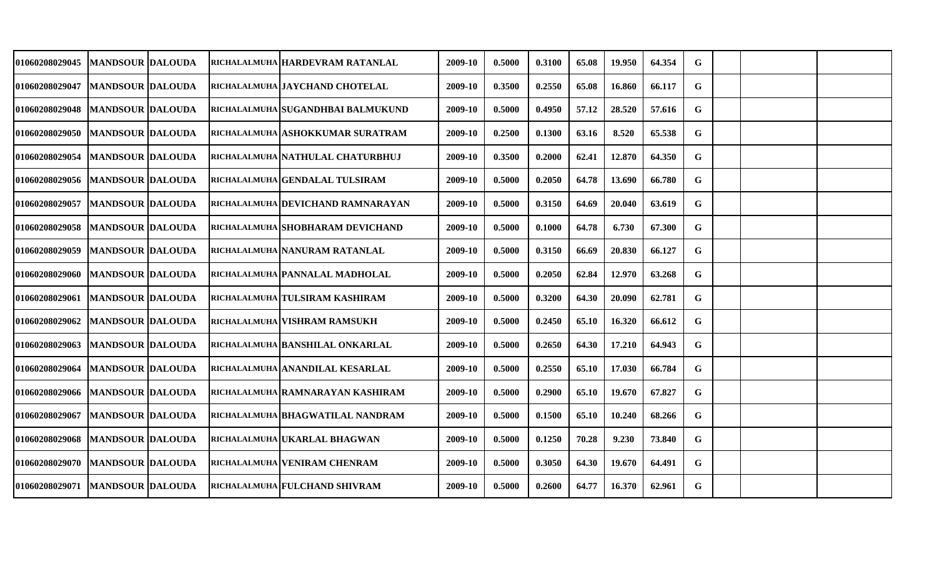| 01060208029045                    | <b>MANDSOUR DALOUDA</b>   |  | <b>RICHALALMUHA HARDEVRAM RATANLAL</b> | 2009-10 | 0.5000 | 0.3100 | 65.08 | 19.950 | 64.354 | G           |  |  |
|-----------------------------------|---------------------------|--|----------------------------------------|---------|--------|--------|-------|--------|--------|-------------|--|--|
| <b>01060208029047</b>             | <b>MANDSOUR DALOUDA</b>   |  | <b>RICHALALMUHA JAYCHAND CHOTELAL</b>  | 2009-10 | 0.3500 | 0.2550 | 65.08 | 16.860 | 66.117 | G           |  |  |
| <b>01060208029048</b>             | <b>MANDSOUR DALOUDA</b>   |  | RICHALALMUHA SUGANDHBAI BALMUKUND      | 2009-10 | 0.5000 | 0.4950 | 57.12 | 28.520 | 57.616 | G           |  |  |
| 01060208029050   MANDSOUR DALOUDA |                           |  | RICHALALMUHA ASHOKKUMAR SURATRAM       | 2009-10 | 0.2500 | 0.1300 | 63.16 | 8.520  | 65.538 | G           |  |  |
| <b>01060208029054</b>             | <b>MANDSOUR DALOUDA</b>   |  | RICHALALMUHA NATHULAL CHATURBHUJ       | 2009-10 | 0.3500 | 0.2000 | 62.41 | 12.870 | 64.350 | G           |  |  |
| 01060208029056                    | <b>MANDSOUR DALOUDA</b>   |  | RICHALALMUHA GENDALAL TULSIRAM         | 2009-10 | 0.5000 | 0.2050 | 64.78 | 13.690 | 66.780 | $\mathbf G$ |  |  |
| <b>01060208029057</b>             | MANDSOUR  DALOUDA         |  | RICHALALMUHA DEVICHAND RAMNARAYAN      | 2009-10 | 0.5000 | 0.3150 | 64.69 | 20.040 | 63.619 | G           |  |  |
| <b>01060208029058</b>             | <b>MANDSOUR DALOUDA</b>   |  | RICHALALMUHA SHOBHARAM DEVICHAND       | 2009-10 | 0.5000 | 0.1000 | 64.78 | 6.730  | 67.300 | G           |  |  |
| 01060208029059                    | <b>IMANDSOUR IDALOUDA</b> |  | RICHALALMUHA NANURAM RATANLAL          | 2009-10 | 0.5000 | 0.3150 | 66.69 | 20.830 | 66.127 | G           |  |  |
| 01060208029060   MANDSOUR DALOUDA |                           |  | <b>RICHALALMUHA PANNALAL MADHOLAL</b>  | 2009-10 | 0.5000 | 0.2050 | 62.84 | 12.970 | 63.268 | G           |  |  |
| 01060208029061   MANDSOUR DALOUDA |                           |  | RICHALALMUHA TULSIRAM KASHIRAM         | 2009-10 | 0.5000 | 0.3200 | 64.30 | 20.090 | 62.781 | G           |  |  |
| 01060208029062                    | <b>MANDSOUR DALOUDA</b>   |  | <b>RICHALALMUHA VISHRAM RAMSUKH</b>    | 2009-10 | 0.5000 | 0.2450 | 65.10 | 16.320 | 66.612 | G           |  |  |
| <b>01060208029063</b>             | <b>MANDSOUR DALOUDA</b>   |  | RICHALALMUHA BANSHILAL ONKARLAL        | 2009-10 | 0.5000 | 0.2650 | 64.30 | 17.210 | 64.943 | G           |  |  |
| 01060208029064                    | <b>MANDSOUR DALOUDA</b>   |  | RICHALALMUHA ANANDILAL KESARLAL        | 2009-10 | 0.5000 | 0.2550 | 65.10 | 17.030 | 66.784 | G           |  |  |
| 01060208029066                    | <b>MANDSOUR DALOUDA</b>   |  | RICHALALMUHA RAMNARAYAN KASHIRAM       | 2009-10 | 0.5000 | 0.2900 | 65.10 | 19.670 | 67.827 | G           |  |  |
| <b>01060208029067</b>             | <b>MANDSOUR DALOUDA</b>   |  | RICHALALMUHA BHAGWATILAL NANDRAM       | 2009-10 | 0.5000 | 0.1500 | 65.10 | 10.240 | 68.266 | G           |  |  |
| 01060208029068                    | <b>MANDSOUR DALOUDA</b>   |  | RICHALALMUHA UKARLAL BHAGWAN           | 2009-10 | 0.5000 | 0.1250 | 70.28 | 9.230  | 73.840 | G           |  |  |
| 01060208029070                    | <b>MANDSOUR DALOUDA</b>   |  | RICHALALMUHA VENIRAM CHENRAM           | 2009-10 | 0.5000 | 0.3050 | 64.30 | 19.670 | 64.491 | G           |  |  |
| 01060208029071                    | <b>MANDSOUR DALOUDA</b>   |  | RICHALALMUHA FULCHAND SHIVRAM          | 2009-10 | 0.5000 | 0.2600 | 64.77 | 16.370 | 62.961 | G           |  |  |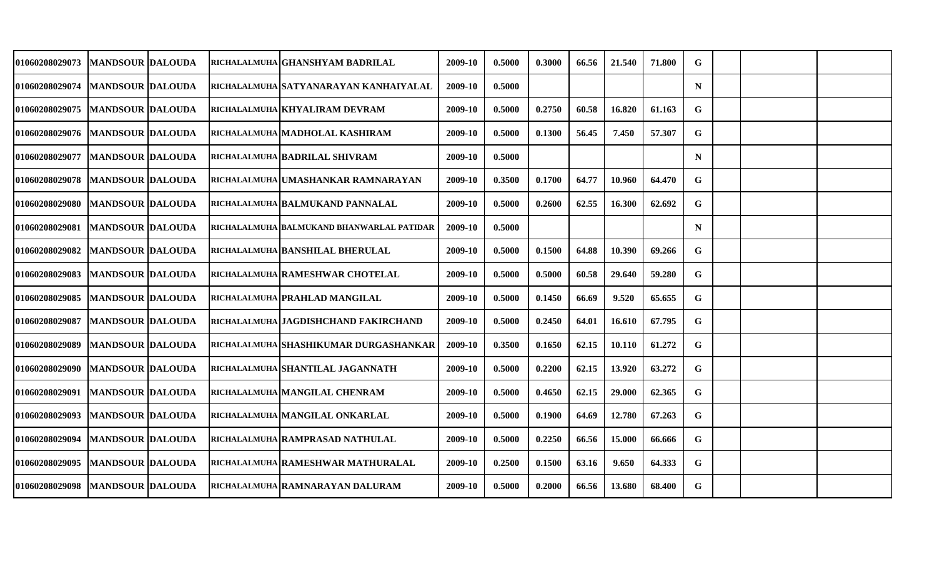| 01060208029073                      | <b>MANDSOUR DALOUDA</b> |  | RICHALALMUHA GHANSHYAM BADRILAL           | 2009-10 | 0.5000 | 0.3000 | 66.56 | 21.540 | 71.800 | G  |  |  |
|-------------------------------------|-------------------------|--|-------------------------------------------|---------|--------|--------|-------|--------|--------|----|--|--|
| 01060208029074                      | <b>MANDSOUR DALOUDA</b> |  | RICHALALMUHA SATYANARAYAN KANHAIYALAL     | 2009-10 | 0.5000 |        |       |        |        | N  |  |  |
| 01060208029075                      | <b>MANDSOUR DALOUDA</b> |  | RICHALALMUHA KHYALIRAM DEVRAM             | 2009-10 | 0.5000 | 0.2750 | 60.58 | 16.820 | 61.163 | G  |  |  |
| 01060208029076   MANDSOUR   DALOUDA |                         |  | RICHALALMUHA MADHOLAL KASHIRAM            | 2009-10 | 0.5000 | 0.1300 | 56.45 | 7.450  | 57.307 | G  |  |  |
| 01060208029077                      | <b>MANDSOUR DALOUDA</b> |  | RICHALALMUHA BADRILAL SHIVRAM             | 2009-10 | 0.5000 |        |       |        |        | N  |  |  |
| 01060208029078   MANDSOUR DALOUDA   |                         |  | RICHALALMUHA UMASHANKAR RAMNARAYAN        | 2009-10 | 0.3500 | 0.1700 | 64.77 | 10.960 | 64.470 | G  |  |  |
| 01060208029080                      | <b>MANDSOUR DALOUDA</b> |  | RICHALALMUHA BALMUKAND PANNALAL           | 2009-10 | 0.5000 | 0.2600 | 62.55 | 16.300 | 62.692 | G. |  |  |
| 01060208029081  MANDSOUR DALOUDA    |                         |  | RICHALALMUHA BALMUKAND BHANWARLAL PATIDAR | 2009-10 | 0.5000 |        |       |        |        | N  |  |  |
| 01060208029082                      | <b>MANDSOUR DALOUDA</b> |  | RICHALALMUHA BANSHILAL BHERULAL           | 2009-10 | 0.5000 | 0.1500 | 64.88 | 10.390 | 69.266 | G  |  |  |
| 01060208029083                      | <b>MANDSOUR DALOUDA</b> |  | RICHALALMUHA RAMESHWAR CHOTELAL           | 2009-10 | 0.5000 | 0.5000 | 60.58 | 29.640 | 59.280 | G  |  |  |
| <b>01060208029085</b>               | <b>MANDSOUR DALOUDA</b> |  | RICHALALMUHA PRAHLAD MANGILAL             | 2009-10 | 0.5000 | 0.1450 | 66.69 | 9.520  | 65.655 | G  |  |  |
| 01060208029087                      | <b>MANDSOUR DALOUDA</b> |  | RICHALALMUHA JAGDISHCHAND FAKIRCHAND      | 2009-10 | 0.5000 | 0.2450 | 64.01 | 16.610 | 67.795 | G  |  |  |
| 01060208029089                      | <b>MANDSOUR DALOUDA</b> |  | RICHALALMUHA SHASHIKUMAR DURGASHANKAR     | 2009-10 | 0.3500 | 0.1650 | 62.15 | 10.110 | 61.272 | G  |  |  |
| 01060208029090                      | <b>MANDSOUR DALOUDA</b> |  | RICHALALMUHA SHANTILAL JAGANNATH          | 2009-10 | 0.5000 | 0.2200 | 62.15 | 13.920 | 63.272 | G  |  |  |
| 01060208029091                      | <b>MANDSOUR DALOUDA</b> |  | richalalmuha   MANGILAL CHENRAM           | 2009-10 | 0.5000 | 0.4650 | 62.15 | 29.000 | 62.365 | G  |  |  |
| 01060208029093                      | <b>MANDSOUR DALOUDA</b> |  | RICHALALMUHA MANGILAL ONKARLAL            | 2009-10 | 0.5000 | 0.1900 | 64.69 | 12.780 | 67.263 | G  |  |  |
| <b>01060208029094</b>               | <b>MANDSOUR DALOUDA</b> |  | richalalmuha RAMPRASAD NATHULAL           | 2009-10 | 0.5000 | 0.2250 | 66.56 | 15.000 | 66.666 | G  |  |  |
| 01060208029095                      | <b>MANDSOUR DALOUDA</b> |  | RICHALALMUHA RAMESHWAR MATHURALAL         | 2009-10 | 0.2500 | 0.1500 | 63.16 | 9.650  | 64.333 | G  |  |  |
| 01060208029098   IMANDSOUR  DALOUDA |                         |  | RICHALALMUHA RAMNARAYAN DALURAM           | 2009-10 | 0.5000 | 0.2000 | 66.56 | 13.680 | 68.400 | G  |  |  |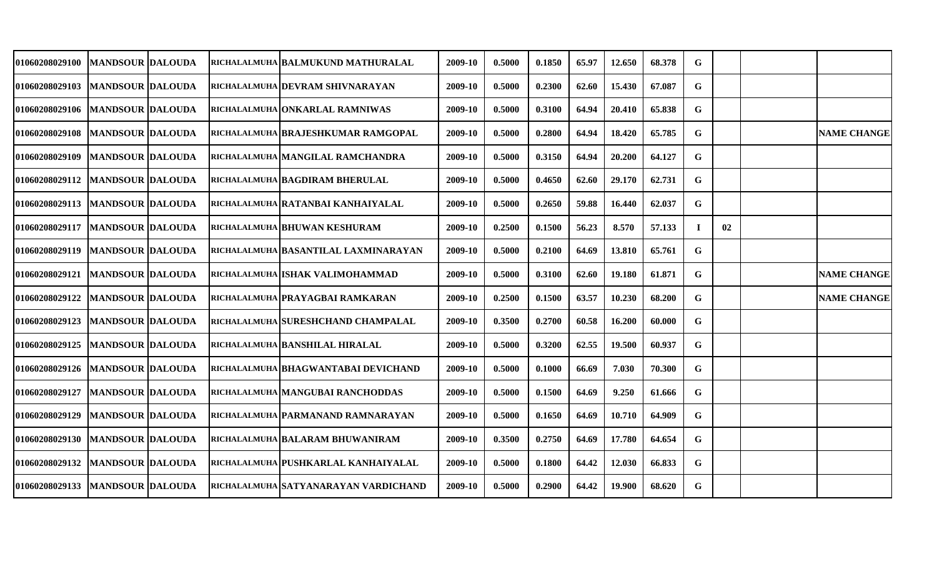| 01060208029100                    | <b>MANDSOUR DALOUDA</b>   |  | RICHALALMUHA BALMUKUND MATHURALAL    | 2009-10 | 0.5000 | 0.1850 | 65.97 | 12.650 | 68.378 | G  |    |                    |
|-----------------------------------|---------------------------|--|--------------------------------------|---------|--------|--------|-------|--------|--------|----|----|--------------------|
| 01060208029103  MANDSOUR DALOUDA  |                           |  | RICHALALMUHA  DEVRAM SHIVNARAYAN     | 2009-10 | 0.5000 | 0.2300 | 62.60 | 15.430 | 67.087 | G  |    |                    |
| 01060208029106   MANDSOUR DALOUDA |                           |  | RICHALALMUHA ONKARLAL RAMNIWAS       | 2009-10 | 0.5000 | 0.3100 | 64.94 | 20.410 | 65.838 | G  |    |                    |
| 01060208029108   MANDSOUR DALOUDA |                           |  | RICHALALMUHA BRAJESHKUMAR RAMGOPAL   | 2009-10 | 0.5000 | 0.2800 | 64.94 | 18.420 | 65.785 | G  |    | <b>NAME CHANGE</b> |
| 01060208029109                    | <b>MANDSOUR DALOUDA</b>   |  | RICHALALMUHA MANGILAL RAMCHANDRA     | 2009-10 | 0.5000 | 0.3150 | 64.94 | 20.200 | 64.127 | G  |    |                    |
| 01060208029112  MANDSOUR DALOUDA  |                           |  | RICHALALMUHA BAGDIRAM BHERULAL       | 2009-10 | 0.5000 | 0.4650 | 62.60 | 29.170 | 62.731 | G  |    |                    |
| <b>01060208029113</b>             | <b>IMANDSOUR IDALOUDA</b> |  | RICHALALMUHA RATANBAI KANHAIYALAL    | 2009-10 | 0.5000 | 0.2650 | 59.88 | 16.440 | 62.037 | G  |    |                    |
| 01060208029117                    | <b>IMANDSOUR IDALOUDA</b> |  | RICHALALMUHA BHUWAN KESHURAM         | 2009-10 | 0.2500 | 0.1500 | 56.23 | 8.570  | 57.133 | -1 | 02 |                    |
| 01060208029119   MANDSOUR DALOUDA |                           |  | RICHALALMUHA BASANTILAL LAXMINARAYAN | 2009-10 | 0.5000 | 0.2100 | 64.69 | 13.810 | 65.761 | G  |    |                    |
| 01060208029121  MANDSOUR  DALOUDA |                           |  | RICHALALMUHA ISHAK VALIMOHAMMAD      | 2009-10 | 0.5000 | 0.3100 | 62.60 | 19.180 | 61.871 | G  |    | <b>NAME CHANGE</b> |
| <b>01060208029122</b>             | <b>MANDSOUR DALOUDA</b>   |  | RICHALALMUHA PRAYAGBAI RAMKARAN      | 2009-10 | 0.2500 | 0.1500 | 63.57 | 10.230 | 68.200 | G  |    | <b>NAME CHANGE</b> |
| 01060208029123                    | <b>MANDSOUR DALOUDA</b>   |  | RICHALALMUHA SURESHCHAND CHAMPALAL   | 2009-10 | 0.3500 | 0.2700 | 60.58 | 16.200 | 60.000 | G  |    |                    |
| 01060208029125                    | <b>MANDSOUR DALOUDA</b>   |  | RICHALALMUHA BANSHILAL HIRALAL       | 2009-10 | 0.5000 | 0.3200 | 62.55 | 19.500 | 60.937 | G  |    |                    |
| 01060208029126                    | <b>MANDSOUR DALOUDA</b>   |  | RICHALALMUHA BHAGWANTABAI DEVICHAND  | 2009-10 | 0.5000 | 0.1000 | 66.69 | 7.030  | 70.300 | G  |    |                    |
| 01060208029127                    | <b>MANDSOUR DALOUDA</b>   |  | RICHALALMUHA MANGUBAI RANCHODDAS     | 2009-10 | 0.5000 | 0.1500 | 64.69 | 9.250  | 61.666 | G  |    |                    |
| 01060208029129                    | <b>MANDSOUR DALOUDA</b>   |  | RICHALALMUHA PARMANAND RAMNARAYAN    | 2009-10 | 0.5000 | 0.1650 | 64.69 | 10.710 | 64.909 | G  |    |                    |
| 01060208029130                    | <b>MANDSOUR DALOUDA</b>   |  | RICHALALMUHA BALARAM BHUWANIRAM      | 2009-10 | 0.3500 | 0.2750 | 64.69 | 17.780 | 64.654 | G  |    |                    |
| 01060208029132                    | <b>IMANDSOUR DALOUDA</b>  |  | RICHALALMUHA PUSHKARLAL KANHAIYALAL  | 2009-10 | 0.5000 | 0.1800 | 64.42 | 12.030 | 66.833 | G  |    |                    |
| 01060208029133                    | <b>MANDSOUR DALOUDA</b>   |  | RICHALALMUHA SATYANARAYAN VARDICHAND | 2009-10 | 0.5000 | 0.2900 | 64.42 | 19.900 | 68.620 | G  |    |                    |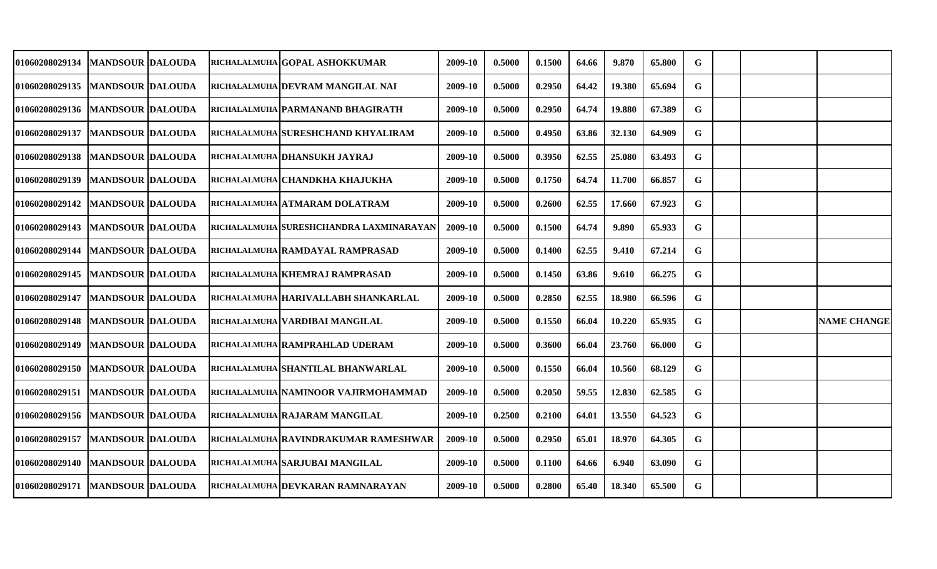| 01060208029134                      | <b>MANDSOUR DALOUDA</b> |  | RICHALALMUHA GOPAL ASHOKKUMAR           | 2009-10 | 0.5000 | 0.1500 | 64.66 | 9.870  | 65.800 | G  |  |                    |
|-------------------------------------|-------------------------|--|-----------------------------------------|---------|--------|--------|-------|--------|--------|----|--|--------------------|
| <b>01060208029135</b>               | <b>MANDSOUR DALOUDA</b> |  | RICHALALMUHA  DEVRAM MANGILAL NAI       | 2009-10 | 0.5000 | 0.2950 | 64.42 | 19.380 | 65.694 | G  |  |                    |
| 01060208029136   MANDSOUR DALOUDA   |                         |  | RICHALALMUHA PARMANAND BHAGIRATH        | 2009-10 | 0.5000 | 0.2950 | 64.74 | 19.880 | 67.389 | G  |  |                    |
| 01060208029137                      | <b>MANDSOUR DALOUDA</b> |  | RICHALALMUHA SURESHCHAND KHYALIRAM      | 2009-10 | 0.5000 | 0.4950 | 63.86 | 32.130 | 64.909 | G  |  |                    |
| <b>01060208029138</b>               | <b>MANDSOUR DALOUDA</b> |  | RICHALALMUHA DHANSUKH JAYRAJ            | 2009-10 | 0.5000 | 0.3950 | 62.55 | 25.080 | 63.493 | G  |  |                    |
| <b>01060208029139</b>               | <b>MANDSOUR DALOUDA</b> |  | RICHALALMUHA CHANDKHA KHAJUKHA          | 2009-10 | 0.5000 | 0.1750 | 64.74 | 11.700 | 66.857 | G  |  |                    |
| <b>01060208029142</b>               | MANDSOUR  DALOUDA       |  | RICHALALMUHA ATMARAM DOLATRAM           | 2009-10 | 0.5000 | 0.2600 | 62.55 | 17.660 | 67.923 | G  |  |                    |
| <b>01060208029143</b>               | <b>MANDSOUR DALOUDA</b> |  | RICHALALMUHA SURESHCHANDRA LAXMINARAYAN | 2009-10 | 0.5000 | 0.1500 | 64.74 | 9.890  | 65.933 | G  |  |                    |
| 01060208029144   IMANDSOUR IDALOUDA |                         |  | RICHALALMUHA RAMDAYAL RAMPRASAD         | 2009-10 | 0.5000 | 0.1400 | 62.55 | 9.410  | 67.214 | G. |  |                    |
| 01060208029145  MANDSOUR  DALOUDA   |                         |  | RICHALALMUHA KHEMRAJ RAMPRASAD          | 2009-10 | 0.5000 | 0.1450 | 63.86 | 9.610  | 66.275 | G  |  |                    |
| 01060208029147                      | <b>MANDSOUR DALOUDA</b> |  | RICHALALMUHA HARIVALLABH SHANKARLAL     | 2009-10 | 0.5000 | 0.2850 | 62.55 | 18.980 | 66.596 | G  |  |                    |
| 01060208029148   MANDSOUR DALOUDA   |                         |  | RICHALALMUHA  VARDIBAI MANGILAL         | 2009-10 | 0.5000 | 0.1550 | 66.04 | 10.220 | 65.935 | G  |  | <b>NAME CHANGE</b> |
| 01060208029149                      | <b>MANDSOUR DALOUDA</b> |  | RICHALALMUHA RAMPRAHLAD UDERAM          | 2009-10 | 0.5000 | 0.3600 | 66.04 | 23.760 | 66.000 | G  |  |                    |
| <b>01060208029150</b>               | <b>MANDSOUR DALOUDA</b> |  | RICHALALMUHA SHANTILAL BHANWARLAL       | 2009-10 | 0.5000 | 0.1550 | 66.04 | 10.560 | 68.129 | G  |  |                    |
| 01060208029151                      | <b>MANDSOUR DALOUDA</b> |  | RICHALALMUHA NAMINOOR VAJIRMOHAMMAD     | 2009-10 | 0.5000 | 0.2050 | 59.55 | 12.830 | 62.585 | G  |  |                    |
| 01060208029156  MANDSOUR DALOUDA    |                         |  | RICHALALMUHA RAJARAM MANGILAL           | 2009-10 | 0.2500 | 0.2100 | 64.01 | 13.550 | 64.523 | G  |  |                    |
| 01060208029157                      | <b>MANDSOUR DALOUDA</b> |  | RICHALALMUHA RAVINDRAKUMAR RAMESHWAR    | 2009-10 | 0.5000 | 0.2950 | 65.01 | 18.970 | 64.305 | G  |  |                    |
| 01060208029140   MANDSOUR DALOUDA   |                         |  | RICHALALMUHA SARJUBAI MANGILAL          | 2009-10 | 0.5000 | 0.1100 | 64.66 | 6.940  | 63.090 | G  |  |                    |
| 01060208029171   MANDSOUR DALOUDA   |                         |  | RICHALALMUHA DEVKARAN RAMNARAYAN        | 2009-10 | 0.5000 | 0.2800 | 65.40 | 18.340 | 65.500 | G  |  |                    |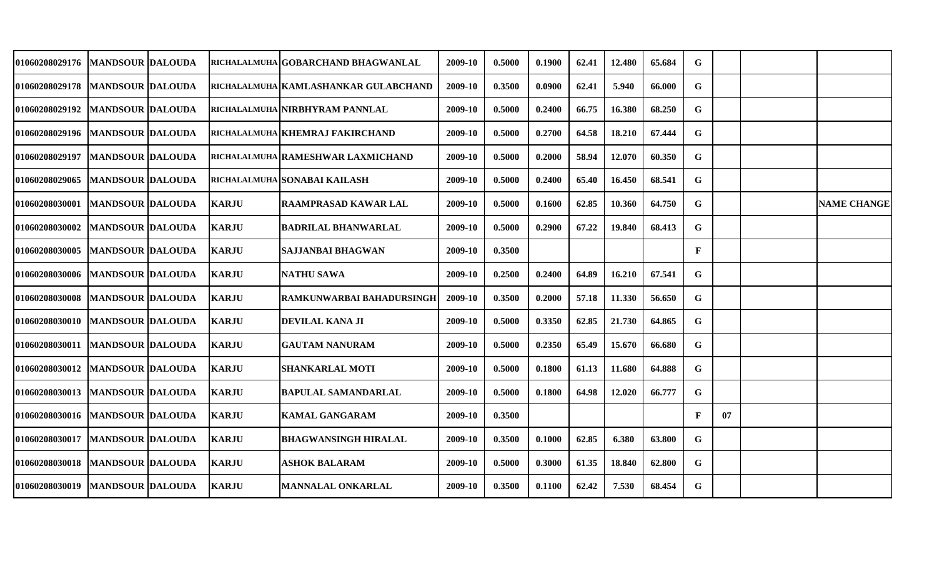| 01060208029176  MANDSOUR  DALOUDA |                          |              | RICHALALMUHA GOBARCHAND BHAGWANLAL    | 2009-10 | 0.5000 | 0.1900 | 62.41 | 12.480 | 65.684 | G            |    |                    |
|-----------------------------------|--------------------------|--------------|---------------------------------------|---------|--------|--------|-------|--------|--------|--------------|----|--------------------|
| 01060208029178   MANDSOUR DALOUDA |                          |              | RICHALALMUHA  KAMLASHANKAR GULABCHAND | 2009-10 | 0.3500 | 0.0900 | 62.41 | 5.940  | 66.000 | G            |    |                    |
| 01060208029192                    | <b>MANDSOUR DALOUDA</b>  |              | RICHALALMUHA NIRBHYRAM PANNLAL        | 2009-10 | 0.5000 | 0.2400 | 66.75 | 16.380 | 68.250 | G            |    |                    |
| 01060208029196   MANDSOUR DALOUDA |                          |              | RICHALALMUHA KHEMRAJ FAKIRCHAND       | 2009-10 | 0.5000 | 0.2700 | 64.58 | 18.210 | 67.444 | G            |    |                    |
| <b>01060208029197</b>             | <b>MANDSOUR DALOUDA</b>  |              | RICHALALMUHA RAMESHWAR LAXMICHAND     | 2009-10 | 0.5000 | 0.2000 | 58.94 | 12.070 | 60.350 | G            |    |                    |
| 01060208029065                    | <b>MANDSOUR DALOUDA</b>  |              | RICHALALMUHA SONABAI KAILASH          | 2009-10 | 0.5000 | 0.2400 | 65.40 | 16.450 | 68.541 | G            |    |                    |
| 01060208030001                    | <b>IMANDSOUR DALOUDA</b> | KARJU        | <b>RAAMPRASAD KAWAR LAL</b>           | 2009-10 | 0.5000 | 0.1600 | 62.85 | 10.360 | 64.750 | G            |    | <b>NAME CHANGE</b> |
| <b>01060208030002</b>             | <b>MANDSOUR DALOUDA</b>  | <b>KARJU</b> | <b>BADRILAL BHANWARLAL</b>            | 2009-10 | 0.5000 | 0.2900 | 67.22 | 19.840 | 68.413 | G            |    |                    |
| 01060208030005  MANDSOUR  DALOUDA |                          | <b>KARJU</b> | SAJJANBAI BHAGWAN                     | 2009-10 | 0.3500 |        |       |        |        | $\mathbf{F}$ |    |                    |
| 01060208030006   MANDSOUR DALOUDA |                          | <b>KARJU</b> | <b>NATHU SAWA</b>                     | 2009-10 | 0.2500 | 0.2400 | 64.89 | 16.210 | 67.541 | G            |    |                    |
| 01060208030008   MANDSOUR DALOUDA |                          | <b>KARJU</b> | RAMKUNWARBAI BAHADURSINGHI            | 2009-10 | 0.3500 | 0.2000 | 57.18 | 11.330 | 56.650 | G            |    |                    |
| 01060208030010                    | <b>MANDSOUR DALOUDA</b>  | <b>KARJU</b> | <b>DEVILAL KANA JI</b>                | 2009-10 | 0.5000 | 0.3350 | 62.85 | 21.730 | 64.865 | G            |    |                    |
| 01060208030011                    | <b>MANDSOUR DALOUDA</b>  | <b>KARJU</b> | <b>GAUTAM NANURAM</b>                 | 2009-10 | 0.5000 | 0.2350 | 65.49 | 15.670 | 66.680 | G            |    |                    |
| 01060208030012                    | <b>MANDSOUR DALOUDA</b>  | <b>KARJU</b> | <b>SHANKARLAL MOTI</b>                | 2009-10 | 0.5000 | 0.1800 | 61.13 | 11.680 | 64.888 | G            |    |                    |
| 01060208030013                    | <b>MANDSOUR DALOUDA</b>  | <b>KARJU</b> | <b>BAPULAL SAMANDARLAL</b>            | 2009-10 | 0.5000 | 0.1800 | 64.98 | 12.020 | 66.777 | G            |    |                    |
| 01060208030016  MANDSOUR DALOUDA  |                          | <b>KARJU</b> | <b>KAMAL GANGARAM</b>                 | 2009-10 | 0.3500 |        |       |        |        | $\mathbf{F}$ | 07 |                    |
| 01060208030017                    | <b>MANDSOUR DALOUDA</b>  | <b>KARJU</b> | <b>BHAGWANSINGH HIRALAL</b>           | 2009-10 | 0.3500 | 0.1000 | 62.85 | 6.380  | 63.800 | G            |    |                    |
| 01060208030018   MANDSOUR DALOUDA |                          | <b>KARJU</b> | <b>ASHOK BALARAM</b>                  | 2009-10 | 0.5000 | 0.3000 | 61.35 | 18.840 | 62.800 | G            |    |                    |
| 01060208030019                    | <b>MANDSOUR DALOUDA</b>  | <b>KARJU</b> | <b>MANNALAL ONKARLAL</b>              | 2009-10 | 0.3500 | 0.1100 | 62.42 | 7.530  | 68.454 | G            |    |                    |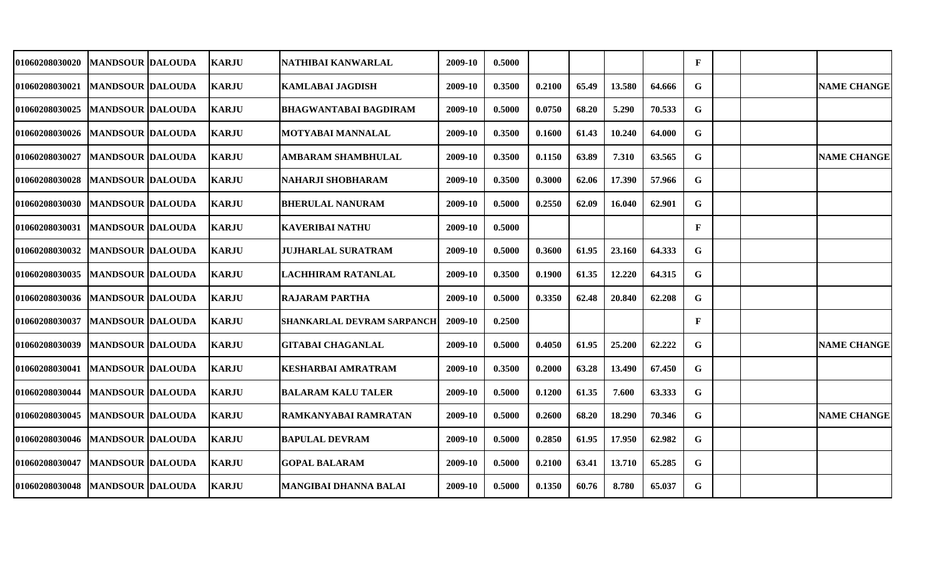| 01060208030020                    | <b>IMANDSOUR DALOUDA</b>  | KARJU        | NATHIBAI KANWARLAL                | 2009-10 | 0.5000 |        |       |        |        | $\mathbf{F}$ |  |                    |
|-----------------------------------|---------------------------|--------------|-----------------------------------|---------|--------|--------|-------|--------|--------|--------------|--|--------------------|
| <b>01060208030021</b>             | <b>MANDSOUR DALOUDA</b>   | <b>KARJU</b> | <b>KAMLABAI JAGDISH</b>           | 2009-10 | 0.3500 | 0.2100 | 65.49 | 13.580 | 64.666 | G            |  | <b>NAME CHANGE</b> |
| 01060208030025                    | <b>MANDSOUR DALOUDA</b>   | <b>KARJU</b> | <b>BHAGWANTABAI BAGDIRAM</b>      | 2009-10 | 0.5000 | 0.0750 | 68.20 | 5.290  | 70.533 | G            |  |                    |
| 01060208030026   MANDSOUR DALOUDA |                           | <b>KARJU</b> | <b>MOTYABAI MANNALAL</b>          | 2009-10 | 0.3500 | 0.1600 | 61.43 | 10.240 | 64.000 | G            |  |                    |
| 01060208030027                    | <b>MANDSOUR DALOUDA</b>   | <b>KARJU</b> | <b>AMBARAM SHAMBHULAL</b>         | 2009-10 | 0.3500 | 0.1150 | 63.89 | 7.310  | 63.565 | G            |  | <b>NAME CHANGE</b> |
| 01060208030028                    | <b>MANDSOUR DALOUDA</b>   | <b>KARJU</b> | <b>NAHARJI SHOBHARAM</b>          | 2009-10 | 0.3500 | 0.3000 | 62.06 | 17.390 | 57.966 | G            |  |                    |
| 01060208030030                    | <b>MANDSOUR DALOUDA</b>   | <b>KARJU</b> | <b>BHERULAL NANURAM</b>           | 2009-10 | 0.5000 | 0.2550 | 62.09 | 16.040 | 62.901 | G            |  |                    |
| 01060208030031                    | <b>MANDSOUR DALOUDA</b>   | <b>KARJU</b> | <b>KAVERIBAI NATHU</b>            | 2009-10 | 0.5000 |        |       |        |        | $\mathbf{F}$ |  |                    |
| <b>01060208030032</b>             | <b>IMANDSOUR IDALOUDA</b> | <b>KARJU</b> | <b>JUJHARLAL SURATRAM</b>         | 2009-10 | 0.5000 | 0.3600 | 61.95 | 23.160 | 64.333 | G            |  |                    |
| <b>01060208030035</b>             | <b>MANDSOUR DALOUDA</b>   | <b>KARJU</b> | LACHHIRAM RATANLAL                | 2009-10 | 0.3500 | 0.1900 | 61.35 | 12.220 | 64.315 | G            |  |                    |
| 01060208030036  MANDSOUR  DALOUDA |                           | <b>KARJU</b> | <b>RAJARAM PARTHA</b>             | 2009-10 | 0.5000 | 0.3350 | 62.48 | 20.840 | 62.208 | G            |  |                    |
| 01060208030037                    | <b>MANDSOUR DALOUDA</b>   | <b>KARJU</b> | <b>SHANKARLAL DEVRAM SARPANCH</b> | 2009-10 | 0.2500 |        |       |        |        | F            |  |                    |
| 01060208030039                    | <b>MANDSOUR DALOUDA</b>   | <b>KARJU</b> | <b>GITABAI CHAGANLAL</b>          | 2009-10 | 0.5000 | 0.4050 | 61.95 | 25.200 | 62.222 | G            |  | <b>NAME CHANGE</b> |
| 01060208030041                    | <b>MANDSOUR DALOUDA</b>   | <b>KARJU</b> | <b>KESHARBAI AMRATRAM</b>         | 2009-10 | 0.3500 | 0.2000 | 63.28 | 13.490 | 67.450 | G            |  |                    |
| 01060208030044                    | <b>MANDSOUR DALOUDA</b>   | <b>KARJU</b> | <b>BALARAM KALU TALER</b>         | 2009-10 | 0.5000 | 0.1200 | 61.35 | 7.600  | 63.333 | G            |  |                    |
| 01060208030045                    | <b>MANDSOUR DALOUDA</b>   | <b>KARJU</b> | RAMKANYABAI RAMRATAN              | 2009-10 | 0.5000 | 0.2600 | 68.20 | 18.290 | 70.346 | G            |  | <b>NAME CHANGE</b> |
| 01060208030046   MANDSOUR DALOUDA |                           | <b>KARJU</b> | <b>BAPULAL DEVRAM</b>             | 2009-10 | 0.5000 | 0.2850 | 61.95 | 17.950 | 62.982 | G            |  |                    |
| 01060208030047                    | <b>MANDSOUR DALOUDA</b>   | <b>KARJU</b> | <b>GOPAL BALARAM</b>              | 2009-10 | 0.5000 | 0.2100 | 63.41 | 13.710 | 65.285 | G            |  |                    |
| 01060208030048                    | <b>MANDSOUR DALOUDA</b>   | <b>KARJU</b> | <b>MANGIBAI DHANNA BALAI</b>      | 2009-10 | 0.5000 | 0.1350 | 60.76 | 8.780  | 65.037 | G            |  |                    |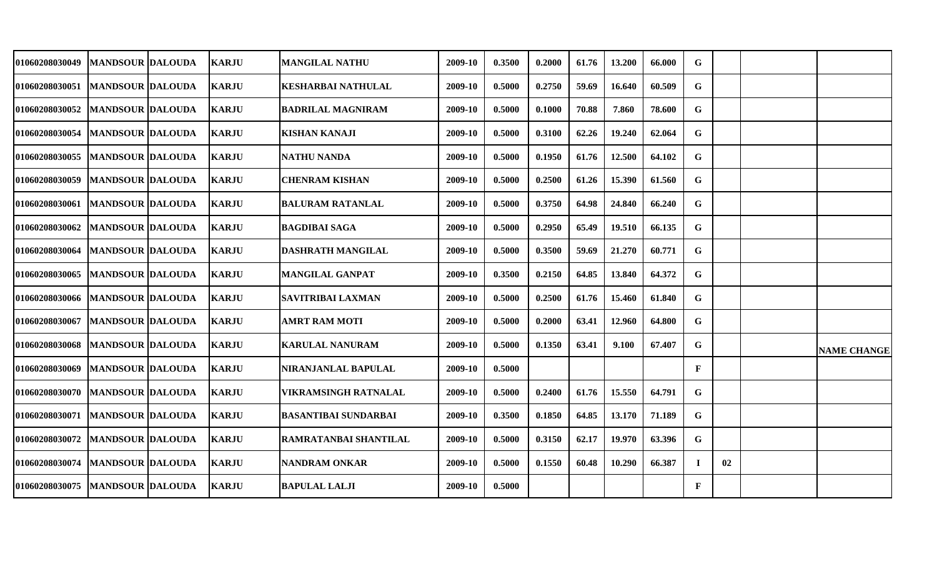| 01060208030049        | <b>MANDSOUR DALOUDA</b> | <b>KARJU</b> | <b>MANGILAL NATHU</b>       | 2009-10 | 0.3500 | 0.2000 | 61.76 | 13.200 | 66.000 | G            |    |                    |
|-----------------------|-------------------------|--------------|-----------------------------|---------|--------|--------|-------|--------|--------|--------------|----|--------------------|
| 01060208030051        | <b>MANDSOUR DALOUDA</b> | <b>KARJU</b> | <b>KESHARBAI NATHULAL</b>   | 2009-10 | 0.5000 | 0.2750 | 59.69 | 16.640 | 60.509 | G            |    |                    |
| 01060208030052        | <b>MANDSOUR DALOUDA</b> | <b>KARJU</b> | <b>BADRILAL MAGNIRAM</b>    | 2009-10 | 0.5000 | 0.1000 | 70.88 | 7.860  | 78.600 | G            |    |                    |
| 01060208030054        | <b>MANDSOUR DALOUDA</b> | <b>KARJU</b> | <b>KISHAN KANAJI</b>        | 2009-10 | 0.5000 | 0.3100 | 62.26 | 19.240 | 62.064 | G            |    |                    |
| <b>01060208030055</b> | <b>MANDSOUR DALOUDA</b> | <b>KARJU</b> | <b>NATHU NANDA</b>          | 2009-10 | 0.5000 | 0.1950 | 61.76 | 12.500 | 64.102 | G            |    |                    |
| <b>01060208030059</b> | <b>MANDSOUR DALOUDA</b> | <b>KARJU</b> | CHENRAM KISHAN              | 2009-10 | 0.5000 | 0.2500 | 61.26 | 15.390 | 61.560 | G            |    |                    |
| 01060208030061        | MANDSOUR  DALOUDA       | <b>KARJU</b> | <b>BALURAM RATANLAL</b>     | 2009-10 | 0.5000 | 0.3750 | 64.98 | 24.840 | 66.240 | G            |    |                    |
| 01060208030062        | <b>MANDSOUR DALOUDA</b> | <b>KARJU</b> | <b>BAGDIBAI SAGA</b>        | 2009-10 | 0.5000 | 0.2950 | 65.49 | 19.510 | 66.135 | G            |    |                    |
| <b>01060208030064</b> | <b>MANDSOUR DALOUDA</b> | <b>KARJU</b> | DASHRATH MANGILAL           | 2009-10 | 0.5000 | 0.3500 | 59.69 | 21.270 | 60.771 | G            |    |                    |
| <b>01060208030065</b> | <b>MANDSOUR DALOUDA</b> | <b>KARJU</b> | <b>MANGILAL GANPAT</b>      | 2009-10 | 0.3500 | 0.2150 | 64.85 | 13.840 | 64.372 | G            |    |                    |
| 01060208030066        | <b>MANDSOUR DALOUDA</b> | <b>KARJU</b> | <b>SAVITRIBAI LAXMAN</b>    | 2009-10 | 0.5000 | 0.2500 | 61.76 | 15.460 | 61.840 | G            |    |                    |
| <b>01060208030067</b> | <b>MANDSOUR DALOUDA</b> | <b>KARJU</b> | <b>AMRT RAM MOTI</b>        | 2009-10 | 0.5000 | 0.2000 | 63.41 | 12.960 | 64.800 | G            |    |                    |
| 01060208030068        | <b>MANDSOUR DALOUDA</b> | <b>KARJU</b> | <b>KARULAL NANURAM</b>      | 2009-10 | 0.5000 | 0.1350 | 63.41 | 9.100  | 67.407 | G            |    | <b>NAME CHANGE</b> |
| 01060208030069        | <b>MANDSOUR DALOUDA</b> | <b>KARJU</b> | NIRANJANLAL BAPULAL         | 2009-10 | 0.5000 |        |       |        |        | $\mathbf{F}$ |    |                    |
| 01060208030070        | <b>MANDSOUR DALOUDA</b> | <b>KARJU</b> | <b>VIKRAMSINGH RATNALAL</b> | 2009-10 | 0.5000 | 0.2400 | 61.76 | 15.550 | 64.791 | G            |    |                    |
| 01060208030071        | <b>MANDSOUR DALOUDA</b> | <b>KARJU</b> | <b>BASANTIBAI SUNDARBAI</b> | 2009-10 | 0.3500 | 0.1850 | 64.85 | 13.170 | 71.189 | G            |    |                    |
| 01060208030072        | <b>MANDSOUR DALOUDA</b> | <b>KARJU</b> | RAMRATANBAI SHANTILAL       | 2009-10 | 0.5000 | 0.3150 | 62.17 | 19.970 | 63.396 | G            |    |                    |
| 01060208030074        | <b>MANDSOUR DALOUDA</b> | <b>KARJU</b> | <b>NANDRAM ONKAR</b>        | 2009-10 | 0.5000 | 0.1550 | 60.48 | 10.290 | 66.387 | Т.           | 02 |                    |
| <b>01060208030075</b> | <b>MANDSOUR DALOUDA</b> | <b>KARJU</b> | <b>BAPULAL LALJI</b>        | 2009-10 | 0.5000 |        |       |        |        | ${\bf F}$    |    |                    |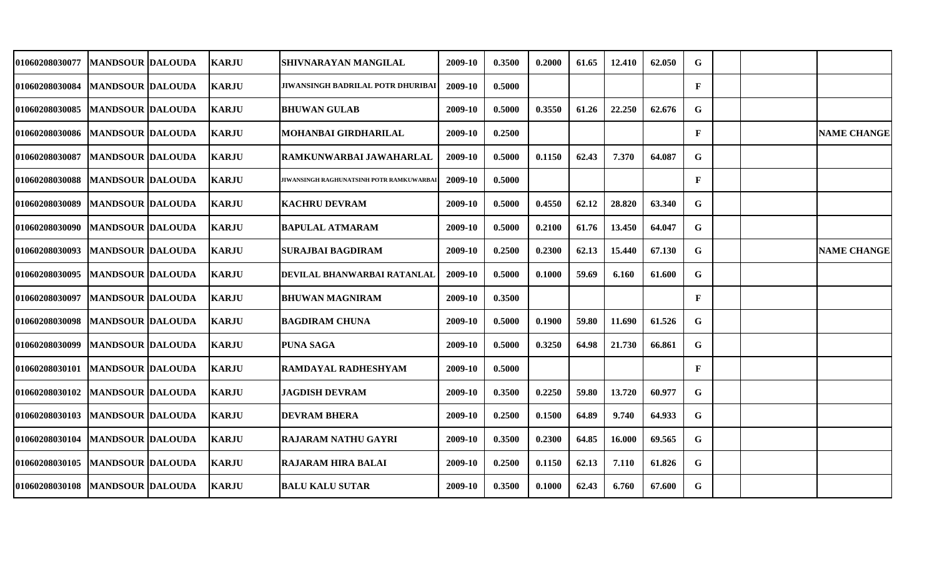| 01060208030077                   | <b>MANDSOUR DALOUDA</b>   | <b>KARJU</b> | SHIVNARAYAN MANGILAL                     | 2009-10 | 0.3500 | 0.2000 | 61.65 | 12.410 | 62.050 | G            |  |                    |
|----------------------------------|---------------------------|--------------|------------------------------------------|---------|--------|--------|-------|--------|--------|--------------|--|--------------------|
| 01060208030084                   | <b>MANDSOUR DALOUDA</b>   | <b>KARJU</b> | JIWANSINGH BADRILAL POTR DHURIBAI        | 2009-10 | 0.5000 |        |       |        |        | $\mathbf{F}$ |  |                    |
| 01060208030085                   | <b>MANDSOUR DALOUDA</b>   | <b>KARJU</b> | <b>BHUWAN GULAB</b>                      | 2009-10 | 0.5000 | 0.3550 | 61.26 | 22.250 | 62.676 | G            |  |                    |
| 01060208030086  MANDSOUR DALOUDA |                           | <b>KARJU</b> | MOHANBAI GIRDHARILAL                     | 2009-10 | 0.2500 |        |       |        |        | $\mathbf{F}$ |  | <b>NAME CHANGE</b> |
| 01060208030087                   | <b>MANDSOUR DALOUDA</b>   | <b>KARJU</b> | RAMKUNWARBAI JAWAHARLAL                  | 2009-10 | 0.5000 | 0.1150 | 62.43 | 7.370  | 64.087 | G            |  |                    |
| 01060208030088                   | <b>MANDSOUR DALOUDA</b>   | <b>KARJU</b> | JIWANSINGH RAGHUNATSINH POTR RAMKUWARBA] | 2009-10 | 0.5000 |        |       |        |        | $\mathbf{F}$ |  |                    |
| 01060208030089                   | <b>MANDSOUR DALOUDA</b>   | <b>KARJU</b> | <b>KACHRU DEVRAM</b>                     | 2009-10 | 0.5000 | 0.4550 | 62.12 | 28.820 | 63.340 | G            |  |                    |
| 01060208030090                   | <b>IMANDSOUR IDALOUDA</b> | <b>KARJU</b> | <b>BAPULAL ATMARAM</b>                   | 2009-10 | 0.5000 | 0.2100 | 61.76 | 13.450 | 64.047 | G            |  |                    |
| 01060208030093                   | <b>MANDSOUR DALOUDA</b>   | <b>KARJU</b> | <b>SURAJBAI BAGDIRAM</b>                 | 2009-10 | 0.2500 | 0.2300 | 62.13 | 15.440 | 67.130 | G            |  | <b>NAME CHANGE</b> |
| 01060208030095                   | <b>MANDSOUR DALOUDA</b>   | <b>KARJU</b> | DEVILAL BHANWARBAI RATANLAL              | 2009-10 | 0.5000 | 0.1000 | 59.69 | 6.160  | 61.600 | G            |  |                    |
| 01060208030097                   | <b>MANDSOUR DALOUDA</b>   | <b>KARJU</b> | <b>BHUWAN MAGNIRAM</b>                   | 2009-10 | 0.3500 |        |       |        |        | $\mathbf{F}$ |  |                    |
| 01060208030098                   | <b>MANDSOUR DALOUDA</b>   | <b>KARJU</b> | <b>BAGDIRAM CHUNA</b>                    | 2009-10 | 0.5000 | 0.1900 | 59.80 | 11.690 | 61.526 | G            |  |                    |
| 01060208030099                   | <b>MANDSOUR DALOUDA</b>   | <b>KARJU</b> | <b>PUNA SAGA</b>                         | 2009-10 | 0.5000 | 0.3250 | 64.98 | 21.730 | 66.861 | G            |  |                    |
| 01060208030101                   | <b>MANDSOUR DALOUDA</b>   | <b>KARJU</b> | RAMDAYAL RADHESHYAM                      | 2009-10 | 0.5000 |        |       |        |        | F            |  |                    |
| 01060208030102                   | <b>MANDSOUR DALOUDA</b>   | <b>KARJU</b> | <b>JAGDISH DEVRAM</b>                    | 2009-10 | 0.3500 | 0.2250 | 59.80 | 13.720 | 60.977 | G            |  |                    |
| 01060208030103                   | <b>MANDSOUR DALOUDA</b>   | <b>KARJU</b> | <b>DEVRAM BHERA</b>                      | 2009-10 | 0.2500 | 0.1500 | 64.89 | 9.740  | 64.933 | G            |  |                    |
| 01060208030104                   | <b>MANDSOUR DALOUDA</b>   | <b>KARJU</b> | <b>RAJARAM NATHU GAYRI</b>               | 2009-10 | 0.3500 | 0.2300 | 64.85 | 16.000 | 69.565 | G            |  |                    |
| 01060208030105                   | <b>MANDSOUR DALOUDA</b>   | <b>KARJU</b> | <b>RAJARAM HIRA BALAI</b>                | 2009-10 | 0.2500 | 0.1150 | 62.13 | 7.110  | 61.826 | G            |  |                    |
| 01060208030108                   | <b>MANDSOUR DALOUDA</b>   | <b>KARJU</b> | <b>BALU KALU SUTAR</b>                   | 2009-10 | 0.3500 | 0.1000 | 62.43 | 6.760  | 67.600 | G            |  |                    |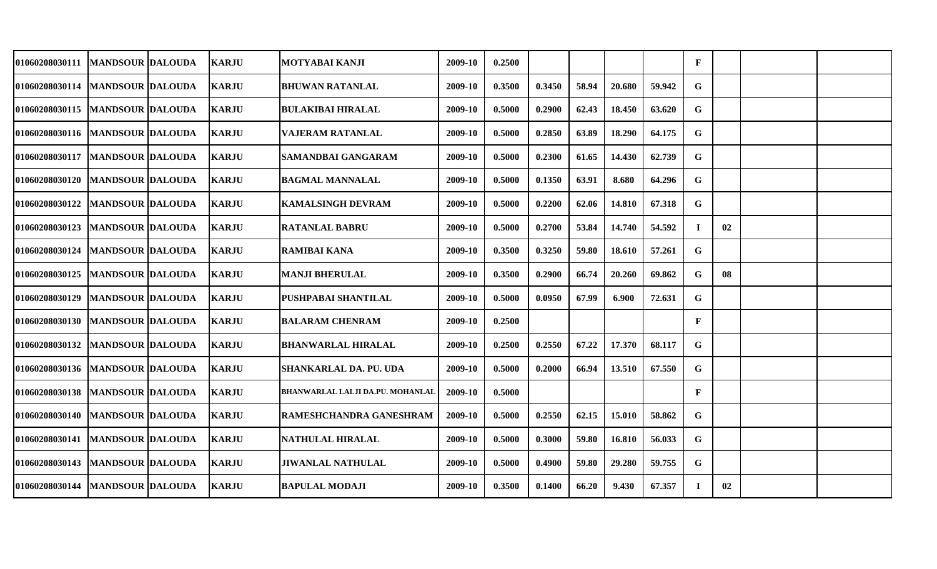| 01060208030111                    | MANDSOUR  DALOUDA        | <b>KARJU</b> | MOTYABAI KANJI                   | 2009-10 | 0.2500 |        |       |        |        | $\mathbf{F}$ |    |  |
|-----------------------------------|--------------------------|--------------|----------------------------------|---------|--------|--------|-------|--------|--------|--------------|----|--|
| 01060208030114   MANDSOUR DALOUDA |                          | <b>KARJU</b> | <b>BHUWAN RATANLAL</b>           | 2009-10 | 0.3500 | 0.3450 | 58.94 | 20.680 | 59.942 | G            |    |  |
| 01060208030115   MANDSOUR DALOUDA |                          | <b>KARJU</b> | <b>BULAKIBAI HIRALAL</b>         | 2009-10 | 0.5000 | 0.2900 | 62.43 | 18.450 | 63.620 | G            |    |  |
| 01060208030116   MANDSOUR DALOUDA |                          | <b>KARJU</b> | <b>VAJERAM RATANLAL</b>          | 2009-10 | 0.5000 | 0.2850 | 63.89 | 18.290 | 64.175 | G            |    |  |
| 01060208030117   MANDSOUR DALOUDA |                          | <b>KARJU</b> | <b>SAMANDBAI GANGARAM</b>        | 2009-10 | 0.5000 | 0.2300 | 61.65 | 14.430 | 62.739 | G            |    |  |
| 01060208030120   MANDSOUR DALOUDA |                          | <b>KARJU</b> | <b>BAGMAL MANNALAL</b>           | 2009-10 | 0.5000 | 0.1350 | 63.91 | 8.680  | 64.296 | G            |    |  |
| <b>01060208030122</b>             | <b>MANDSOUR DALOUDA</b>  | <b>KARJU</b> | <b>KAMALSINGH DEVRAM</b>         | 2009-10 | 0.5000 | 0.2200 | 62.06 | 14.810 | 67.318 | G            |    |  |
| <b>01060208030123</b>             | <b>MANDSOUR DALOUDA</b>  | <b>KARJU</b> | <b>RATANLAL BABRU</b>            | 2009-10 | 0.5000 | 0.2700 | 53.84 | 14.740 | 54.592 | -1           | 02 |  |
| <b>01060208030124</b>             | <b>MANDSOUR DALOUDA</b>  | <b>KARJU</b> | <b>RAMIBAI KANA</b>              | 2009-10 | 0.3500 | 0.3250 | 59.80 | 18.610 | 57.261 | G            |    |  |
| <b>01060208030125</b>             | <b>MANDSOUR DALOUDA</b>  | <b>KARJU</b> | <b>MANJI BHERULAL</b>            | 2009-10 | 0.3500 | 0.2900 | 66.74 | 20.260 | 69.862 | G            | 08 |  |
| <b>01060208030129</b>             | <b>MANDSOUR DALOUDA</b>  | <b>KARJU</b> | PUSHPABAI SHANTILAL              | 2009-10 | 0.5000 | 0.0950 | 67.99 | 6.900  | 72.631 | G            |    |  |
| <b>01060208030130</b>             | <b>MANDSOUR DALOUDA</b>  | <b>KARJU</b> | <b>BALARAM CHENRAM</b>           | 2009-10 | 0.2500 |        |       |        |        | $\mathbf{F}$ |    |  |
| 01060208030132                    | <b>MANDSOUR DALOUDA</b>  | <b>KARJU</b> | <b>BHANWARLAL HIRALAL</b>        | 2009-10 | 0.2500 | 0.2550 | 67.22 | 17.370 | 68.117 | G            |    |  |
| <b>01060208030136</b>             | <b>IMANDSOUR DALOUDA</b> | <b>KARJU</b> | SHANKARLAL DA. PU. UDA           | 2009-10 | 0.5000 | 0.2000 | 66.94 | 13.510 | 67.550 | G            |    |  |
| 01060208030138   MANDSOUR DALOUDA |                          | <b>KARJU</b> | BHANWARLAL LALJI DA.PU. MOHANLAL | 2009-10 | 0.5000 |        |       |        |        | $\mathbf{F}$ |    |  |
| 01060208030140   MANDSOUR DALOUDA |                          | <b>KARJU</b> | RAMESHCHANDRA GANESHRAM          | 2009-10 | 0.5000 | 0.2550 | 62.15 | 15.010 | 58.862 | G.           |    |  |
| 01060208030141   MANDSOUR DALOUDA |                          | <b>KARJU</b> | <b>NATHULAL HIRALAL</b>          | 2009-10 | 0.5000 | 0.3000 | 59.80 | 16.810 | 56.033 | G            |    |  |
| 01060208030143                    | <b>MANDSOUR DALOUDA</b>  | <b>KARJU</b> | <b>JIWANLAL NATHULAL</b>         | 2009-10 | 0.5000 | 0.4900 | 59.80 | 29.280 | 59.755 | G            |    |  |
| <b>01060208030144</b>             | <b>MANDSOUR DALOUDA</b>  | <b>KARJU</b> | <b>BAPULAL MODAJI</b>            | 2009-10 | 0.3500 | 0.1400 | 66.20 | 9.430  | 67.357 | Т.           | 02 |  |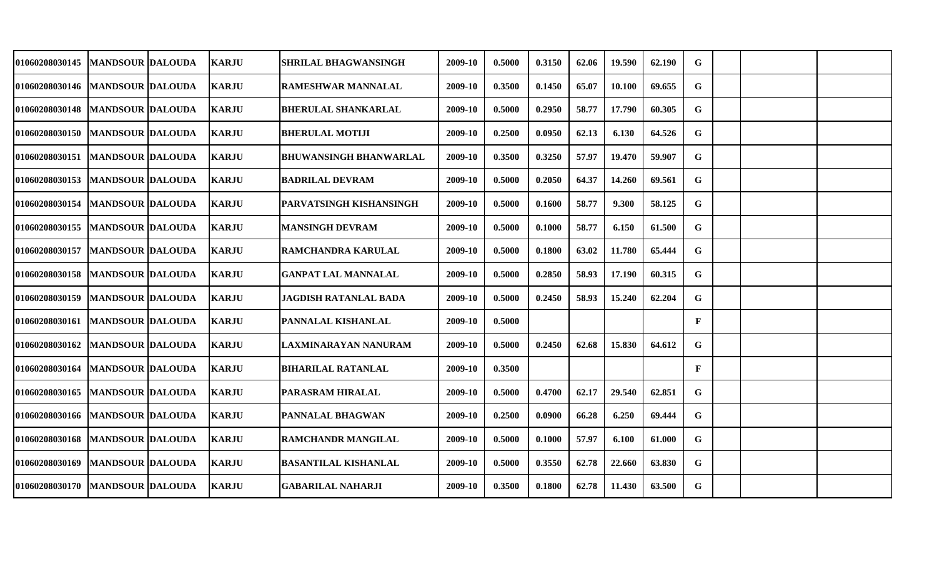| <b>01060208030145</b>             | <b>MANDSOUR DALOUDA</b> | <b>KARJU</b> | SHRILAL BHAGWANSINGH          | 2009-10 | 0.5000 | 0.3150 | 62.06 | 19.590 | 62.190 | G            |  |  |
|-----------------------------------|-------------------------|--------------|-------------------------------|---------|--------|--------|-------|--------|--------|--------------|--|--|
| 01060208030146   MANDSOUR DALOUDA |                         | <b>KARJU</b> | RAMESHWAR MANNALAL            | 2009-10 | 0.3500 | 0.1450 | 65.07 | 10.100 | 69.655 | G            |  |  |
| 01060208030148   MANDSOUR DALOUDA |                         | <b>KARJU</b> | <b>BHERULAL SHANKARLAL</b>    | 2009-10 | 0.5000 | 0.2950 | 58.77 | 17.790 | 60.305 | G            |  |  |
| 01060208030150   MANDSOUR DALOUDA |                         | <b>KARJU</b> | <b>BHERULAL MOTIJI</b>        | 2009-10 | 0.2500 | 0.0950 | 62.13 | 6.130  | 64.526 | G            |  |  |
| 01060208030151   MANDSOUR DALOUDA |                         | <b>KARJU</b> | <b>BHUWANSINGH BHANWARLAL</b> | 2009-10 | 0.3500 | 0.3250 | 57.97 | 19.470 | 59.907 | G.           |  |  |
| 01060208030153   MANDSOUR DALOUDA |                         | <b>KARJU</b> | <b>BADRILAL DEVRAM</b>        | 2009-10 | 0.5000 | 0.2050 | 64.37 | 14.260 | 69.561 | G.           |  |  |
| <b>01060208030154</b>             | <b>MANDSOUR DALOUDA</b> | <b>KARJU</b> | PARVATSINGH KISHANSINGH       | 2009-10 | 0.5000 | 0.1600 | 58.77 | 9.300  | 58.125 | G            |  |  |
| <b>01060208030155</b>             | <b>MANDSOUR DALOUDA</b> | <b>KARJU</b> | MANSINGH DEVRAM               | 2009-10 | 0.5000 | 0.1000 | 58.77 | 6.150  | 61.500 | G            |  |  |
| <b>01060208030157</b>             | <b>MANDSOUR DALOUDA</b> | <b>KARJU</b> | RAMCHANDRA KARULAL            | 2009-10 | 0.5000 | 0.1800 | 63.02 | 11.780 | 65.444 | G            |  |  |
| 01060208030158   MANDSOUR DALOUDA |                         | <b>KARJU</b> | <b>GANPAT LAL MANNALAL</b>    | 2009-10 | 0.5000 | 0.2850 | 58.93 | 17.190 | 60.315 | G            |  |  |
| <b>01060208030159</b>             | <b>MANDSOUR DALOUDA</b> | <b>KARJU</b> | <b>JAGDISH RATANLAL BADA</b>  | 2009-10 | 0.5000 | 0.2450 | 58.93 | 15.240 | 62.204 | G            |  |  |
| <b>01060208030161</b>             | <b>MANDSOUR DALOUDA</b> | <b>KARJU</b> | PANNALAL KISHANLAL            | 2009-10 | 0.5000 |        |       |        |        | $\mathbf{F}$ |  |  |
| <b>01060208030162</b>             | <b>MANDSOUR DALOUDA</b> | <b>KARJU</b> | LAXMINARAYAN NANURAM          | 2009-10 | 0.5000 | 0.2450 | 62.68 | 15.830 | 64.612 | G            |  |  |
| <b>01060208030164</b>             | <b>MANDSOUR DALOUDA</b> | <b>KARJU</b> | <b>BIHARILAL RATANLAL</b>     | 2009-10 | 0.3500 |        |       |        |        | $\mathbf{F}$ |  |  |
| <b>01060208030165</b>             | <b>MANDSOUR DALOUDA</b> | <b>KARJU</b> | PARASRAM HIRALAL              | 2009-10 | 0.5000 | 0.4700 | 62.17 | 29.540 | 62.851 | G            |  |  |
| 01060208030166                    | <b>MANDSOUR DALOUDA</b> | <b>KARJU</b> | PANNALAL BHAGWAN              | 2009-10 | 0.2500 | 0.0900 | 66.28 | 6.250  | 69.444 | G.           |  |  |
| 01060208030168   MANDSOUR DALOUDA |                         | <b>KARJU</b> | <b>RAMCHANDR MANGILAL</b>     | 2009-10 | 0.5000 | 0.1000 | 57.97 | 6.100  | 61.000 | G            |  |  |
| 01060208030169                    | <b>MANDSOUR DALOUDA</b> | <b>KARJU</b> | <b>BASANTILAL KISHANLAL</b>   | 2009-10 | 0.5000 | 0.3550 | 62.78 | 22.660 | 63.830 | G            |  |  |
| 01060208030170   MANDSOUR DALOUDA |                         | <b>KARJU</b> | <b>GABARILAL NAHARJI</b>      | 2009-10 | 0.3500 | 0.1800 | 62.78 | 11.430 | 63.500 | G            |  |  |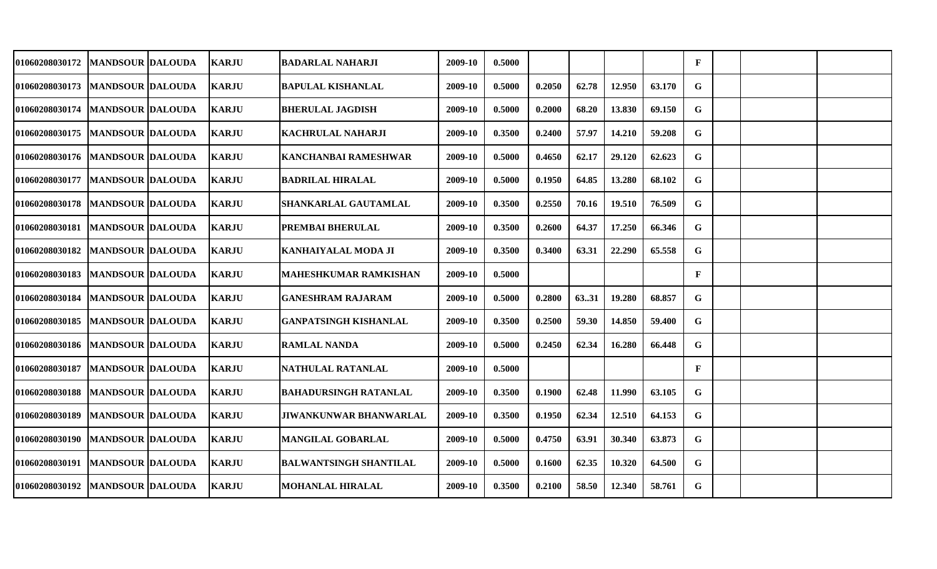| 01060208030172                    | MANDSOUR  DALOUDA       | <b>KARJU</b> | <b>BADARLAL NAHARJI</b>       | 2009-10 | 0.5000 |        |       |        |        | $\mathbf{F}$ |  |  |
|-----------------------------------|-------------------------|--------------|-------------------------------|---------|--------|--------|-------|--------|--------|--------------|--|--|
| 01060208030173                    | <b>MANDSOUR DALOUDA</b> | <b>KARJU</b> | <b>BAPULAL KISHANLAL</b>      | 2009-10 | 0.5000 | 0.2050 | 62.78 | 12.950 | 63.170 | G            |  |  |
| 01060208030174                    | <b>MANDSOUR DALOUDA</b> | <b>KARJU</b> | <b>BHERULAL JAGDISH</b>       | 2009-10 | 0.5000 | 0.2000 | 68.20 | 13.830 | 69.150 | G            |  |  |
| 01060208030175   MANDSOUR DALOUDA |                         | <b>KARJU</b> | <b>KACHRULAL NAHARJI</b>      | 2009-10 | 0.3500 | 0.2400 | 57.97 | 14.210 | 59.208 | G            |  |  |
| 01060208030176   MANDSOUR DALOUDA |                         | <b>KARJU</b> | <b>KANCHANBAI RAMESHWAR</b>   | 2009-10 | 0.5000 | 0.4650 | 62.17 | 29.120 | 62.623 | G            |  |  |
| 01060208030177   MANDSOUR DALOUDA |                         | <b>KARJU</b> | <b>BADRILAL HIRALAL</b>       | 2009-10 | 0.5000 | 0.1950 | 64.85 | 13.280 | 68.102 | G            |  |  |
| 01060208030178                    | <b>MANDSOUR DALOUDA</b> | <b>KARJU</b> | <b>SHANKARLAL GAUTAMLAL</b>   | 2009-10 | 0.3500 | 0.2550 | 70.16 | 19.510 | 76.509 | G            |  |  |
| 01060208030181                    | <b>MANDSOUR DALOUDA</b> | <b>KARJU</b> | PREMBAI BHERULAL              | 2009-10 | 0.3500 | 0.2600 | 64.37 | 17.250 | 66.346 | G            |  |  |
| <b>01060208030182</b>             | <b>MANDSOUR DALOUDA</b> | <b>KARJU</b> | KANHAIYALAL MODA JI           | 2009-10 | 0.3500 | 0.3400 | 63.31 | 22.290 | 65.558 | G            |  |  |
| <b>01060208030183</b>             | <b>MANDSOUR DALOUDA</b> | <b>KARJU</b> | <b>MAHESHKUMAR RAMKISHAN</b>  | 2009-10 | 0.5000 |        |       |        |        | $\mathbf{F}$ |  |  |
| <b>01060208030184</b>             | <b>MANDSOUR DALOUDA</b> | <b>KARJU</b> | <b>GANESHRAM RAJARAM</b>      | 2009-10 | 0.5000 | 0.2800 | 6331  | 19.280 | 68.857 | G            |  |  |
| <b>01060208030185</b>             | <b>MANDSOUR DALOUDA</b> | <b>KARJU</b> | <b>GANPATSINGH KISHANLAL</b>  | 2009-10 | 0.3500 | 0.2500 | 59.30 | 14.850 | 59.400 | G            |  |  |
| <b>01060208030186</b>             | <b>MANDSOUR DALOUDA</b> | <b>KARJU</b> | <b>RAMLAL NANDA</b>           | 2009-10 | 0.5000 | 0.2450 | 62.34 | 16.280 | 66.448 | G            |  |  |
| <b>01060208030187</b>             | <b>MANDSOUR DALOUDA</b> | <b>KARJU</b> | NATHULAL RATANLAL             | 2009-10 | 0.5000 |        |       |        |        | $\mathbf{F}$ |  |  |
| 01060208030188                    | <b>MANDSOUR DALOUDA</b> | <b>KARJU</b> | <b>BAHADURSINGH RATANLAL</b>  | 2009-10 | 0.3500 | 0.1900 | 62.48 | 11.990 | 63.105 | G            |  |  |
| 01060208030189                    | <b>MANDSOUR DALOUDA</b> | <b>KARJU</b> | JIWANKUNWAR BHANWARLAL        | 2009-10 | 0.3500 | 0.1950 | 62.34 | 12.510 | 64.153 | G.           |  |  |
| 01060208030190   MANDSOUR DALOUDA |                         | <b>KARJU</b> | <b>MANGILAL GOBARLAL</b>      | 2009-10 | 0.5000 | 0.4750 | 63.91 | 30.340 | 63.873 | G.           |  |  |
| 01060208030191   MANDSOUR DALOUDA |                         | <b>KARJU</b> | <b>BALWANTSINGH SHANTILAL</b> | 2009-10 | 0.5000 | 0.1600 | 62.35 | 10.320 | 64.500 | G            |  |  |
| <b>01060208030192</b>             | <b>MANDSOUR DALOUDA</b> | <b>KARJU</b> | <b>MOHANLAL HIRALAL</b>       | 2009-10 | 0.3500 | 0.2100 | 58.50 | 12.340 | 58.761 | G            |  |  |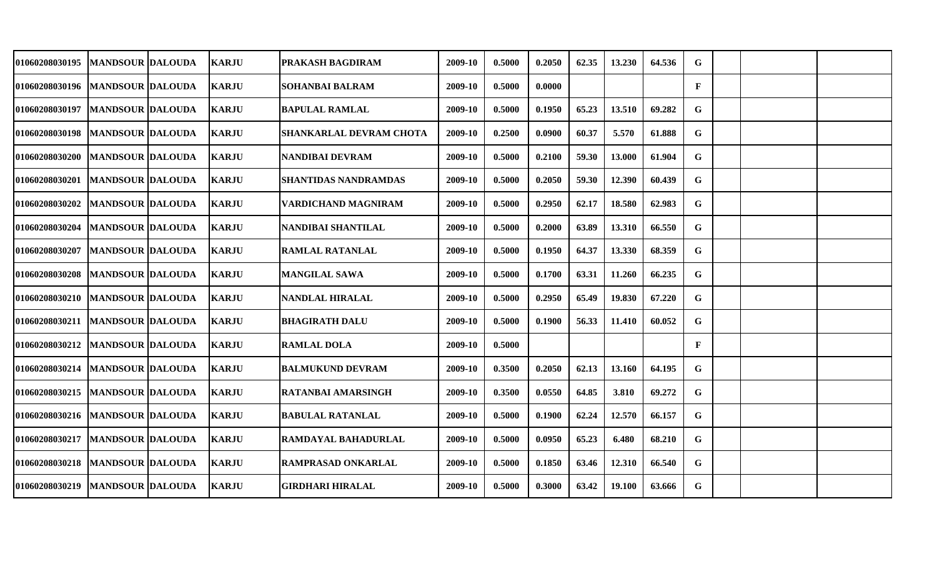| <b>01060208030195</b>               | <b>MANDSOUR DALOUDA</b> | <b>KARJU</b> | PRAKASH BAGDIRAM               | 2009-10 | 0.5000 | 0.2050 | 62.35 | 13.230 | 64.536 | G            |  |  |
|-------------------------------------|-------------------------|--------------|--------------------------------|---------|--------|--------|-------|--------|--------|--------------|--|--|
| 01060208030196   MANDSOUR DALOUDA   |                         | <b>KARJU</b> | <b>SOHANBAI BALRAM</b>         | 2009-10 | 0.5000 | 0.0000 |       |        |        | $\mathbf{F}$ |  |  |
| 01060208030197                      | <b>MANDSOUR DALOUDA</b> | <b>KARJU</b> | <b>BAPULAL RAMLAL</b>          | 2009-10 | 0.5000 | 0.1950 | 65.23 | 13.510 | 69.282 | G            |  |  |
| 01060208030198   MANDSOUR DALOUDA   |                         | <b>KARJU</b> | <b>SHANKARLAL DEVRAM CHOTA</b> | 2009-10 | 0.2500 | 0.0900 | 60.37 | 5.570  | 61.888 | G            |  |  |
| 01060208030200   MANDSOUR DALOUDA   |                         | <b>KARJU</b> | <b>NANDIBAI DEVRAM</b>         | 2009-10 | 0.5000 | 0.2100 | 59.30 | 13.000 | 61.904 | G            |  |  |
| <b>01060208030201</b>               | <b>MANDSOUR DALOUDA</b> | <b>KARJU</b> | SHANTIDAS NANDRAMDAS           | 2009-10 | 0.5000 | 0.2050 | 59.30 | 12.390 | 60.439 | G            |  |  |
| <b>01060208030202</b>               | MANDSOUR  DALOUDA       | <b>KARJU</b> | VARDICHAND MAGNIRAM            | 2009-10 | 0.5000 | 0.2950 | 62.17 | 18.580 | 62.983 | G            |  |  |
| 01060208030204                      | <b>MANDSOUR DALOUDA</b> | <b>KARJU</b> | NANDIBAI SHANTILAL             | 2009-10 | 0.5000 | 0.2000 | 63.89 | 13.310 | 66.550 | G            |  |  |
| <b>01060208030207</b>               | <b>MANDSOUR DALOUDA</b> | <b>KARJU</b> | <b>RAMLAL RATANLAL</b>         | 2009-10 | 0.5000 | 0.1950 | 64.37 | 13.330 | 68.359 | G            |  |  |
| 01060208030208                      | <b>MANDSOUR DALOUDA</b> | <b>KARJU</b> | <b>MANGILAL SAWA</b>           | 2009-10 | 0.5000 | 0.1700 | 63.31 | 11.260 | 66.235 | G            |  |  |
| 01060208030210   MANDSOUR DALOUDA   |                         | <b>KARJU</b> | <b>NANDLAL HIRALAL</b>         | 2009-10 | 0.5000 | 0.2950 | 65.49 | 19.830 | 67.220 | G            |  |  |
| 01060208030211   MANDSOUR DALOUDA   |                         | <b>KARJU</b> | <b>BHAGIRATH DALU</b>          | 2009-10 | 0.5000 | 0.1900 | 56.33 | 11.410 | 60.052 | G            |  |  |
| <b>01060208030212</b>               | <b>MANDSOUR DALOUDA</b> | <b>KARJU</b> | <b>RAMLAL DOLA</b>             | 2009-10 | 0.5000 |        |       |        |        | $\mathbf{F}$ |  |  |
| <b>01060208030214</b>               | <b>MANDSOUR DALOUDA</b> | <b>KARJU</b> | <b>BALMUKUND DEVRAM</b>        | 2009-10 | 0.3500 | 0.2050 | 62.13 | 13.160 | 64.195 | G            |  |  |
| 01060208030215   MANDSOUR DALOUDA   |                         | <b>KARJU</b> | <b>RATANBAI AMARSINGH</b>      | 2009-10 | 0.3500 | 0.0550 | 64.85 | 3.810  | 69.272 | G            |  |  |
| 01060208030216   MANDSOUR   DALOUDA |                         | <b>KARJU</b> | <b>BABULAL RATANLAL</b>        | 2009-10 | 0.5000 | 0.1900 | 62.24 | 12.570 | 66.157 | G            |  |  |
| 01060208030217   MANDSOUR DALOUDA   |                         | <b>KARJU</b> | RAMDAYAL BAHADURLAL            | 2009-10 | 0.5000 | 0.0950 | 65.23 | 6.480  | 68.210 | G            |  |  |
| 01060208030218   MANDSOUR DALOUDA   |                         | <b>KARJU</b> | <b>RAMPRASAD ONKARLAL</b>      | 2009-10 | 0.5000 | 0.1850 | 63.46 | 12.310 | 66.540 | G            |  |  |
| <b>01060208030219</b>               | <b>MANDSOUR DALOUDA</b> | <b>KARJU</b> | <b>GIRDHARI HIRALAL</b>        | 2009-10 | 0.5000 | 0.3000 | 63.42 | 19.100 | 63.666 | G            |  |  |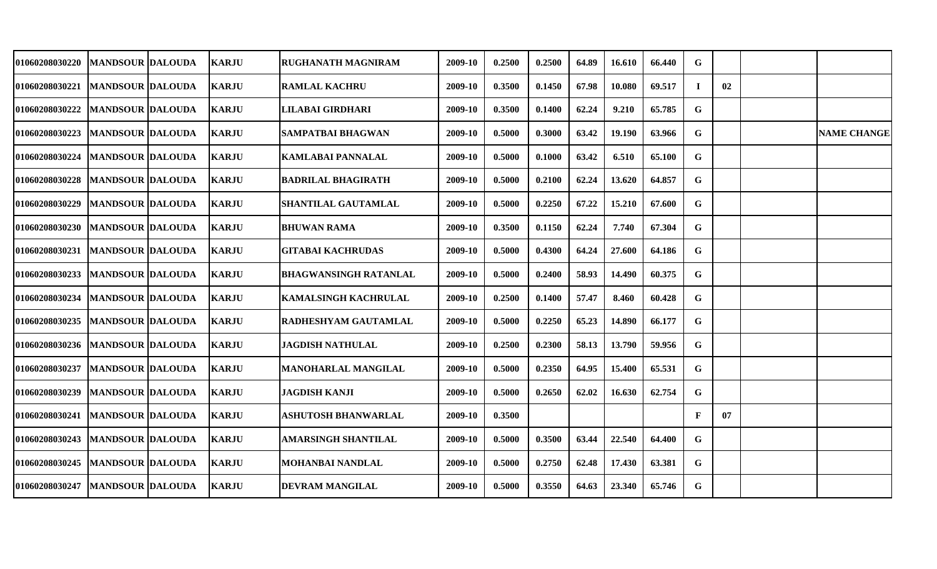| <b>01060208030220</b>             | <b>MANDSOUR DALOUDA</b> | <b>KARJU</b> | RUGHANATH MAGNIRAM           | 2009-10 | 0.2500 | 0.2500 | 64.89 | 16.610 | 66.440 | G            |    |                    |
|-----------------------------------|-------------------------|--------------|------------------------------|---------|--------|--------|-------|--------|--------|--------------|----|--------------------|
|                                   |                         |              |                              |         |        |        |       |        |        |              |    |                    |
| 01060208030221                    | <b>MANDSOUR DALOUDA</b> | <b>KARJU</b> | <b>RAMLAL KACHRU</b>         | 2009-10 | 0.3500 | 0.1450 | 67.98 | 10.080 | 69.517 | Т.           | 02 |                    |
| 01060208030222                    | <b>MANDSOUR DALOUDA</b> | <b>KARJU</b> | LILABAI GIRDHARI             | 2009-10 | 0.3500 | 0.1400 | 62.24 | 9.210  | 65.785 | G            |    |                    |
| <b>01060208030223</b>             | <b>MANDSOUR DALOUDA</b> | <b>KARJU</b> | <b>SAMPATBAI BHAGWAN</b>     | 2009-10 | 0.5000 | 0.3000 | 63.42 | 19.190 | 63.966 | G            |    | <b>NAME CHANGE</b> |
| 01060208030224                    | <b>MANDSOUR DALOUDA</b> | <b>KARJU</b> | <b>KAMLABAI PANNALAL</b>     | 2009-10 | 0.5000 | 0.1000 | 63.42 | 6.510  | 65.100 | G            |    |                    |
| <b>01060208030228</b>             | <b>MANDSOUR DALOUDA</b> | <b>KARJU</b> | <b>BADRILAL BHAGIRATH</b>    | 2009-10 | 0.5000 | 0.2100 | 62.24 | 13.620 | 64.857 | G            |    |                    |
| 01060208030229                    | <b>MANDSOUR DALOUDA</b> | <b>KARJU</b> | SHANTILAL GAUTAMLAL          | 2009-10 | 0.5000 | 0.2250 | 67.22 | 15.210 | 67.600 | G            |    |                    |
| 01060208030230                    | <b>MANDSOUR DALOUDA</b> | <b>KARJU</b> | <b>BHUWAN RAMA</b>           | 2009-10 | 0.3500 | 0.1150 | 62.24 | 7.740  | 67.304 | G            |    |                    |
| <b>01060208030231</b>             | <b>MANDSOUR DALOUDA</b> | <b>KARJU</b> | <b>GITABAI KACHRUDAS</b>     | 2009-10 | 0.5000 | 0.4300 | 64.24 | 27.600 | 64.186 | G            |    |                    |
| <b>01060208030233</b>             | <b>MANDSOUR DALOUDA</b> | <b>KARJU</b> | <b>BHAGWANSINGH RATANLAL</b> | 2009-10 | 0.5000 | 0.2400 | 58.93 | 14.490 | 60.375 | G            |    |                    |
| <b>01060208030234</b>             | <b>MANDSOUR DALOUDA</b> | <b>KARJU</b> | <b>KAMALSINGH KACHRULAL</b>  | 2009-10 | 0.2500 | 0.1400 | 57.47 | 8.460  | 60.428 | G            |    |                    |
| <b>01060208030235</b>             | <b>MANDSOUR DALOUDA</b> | <b>KARJU</b> | <b>RADHESHYAM GAUTAMLAL</b>  | 2009-10 | 0.5000 | 0.2250 | 65.23 | 14.890 | 66.177 | G            |    |                    |
| 01060208030236                    | <b>MANDSOUR DALOUDA</b> | <b>KARJU</b> | <b>JAGDISH NATHULAL</b>      | 2009-10 | 0.2500 | 0.2300 | 58.13 | 13.790 | 59.956 | G            |    |                    |
| <b>01060208030237</b>             | <b>MANDSOUR DALOUDA</b> | <b>KARJU</b> | MANOHARLAL MANGILAL          | 2009-10 | 0.5000 | 0.2350 | 64.95 | 15.400 | 65.531 | G            |    |                    |
| 01060208030239                    | <b>MANDSOUR DALOUDA</b> | <b>KARJU</b> | <b>JAGDISH KANJI</b>         | 2009-10 | 0.5000 | 0.2650 | 62.02 | 16.630 | 62.754 | G            |    |                    |
| 01060208030241                    | <b>MANDSOUR DALOUDA</b> | <b>KARJU</b> | <b>ASHUTOSH BHANWARLAL</b>   | 2009-10 | 0.3500 |        |       |        |        | $\mathbf{F}$ | 07 |                    |
| 01060208030243   MANDSOUR DALOUDA |                         | <b>KARJU</b> | AMARSINGH SHANTILAL          | 2009-10 | 0.5000 | 0.3500 | 63.44 | 22.540 | 64.400 | G            |    |                    |
| 01060208030245                    | <b>MANDSOUR DALOUDA</b> | <b>KARJU</b> | <b>MOHANBAI NANDLAL</b>      | 2009-10 | 0.5000 | 0.2750 | 62.48 | 17.430 | 63.381 | G            |    |                    |
| <b>01060208030247</b>             | <b>MANDSOUR DALOUDA</b> | <b>KARJU</b> | <b>DEVRAM MANGILAL</b>       | 2009-10 | 0.5000 | 0.3550 | 64.63 | 23.340 | 65.746 | G            |    |                    |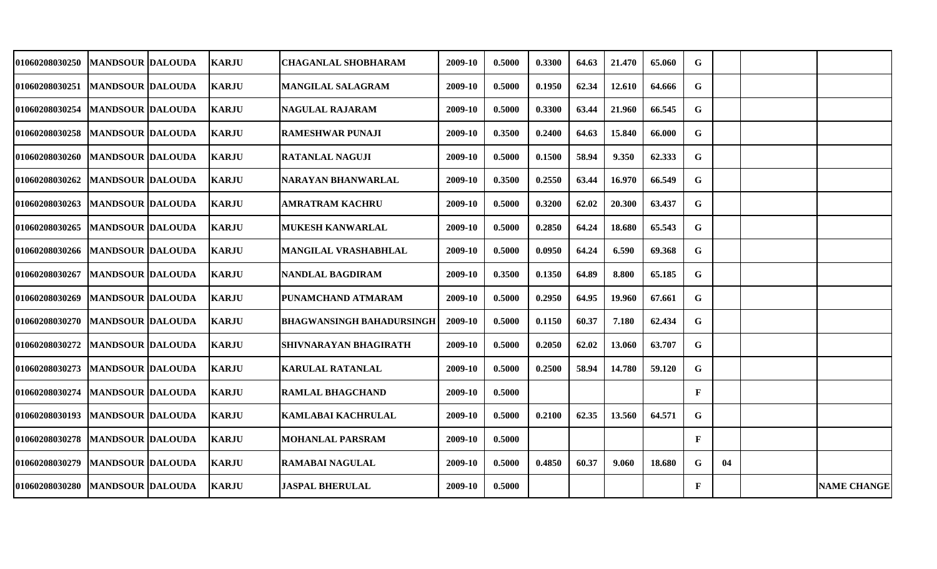| <b>01060208030250</b>               | <b>MANDSOUR IDALOUDA</b> | <b>KARJU</b>  | <b>CHAGANLAL SHOBHARAM</b>       | 2009-10 | 0.5000 | 0.3300 | 64.63 | 21.470 | 65.060 | G            |    |                    |
|-------------------------------------|--------------------------|---------------|----------------------------------|---------|--------|--------|-------|--------|--------|--------------|----|--------------------|
| 01060208030251                      | <b>MANDSOUR DALOUDA</b>  | <b>KARJU</b>  | <b>MANGILAL SALAGRAM</b>         | 2009-10 | 0.5000 | 0.1950 | 62.34 | 12.610 | 64.666 | G            |    |                    |
| 01060208030254                      | <b>MANDSOUR DALOUDA</b>  | <b>KARJU</b>  | <b>NAGULAL RAJARAM</b>           | 2009-10 | 0.5000 | 0.3300 | 63.44 | 21.960 | 66.545 | G            |    |                    |
| 01060208030258                      | <b>MANDSOUR DALOUDA</b>  | <b>KARJU</b>  | <b>RAMESHWAR PUNAJI</b>          | 2009-10 | 0.3500 | 0.2400 | 64.63 | 15.840 | 66.000 | G            |    |                    |
| 01060208030260                      | <b>MANDSOUR DALOUDA</b>  | <b>KARJU</b>  | <b>RATANLAL NAGUJI</b>           | 2009-10 | 0.5000 | 0.1500 | 58.94 | 9.350  | 62.333 | G.           |    |                    |
| <b>01060208030262</b>               | <b>MANDSOUR DALOUDA</b>  | <b>KARJU</b>  | NARAYAN BHANWARLAL               | 2009-10 | 0.3500 | 0.2550 | 63.44 | 16.970 | 66.549 | G            |    |                    |
| 01060208030263                      | <b>MANDSOUR DALOUDA</b>  | <b>KARJU</b>  | <b>AMRATRAM KACHRU</b>           | 2009-10 | 0.5000 | 0.3200 | 62.02 | 20.300 | 63.437 | G            |    |                    |
| 01060208030265                      | <b>MANDSOUR DALOUDA</b>  | <b>KARJU</b>  | <b>MUKESH KANWARLAL</b>          | 2009-10 | 0.5000 | 0.2850 | 64.24 | 18.680 | 65.543 | G            |    |                    |
| 01060208030266                      | <b>MANDSOUR DALOUDA</b>  | <b>KARJU</b>  | <b>MANGILAL VRASHABHLAL</b>      | 2009-10 | 0.5000 | 0.0950 | 64.24 | 6.590  | 69.368 | G            |    |                    |
| 01060208030267                      | <b>MANDSOUR DALOUDA</b>  | <b>KARJU</b>  | <b>NANDLAL BAGDIRAM</b>          | 2009-10 | 0.3500 | 0.1350 | 64.89 | 8.800  | 65.185 | G            |    |                    |
| 01060208030269                      | <b>MANDSOUR DALOUDA</b>  | <b>KARJU</b>  | PUNAMCHAND ATMARAM               | 2009-10 | 0.5000 | 0.2950 | 64.95 | 19.960 | 67.661 | G            |    |                    |
| 01060208030270                      | <b>MANDSOUR DALOUDA</b>  | <b>KARJU</b>  | <b>BHAGWANSINGH BAHADURSINGH</b> | 2009-10 | 0.5000 | 0.1150 | 60.37 | 7.180  | 62.434 | G            |    |                    |
| 01060208030272                      | <b>MANDSOUR DALOUDA</b>  | <b>KARJU</b>  | <b>SHIVNARAYAN BHAGIRATH</b>     | 2009-10 | 0.5000 | 0.2050 | 62.02 | 13.060 | 63.707 | G            |    |                    |
| 01060208030273                      | <b>MANDSOUR DALOUDA</b>  | <b>KARJU</b>  | <b>KARULAL RATANLAL</b>          | 2009-10 | 0.5000 | 0.2500 | 58.94 | 14.780 | 59.120 | G            |    |                    |
| 01060208030274                      | <b>MANDSOUR DALOUDA</b>  | <b>KARJU</b>  | <b>RAMLAL BHAGCHAND</b>          | 2009-10 | 0.5000 |        |       |        |        | $\mathbf{F}$ |    |                    |
| 01060208030193                      | <b>MANDSOUR DALOUDA</b>  | <b>KARJU</b>  | <b>KAMLABAI KACHRULAL</b>        | 2009-10 | 0.5000 | 0.2100 | 62.35 | 13.560 | 64.571 | G            |    |                    |
| 01060208030278                      | <b>MANDSOUR DALOUDA</b>  | <b>KARJU</b>  | <b>MOHANLAL PARSRAM</b>          | 2009-10 | 0.5000 |        |       |        |        | $\mathbf{F}$ |    |                    |
| 01060208030279                      | <b>MANDSOUR DALOUDA</b>  | <b>KARJU</b>  | <b>RAMABAI NAGULAL</b>           | 2009-10 | 0.5000 | 0.4850 | 60.37 | 9.060  | 18.680 | G            | 04 |                    |
| 01060208030280   MANDSOUR   DALOUDA |                          | <b>IKARJU</b> | <b>JASPAL BHERULAL</b>           | 2009-10 | 0.5000 |        |       |        |        | $\mathbf{F}$ |    | <b>NAME CHANGE</b> |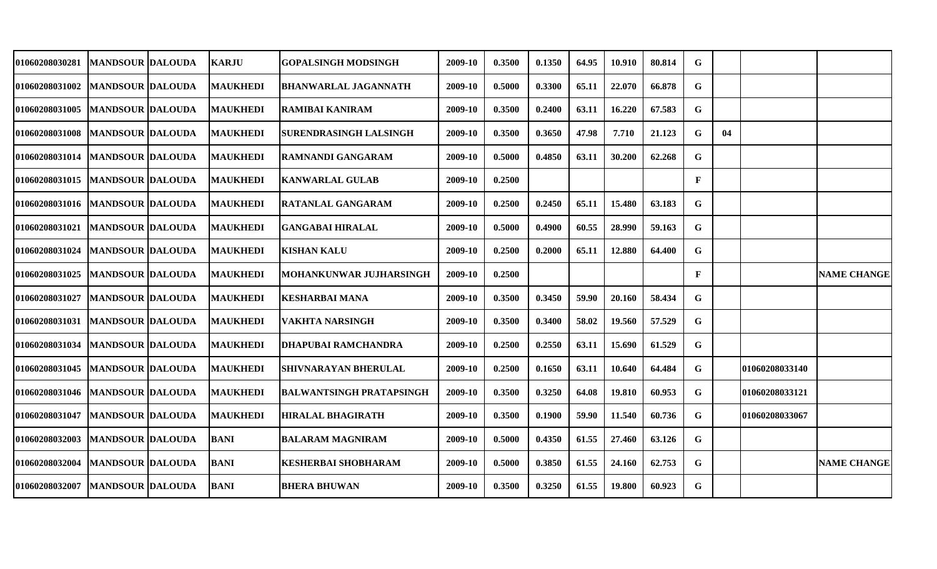| 01060208030281        | <b>MANDSOUR DALOUDA</b>  | <b>KARJU</b>    | <b>GOPALSINGH MODSINGH</b>     | 2009-10 | 0.3500 | 0.1350 | 64.95 | 10.910 | 80.814 | G |    |                |                    |
|-----------------------|--------------------------|-----------------|--------------------------------|---------|--------|--------|-------|--------|--------|---|----|----------------|--------------------|
| <b>01060208031002</b> | <b>MANDSOUR DALOUDA</b>  | <b>MAUKHEDI</b> | <b>BHANWARLAL JAGANNATH</b>    | 2009-10 | 0.5000 | 0.3300 | 65.11 | 22.070 | 66.878 | G |    |                |                    |
| <b>01060208031005</b> | <b>MANDSOUR DALOUDA</b>  | <b>MAUKHEDI</b> | <b>RAMIBAI KANIRAM</b>         | 2009-10 | 0.3500 | 0.2400 | 63.11 | 16.220 | 67.583 | G |    |                |                    |
| 01060208031008        | <b>MANDSOUR DALOUDA</b>  | <b>MAUKHEDI</b> | <b>SURENDRASINGH LALSINGH</b>  | 2009-10 | 0.3500 | 0.3650 | 47.98 | 7.710  | 21.123 | G | 04 |                |                    |
| 01060208031014        | <b>MANDSOUR DALOUDA</b>  | <b>MAUKHEDI</b> | <b>RAMNANDI GANGARAM</b>       | 2009-10 | 0.5000 | 0.4850 | 63.11 | 30.200 | 62.268 | G |    |                |                    |
| <b>01060208031015</b> | <b>MANDSOUR DALOUDA</b>  | <b>MAUKHEDI</b> | <b>KANWARLAL GULAB</b>         | 2009-10 | 0.2500 |        |       |        |        | F |    |                |                    |
| 01060208031016        | <b>MANDSOUR DALOUDA</b>  | <b>MAUKHEDI</b> | <b>RATANLAL GANGARAM</b>       | 2009-10 | 0.2500 | 0.2450 | 65.11 | 15.480 | 63.183 | G |    |                |                    |
| <b>01060208031021</b> | <b>MANDSOUR  DALOUDA</b> | <b>MAUKHEDI</b> | <b>GANGABAI HIRALAL</b>        | 2009-10 | 0.5000 | 0.4900 | 60.55 | 28.990 | 59.163 | G |    |                |                    |
| <b>01060208031024</b> | <b>MANDSOUR DALOUDA</b>  | <b>MAUKHEDI</b> | <b>KISHAN KALU</b>             | 2009-10 | 0.2500 | 0.2000 | 65.11 | 12.880 | 64.400 | G |    |                |                    |
| <b>01060208031025</b> | <b>MANDSOUR DALOUDA</b>  | <b>MAUKHEDI</b> | <b>MOHANKUNWAR JUJHARSINGH</b> | 2009-10 | 0.2500 |        |       |        |        | F |    |                | <b>NAME CHANGE</b> |
| <b>01060208031027</b> | <b>MANDSOUR DALOUDA</b>  | <b>MAUKHEDI</b> | <b>KESHARBAI MANA</b>          | 2009-10 | 0.3500 | 0.3450 | 59.90 | 20.160 | 58.434 | G |    |                |                    |
| 01060208031031        | <b>MANDSOUR DALOUDA</b>  | <b>MAUKHEDI</b> | <b>VAKHTA NARSINGH</b>         | 2009-10 | 0.3500 | 0.3400 | 58.02 | 19.560 | 57.529 | G |    |                |                    |
| 01060208031034        | <b>MANDSOUR DALOUDA</b>  | <b>MAUKHEDI</b> | <b>DHAPUBAI RAMCHANDRA</b>     | 2009-10 | 0.2500 | 0.2550 | 63.11 | 15.690 | 61.529 | G |    |                |                    |
| 01060208031045        | <b>MANDSOUR DALOUDA</b>  | <b>MAUKHEDI</b> | <b>SHIVNARAYAN BHERULAL</b>    | 2009-10 | 0.2500 | 0.1650 | 63.11 | 10.640 | 64.484 | G |    | 01060208033140 |                    |
| 01060208031046        | <b>MANDSOUR DALOUDA</b>  | <b>MAUKHEDI</b> | BALWANTSINGH PRATAPSINGH       | 2009-10 | 0.3500 | 0.3250 | 64.08 | 19.810 | 60.953 | G |    | 01060208033121 |                    |
| 01060208031047        | <b>MANDSOUR DALOUDA</b>  | <b>MAUKHEDI</b> | <b>HIRALAL BHAGIRATH</b>       | 2009-10 | 0.3500 | 0.1900 | 59.90 | 11.540 | 60.736 | G |    | 01060208033067 |                    |
| 01060208032003        | <b>MANDSOUR DALOUDA</b>  | <b>BANI</b>     | <b>BALARAM MAGNIRAM</b>        | 2009-10 | 0.5000 | 0.4350 | 61.55 | 27.460 | 63.126 | G |    |                |                    |
| 01060208032004        | <b>MANDSOUR DALOUDA</b>  | <b>BANI</b>     | <b>KESHERBAI SHOBHARAM</b>     | 2009-10 | 0.5000 | 0.3850 | 61.55 | 24.160 | 62.753 | G |    |                | <b>NAME CHANGE</b> |
| 01060208032007        | <b>MANDSOUR DALOUDA</b>  | <b>BANI</b>     | <b>BHERA BHUWAN</b>            | 2009-10 | 0.3500 | 0.3250 | 61.55 | 19.800 | 60.923 | G |    |                |                    |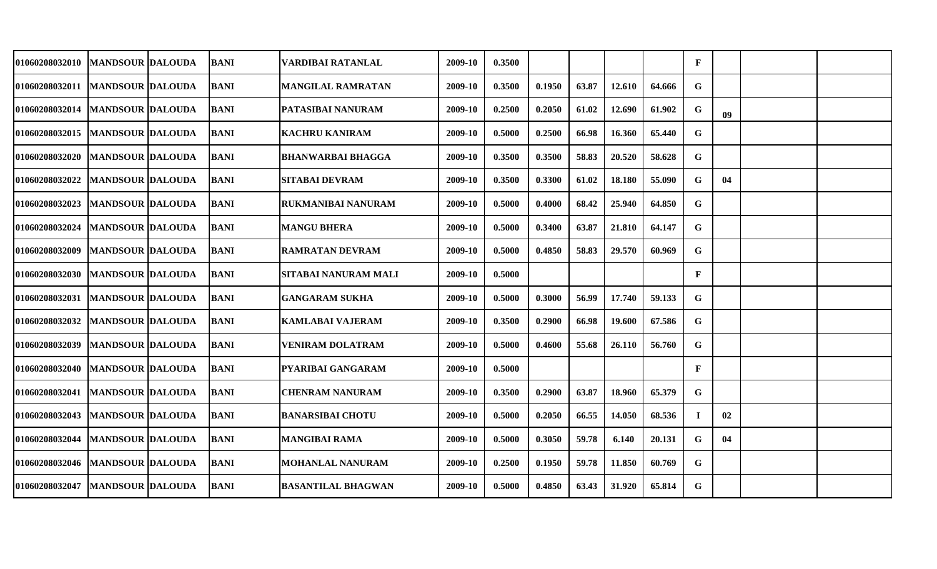| <b>01060208032010</b>             | <b>MANDSOUR DALOUDA</b> | <b>BANI</b> | VARDIBAI RATANLAL         | 2009-10 | 0.3500 |        |       |        |        | $\mathbf{F}$ |    |  |
|-----------------------------------|-------------------------|-------------|---------------------------|---------|--------|--------|-------|--------|--------|--------------|----|--|
| 01060208032011   MANDSOUR DALOUDA |                         | <b>BANI</b> | <b>MANGILAL RAMRATAN</b>  | 2009-10 | 0.3500 | 0.1950 | 63.87 | 12.610 | 64.666 | G            |    |  |
| 01060208032014                    | <b>MANDSOUR DALOUDA</b> | <b>BANI</b> | PATASIBAI NANURAM         | 2009-10 | 0.2500 | 0.2050 | 61.02 | 12.690 | 61.902 | G            | 09 |  |
| 01060208032015   MANDSOUR DALOUDA |                         | <b>BANI</b> | <b>KACHRU KANIRAM</b>     | 2009-10 | 0.5000 | 0.2500 | 66.98 | 16.360 | 65.440 | G            |    |  |
| 01060208032020   MANDSOUR DALOUDA |                         | <b>BANI</b> | <b>BHANWARBAI BHAGGA</b>  | 2009-10 | 0.3500 | 0.3500 | 58.83 | 20.520 | 58.628 | G            |    |  |
| <b>01060208032022</b>             | <b>MANDSOUR DALOUDA</b> | <b>BANI</b> | <b>SITABAI DEVRAM</b>     | 2009-10 | 0.3500 | 0.3300 | 61.02 | 18.180 | 55.090 | G.           | 04 |  |
| <b>01060208032023</b>             | <b>MANDSOUR DALOUDA</b> | <b>BANI</b> | RUKMANIBAI NANURAM        | 2009-10 | 0.5000 | 0.4000 | 68.42 | 25.940 | 64.850 | G            |    |  |
| <b>01060208032024</b>             | <b>MANDSOUR DALOUDA</b> | <b>BANI</b> | <b>MANGU BHERA</b>        | 2009-10 | 0.5000 | 0.3400 | 63.87 | 21.810 | 64.147 | G            |    |  |
| 01060208032009                    | <b>MANDSOUR DALOUDA</b> | <b>BANI</b> | <b>RAMRATAN DEVRAM</b>    | 2009-10 | 0.5000 | 0.4850 | 58.83 | 29.570 | 60.969 | G            |    |  |
| 01060208032030   MANDSOUR DALOUDA |                         | <b>BANI</b> | SITABAI NANURAM MALI      | 2009-10 | 0.5000 |        |       |        |        | $\mathbf{F}$ |    |  |
| <b>01060208032031</b>             | <b>MANDSOUR DALOUDA</b> | <b>BANI</b> | <b>GANGARAM SUKHA</b>     | 2009-10 | 0.5000 | 0.3000 | 56.99 | 17.740 | 59.133 | G            |    |  |
| <b>01060208032032</b>             | <b>MANDSOUR DALOUDA</b> | <b>BANI</b> | <b>KAMLABAI VAJERAM</b>   | 2009-10 | 0.3500 | 0.2900 | 66.98 | 19.600 | 67.586 | G            |    |  |
| 01060208032039                    | <b>MANDSOUR DALOUDA</b> | <b>BANI</b> | <b>VENIRAM DOLATRAM</b>   | 2009-10 | 0.5000 | 0.4600 | 55.68 | 26.110 | 56.760 | G            |    |  |
| <b>01060208032040</b>             | <b>MANDSOUR DALOUDA</b> | <b>BANI</b> | PYARIBAI GANGARAM         | 2009-10 | 0.5000 |        |       |        |        | $\mathbf{F}$ |    |  |
| 01060208032041                    | <b>MANDSOUR DALOUDA</b> | <b>BANI</b> | <b>CHENRAM NANURAM</b>    | 2009-10 | 0.3500 | 0.2900 | 63.87 | 18.960 | 65.379 | G            |    |  |
| 01060208032043                    | <b>MANDSOUR DALOUDA</b> | <b>BANI</b> | <b>BANARSIBAI CHOTU</b>   | 2009-10 | 0.5000 | 0.2050 | 66.55 | 14.050 | 68.536 | L            | 02 |  |
| 01060208032044                    | <b>MANDSOUR DALOUDA</b> | <b>BANI</b> | <b>MANGIBAI RAMA</b>      | 2009-10 | 0.5000 | 0.3050 | 59.78 | 6.140  | 20.131 | G            | 04 |  |
| 01060208032046   MANDSOUR DALOUDA |                         | <b>BANI</b> | <b>MOHANLAL NANURAM</b>   | 2009-10 | 0.2500 | 0.1950 | 59.78 | 11.850 | 60.769 | G            |    |  |
| 01060208032047                    | <b>MANDSOUR DALOUDA</b> | <b>BANI</b> | <b>BASANTILAL BHAGWAN</b> | 2009-10 | 0.5000 | 0.4850 | 63.43 | 31.920 | 65.814 | G            |    |  |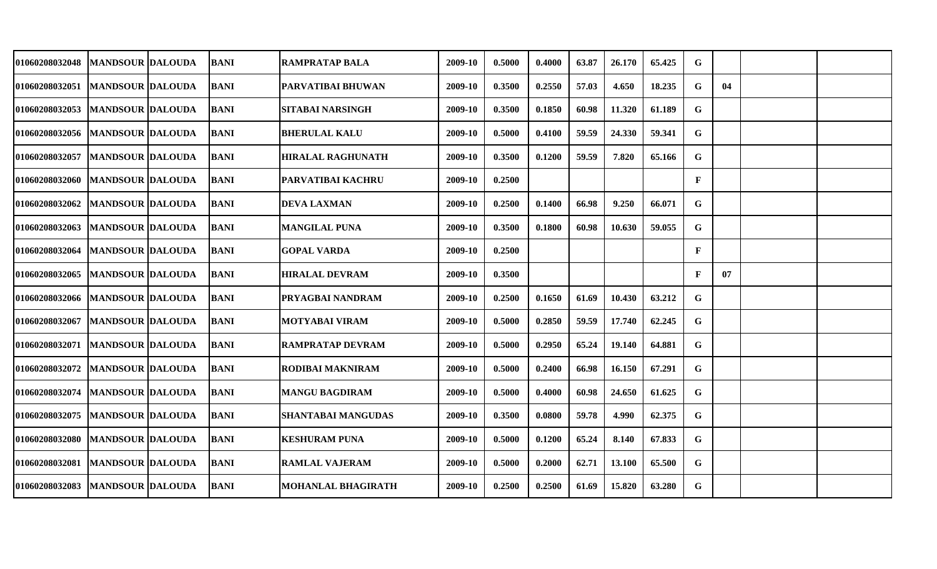| <b>01060208032048</b>             | <b>MANDSOUR DALOUDA</b> | <b>BANI</b> | <b>RAMPRATAP BALA</b>     | 2009-10 | 0.5000 | 0.4000 | 63.87 | 26.170 | 65.425 | G            |    |  |
|-----------------------------------|-------------------------|-------------|---------------------------|---------|--------|--------|-------|--------|--------|--------------|----|--|
| 01060208032051                    | <b>MANDSOUR DALOUDA</b> | <b>BANI</b> | PARVATIBAI BHUWAN         | 2009-10 | 0.3500 | 0.2550 | 57.03 | 4.650  | 18.235 | G            | 04 |  |
| 01060208032053                    | <b>MANDSOUR DALOUDA</b> | <b>BANI</b> | <b>SITABAI NARSINGH</b>   | 2009-10 | 0.3500 | 0.1850 | 60.98 | 11.320 | 61.189 | G            |    |  |
| 01060208032056   MANDSOUR DALOUDA |                         | <b>BANI</b> | <b>BHERULAL KALU</b>      | 2009-10 | 0.5000 | 0.4100 | 59.59 | 24.330 | 59.341 | G            |    |  |
| 01060208032057                    | <b>MANDSOUR DALOUDA</b> | <b>BANI</b> | <b>HIRALAL RAGHUNATH</b>  | 2009-10 | 0.3500 | 0.1200 | 59.59 | 7.820  | 65.166 | G            |    |  |
| 01060208032060                    | <b>MANDSOUR DALOUDA</b> | <b>BANI</b> | PARVATIBAI KACHRU         | 2009-10 | 0.2500 |        |       |        |        | $\mathbf{F}$ |    |  |
| 01060208032062                    | <b>MANDSOUR DALOUDA</b> | <b>BANI</b> | <b>DEVA LAXMAN</b>        | 2009-10 | 0.2500 | 0.1400 | 66.98 | 9.250  | 66.071 | G            |    |  |
| 01060208032063                    | <b>MANDSOUR DALOUDA</b> | <b>BANI</b> | <b>MANGILAL PUNA</b>      | 2009-10 | 0.3500 | 0.1800 | 60.98 | 10.630 | 59.055 | G            |    |  |
| <b>01060208032064</b>             | <b>MANDSOUR DALOUDA</b> | <b>BANI</b> | GOPAL VARDA               | 2009-10 | 0.2500 |        |       |        |        | $\mathbf{F}$ |    |  |
| <b>01060208032065</b>             | <b>MANDSOUR DALOUDA</b> | <b>BANI</b> | <b>HIRALAL DEVRAM</b>     | 2009-10 | 0.3500 |        |       |        |        | $\mathbf{F}$ | 07 |  |
| <b>01060208032066</b>             | <b>MANDSOUR DALOUDA</b> | <b>BANI</b> | PRYAGBAI NANDRAM          | 2009-10 | 0.2500 | 0.1650 | 61.69 | 10.430 | 63.212 | G            |    |  |
| <b>01060208032067</b>             | <b>MANDSOUR DALOUDA</b> | <b>BANI</b> | <b>MOTYABAI VIRAM</b>     | 2009-10 | 0.5000 | 0.2850 | 59.59 | 17.740 | 62.245 | G            |    |  |
| 01060208032071                    | <b>MANDSOUR DALOUDA</b> | <b>BANI</b> | <b>RAMPRATAP DEVRAM</b>   | 2009-10 | 0.5000 | 0.2950 | 65.24 | 19.140 | 64.881 | G            |    |  |
| <b>01060208032072</b>             | <b>MANDSOUR DALOUDA</b> | <b>BANI</b> | RODIBAI MAKNIRAM          | 2009-10 | 0.5000 | 0.2400 | 66.98 | 16.150 | 67.291 | G            |    |  |
| 01060208032074                    | <b>MANDSOUR DALOUDA</b> | <b>BANI</b> | <b>MANGU BAGDIRAM</b>     | 2009-10 | 0.5000 | 0.4000 | 60.98 | 24.650 | 61.625 | G            |    |  |
| 01060208032075                    | <b>MANDSOUR DALOUDA</b> | <b>BANI</b> | <b>SHANTABAI MANGUDAS</b> | 2009-10 | 0.3500 | 0.0800 | 59.78 | 4.990  | 62.375 | G            |    |  |
| 01060208032080                    | <b>MANDSOUR DALOUDA</b> | <b>BANI</b> | <b>KESHURAM PUNA</b>      | 2009-10 | 0.5000 | 0.1200 | 65.24 | 8.140  | 67.833 | G            |    |  |
| 01060208032081                    | <b>MANDSOUR DALOUDA</b> | <b>BANI</b> | <b>RAMLAL VAJERAM</b>     | 2009-10 | 0.5000 | 0.2000 | 62.71 | 13.100 | 65.500 | G            |    |  |
| <b>01060208032083</b>             | <b>MANDSOUR DALOUDA</b> | <b>BANI</b> | <b>MOHANLAL BHAGIRATH</b> | 2009-10 | 0.2500 | 0.2500 | 61.69 | 15.820 | 63.280 | G            |    |  |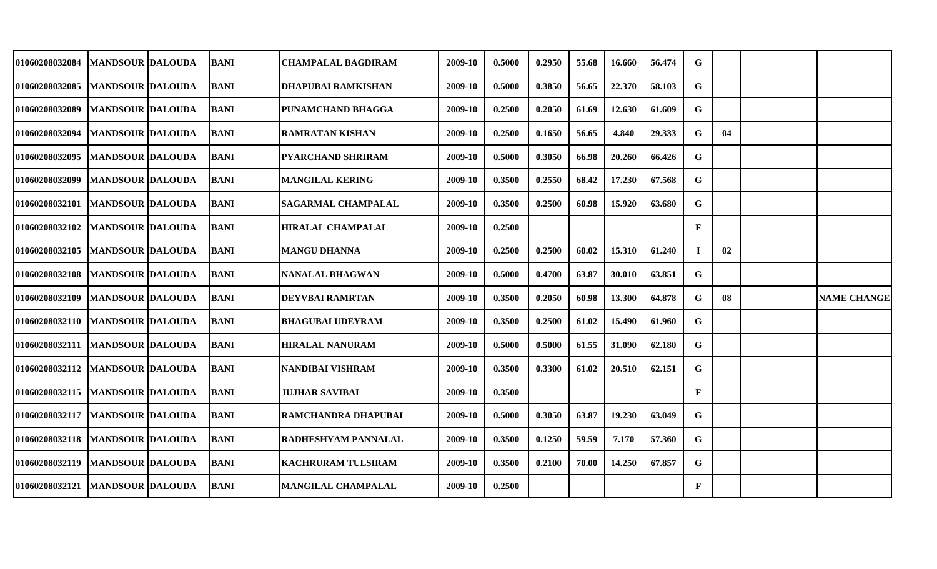| <b>01060208032084</b>               | <b>MANDSOUR DALOUDA</b> | <b>BANI</b> | <b>CHAMPALAL BAGDIRAM</b> | 2009-10 | 0.5000 | 0.2950 | 55.68 | 16.660 | 56.474 | G            |    |                    |
|-------------------------------------|-------------------------|-------------|---------------------------|---------|--------|--------|-------|--------|--------|--------------|----|--------------------|
| 01060208032085                      | <b>MANDSOUR DALOUDA</b> | <b>BANI</b> | <b>DHAPUBAI RAMKISHAN</b> | 2009-10 | 0.5000 | 0.3850 | 56.65 | 22.370 | 58.103 | G            |    |                    |
| 01060208032089                      | <b>MANDSOUR DALOUDA</b> | <b>BANI</b> | PUNAMCHAND BHAGGA         | 2009-10 | 0.2500 | 0.2050 | 61.69 | 12.630 | 61.609 | G            |    |                    |
| 01060208032094                      | <b>MANDSOUR DALOUDA</b> | <b>BANI</b> | <b>RAMRATAN KISHAN</b>    | 2009-10 | 0.2500 | 0.1650 | 56.65 | 4.840  | 29.333 | G            | 04 |                    |
| <b>01060208032095</b>               | <b>MANDSOUR DALOUDA</b> | <b>BANI</b> | <b>PYARCHAND SHRIRAM</b>  | 2009-10 | 0.5000 | 0.3050 | 66.98 | 20.260 | 66.426 | G            |    |                    |
| <b>01060208032099</b>               | <b>MANDSOUR DALOUDA</b> | <b>BANI</b> | <b>MANGILAL KERING</b>    | 2009-10 | 0.3500 | 0.2550 | 68.42 | 17.230 | 67.568 | G            |    |                    |
| <b>01060208032101</b>               | MANDSOUR  DALOUDA       | <b>BANI</b> | SAGARMAL CHAMPALAL        | 2009-10 | 0.3500 | 0.2500 | 60.98 | 15.920 | 63.680 | G            |    |                    |
| 01060208032102                      | <b>MANDSOUR DALOUDA</b> | <b>BANI</b> | <b>HIRALAL CHAMPALAL</b>  | 2009-10 | 0.2500 |        |       |        |        | $\mathbf{F}$ |    |                    |
| <b>01060208032105</b>               | <b>MANDSOUR DALOUDA</b> | <b>BANI</b> | <b>MANGU DHANNA</b>       | 2009-10 | 0.2500 | 0.2500 | 60.02 | 15.310 | 61.240 | Т.           | 02 |                    |
| 01060208032108                      | <b>MANDSOUR DALOUDA</b> | <b>BANI</b> | NANALAL BHAGWAN           | 2009-10 | 0.5000 | 0.4700 | 63.87 | 30.010 | 63.851 | G            |    |                    |
| 01060208032109                      | <b>MANDSOUR DALOUDA</b> | <b>BANI</b> | <b>DEYVBAI RAMRTAN</b>    | 2009-10 | 0.3500 | 0.2050 | 60.98 | 13.300 | 64.878 | G            | 08 | <b>NAME CHANGE</b> |
| 01060208032110   MANDSOUR DALOUDA   |                         | <b>BANI</b> | <b>BHAGUBAI UDEYRAM</b>   | 2009-10 | 0.3500 | 0.2500 | 61.02 | 15.490 | 61.960 | G            |    |                    |
| 01060208032111                      | <b>MANDSOUR DALOUDA</b> | <b>BANI</b> | <b>HIRALAL NANURAM</b>    | 2009-10 | 0.5000 | 0.5000 | 61.55 | 31.090 | 62.180 | G            |    |                    |
| <b>01060208032112</b>               | <b>MANDSOUR DALOUDA</b> | <b>BANI</b> | <b>NANDIBAI VISHRAM</b>   | 2009-10 | 0.3500 | 0.3300 | 61.02 | 20.510 | 62.151 | G            |    |                    |
| 01060208032115                      | <b>MANDSOUR DALOUDA</b> | <b>BANI</b> | <b>JUJHAR SAVIBAI</b>     | 2009-10 | 0.3500 |        |       |        |        | $\mathbf{F}$ |    |                    |
| 01060208032117   MANDSOUR DALOUDA   |                         | <b>BANI</b> | RAMCHANDRA DHAPUBAI       | 2009-10 | 0.5000 | 0.3050 | 63.87 | 19.230 | 63.049 | G            |    |                    |
| 01060208032118   MANDSOUR   DALOUDA |                         | <b>BANI</b> | RADHESHYAM PANNALAL       | 2009-10 | 0.3500 | 0.1250 | 59.59 | 7.170  | 57.360 | G            |    |                    |
| 01060208032119                      | <b>MANDSOUR DALOUDA</b> | <b>BANI</b> | <b>KACHRURAM TULSIRAM</b> | 2009-10 | 0.3500 | 0.2100 | 70.00 | 14.250 | 67.857 | G            |    |                    |
| 01060208032121                      | <b>MANDSOUR DALOUDA</b> | <b>BANI</b> | <b>MANGILAL CHAMPALAL</b> | 2009-10 | 0.2500 |        |       |        |        | ${\bf F}$    |    |                    |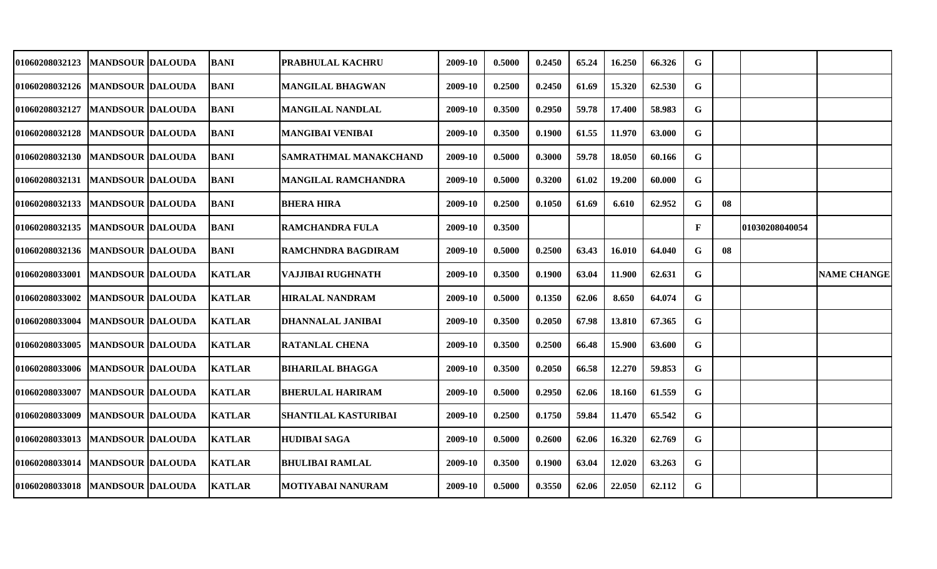| 01060208032123                    | MANDSOUR  DALOUDA       | <b>BANI</b>   | PRABHULAL KACHRU             | 2009-10 | 0.5000 | 0.2450 | 65.24 | 16.250 | 66.326 | G            |    |                |                    |
|-----------------------------------|-------------------------|---------------|------------------------------|---------|--------|--------|-------|--------|--------|--------------|----|----------------|--------------------|
| 01060208032126   MANDSOUR DALOUDA |                         | <b>BANI</b>   | <b>MANGILAL BHAGWAN</b>      | 2009-10 | 0.2500 | 0.2450 | 61.69 | 15.320 | 62.530 | G            |    |                |                    |
| 01060208032127                    | <b>MANDSOUR DALOUDA</b> | <b>BANI</b>   | <b>MANGILAL NANDLAL</b>      | 2009-10 | 0.3500 | 0.2950 | 59.78 | 17.400 | 58.983 | G            |    |                |                    |
| 01060208032128   MANDSOUR DALOUDA |                         | <b>BANI</b>   | <b>MANGIBAI VENIBAI</b>      | 2009-10 | 0.3500 | 0.1900 | 61.55 | 11.970 | 63.000 | G            |    |                |                    |
| 01060208032130   MANDSOUR DALOUDA |                         | <b>BANI</b>   | <b>SAMRATHMAL MANAKCHAND</b> | 2009-10 | 0.5000 | 0.3000 | 59.78 | 18.050 | 60.166 | G            |    |                |                    |
| 01060208032131   MANDSOUR DALOUDA |                         | <b>BANI</b>   | <b>MANGILAL RAMCHANDRA</b>   | 2009-10 | 0.5000 | 0.3200 | 61.02 | 19.200 | 60.000 | G            |    |                |                    |
| 01060208032133                    | <b>MANDSOUR DALOUDA</b> | <b>BANI</b>   | <b>BHERA HIRA</b>            | 2009-10 | 0.2500 | 0.1050 | 61.69 | 6.610  | 62.952 | G            | 08 |                |                    |
| <b>01060208032135</b>             | <b>MANDSOUR DALOUDA</b> | <b>BANI</b>   | RAMCHANDRA FULA              | 2009-10 | 0.3500 |        |       |        |        | $\mathbf{F}$ |    | 01030208040054 |                    |
| 01060208032136   MANDSOUR DALOUDA |                         | <b>BANI</b>   | RAMCHNDRA BAGDIRAM           | 2009-10 | 0.5000 | 0.2500 | 63.43 | 16.010 | 64.040 | G            | 08 |                |                    |
| <b>01060208033001</b>             | <b>MANDSOUR DALOUDA</b> | <b>KATLAR</b> | VAJJIBAI RUGHNATH            | 2009-10 | 0.3500 | 0.1900 | 63.04 | 11.900 | 62.631 | G            |    |                | <b>NAME CHANGE</b> |
| <b>01060208033002</b>             | <b>MANDSOUR DALOUDA</b> | <b>KATLAR</b> | <b>HIRALAL NANDRAM</b>       | 2009-10 | 0.5000 | 0.1350 | 62.06 | 8.650  | 64.074 | G            |    |                |                    |
| <b>01060208033004</b>             | <b>MANDSOUR DALOUDA</b> | <b>KATLAR</b> | <b>DHANNALAL JANIBAI</b>     | 2009-10 | 0.3500 | 0.2050 | 67.98 | 13.810 | 67.365 | G            |    |                |                    |
| 01060208033005                    | <b>MANDSOUR DALOUDA</b> | <b>KATLAR</b> | <b>RATANLAL CHENA</b>        | 2009-10 | 0.3500 | 0.2500 | 66.48 | 15.900 | 63.600 | G            |    |                |                    |
| <b>01060208033006</b>             | MANDSOUR  DALOUDA       | <b>KATLAR</b> | <b>BIHARILAL BHAGGA</b>      | 2009-10 | 0.3500 | 0.2050 | 66.58 | 12.270 | 59.853 | G            |    |                |                    |
| 01060208033007                    | <b>MANDSOUR DALOUDA</b> | <b>KATLAR</b> | <b>BHERULAL HARIRAM</b>      | 2009-10 | 0.5000 | 0.2950 | 62.06 | 18.160 | 61.559 | G            |    |                |                    |
| 01060208033009                    | <b>MANDSOUR DALOUDA</b> | <b>KATLAR</b> | <b>SHANTILAL KASTURIBAI</b>  | 2009-10 | 0.2500 | 0.1750 | 59.84 | 11.470 | 65.542 | G            |    |                |                    |
| 01060208033013  MANDSOUR DALOUDA  |                         | <b>KATLAR</b> | <b>HUDIBAI SAGA</b>          | 2009-10 | 0.5000 | 0.2600 | 62.06 | 16.320 | 62.769 | G            |    |                |                    |
| 01060208033014                    | <b>MANDSOUR DALOUDA</b> | <b>KATLAR</b> | <b>BHULIBAI RAMLAL</b>       | 2009-10 | 0.3500 | 0.1900 | 63.04 | 12.020 | 63.263 | G            |    |                |                    |
| 01060208033018                    | <b>MANDSOUR DALOUDA</b> | <b>KATLAR</b> | <b>MOTIYABAI NANURAM</b>     | 2009-10 | 0.5000 | 0.3550 | 62.06 | 22.050 | 62.112 | G            |    |                |                    |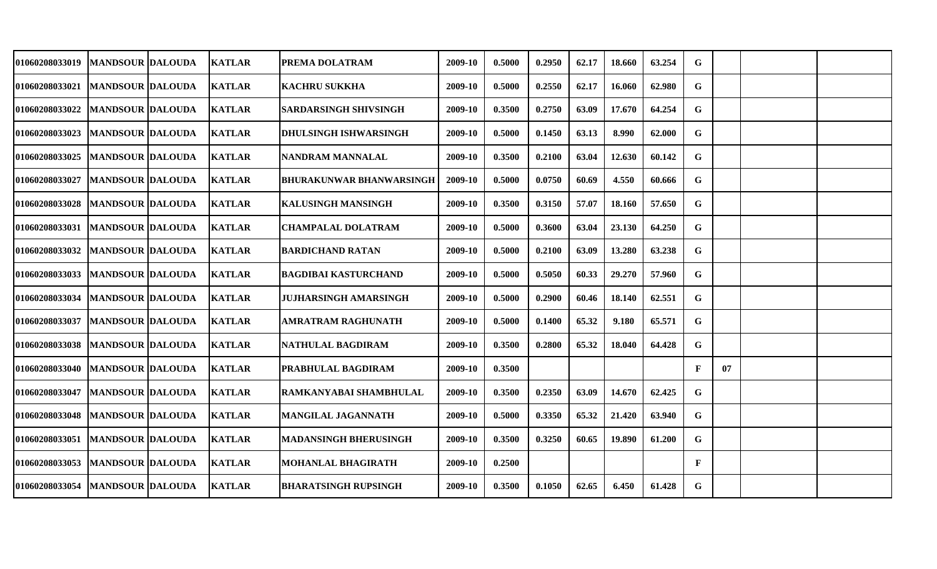| <b>01060208033019</b> | <b>MANDSOUR DALOUDA</b> | <b>KATLAR</b> | PREMA DOLATRAM                  | 2009-10 | 0.5000 | 0.2950 | 62.17 | 18.660 | 63.254 | G            |    |  |
|-----------------------|-------------------------|---------------|---------------------------------|---------|--------|--------|-------|--------|--------|--------------|----|--|
| 01060208033021        | <b>MANDSOUR DALOUDA</b> | <b>KATLAR</b> | <b>KACHRU SUKKHA</b>            | 2009-10 | 0.5000 | 0.2550 | 62.17 | 16.060 | 62.980 | G            |    |  |
|                       |                         |               |                                 |         |        |        |       |        |        |              |    |  |
| 01060208033022        | <b>MANDSOUR DALOUDA</b> | <b>KATLAR</b> | <b>SARDARSINGH SHIVSINGH</b>    | 2009-10 | 0.3500 | 0.2750 | 63.09 | 17.670 | 64.254 | G            |    |  |
| 01060208033023        | <b>MANDSOUR DALOUDA</b> | <b>KATLAR</b> | <b>DHULSINGH ISHWARSINGH</b>    | 2009-10 | 0.5000 | 0.1450 | 63.13 | 8.990  | 62.000 | G            |    |  |
| 01060208033025        | <b>MANDSOUR DALOUDA</b> | <b>KATLAR</b> | NANDRAM MANNALAL                | 2009-10 | 0.3500 | 0.2100 | 63.04 | 12.630 | 60.142 | G            |    |  |
| <b>01060208033027</b> | <b>MANDSOUR DALOUDA</b> | <b>KATLAR</b> | <b>BHURAKUNWAR BHANWARSINGH</b> | 2009-10 | 0.5000 | 0.0750 | 60.69 | 4.550  | 60.666 | G            |    |  |
| 01060208033028        | <b>MANDSOUR DALOUDA</b> | <b>KATLAR</b> | <b>KALUSINGH MANSINGH</b>       | 2009-10 | 0.3500 | 0.3150 | 57.07 | 18.160 | 57.650 | G            |    |  |
| 01060208033031        | <b>MANDSOUR DALOUDA</b> | <b>KATLAR</b> | CHAMPALAL DOLATRAM              | 2009-10 | 0.5000 | 0.3600 | 63.04 | 23.130 | 64.250 | G            |    |  |
| <b>01060208033032</b> | <b>MANDSOUR DALOUDA</b> | <b>KATLAR</b> | <b>BARDICHAND RATAN</b>         | 2009-10 | 0.5000 | 0.2100 | 63.09 | 13.280 | 63.238 | G            |    |  |
| 01060208033033        | <b>MANDSOUR DALOUDA</b> | <b>KATLAR</b> | <b>BAGDIBAI KASTURCHAND</b>     | 2009-10 | 0.5000 | 0.5050 | 60.33 | 29.270 | 57.960 | G            |    |  |
| <b>01060208033034</b> | <b>MANDSOUR DALOUDA</b> | <b>KATLAR</b> | <b>JUJHARSINGH AMARSINGH</b>    | 2009-10 | 0.5000 | 0.2900 | 60.46 | 18.140 | 62.551 | G            |    |  |
| <b>01060208033037</b> | <b>MANDSOUR DALOUDA</b> | <b>KATLAR</b> | <b>AMRATRAM RAGHUNATH</b>       | 2009-10 | 0.5000 | 0.1400 | 65.32 | 9.180  | 65.571 | G            |    |  |
| <b>01060208033038</b> | <b>MANDSOUR DALOUDA</b> | <b>KATLAR</b> | NATHULAL BAGDIRAM               | 2009-10 | 0.3500 | 0.2800 | 65.32 | 18.040 | 64.428 | G            |    |  |
| <b>01060208033040</b> | <b>MANDSOUR DALOUDA</b> | <b>KATLAR</b> | PRABHULAL BAGDIRAM              | 2009-10 | 0.3500 |        |       |        |        | $\mathbf{F}$ | 07 |  |
| 01060208033047        | <b>MANDSOUR DALOUDA</b> | <b>KATLAR</b> | RAMKANYABAI SHAMBHULAL          | 2009-10 | 0.3500 | 0.2350 | 63.09 | 14.670 | 62.425 | G            |    |  |
| 01060208033048        | <b>MANDSOUR DALOUDA</b> | <b>KATLAR</b> | <b>MANGILAL JAGANNATH</b>       | 2009-10 | 0.5000 | 0.3350 | 65.32 | 21.420 | 63.940 | G.           |    |  |
| 01060208033051        | <b>MANDSOUR DALOUDA</b> | <b>KATLAR</b> | <b>MADANSINGH BHERUSINGH</b>    | 2009-10 | 0.3500 | 0.3250 | 60.65 | 19.890 | 61.200 | G            |    |  |
| 01060208033053        | <b>MANDSOUR DALOUDA</b> | <b>KATLAR</b> | <b>MOHANLAL BHAGIRATH</b>       | 2009-10 | 0.2500 |        |       |        |        | $\mathbf{F}$ |    |  |
| <b>01060208033054</b> | <b>MANDSOUR DALOUDA</b> | <b>KATLAR</b> | <b>BHARATSINGH RUPSINGH</b>     | 2009-10 | 0.3500 | 0.1050 | 62.65 | 6.450  | 61.428 | G            |    |  |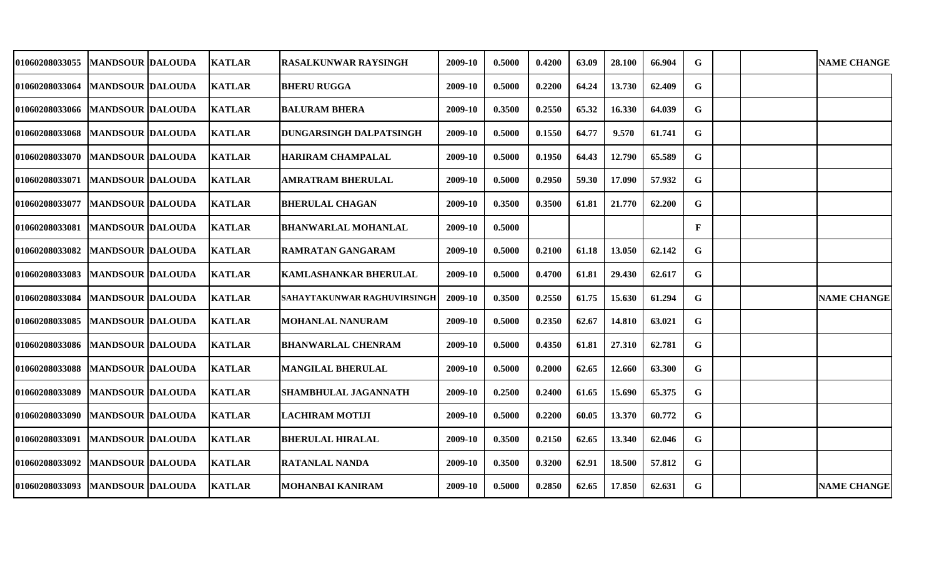| 01060208033055                      | <b>MANDSOUR IDALOUDA</b> | <b>KATLAR</b> | <b>RASALKUNWAR RAYSINGH</b>    | 2009-10 | 0.5000 | 0.4200 | 63.09 | 28.100 | 66.904 | G  |  | <b>NAME CHANGE</b> |
|-------------------------------------|--------------------------|---------------|--------------------------------|---------|--------|--------|-------|--------|--------|----|--|--------------------|
| 01060208033064                      | <b>MANDSOUR DALOUDA</b>  | <b>KATLAR</b> | <b>BHERU RUGGA</b>             | 2009-10 | 0.5000 | 0.2200 | 64.24 | 13.730 | 62.409 | G  |  |                    |
| 01060208033066                      | <b>MANDSOUR DALOUDA</b>  | <b>KATLAR</b> | <b>BALURAM BHERA</b>           | 2009-10 | 0.3500 | 0.2550 | 65.32 | 16.330 | 64.039 | G  |  |                    |
| 01060208033068                      | <b>MANDSOUR DALOUDA</b>  | <b>KATLAR</b> | <b>DUNGARSINGH DALPATSINGH</b> | 2009-10 | 0.5000 | 0.1550 | 64.77 | 9.570  | 61.741 | G  |  |                    |
| 01060208033070                      | <b>MANDSOUR DALOUDA</b>  | <b>KATLAR</b> | <b>HARIRAM CHAMPALAL</b>       | 2009-10 | 0.5000 | 0.1950 | 64.43 | 12.790 | 65.589 | G  |  |                    |
| 01060208033071                      | <b>MANDSOUR DALOUDA</b>  | <b>KATLAR</b> | <b>AMRATRAM BHERULAL</b>       | 2009-10 | 0.5000 | 0.2950 | 59.30 | 17.090 | 57.932 | G  |  |                    |
| 01060208033077                      | <b>MANDSOUR DALOUDA</b>  | <b>KATLAR</b> | <b>BHERULAL CHAGAN</b>         | 2009-10 | 0.3500 | 0.3500 | 61.81 | 21.770 | 62.200 | G  |  |                    |
| 01060208033081   MANDSOUR   DALOUDA |                          | <b>KATLAR</b> | <b>BHANWARLAL MOHANLAL</b>     | 2009-10 | 0.5000 |        |       |        |        | F  |  |                    |
| 01060208033082                      | <b>MANDSOUR DALOUDA</b>  | <b>KATLAR</b> | <b>RAMRATAN GANGARAM</b>       | 2009-10 | 0.5000 | 0.2100 | 61.18 | 13.050 | 62.142 | G. |  |                    |
| 01060208033083                      | <b>MANDSOUR DALOUDA</b>  | <b>KATLAR</b> | <b>KAMLASHANKAR BHERULAL</b>   | 2009-10 | 0.5000 | 0.4700 | 61.81 | 29.430 | 62.617 | G  |  |                    |
| 01060208033084                      | <b>MANDSOUR DALOUDA</b>  | <b>KATLAR</b> | SAHAYTAKUNWAR RAGHUVIRSINGH    | 2009-10 | 0.3500 | 0.2550 | 61.75 | 15.630 | 61.294 | G  |  | <b>NAME CHANGE</b> |
| 01060208033085                      | <b>MANDSOUR DALOUDA</b>  | <b>KATLAR</b> | <b>MOHANLAL NANURAM</b>        | 2009-10 | 0.5000 | 0.2350 | 62.67 | 14.810 | 63.021 | G  |  |                    |
| 01060208033086                      | <b>MANDSOUR DALOUDA</b>  | <b>KATLAR</b> | <b>BHANWARLAL CHENRAM</b>      | 2009-10 | 0.5000 | 0.4350 | 61.81 | 27.310 | 62.781 | G  |  |                    |
| 01060208033088                      | <b>MANDSOUR DALOUDA</b>  | <b>KATLAR</b> | <b>MANGILAL BHERULAL</b>       | 2009-10 | 0.5000 | 0.2000 | 62.65 | 12.660 | 63.300 | G  |  |                    |
| 01060208033089                      | <b>MANDSOUR DALOUDA</b>  | <b>KATLAR</b> | <b>SHAMBHULAL JAGANNATH</b>    | 2009-10 | 0.2500 | 0.2400 | 61.65 | 15.690 | 65.375 | G  |  |                    |
| 01060208033090                      | <b>MANDSOUR DALOUDA</b>  | <b>KATLAR</b> | <b>LACHIRAM MOTIJI</b>         | 2009-10 | 0.5000 | 0.2200 | 60.05 | 13.370 | 60.772 | G  |  |                    |
| 01060208033091                      | <b>MANDSOUR DALOUDA</b>  | <b>KATLAR</b> | <b>BHERULAL HIRALAL</b>        | 2009-10 | 0.3500 | 0.2150 | 62.65 | 13.340 | 62.046 | G  |  |                    |
| 01060208033092                      | <b>MANDSOUR DALOUDA</b>  | <b>KATLAR</b> | <b>RATANLAL NANDA</b>          | 2009-10 | 0.3500 | 0.3200 | 62.91 | 18.500 | 57.812 | G  |  |                    |
| 01060208033093                      | <b>MANDSOUR DALOUDA</b>  | <b>KATLAR</b> | <b>MOHANBAI KANIRAM</b>        | 2009-10 | 0.5000 | 0.2850 | 62.65 | 17.850 | 62.631 | G  |  | <b>NAME CHANGE</b> |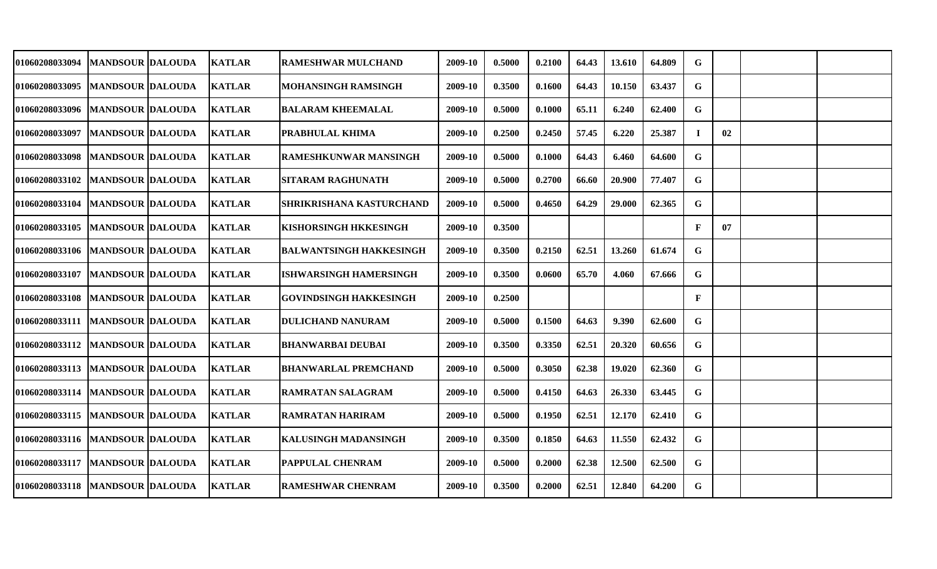| <b>01060208033094</b>               | MANDSOUR  DALOUDA       | <b>KATLAR</b> | RAMESHWAR MULCHAND             | 2009-10 | 0.5000 | 0.2100 | 64.43 | 13.610 | 64.809 | G            |    |  |
|-------------------------------------|-------------------------|---------------|--------------------------------|---------|--------|--------|-------|--------|--------|--------------|----|--|
| 01060208033095                      | <b>MANDSOUR DALOUDA</b> | <b>KATLAR</b> | <b>MOHANSINGH RAMSINGH</b>     | 2009-10 | 0.3500 | 0.1600 | 64.43 | 10.150 | 63.437 | G            |    |  |
| 01060208033096   MANDSOUR DALOUDA   |                         | <b>KATLAR</b> | <b>BALARAM KHEEMALAL</b>       | 2009-10 | 0.5000 | 0.1000 | 65.11 | 6.240  | 62.400 | G            |    |  |
| 01060208033097                      | <b>MANDSOUR DALOUDA</b> | <b>KATLAR</b> | PRABHULAL KHIMA                | 2009-10 | 0.2500 | 0.2450 | 57.45 | 6.220  | 25.387 | $\bf{I}$     | 02 |  |
| 01060208033098   MANDSOUR DALOUDA   |                         | <b>KATLAR</b> | <b>RAMESHKUNWAR MANSINGH</b>   | 2009-10 | 0.5000 | 0.1000 | 64.43 | 6.460  | 64.600 | G            |    |  |
| <b>01060208033102</b>               | <b>MANDSOUR DALOUDA</b> | <b>KATLAR</b> | <b>SITARAM RAGHUNATH</b>       | 2009-10 | 0.5000 | 0.2700 | 66.60 | 20.900 | 77.407 | G            |    |  |
| 01060208033104                      | <b>MANDSOUR DALOUDA</b> | <b>KATLAR</b> | SHRIKRISHANA KASTURCHAND       | 2009-10 | 0.5000 | 0.4650 | 64.29 | 29.000 | 62.365 | G            |    |  |
| 01060208033105                      | <b>MANDSOUR DALOUDA</b> | <b>KATLAR</b> | <b>KISHORSINGH HKKESINGH</b>   | 2009-10 | 0.3500 |        |       |        |        | $\mathbf{F}$ | 07 |  |
| 01060208033106   MANDSOUR DALOUDA   |                         | <b>KATLAR</b> | <b>BALWANTSINGH HAKKESINGH</b> | 2009-10 | 0.3500 | 0.2150 | 62.51 | 13.260 | 61.674 | G            |    |  |
| <b>01060208033107</b>               | <b>MANDSOUR DALOUDA</b> | <b>KATLAR</b> | <b>ISHWARSINGH HAMERSINGH</b>  | 2009-10 | 0.3500 | 0.0600 | 65.70 | 4.060  | 67.666 | G            |    |  |
| <b>01060208033108</b>               | <b>MANDSOUR DALOUDA</b> | <b>KATLAR</b> | <b>GOVINDSINGH HAKKESINGH</b>  | 2009-10 | 0.2500 |        |       |        |        | $\mathbf{F}$ |    |  |
| 01060208033111   MANDSOUR DALOUDA   |                         | <b>KATLAR</b> | <b>DULICHAND NANURAM</b>       | 2009-10 | 0.5000 | 0.1500 | 64.63 | 9.390  | 62.600 | G            |    |  |
| 01060208033112                      | <b>MANDSOUR DALOUDA</b> | <b>KATLAR</b> | <b>BHANWARBAI DEUBAI</b>       | 2009-10 | 0.3500 | 0.3350 | 62.51 | 20.320 | 60.656 | G            |    |  |
| <b>01060208033113</b>               | <b>MANDSOUR DALOUDA</b> | <b>KATLAR</b> | <b>BHANWARLAL PREMCHAND</b>    | 2009-10 | 0.5000 | 0.3050 | 62.38 | 19.020 | 62.360 | G            |    |  |
| 01060208033114                      | <b>MANDSOUR DALOUDA</b> | <b>KATLAR</b> | <b>RAMRATAN SALAGRAM</b>       | 2009-10 | 0.5000 | 0.4150 | 64.63 | 26.330 | 63.445 | G            |    |  |
| 01060208033115  MANDSOUR  DALOUDA   |                         | <b>KATLAR</b> | <b>RAMRATAN HARIRAM</b>        | 2009-10 | 0.5000 | 0.1950 | 62.51 | 12.170 | 62.410 | G            |    |  |
| 01060208033116   MANDSOUR   DALOUDA |                         | <b>KATLAR</b> | <b>KALUSINGH MADANSINGH</b>    | 2009-10 | 0.3500 | 0.1850 | 64.63 | 11.550 | 62.432 | G            |    |  |
| 01060208033117   MANDSOUR DALOUDA   |                         | <b>KATLAR</b> | <b>PAPPULAL CHENRAM</b>        | 2009-10 | 0.5000 | 0.2000 | 62.38 | 12.500 | 62.500 | G            |    |  |
| 01060208033118   MANDSOUR DALOUDA   |                         | <b>KATLAR</b> | <b>RAMESHWAR CHENRAM</b>       | 2009-10 | 0.3500 | 0.2000 | 62.51 | 12.840 | 64.200 | G            |    |  |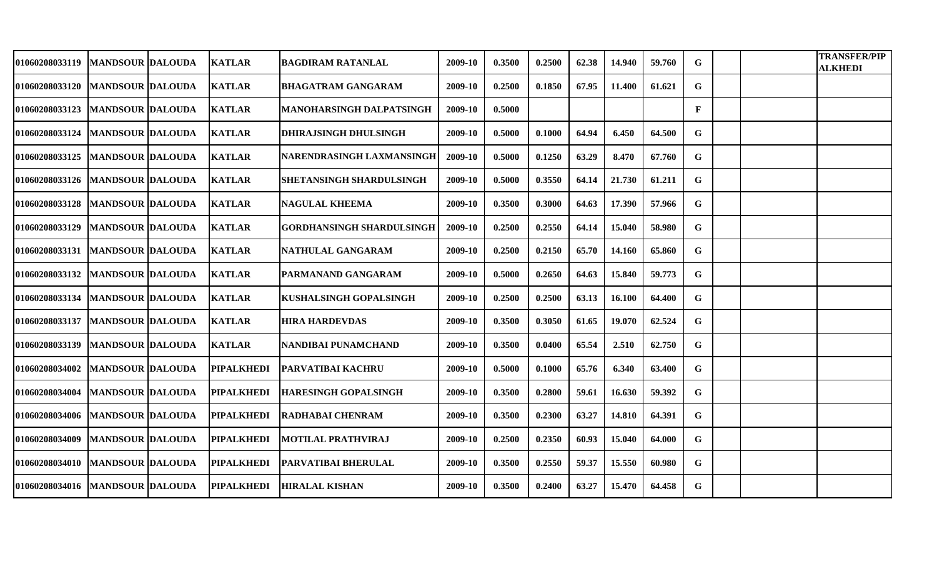| <b>01060208033119</b> | <b>MANDSOUR DALOUDA</b>             | <b>KATLAR</b>     | BAGDIRAM RATANLAL                | 2009-10 | 0.3500 | 0.2500 | 62.38 | 14.940 | 59.760 | G            |  | <b>TRANSFER/PIP</b><br><b>ALKHEDI</b> |
|-----------------------|-------------------------------------|-------------------|----------------------------------|---------|--------|--------|-------|--------|--------|--------------|--|---------------------------------------|
|                       | 01060208033120   MANDSOUR DALOUDA   | <b>KATLAR</b>     | <b>BHAGATRAM GANGARAM</b>        | 2009-10 | 0.2500 | 0.1850 | 67.95 | 11.400 | 61.621 | G            |  |                                       |
| <b>01060208033123</b> | <b>MANDSOUR DALOUDA</b>             | <b>KATLAR</b>     | <b>MANOHARSINGH DALPATSINGH</b>  | 2009-10 | 0.5000 |        |       |        |        | $\mathbf{F}$ |  |                                       |
| <b>01060208033124</b> | <b>MANDSOUR DALOUDA</b>             | <b>KATLAR</b>     | <b>DHIRAJSINGH DHULSINGH</b>     | 2009-10 | 0.5000 | 0.1000 | 64.94 | 6.450  | 64.500 | G            |  |                                       |
| 01060208033125        | <b>MANDSOUR DALOUDA</b>             | <b>KATLAR</b>     | NARENDRASINGH LAXMANSINGH        | 2009-10 | 0.5000 | 0.1250 | 63.29 | 8.470  | 67.760 | G            |  |                                       |
|                       | 01060208033126   MANDSOUR DALOUDA   | <b>KATLAR</b>     | <b>SHETANSINGH SHARDULSINGH</b>  | 2009-10 | 0.5000 | 0.3550 | 64.14 | 21.730 | 61.211 | G            |  |                                       |
| <b>01060208033128</b> | <b>MANDSOUR DALOUDA</b>             | <b>KATLAR</b>     | <b>NAGULAL KHEEMA</b>            | 2009-10 | 0.3500 | 0.3000 | 64.63 | 17.390 | 57.966 | G            |  |                                       |
| <b>01060208033129</b> | <b>MANDSOUR DALOUDA</b>             | <b>KATLAR</b>     | <b>GORDHANSINGH SHARDULSINGH</b> | 2009-10 | 0.2500 | 0.2550 | 64.14 | 15.040 | 58.980 | G            |  |                                       |
|                       | 01060208033131   IMANDSOUR IDALOUDA | <b>KATLAR</b>     | NATHULAL GANGARAM                | 2009-10 | 0.2500 | 0.2150 | 65.70 | 14.160 | 65.860 | G            |  |                                       |
|                       | 01060208033132   MANDSOUR DALOUDA   | <b>KATLAR</b>     | <b>PARMANAND GANGARAM</b>        | 2009-10 | 0.5000 | 0.2650 | 64.63 | 15.840 | 59.773 | G            |  |                                       |
|                       | 01060208033134   MANDSOUR DALOUDA   | <b>KATLAR</b>     | <b>KUSHALSINGH GOPALSINGH</b>    | 2009-10 | 0.2500 | 0.2500 | 63.13 | 16.100 | 64.400 | G            |  |                                       |
| 01060208033137        | <b>MANDSOUR DALOUDA</b>             | <b>KATLAR</b>     | <b>HIRA HARDEVDAS</b>            | 2009-10 | 0.3500 | 0.3050 | 61.65 | 19.070 | 62.524 | G            |  |                                       |
| 01060208033139        | <b>MANDSOUR DALOUDA</b>             | <b>KATLAR</b>     | NANDIBAI PUNAMCHAND              | 2009-10 | 0.3500 | 0.0400 | 65.54 | 2.510  | 62.750 | G            |  |                                       |
| 01060208034002        | <b>MANDSOUR DALOUDA</b>             | <b>PIPALKHEDI</b> | <b>PARVATIBAI KACHRU</b>         | 2009-10 | 0.5000 | 0.1000 | 65.76 | 6.340  | 63.400 | G            |  |                                       |
| 01060208034004        | <b>MANDSOUR DALOUDA</b>             | <b>PIPALKHEDI</b> | <b>HARESINGH GOPALSINGH</b>      | 2009-10 | 0.3500 | 0.2800 | 59.61 | 16.630 | 59.392 | G            |  |                                       |
|                       | 01060208034006   MANDSOUR DALOUDA   | <b>PIPALKHEDI</b> | <b>RADHABAI CHENRAM</b>          | 2009-10 | 0.3500 | 0.2300 | 63.27 | 14.810 | 64.391 | G.           |  |                                       |
| 01060208034009        | <b>MANDSOUR DALOUDA</b>             | <b>PIPALKHEDI</b> | <b>MOTILAL PRATHVIRAJ</b>        | 2009-10 | 0.2500 | 0.2350 | 60.93 | 15.040 | 64.000 | G            |  |                                       |
|                       | 01060208034010   MANDSOUR DALOUDA   | <b>PIPALKHEDI</b> | <b>PARVATIBAI BHERULAL</b>       | 2009-10 | 0.3500 | 0.2550 | 59.37 | 15.550 | 60.980 | G            |  |                                       |
|                       | 01060208034016   MANDSOUR DALOUDA   | <b>PIPALKHEDI</b> | <b>HIRALAL KISHAN</b>            | 2009-10 | 0.3500 | 0.2400 | 63.27 | 15.470 | 64.458 | G            |  |                                       |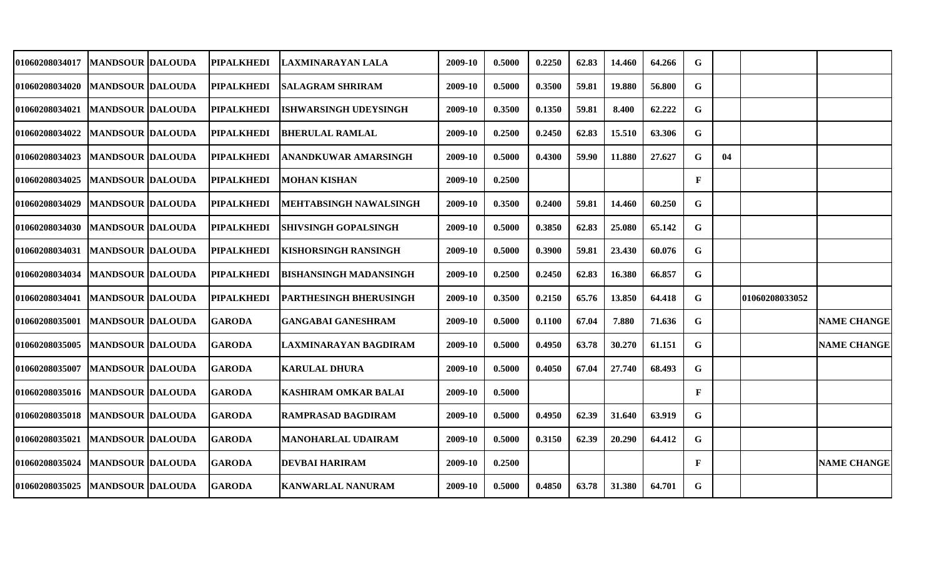| 01060208034017        | <b>MANDSOUR DALOUDA</b> | <b>PIPALKHEDI</b> | LAXMINARAYAN LALA             | 2009-10 | 0.5000 | 0.2250 | 62.83 | 14.460 | 64.266 | G           |    |                |                    |
|-----------------------|-------------------------|-------------------|-------------------------------|---------|--------|--------|-------|--------|--------|-------------|----|----------------|--------------------|
| <b>01060208034020</b> | <b>MANDSOUR DALOUDA</b> | <b>PIPALKHEDI</b> | <b>SALAGRAM SHRIRAM</b>       | 2009-10 | 0.5000 | 0.3500 | 59.81 | 19.880 | 56.800 | G           |    |                |                    |
| <b>01060208034021</b> | <b>MANDSOUR DALOUDA</b> | <b>PIPALKHEDI</b> | <b>ISHWARSINGH UDEYSINGH</b>  | 2009-10 | 0.3500 | 0.1350 | 59.81 | 8.400  | 62.222 | G           |    |                |                    |
| <b>01060208034022</b> | <b>MANDSOUR DALOUDA</b> | <b>PIPALKHEDI</b> | <b>BHERULAL RAMLAL</b>        | 2009-10 | 0.2500 | 0.2450 | 62.83 | 15.510 | 63.306 | G           |    |                |                    |
| 01060208034023        | <b>MANDSOUR DALOUDA</b> | <b>PIPALKHEDI</b> | <b>ANANDKUWAR AMARSINGH</b>   | 2009-10 | 0.5000 | 0.4300 | 59.90 | 11.880 | 27.627 | G           | 04 |                |                    |
| <b>01060208034025</b> | <b>MANDSOUR DALOUDA</b> | <b>PIPALKHEDI</b> | <b>MOHAN KISHAN</b>           | 2009-10 | 0.2500 |        |       |        |        | $\mathbf F$ |    |                |                    |
| <b>01060208034029</b> | <b>MANDSOUR DALOUDA</b> | <b>PIPALKHEDI</b> | MEHTABSINGH NAWALSINGH        | 2009-10 | 0.3500 | 0.2400 | 59.81 | 14.460 | 60.250 | G           |    |                |                    |
| <b>01060208034030</b> | MANDSOUR  DALOUDA       | <b>PIPALKHEDI</b> | <b>SHIVSINGH GOPALSINGH</b>   | 2009-10 | 0.5000 | 0.3850 | 62.83 | 25.080 | 65.142 | G           |    |                |                    |
| <b>01060208034031</b> | <b>MANDSOUR DALOUDA</b> | <b>PIPALKHEDI</b> | <b>KISHORSINGH RANSINGH</b>   | 2009-10 | 0.5000 | 0.3900 | 59.81 | 23.430 | 60.076 | G           |    |                |                    |
| <b>01060208034034</b> | <b>MANDSOUR DALOUDA</b> | <b>PIPALKHEDI</b> | BISHANSINGH MADANSINGH        | 2009-10 | 0.2500 | 0.2450 | 62.83 | 16.380 | 66.857 | G           |    |                |                    |
| <b>01060208034041</b> | <b>MANDSOUR DALOUDA</b> | <b>PIPALKHEDI</b> | <b>PARTHESINGH BHERUSINGH</b> | 2009-10 | 0.3500 | 0.2150 | 65.76 | 13.850 | 64.418 | G           |    | 01060208033052 |                    |
| 01060208035001        | <b>MANDSOUR DALOUDA</b> | <b>GARODA</b>     | <b>GANGABAI GANESHRAM</b>     | 2009-10 | 0.5000 | 0.1100 | 67.04 | 7.880  | 71.636 | G           |    |                | <b>NAME CHANGE</b> |
| <b>01060208035005</b> | <b>MANDSOUR DALOUDA</b> | <b>GARODA</b>     | <b>LAXMINARAYAN BAGDIRAM</b>  | 2009-10 | 0.5000 | 0.4950 | 63.78 | 30.270 | 61.151 | $\mathbf G$ |    |                | <b>NAME CHANGE</b> |
| 01060208035007        | <b>MANDSOUR DALOUDA</b> | <b>GARODA</b>     | <b>KARULAL DHURA</b>          | 2009-10 | 0.5000 | 0.4050 | 67.04 | 27.740 | 68.493 | G           |    |                |                    |
| <b>01060208035016</b> | <b>MANDSOUR DALOUDA</b> | <b>GARODA</b>     | <b>KASHIRAM OMKAR BALAI</b>   | 2009-10 | 0.5000 |        |       |        |        | F           |    |                |                    |
| 01060208035018        | <b>MANDSOUR DALOUDA</b> | <b>GARODA</b>     | <b>RAMPRASAD BAGDIRAM</b>     | 2009-10 | 0.5000 | 0.4950 | 62.39 | 31.640 | 63.919 | G           |    |                |                    |
| 01060208035021        | <b>MANDSOUR DALOUDA</b> | <b>GARODA</b>     | <b>MANOHARLAL UDAIRAM</b>     | 2009-10 | 0.5000 | 0.3150 | 62.39 | 20.290 | 64.412 | G           |    |                |                    |
| 01060208035024        | <b>MANDSOUR DALOUDA</b> | <b>GARODA</b>     | <b>DEVBAI HARIRAM</b>         | 2009-10 | 0.2500 |        |       |        |        | F           |    |                | <b>NAME CHANGE</b> |
| 01060208035025        | <b>MANDSOUR DALOUDA</b> | <b>GARODA</b>     | <b>KANWARLAL NANURAM</b>      | 2009-10 | 0.5000 | 0.4850 | 63.78 | 31.380 | 64.701 | G           |    |                |                    |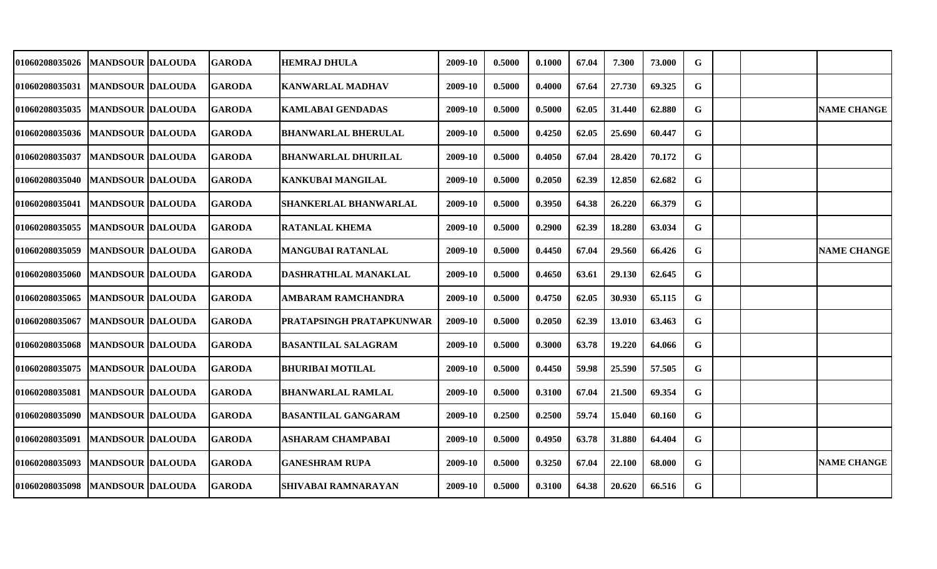| <b>01060208035026</b>             | <b>MANDSOUR DALOUDA</b>   | <b>GARODA</b> | <b>HEMRAJ DHULA</b>             | 2009-10 | 0.5000 | 0.1000 | 67.04 | 7.300  | 73.000 | G           |  |                    |
|-----------------------------------|---------------------------|---------------|---------------------------------|---------|--------|--------|-------|--------|--------|-------------|--|--------------------|
| <b>01060208035031</b>             | <b>MANDSOUR DALOUDA</b>   | <b>GARODA</b> | <b>KANWARLAL MADHAV</b>         | 2009-10 | 0.5000 | 0.4000 | 67.64 | 27.730 | 69.325 | G           |  |                    |
| 01060208035035                    | <b>MANDSOUR DALOUDA</b>   | <b>GARODA</b> | <b>KAMLABAI GENDADAS</b>        | 2009-10 | 0.5000 | 0.5000 | 62.05 | 31.440 | 62.880 | G           |  | <b>NAME CHANGE</b> |
| 01060208035036   MANDSOUR DALOUDA |                           | <b>GARODA</b> | BHANWARLAL BHERULAL             | 2009-10 | 0.5000 | 0.4250 | 62.05 | 25.690 | 60.447 | G           |  |                    |
| 01060208035037                    | <b>MANDSOUR DALOUDA</b>   | <b>GARODA</b> | <b>BHANWARLAL DHURILAL</b>      | 2009-10 | 0.5000 | 0.4050 | 67.04 | 28.420 | 70.172 | $\mathbf G$ |  |                    |
| <b>01060208035040</b>             | <b>MANDSOUR DALOUDA</b>   | <b>GARODA</b> | <b>KANKUBAI MANGILAL</b>        | 2009-10 | 0.5000 | 0.2050 | 62.39 | 12.850 | 62.682 | $\mathbf G$ |  |                    |
| <b>01060208035041</b>             | <b>MANDSOUR DALOUDA</b>   | <b>GARODA</b> | <b>SHANKERLAL BHANWARLAL</b>    | 2009-10 | 0.5000 | 0.3950 | 64.38 | 26.220 | 66.379 | G           |  |                    |
| <b>01060208035055</b>             | <b>MANDSOUR DALOUDA</b>   | <b>GARODA</b> | <b>RATANLAL KHEMA</b>           | 2009-10 | 0.5000 | 0.2900 | 62.39 | 18.280 | 63.034 | G           |  |                    |
| 01060208035059                    | <b>IMANDSOUR IDALOUDA</b> | <b>GARODA</b> | <b>MANGUBAI RATANLAL</b>        | 2009-10 | 0.5000 | 0.4450 | 67.04 | 29.560 | 66.426 | G           |  | <b>NAME CHANGE</b> |
| 01060208035060   MANDSOUR DALOUDA |                           | <b>GARODA</b> | DASHRATHLAL MANAKLAL            | 2009-10 | 0.5000 | 0.4650 | 63.61 | 29.130 | 62.645 | G           |  |                    |
| <b>01060208035065</b>             | <b>MANDSOUR DALOUDA</b>   | <b>GARODA</b> | AMBARAM RAMCHANDRA              | 2009-10 | 0.5000 | 0.4750 | 62.05 | 30.930 | 65.115 | G           |  |                    |
| 01060208035067                    | <b>MANDSOUR DALOUDA</b>   | <b>GARODA</b> | <b>PRATAPSINGH PRATAPKUNWAR</b> | 2009-10 | 0.5000 | 0.2050 | 62.39 | 13.010 | 63.463 | G           |  |                    |
| 01060208035068                    | <b>MANDSOUR DALOUDA</b>   | <b>GARODA</b> | <b>BASANTILAL SALAGRAM</b>      | 2009-10 | 0.5000 | 0.3000 | 63.78 | 19.220 | 64.066 | G           |  |                    |
| 01060208035075                    | <b>MANDSOUR DALOUDA</b>   | <b>GARODA</b> | <b>BHURIBAI MOTILAL</b>         | 2009-10 | 0.5000 | 0.4450 | 59.98 | 25.590 | 57.505 | G           |  |                    |
| 01060208035081                    | <b>MANDSOUR DALOUDA</b>   | <b>GARODA</b> | <b>BHANWARLAL RAMLAL</b>        | 2009-10 | 0.5000 | 0.3100 | 67.04 | 21.500 | 69.354 | G           |  |                    |
| 01060208035090                    | <b>MANDSOUR DALOUDA</b>   | <b>GARODA</b> | <b>BASANTILAL GANGARAM</b>      | 2009-10 | 0.2500 | 0.2500 | 59.74 | 15.040 | 60.160 | G           |  |                    |
| 01060208035091                    | <b>MANDSOUR DALOUDA</b>   | <b>GARODA</b> | <b>ASHARAM CHAMPABAI</b>        | 2009-10 | 0.5000 | 0.4950 | 63.78 | 31.880 | 64.404 | G           |  |                    |
| 01060208035093                    | <b>MANDSOUR DALOUDA</b>   | <b>GARODA</b> | <b>GANESHRAM RUPA</b>           | 2009-10 | 0.5000 | 0.3250 | 67.04 | 22.100 | 68.000 | G           |  | <b>NAME CHANGE</b> |
| 01060208035098                    | <b>MANDSOUR DALOUDA</b>   | <b>GARODA</b> | SHIVABAI RAMNARAYAN             | 2009-10 | 0.5000 | 0.3100 | 64.38 | 20.620 | 66.516 | G           |  |                    |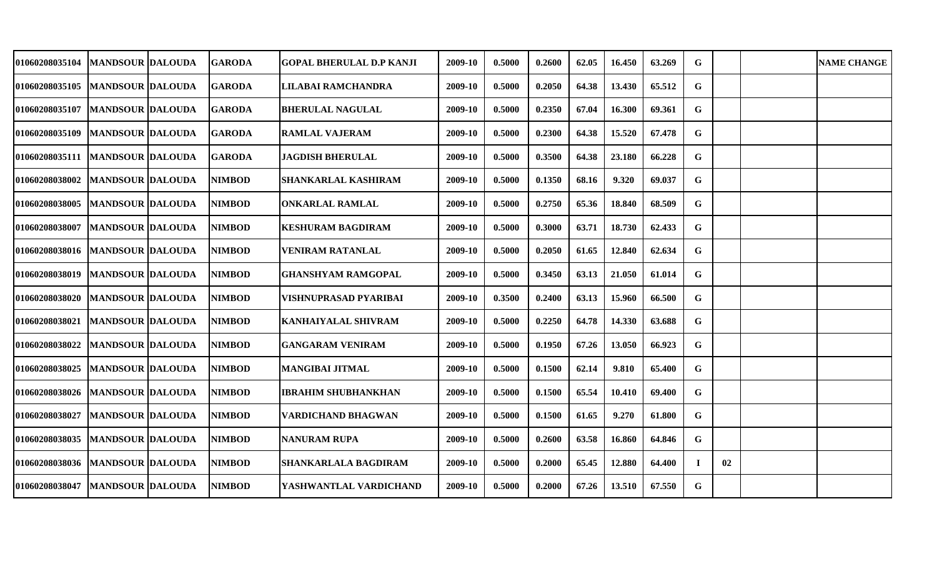| 01060208035104                    | <b>MANDSOUR DALOUDA</b>  | <b>GARODA</b> | <b>GOPAL BHERULAL D.P KANJI</b> | 2009-10 | 0.5000 | 0.2600 | 62.05 | 16.450 | 63.269 | G           |    | <b>NAME CHANGE</b> |
|-----------------------------------|--------------------------|---------------|---------------------------------|---------|--------|--------|-------|--------|--------|-------------|----|--------------------|
| <b>01060208035105</b>             | <b>MANDSOUR DALOUDA</b>  | <b>GARODA</b> | <b>LILABAI RAMCHANDRA</b>       | 2009-10 | 0.5000 | 0.2050 | 64.38 | 13.430 | 65.512 | G.          |    |                    |
| <b>01060208035107</b>             | <b>MANDSOUR DALOUDA</b>  | <b>GARODA</b> | <b>BHERULAL NAGULAL</b>         | 2009-10 | 0.5000 | 0.2350 | 67.04 | 16.300 | 69.361 | G           |    |                    |
| <b>01060208035109</b>             | <b>MANDSOUR DALOUDA</b>  | <b>GARODA</b> | <b>RAMLAL VAJERAM</b>           | 2009-10 | 0.5000 | 0.2300 | 64.38 | 15.520 | 67.478 | G           |    |                    |
| 01060208035111   MANDSOUR DALOUDA |                          | <b>GARODA</b> | <b>JAGDISH BHERULAL</b>         | 2009-10 | 0.5000 | 0.3500 | 64.38 | 23.180 | 66.228 | $\mathbf G$ |    |                    |
| <b>01060208038002</b>             | <b>MANDSOUR DALOUDA</b>  | <b>NIMBOD</b> | <b>SHANKARLAL KASHIRAM</b>      | 2009-10 | 0.5000 | 0.1350 | 68.16 | 9.320  | 69.037 | G           |    |                    |
| <b>01060208038005</b>             | <b>MANDSOUR DALOUDA</b>  | <b>NIMBOD</b> | <b>ONKARLAL RAMLAL</b>          | 2009-10 | 0.5000 | 0.2750 | 65.36 | 18.840 | 68.509 | G           |    |                    |
| 01060208038007                    | <b>MANDSOUR  DALOUDA</b> | <b>NIMBOD</b> | <b>KESHURAM BAGDIRAM</b>        | 2009-10 | 0.5000 | 0.3000 | 63.71 | 18.730 | 62.433 | G           |    |                    |
| 01060208038016   MANDSOUR DALOUDA |                          | <b>NIMBOD</b> | <b>VENIRAM RATANLAL</b>         | 2009-10 | 0.5000 | 0.2050 | 61.65 | 12.840 | 62.634 | G           |    |                    |
| 01060208038019                    | <b>MANDSOUR DALOUDA</b>  | <b>NIMBOD</b> | <b>GHANSHYAM RAMGOPAL</b>       | 2009-10 | 0.5000 | 0.3450 | 63.13 | 21.050 | 61.014 | G           |    |                    |
| 01060208038020                    | <b>MANDSOUR DALOUDA</b>  | <b>NIMBOD</b> | VISHNUPRASAD PYARIBAI           | 2009-10 | 0.3500 | 0.2400 | 63.13 | 15.960 | 66.500 | G           |    |                    |
| 01060208038021                    | <b>MANDSOUR DALOUDA</b>  | <b>NIMBOD</b> | <b>KANHAIYALAL SHIVRAM</b>      | 2009-10 | 0.5000 | 0.2250 | 64.78 | 14.330 | 63.688 | G           |    |                    |
| 01060208038022                    | <b>MANDSOUR DALOUDA</b>  | <b>NIMBOD</b> | <b>GANGARAM VENIRAM</b>         | 2009-10 | 0.5000 | 0.1950 | 67.26 | 13.050 | 66.923 | G           |    |                    |
| 01060208038025                    | <b>MANDSOUR DALOUDA</b>  | <b>NIMBOD</b> | <b>MANGIBAI JITMAL</b>          | 2009-10 | 0.5000 | 0.1500 | 62.14 | 9.810  | 65.400 | G           |    |                    |
| <b>01060208038026</b>             | <b>MANDSOUR DALOUDA</b>  | <b>NIMBOD</b> | <b>IBRAHIM SHUBHANKHAN</b>      | 2009-10 | 0.5000 | 0.1500 | 65.54 | 10.410 | 69.400 | G           |    |                    |
| 01060208038027                    | <b>MANDSOUR DALOUDA</b>  | <b>NIMBOD</b> | <b>VARDICHAND BHAGWAN</b>       | 2009-10 | 0.5000 | 0.1500 | 61.65 | 9.270  | 61.800 | G           |    |                    |
| 01060208038035                    | <b>MANDSOUR DALOUDA</b>  | <b>NIMBOD</b> | <b>NANURAM RUPA</b>             | 2009-10 | 0.5000 | 0.2600 | 63.58 | 16.860 | 64.846 | G           |    |                    |
| 01060208038036                    | <b>MANDSOUR DALOUDA</b>  | <b>NIMBOD</b> | <b>SHANKARLALA BAGDIRAM</b>     | 2009-10 | 0.5000 | 0.2000 | 65.45 | 12.880 | 64.400 |             | 02 |                    |
| 01060208038047                    | <b>MANDSOUR DALOUDA</b>  | <b>NIMBOD</b> | YASHWANTLAL VARDICHAND          | 2009-10 | 0.5000 | 0.2000 | 67.26 | 13.510 | 67.550 | G           |    |                    |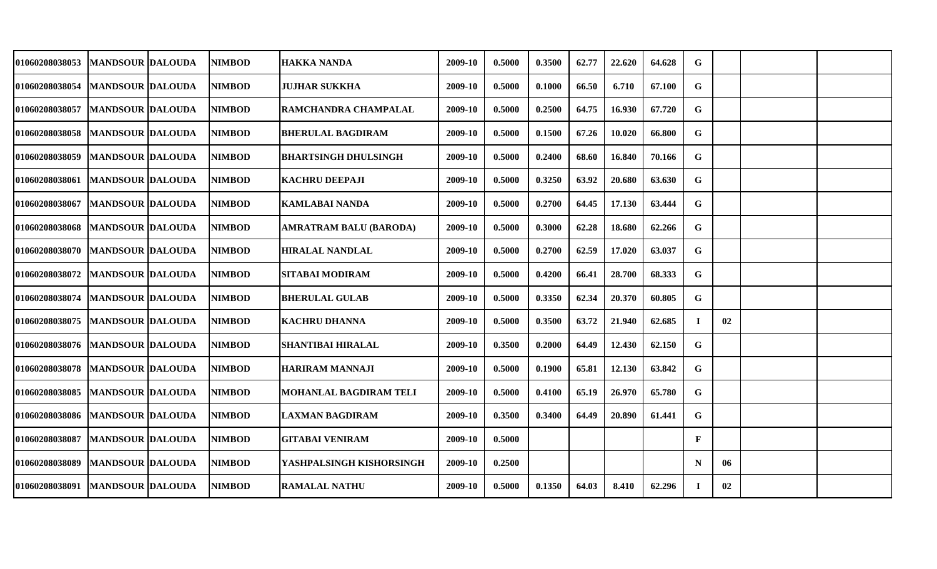| <b>01060208038053</b>             | MANDSOUR  DALOUDA       | <b>NIMBOD</b> | HAKKA NANDA                   | 2009-10 | 0.5000 | 0.3500 | 62.77 | 22.620 | 64.628 | G            |    |  |
|-----------------------------------|-------------------------|---------------|-------------------------------|---------|--------|--------|-------|--------|--------|--------------|----|--|
| 01060208038054                    | <b>MANDSOUR DALOUDA</b> | <b>NIMBOD</b> | <b>JUJHAR SUKKHA</b>          | 2009-10 | 0.5000 | 0.1000 | 66.50 | 6.710  | 67.100 | G            |    |  |
| 01060208038057                    | <b>MANDSOUR DALOUDA</b> | <b>NIMBOD</b> | RAMCHANDRA CHAMPALAL          | 2009-10 | 0.5000 | 0.2500 | 64.75 | 16.930 | 67.720 | G            |    |  |
| 01060208038058                    | <b>MANDSOUR DALOUDA</b> | <b>NIMBOD</b> | <b>BHERULAL BAGDIRAM</b>      | 2009-10 | 0.5000 | 0.1500 | 67.26 | 10.020 | 66.800 | G            |    |  |
| 01060208038059                    | <b>MANDSOUR DALOUDA</b> | <b>NIMBOD</b> | <b>BHARTSINGH DHULSINGH</b>   | 2009-10 | 0.5000 | 0.2400 | 68.60 | 16.840 | 70.166 | G            |    |  |
| 01060208038061                    | <b>MANDSOUR DALOUDA</b> | <b>NIMBOD</b> | <b>KACHRU DEEPAJI</b>         | 2009-10 | 0.5000 | 0.3250 | 63.92 | 20.680 | 63.630 | G            |    |  |
| 01060208038067                    | <b>MANDSOUR DALOUDA</b> | <b>NIMBOD</b> | <b>KAMLABAI NANDA</b>         | 2009-10 | 0.5000 | 0.2700 | 64.45 | 17.130 | 63.444 | G            |    |  |
| 01060208038068                    | <b>MANDSOUR DALOUDA</b> | <b>NIMBOD</b> | AMRATRAM BALU (BARODA)        | 2009-10 | 0.5000 | 0.3000 | 62.28 | 18.680 | 62.266 | G            |    |  |
| 01060208038070   MANDSOUR DALOUDA |                         | <b>NIMBOD</b> | <b>HIRALAL NANDLAL</b>        | 2009-10 | 0.5000 | 0.2700 | 62.59 | 17.020 | 63.037 | G            |    |  |
| 01060208038072   MANDSOUR DALOUDA |                         | <b>NIMBOD</b> | <b>SITABAI MODIRAM</b>        | 2009-10 | 0.5000 | 0.4200 | 66.41 | 28.700 | 68.333 | G            |    |  |
| <b>01060208038074</b>             | <b>MANDSOUR DALOUDA</b> | <b>NIMBOD</b> | <b>BHERULAL GULAB</b>         | 2009-10 | 0.5000 | 0.3350 | 62.34 | 20.370 | 60.805 | G            |    |  |
| 01060208038075                    | <b>MANDSOUR DALOUDA</b> | <b>NIMBOD</b> | <b>KACHRU DHANNA</b>          | 2009-10 | 0.5000 | 0.3500 | 63.72 | 21.940 | 62.685 | Т.           | 02 |  |
| <b>01060208038076</b>             | <b>MANDSOUR DALOUDA</b> | <b>NIMBOD</b> | <b>SHANTIBAI HIRALAL</b>      | 2009-10 | 0.3500 | 0.2000 | 64.49 | 12.430 | 62.150 | G            |    |  |
| 01060208038078                    | <b>MANDSOUR DALOUDA</b> | NIMBOD        | HARIRAM MANNAJI               | 2009-10 | 0.5000 | 0.1900 | 65.81 | 12.130 | 63.842 | G            |    |  |
| 01060208038085                    | <b>MANDSOUR DALOUDA</b> | <b>NIMBOD</b> | <b>MOHANLAL BAGDIRAM TELI</b> | 2009-10 | 0.5000 | 0.4100 | 65.19 | 26.970 | 65.780 | G            |    |  |
| 01060208038086                    | <b>MANDSOUR DALOUDA</b> | <b>NIMBOD</b> | <b>LAXMAN BAGDIRAM</b>        | 2009-10 | 0.3500 | 0.3400 | 64.49 | 20.890 | 61.441 | G            |    |  |
| 01060208038087                    | <b>MANDSOUR DALOUDA</b> | <b>NIMBOD</b> | <b>GITABAI VENIRAM</b>        | 2009-10 | 0.5000 |        |       |        |        | $\mathbf{F}$ |    |  |
| 01060208038089                    | <b>MANDSOUR DALOUDA</b> | <b>NIMBOD</b> | YASHPALSINGH KISHORSINGH      | 2009-10 | 0.2500 |        |       |        |        | N            | 06 |  |
| 01060208038091                    | <b>MANDSOUR DALOUDA</b> | <b>NIMBOD</b> | <b>RAMALAL NATHU</b>          | 2009-10 | 0.5000 | 0.1350 | 64.03 | 8.410  | 62.296 | -1           | 02 |  |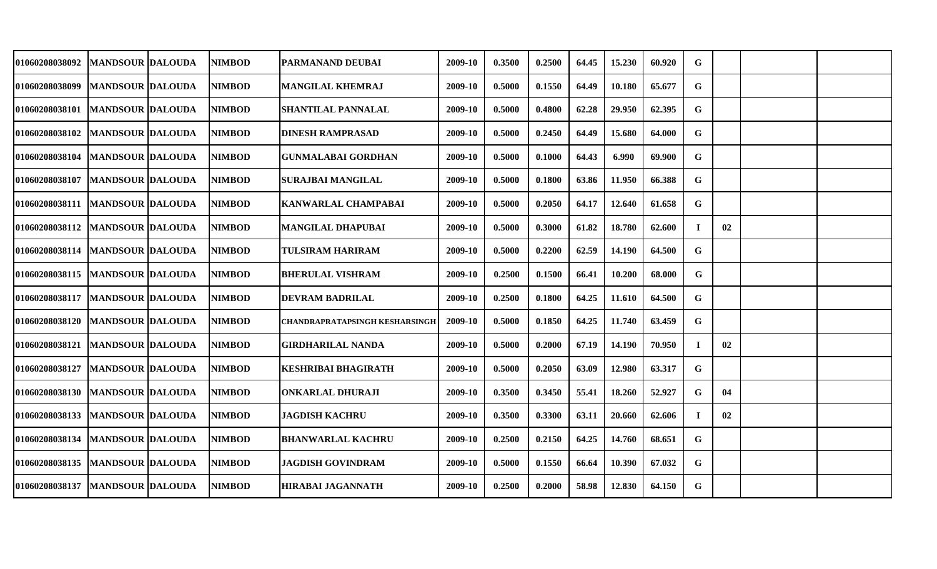| 01060208038092                    | <b>MANDSOUR DALOUDA</b> | <b>NIMBOD</b> | PARMANAND DEUBAI               | 2009-10 | 0.3500 | 0.2500 | 64.45 | 15.230 | 60.920 | G  |    |  |
|-----------------------------------|-------------------------|---------------|--------------------------------|---------|--------|--------|-------|--------|--------|----|----|--|
| <b>01060208038099</b>             | <b>MANDSOUR DALOUDA</b> | <b>NIMBOD</b> | <b>MANGILAL KHEMRAJ</b>        | 2009-10 | 0.5000 | 0.1550 | 64.49 | 10.180 | 65.677 | G  |    |  |
| 01060208038101                    | <b>MANDSOUR DALOUDA</b> | <b>NIMBOD</b> | <b>SHANTILAL PANNALAL</b>      | 2009-10 | 0.5000 | 0.4800 | 62.28 | 29.950 | 62.395 | G  |    |  |
| 01060208038102                    | <b>MANDSOUR DALOUDA</b> | <b>NIMBOD</b> | <b>DINESH RAMPRASAD</b>        | 2009-10 | 0.5000 | 0.2450 | 64.49 | 15.680 | 64.000 | G  |    |  |
| 01060208038104                    | <b>MANDSOUR DALOUDA</b> | <b>NIMBOD</b> | <b>GUNMALABAI GORDHAN</b>      | 2009-10 | 0.5000 | 0.1000 | 64.43 | 6.990  | 69.900 | G  |    |  |
| <b>01060208038107</b>             | <b>MANDSOUR DALOUDA</b> | <b>NIMBOD</b> | <b>SURAJBAI MANGILAL</b>       | 2009-10 | 0.5000 | 0.1800 | 63.86 | 11.950 | 66.388 | G  |    |  |
| 01060208038111  MANDSOUR DALOUDA  |                         | <b>NIMBOD</b> | KANWARLAL CHAMPABAI            | 2009-10 | 0.5000 | 0.2050 | 64.17 | 12.640 | 61.658 | G  |    |  |
| 01060208038112  MANDSOUR  DALOUDA |                         | <b>NIMBOD</b> | <b>MANGILAL DHAPUBAI</b>       | 2009-10 | 0.5000 | 0.3000 | 61.82 | 18.780 | 62.600 | I  | 02 |  |
| 01060208038114   MANDSOUR DALOUDA |                         | <b>NIMBOD</b> | <b>TULSIRAM HARIRAM</b>        | 2009-10 | 0.5000 | 0.2200 | 62.59 | 14.190 | 64.500 | G  |    |  |
| 01060208038115   MANDSOUR DALOUDA |                         | <b>NIMBOD</b> | <b>BHERULAL VISHRAM</b>        | 2009-10 | 0.2500 | 0.1500 | 66.41 | 10.200 | 68.000 | G  |    |  |
| 01060208038117                    | <b>MANDSOUR DALOUDA</b> | <b>NIMBOD</b> | <b>DEVRAM BADRILAL</b>         | 2009-10 | 0.2500 | 0.1800 | 64.25 | 11.610 | 64.500 | G  |    |  |
| <b>01060208038120</b>             | <b>MANDSOUR DALOUDA</b> | <b>NIMBOD</b> | CHANDRAPRATAPSINGH KESHARSINGH | 2009-10 | 0.5000 | 0.1850 | 64.25 | 11.740 | 63.459 | G  |    |  |
| 01060208038121                    | <b>MANDSOUR DALOUDA</b> | <b>NIMBOD</b> | <b>GIRDHARILAL NANDA</b>       | 2009-10 | 0.5000 | 0.2000 | 67.19 | 14.190 | 70.950 |    | 02 |  |
| <b>01060208038127</b>             | <b>MANDSOUR DALOUDA</b> | <b>NIMBOD</b> | <b>KESHRIBAI BHAGIRATH</b>     | 2009-10 | 0.5000 | 0.2050 | 63.09 | 12.980 | 63.317 | G  |    |  |
| 01060208038130                    | <b>MANDSOUR DALOUDA</b> | <b>NIMBOD</b> | <b>ONKARLAL DHURAJI</b>        | 2009-10 | 0.3500 | 0.3450 | 55.41 | 18.260 | 52.927 | G  | 04 |  |
| 01060208038133                    | <b>MANDSOUR DALOUDA</b> | <b>NIMBOD</b> | <b>JAGDISH KACHRU</b>          | 2009-10 | 0.3500 | 0.3300 | 63.11 | 20.660 | 62.606 | Т. | 02 |  |
| 01060208038134                    | <b>MANDSOUR DALOUDA</b> | <b>NIMBOD</b> | <b>BHANWARLAL KACHRU</b>       | 2009-10 | 0.2500 | 0.2150 | 64.25 | 14.760 | 68.651 | G. |    |  |
| 01060208038135                    | <b>MANDSOUR DALOUDA</b> | <b>NIMBOD</b> | <b>JAGDISH GOVINDRAM</b>       | 2009-10 | 0.5000 | 0.1550 | 66.64 | 10.390 | 67.032 | G  |    |  |
| <b>01060208038137</b>             | <b>MANDSOUR DALOUDA</b> | <b>NIMBOD</b> | <b>HIRABAI JAGANNATH</b>       | 2009-10 | 0.2500 | 0.2000 | 58.98 | 12.830 | 64.150 | G  |    |  |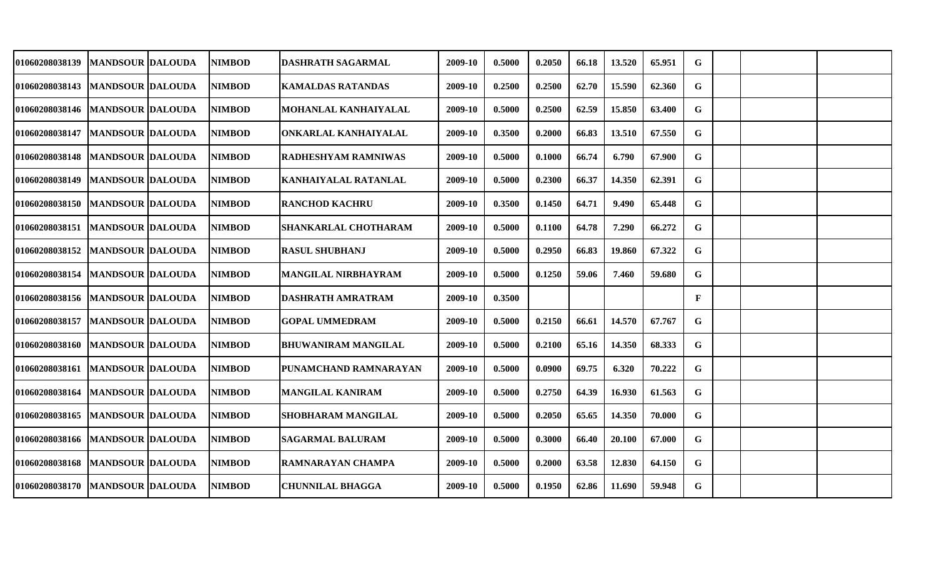| <b>01060208038139</b>             | <b>MANDSOUR DALOUDA</b>  | <b>NIMBOD</b> | DASHRATH SAGARMAL          | 2009-10 | 0.5000 | 0.2050 | 66.18 | 13.520 | 65.951 | G            |  |  |
|-----------------------------------|--------------------------|---------------|----------------------------|---------|--------|--------|-------|--------|--------|--------------|--|--|
| 01060208038143                    | <b>MANDSOUR DALOUDA</b>  | <b>NIMBOD</b> | <b>KAMALDAS RATANDAS</b>   | 2009-10 | 0.2500 | 0.2500 | 62.70 | 15.590 | 62.360 | G            |  |  |
| 01060208038146   MANDSOUR DALOUDA |                          | <b>NIMBOD</b> | MOHANLAL KANHAIYALAL       | 2009-10 | 0.5000 | 0.2500 | 62.59 | 15.850 | 63.400 | G            |  |  |
| 01060208038147                    | <b>MANDSOUR DALOUDA</b>  | <b>NIMBOD</b> | ONKARLAL KANHAIYALAL       | 2009-10 | 0.3500 | 0.2000 | 66.83 | 13.510 | 67.550 | G            |  |  |
| 01060208038148   MANDSOUR DALOUDA |                          | <b>NIMBOD</b> | RADHESHYAM RAMNIWAS        | 2009-10 | 0.5000 | 0.1000 | 66.74 | 6.790  | 67.900 | G            |  |  |
| 01060208038149                    | <b>MANDSOUR DALOUDA</b>  | <b>NIMBOD</b> | KANHAIYALAL RATANLAL       | 2009-10 | 0.5000 | 0.2300 | 66.37 | 14.350 | 62.391 | G            |  |  |
| 01060208038150                    | <b>IMANDSOUR DALOUDA</b> | <b>NIMBOD</b> | <b>RANCHOD KACHRU</b>      | 2009-10 | 0.3500 | 0.1450 | 64.71 | 9.490  | 65.448 | G            |  |  |
| 01060208038151                    | <b>MANDSOUR DALOUDA</b>  | <b>NIMBOD</b> | SHANKARLAL CHOTHARAM       | 2009-10 | 0.5000 | 0.1100 | 64.78 | 7.290  | 66.272 | G            |  |  |
| 01060208038152   MANDSOUR DALOUDA |                          | <b>NIMBOD</b> | <b>RASUL SHUBHANJ</b>      | 2009-10 | 0.5000 | 0.2950 | 66.83 | 19.860 | 67.322 | G            |  |  |
| 01060208038154                    | <b>MANDSOUR DALOUDA</b>  | <b>NIMBOD</b> | <b>MANGILAL NIRBHAYRAM</b> | 2009-10 | 0.5000 | 0.1250 | 59.06 | 7.460  | 59.680 | G            |  |  |
| 01060208038156   MANDSOUR DALOUDA |                          | <b>NIMBOD</b> | <b>DASHRATH AMRATRAM</b>   | 2009-10 | 0.3500 |        |       |        |        | $\mathbf{F}$ |  |  |
| <b>01060208038157</b>             | <b>MANDSOUR DALOUDA</b>  | <b>NIMBOD</b> | <b>GOPAL UMMEDRAM</b>      | 2009-10 | 0.5000 | 0.2150 | 66.61 | 14.570 | 67.767 | G            |  |  |
| 01060208038160                    | <b>MANDSOUR DALOUDA</b>  | <b>NIMBOD</b> | <b>BHUWANIRAM MANGILAL</b> | 2009-10 | 0.5000 | 0.2100 | 65.16 | 14.350 | 68.333 | G            |  |  |
| <b>01060208038161</b>             | <b>MANDSOUR DALOUDA</b>  | <b>NIMBOD</b> | PUNAMCHAND RAMNARAYAN      | 2009-10 | 0.5000 | 0.0900 | 69.75 | 6.320  | 70.222 | G            |  |  |
| 01060208038164                    | <b>MANDSOUR DALOUDA</b>  | <b>NIMBOD</b> | <b>MANGILAL KANIRAM</b>    | 2009-10 | 0.5000 | 0.2750 | 64.39 | 16.930 | 61.563 | G            |  |  |
| 01060208038165                    | <b>MANDSOUR DALOUDA</b>  | <b>NIMBOD</b> | <b>SHOBHARAM MANGILAL</b>  | 2009-10 | 0.5000 | 0.2050 | 65.65 | 14.350 | 70.000 | G            |  |  |
| 01060208038166   MANDSOUR DALOUDA |                          | <b>NIMBOD</b> | <b>SAGARMAL BALURAM</b>    | 2009-10 | 0.5000 | 0.3000 | 66.40 | 20.100 | 67.000 | G            |  |  |
| 01060208038168                    | <b>MANDSOUR DALOUDA</b>  | <b>NIMBOD</b> | RAMNARAYAN CHAMPA          | 2009-10 | 0.5000 | 0.2000 | 63.58 | 12.830 | 64.150 | G            |  |  |
| 01060208038170   MANDSOUR DALOUDA |                          | <b>NIMBOD</b> | <b>CHUNNILAL BHAGGA</b>    | 2009-10 | 0.5000 | 0.1950 | 62.86 | 11.690 | 59.948 | G            |  |  |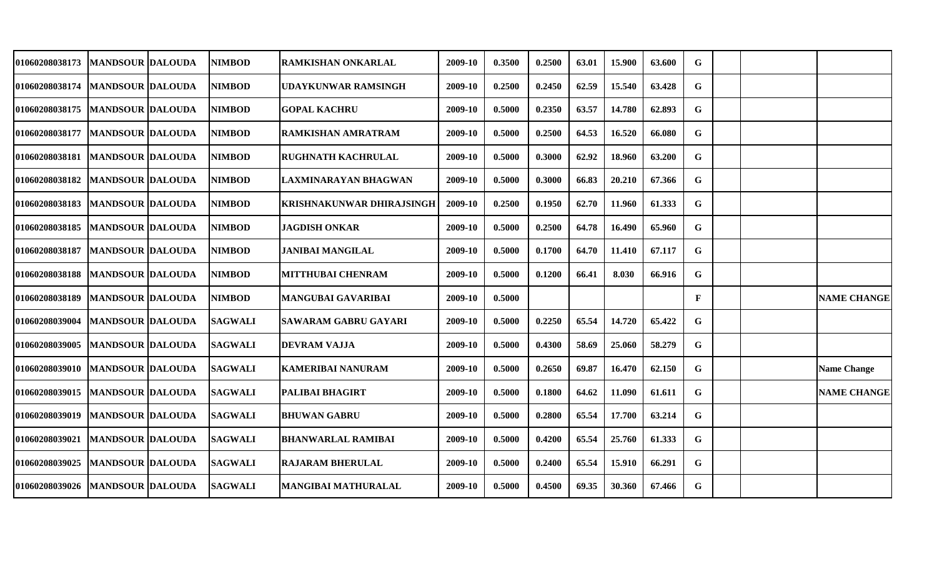| <b>01060208038173</b> | <b>MANDSOUR DALOUDA</b> | <b>NIMBOD</b>  | RAMKISHAN ONKARLAL               | 2009-10 | 0.3500 | 0.2500 | 63.01 | 15.900 | 63.600 | G            |  |                    |
|-----------------------|-------------------------|----------------|----------------------------------|---------|--------|--------|-------|--------|--------|--------------|--|--------------------|
| 01060208038174        | <b>MANDSOUR DALOUDA</b> | <b>NIMBOD</b>  | <b>UDAYKUNWAR RAMSINGH</b>       | 2009-10 | 0.2500 | 0.2450 | 62.59 | 15.540 | 63.428 | G            |  |                    |
| 01060208038175        | <b>MANDSOUR DALOUDA</b> | <b>NIMBOD</b>  | <b>GOPAL KACHRU</b>              | 2009-10 | 0.5000 | 0.2350 | 63.57 | 14.780 | 62.893 | G            |  |                    |
| 01060208038177        | <b>MANDSOUR DALOUDA</b> | <b>NIMBOD</b>  | <b>RAMKISHAN AMRATRAM</b>        | 2009-10 | 0.5000 | 0.2500 | 64.53 | 16.520 | 66.080 | G            |  |                    |
| 01060208038181        | <b>MANDSOUR DALOUDA</b> | <b>NIMBOD</b>  | <b>RUGHNATH KACHRULAL</b>        | 2009-10 | 0.5000 | 0.3000 | 62.92 | 18.960 | 63.200 | G            |  |                    |
| <b>01060208038182</b> | <b>MANDSOUR DALOUDA</b> | <b>NIMBOD</b>  | LAXMINARAYAN BHAGWAN             | 2009-10 | 0.5000 | 0.3000 | 66.83 | 20.210 | 67.366 | G            |  |                    |
| 01060208038183        | <b>MANDSOUR DALOUDA</b> | <b>NIMBOD</b>  | <b>KRISHNAKUNWAR DHIRAJSINGH</b> | 2009-10 | 0.2500 | 0.1950 | 62.70 | 11.960 | 61.333 | G            |  |                    |
| 01060208038185        | <b>MANDSOUR DALOUDA</b> | <b>NIMBOD</b>  | <b>JAGDISH ONKAR</b>             | 2009-10 | 0.5000 | 0.2500 | 64.78 | 16.490 | 65.960 | G            |  |                    |
| <b>01060208038187</b> | <b>MANDSOUR DALOUDA</b> | <b>NIMBOD</b>  | JANIBAI MANGILAL                 | 2009-10 | 0.5000 | 0.1700 | 64.70 | 11.410 | 67.117 | G            |  |                    |
| 01060208038188        | <b>MANDSOUR DALOUDA</b> | <b>NIMBOD</b>  | <b>MITTHUBAI CHENRAM</b>         | 2009-10 | 0.5000 | 0.1200 | 66.41 | 8.030  | 66.916 | G            |  |                    |
| <b>01060208038189</b> | <b>MANDSOUR DALOUDA</b> | <b>NIMBOD</b>  | <b>MANGUBAI GAVARIBAI</b>        | 2009-10 | 0.5000 |        |       |        |        | $\mathbf{F}$ |  | <b>NAME CHANGE</b> |
| <b>01060208039004</b> | <b>MANDSOUR DALOUDA</b> | <b>SAGWALI</b> | <b>SAWARAM GABRU GAYARI</b>      | 2009-10 | 0.5000 | 0.2250 | 65.54 | 14.720 | 65.422 | G            |  |                    |
| 01060208039005        | <b>MANDSOUR DALOUDA</b> | <b>SAGWALI</b> | <b>DEVRAM VAJJA</b>              | 2009-10 | 0.5000 | 0.4300 | 58.69 | 25.060 | 58.279 | G            |  |                    |
| <b>01060208039010</b> | MANDSOUR  DALOUDA       | <b>SAGWALI</b> | KAMERIBAI NANURAM                | 2009-10 | 0.5000 | 0.2650 | 69.87 | 16.470 | 62.150 | G            |  | <b>Name Change</b> |
| 01060208039015        | <b>MANDSOUR DALOUDA</b> | <b>SAGWALI</b> | PALIBAI BHAGIRT                  | 2009-10 | 0.5000 | 0.1800 | 64.62 | 11.090 | 61.611 | G            |  | <b>NAME CHANGE</b> |
| 01060208039019        | <b>MANDSOUR DALOUDA</b> | <b>SAGWALI</b> | <b>BHUWAN GABRU</b>              | 2009-10 | 0.5000 | 0.2800 | 65.54 | 17.700 | 63.214 | G.           |  |                    |
| 01060208039021        | <b>MANDSOUR DALOUDA</b> | <b>SAGWALI</b> | <b>BHANWARLAL RAMIBAI</b>        | 2009-10 | 0.5000 | 0.4200 | 65.54 | 25.760 | 61.333 | G.           |  |                    |
| 01060208039025        | <b>MANDSOUR DALOUDA</b> | <b>SAGWALI</b> | <b>RAJARAM BHERULAL</b>          | 2009-10 | 0.5000 | 0.2400 | 65.54 | 15.910 | 66.291 | G            |  |                    |
| 01060208039026        | <b>MANDSOUR DALOUDA</b> | <b>SAGWALI</b> | <b>MANGIBAI MATHURALAL</b>       | 2009-10 | 0.5000 | 0.4500 | 69.35 | 30.360 | 67.466 | G            |  |                    |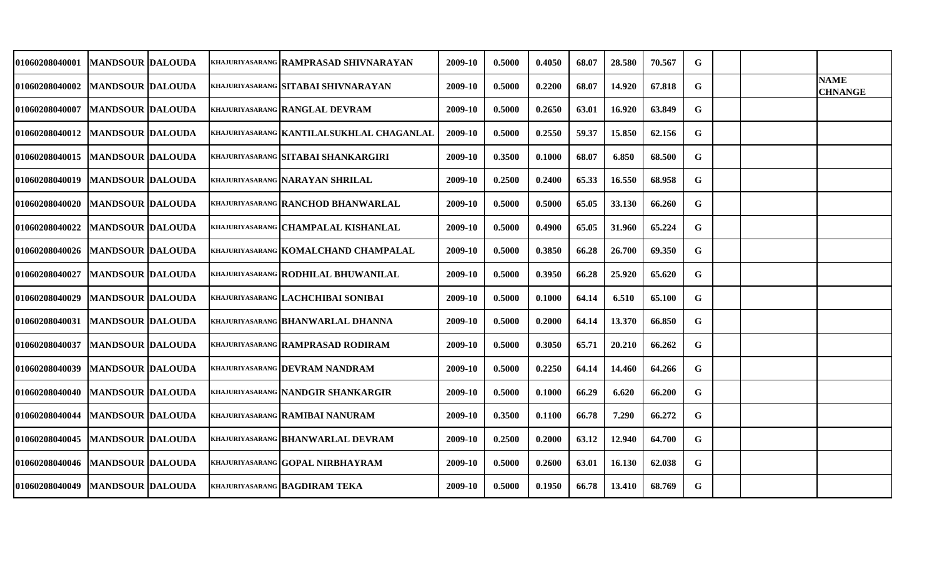| 01060208040001                    | <b>MANDSOUR DALOUDA</b>   |  | KHAJURIYASARANG RAMPRASAD SHIVNARAYAN     | 2009-10 | 0.5000 | 0.4050 | 68.07 | 28.580 | 70.567 | G |  |                               |
|-----------------------------------|---------------------------|--|-------------------------------------------|---------|--------|--------|-------|--------|--------|---|--|-------------------------------|
| 01060208040002                    | <b>MANDSOUR DALOUDA</b>   |  | KHAJURIYASARANG SITABAI SHIVNARAYAN       | 2009-10 | 0.5000 | 0.2200 | 68.07 | 14.920 | 67.818 | G |  | <b>NAME</b><br><b>CHNANGE</b> |
| 01060208040007                    | <b>MANDSOUR DALOUDA</b>   |  | KHAJURIYASARANG RANGLAL DEVRAM            | 2009-10 | 0.5000 | 0.2650 | 63.01 | 16.920 | 63.849 | G |  |                               |
| 01060208040012   MANDSOUR DALOUDA |                           |  | KHAJURIYASARANG KANTILALSUKHLAL CHAGANLAL | 2009-10 | 0.5000 | 0.2550 | 59.37 | 15.850 | 62.156 | G |  |                               |
| 01060208040015                    | <b>MANDSOUR DALOUDA</b>   |  | KHAJURIYASARANG SITABAI SHANKARGIRI       | 2009-10 | 0.3500 | 0.1000 | 68.07 | 6.850  | 68.500 | G |  |                               |
| 01060208040019                    | <b>MANDSOUR DALOUDA</b>   |  | KHAJURIYASARANG NARAYAN SHRILAL           | 2009-10 | 0.2500 | 0.2400 | 65.33 | 16.550 | 68.958 | G |  |                               |
| 01060208040020                    | <b>IMANDSOUR IDALOUDA</b> |  | KHAJURIYASARANG RANCHOD BHANWARLAL        | 2009-10 | 0.5000 | 0.5000 | 65.05 | 33.130 | 66.260 | G |  |                               |
| 01060208040022                    | <b>IMANDSOUR IDALOUDA</b> |  | KHAJURIYASARANG CHAMPALAL KISHANLAL       | 2009-10 | 0.5000 | 0.4900 | 65.05 | 31.960 | 65.224 | G |  |                               |
| 01060208040026   MANDSOUR DALOUDA |                           |  | KHAJURIYASARANG KOMALCHAND CHAMPALAL      | 2009-10 | 0.5000 | 0.3850 | 66.28 | 26.700 | 69.350 | G |  |                               |
| 01060208040027                    | <b>MANDSOUR DALOUDA</b>   |  | KHAJURIYASARANG RODHILAL BHUWANILAL       | 2009-10 | 0.5000 | 0.3950 | 66.28 | 25.920 | 65.620 | G |  |                               |
| 01060208040029                    | <b>MANDSOUR DALOUDA</b>   |  | KHAJURIYASARANG LACHCHIBAI SONIBAI        | 2009-10 | 0.5000 | 0.1000 | 64.14 | 6.510  | 65.100 | G |  |                               |
| 01060208040031                    | <b>MANDSOUR DALOUDA</b>   |  | KHAJURIYASARANG BHANWARLAL DHANNA         | 2009-10 | 0.5000 | 0.2000 | 64.14 | 13.370 | 66.850 | G |  |                               |
| 01060208040037                    | <b>MANDSOUR DALOUDA</b>   |  | KHAJURIYASARANG RAMPRASAD RODIRAM         | 2009-10 | 0.5000 | 0.3050 | 65.71 | 20.210 | 66.262 | G |  |                               |
| 01060208040039                    | <b>MANDSOUR DALOUDA</b>   |  | KHAJURIYASARANG DEVRAM NANDRAM            | 2009-10 | 0.5000 | 0.2250 | 64.14 | 14.460 | 64.266 | G |  |                               |
| 01060208040040                    | <b>MANDSOUR DALOUDA</b>   |  | KHAJURIYASARANG NANDGIR SHANKARGIR        | 2009-10 | 0.5000 | 0.1000 | 66.29 | 6.620  | 66.200 | G |  |                               |
| 01060208040044                    | <b>MANDSOUR DALOUDA</b>   |  | KHAJURIYASARANG RAMIBAI NANURAM           | 2009-10 | 0.3500 | 0.1100 | 66.78 | 7.290  | 66.272 | G |  |                               |
| 01060208040045                    | <b>MANDSOUR DALOUDA</b>   |  | KHAJURIYASARANG BHANWARLAL DEVRAM         | 2009-10 | 0.2500 | 0.2000 | 63.12 | 12.940 | 64.700 | G |  |                               |
| 01060208040046   MANDSOUR DALOUDA |                           |  | KHAJURIYASARANG GOPAL NIRBHAYRAM          | 2009-10 | 0.5000 | 0.2600 | 63.01 | 16.130 | 62.038 | G |  |                               |
| 01060208040049                    | <b>MANDSOUR DALOUDA</b>   |  | <b>KHAJURIYASARANG BAGDIRAM TEKA</b>      | 2009-10 | 0.5000 | 0.1950 | 66.78 | 13.410 | 68.769 | G |  |                               |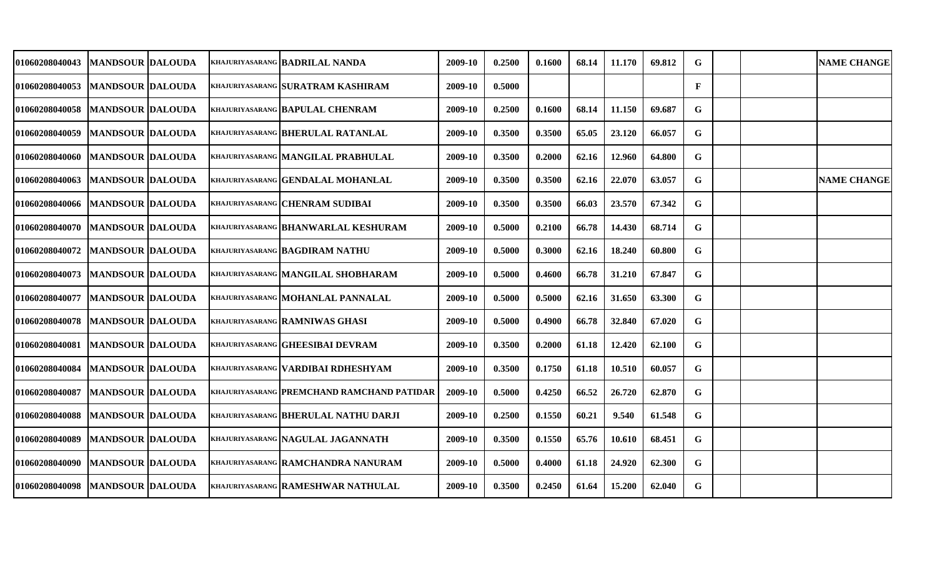| 01060208040043                    | <b>MANDSOUR DALOUDA</b>   |  | <b>KHAJURIYASARANG BADRILAL NANDA</b>      | 2009-10 | 0.2500 | 0.1600 | 68.14 | 11.170 | 69.812 | G            |  | <b>NAME CHANGE</b> |
|-----------------------------------|---------------------------|--|--------------------------------------------|---------|--------|--------|-------|--------|--------|--------------|--|--------------------|
| 01060208040053                    | <b>MANDSOUR DALOUDA</b>   |  | KHAJURIYASARANG SURATRAM KASHIRAM          | 2009-10 | 0.5000 |        |       |        |        | $\mathbf{F}$ |  |                    |
| 01060208040058                    | <b>MANDSOUR DALOUDA</b>   |  | KHAJURIYASARANG BAPULAL CHENRAM            | 2009-10 | 0.2500 | 0.1600 | 68.14 | 11.150 | 69.687 | G            |  |                    |
| 01060208040059                    | <b>MANDSOUR DALOUDA</b>   |  | KHAJURIYASARANG BHERULAL RATANLAL          | 2009-10 | 0.3500 | 0.3500 | 65.05 | 23.120 | 66.057 | G            |  |                    |
| 01060208040060                    | <b>MANDSOUR DALOUDA</b>   |  | KHAJURIYASARANG MANGILAL PRABHULAL         | 2009-10 | 0.3500 | 0.2000 | 62.16 | 12.960 | 64.800 | G            |  |                    |
| 01060208040063                    | <b>MANDSOUR DALOUDA</b>   |  | KHAJURIYASARANG GENDALAL MOHANLAL          | 2009-10 | 0.3500 | 0.3500 | 62.16 | 22.070 | 63.057 | G            |  | <b>NAME CHANGE</b> |
| 01060208040066 MANDSOUR DALOUDA   |                           |  | KHAJURIYASARANG CHENRAM SUDIBAI            | 2009-10 | 0.3500 | 0.3500 | 66.03 | 23.570 | 67.342 | G            |  |                    |
| 01060208040070  MANDSOUR  DALOUDA |                           |  | <b>KHAJURIYASARANG BHANWARLAL KESHURAM</b> | 2009-10 | 0.5000 | 0.2100 | 66.78 | 14.430 | 68.714 | G            |  |                    |
| <b>01060208040072</b>             | <b>IMANDSOUR IDALOUDA</b> |  | KHAJURIYASARANG BAGDIRAM NATHU             | 2009-10 | 0.5000 | 0.3000 | 62.16 | 18.240 | 60.800 | G            |  |                    |
| 01060208040073                    | <b>MANDSOUR DALOUDA</b>   |  | KHAJURIYASARANG MANGILAL SHOBHARAM         | 2009-10 | 0.5000 | 0.4600 | 66.78 | 31.210 | 67.847 | G            |  |                    |
| 01060208040077                    | <b>MANDSOUR DALOUDA</b>   |  | KHAJURIYASARANG MOHANLAL PANNALAL          | 2009-10 | 0.5000 | 0.5000 | 62.16 | 31.650 | 63.300 | G            |  |                    |
| 01060208040078                    | <b>MANDSOUR DALOUDA</b>   |  | <b>KHAJURIYASARANG RAMNIWAS GHASI</b>      | 2009-10 | 0.5000 | 0.4900 | 66.78 | 32.840 | 67.020 | G            |  |                    |
| 01060208040081                    | <b>MANDSOUR DALOUDA</b>   |  | KHAJURIYASARANG GHEESIBAI DEVRAM           | 2009-10 | 0.3500 | 0.2000 | 61.18 | 12.420 | 62.100 | G            |  |                    |
| 01060208040084                    | <b>MANDSOUR DALOUDA</b>   |  | KHAJURIYASARANG VARDIBAI RDHESHYAM         | 2009-10 | 0.3500 | 0.1750 | 61.18 | 10.510 | 60.057 | G            |  |                    |
| 01060208040087                    | <b>MANDSOUR DALOUDA</b>   |  | KHAJURIYASARANG PREMCHAND RAMCHAND PATIDAR | 2009-10 | 0.5000 | 0.4250 | 66.52 | 26.720 | 62.870 | G            |  |                    |
| 01060208040088                    | <b>MANDSOUR DALOUDA</b>   |  | KHAJURIYASARANG BHERULAL NATHU DARJI       | 2009-10 | 0.2500 | 0.1550 | 60.21 | 9.540  | 61.548 | G            |  |                    |
| 01060208040089                    | <b>MANDSOUR DALOUDA</b>   |  | KHAJURIYASARANG NAGULAL JAGANNATH          | 2009-10 | 0.3500 | 0.1550 | 65.76 | 10.610 | 68.451 | G            |  |                    |
| 01060208040090                    | <b>MANDSOUR DALOUDA</b>   |  | KHAJURIYASARANG RAMCHANDRA NANURAM         | 2009-10 | 0.5000 | 0.4000 | 61.18 | 24.920 | 62.300 | G            |  |                    |
| 01060208040098                    | <b>MANDSOUR DALOUDA</b>   |  | KHAJURIYASARANG RAMESHWAR NATHULAL         | 2009-10 | 0.3500 | 0.2450 | 61.64 | 15.200 | 62.040 | G            |  |                    |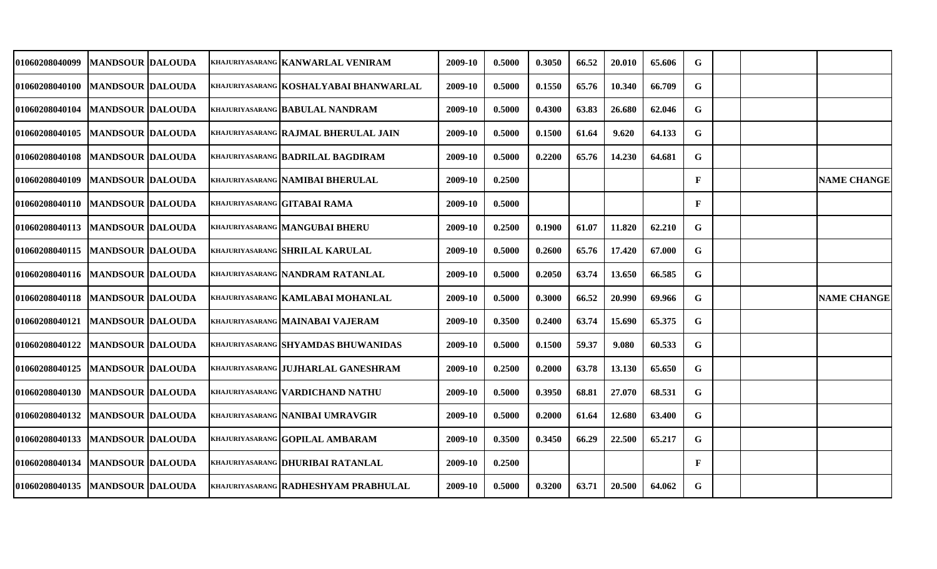| 01060208040099                      | <b>MANDSOUR DALOUDA</b> |  | KHAJURIYASARANG KANWARLAL VENIRAM          | 2009-10 | 0.5000 | 0.3050 | 66.52 | 20.010 | 65.606 | G            |  |                    |
|-------------------------------------|-------------------------|--|--------------------------------------------|---------|--------|--------|-------|--------|--------|--------------|--|--------------------|
| 01060208040100                      | <b>MANDSOUR DALOUDA</b> |  | KHAJURIYASARANG   KOSHALYABAI BHANWARLAL   | 2009-10 | 0.5000 | 0.1550 | 65.76 | 10.340 | 66.709 | G            |  |                    |
| <b>01060208040104</b>               | <b>MANDSOUR DALOUDA</b> |  | KHAJURIYASARANG BABULAL NANDRAM            | 2009-10 | 0.5000 | 0.4300 | 63.83 | 26.680 | 62.046 | G            |  |                    |
| <b>01060208040105</b>               | <b>MANDSOUR DALOUDA</b> |  | KHAJURIYASARANG RAJMAL BHERULAL JAIN       | 2009-10 | 0.5000 | 0.1500 | 61.64 | 9.620  | 64.133 | G            |  |                    |
| 01060208040108                      | <b>MANDSOUR DALOUDA</b> |  | KHAJURIYASARANG BADRILAL BAGDIRAM          | 2009-10 | 0.5000 | 0.2200 | 65.76 | 14.230 | 64.681 | G            |  |                    |
| 01060208040109                      | <b>MANDSOUR DALOUDA</b> |  | KHAJURIYASARANG NAMIBAI BHERULAL           | 2009-10 | 0.2500 |        |       |        |        | F            |  | <b>NAME CHANGE</b> |
| 01060208040110   IMANDSOUR IDALOUDA |                         |  | KHAJURIYASARANG GITABAI RAMA               | 2009-10 | 0.5000 |        |       |        |        | $\mathbf{F}$ |  |                    |
| 01060208040113   MANDSOUR DALOUDA   |                         |  | <b>KHAJURIYASARANG MANGUBAI BHERU</b>      | 2009-10 | 0.2500 | 0.1900 | 61.07 | 11.820 | 62.210 | G            |  |                    |
| 01060208040115   IMANDSOUR  DALOUDA |                         |  | KHAJURIYASARANG SHRILAL KARULAL            | 2009-10 | 0.5000 | 0.2600 | 65.76 | 17.420 | 67.000 | G            |  |                    |
| 01060208040116   MANDSOUR DALOUDA   |                         |  | KHAJURIYASARANG NANDRAM RATANLAL           | 2009-10 | 0.5000 | 0.2050 | 63.74 | 13.650 | 66.585 | G            |  |                    |
| 01060208040118   MANDSOUR DALOUDA   |                         |  | KHAJURIYASARANG KAMLABAI MOHANLAL          | 2009-10 | 0.5000 | 0.3000 | 66.52 | 20.990 | 69.966 | G            |  | <b>NAME CHANGE</b> |
| 01060208040121   MANDSOUR DALOUDA   |                         |  | KHAJURIYASARANG MAINABAI VAJERAM           | 2009-10 | 0.3500 | 0.2400 | 63.74 | 15.690 | 65.375 | G            |  |                    |
| 01060208040122                      | <b>MANDSOUR DALOUDA</b> |  | <b>KHAJURIYASARANG SHYAMDAS BHUWANIDAS</b> | 2009-10 | 0.5000 | 0.1500 | 59.37 | 9.080  | 60.533 | G            |  |                    |
| <b>01060208040125</b>               | <b>MANDSOUR DALOUDA</b> |  | KHAJURIYASARANG JUJHARLAL GANESHRAM        | 2009-10 | 0.2500 | 0.2000 | 63.78 | 13.130 | 65.650 | G            |  |                    |
| 01060208040130                      | <b>MANDSOUR DALOUDA</b> |  | KHAJURIYASARANG VARDICHAND NATHU           | 2009-10 | 0.5000 | 0.3950 | 68.81 | 27.070 | 68.531 | G            |  |                    |
| 01060208040132                      | <b>MANDSOUR DALOUDA</b> |  | KHAJURIYASARANG NANIBAI UMRAVGIR           | 2009-10 | 0.5000 | 0.2000 | 61.64 | 12.680 | 63.400 | G            |  |                    |
| 01060208040133                      | <b>MANDSOUR DALOUDA</b> |  | KHAJURIYASARANG GOPILAL AMBARAM            | 2009-10 | 0.3500 | 0.3450 | 66.29 | 22.500 | 65.217 | G            |  |                    |
| 01060208040134                      | <b>MANDSOUR DALOUDA</b> |  | KHAJURIYASARANG DHURIBAI RATANLAL          | 2009-10 | 0.2500 |        |       |        |        | F            |  |                    |
| 01060208040135                      | <b>MANDSOUR DALOUDA</b> |  | KHAJURIYASARANG RADHESHYAM PRABHULAL       | 2009-10 | 0.5000 | 0.3200 | 63.71 | 20.500 | 64.062 | G            |  |                    |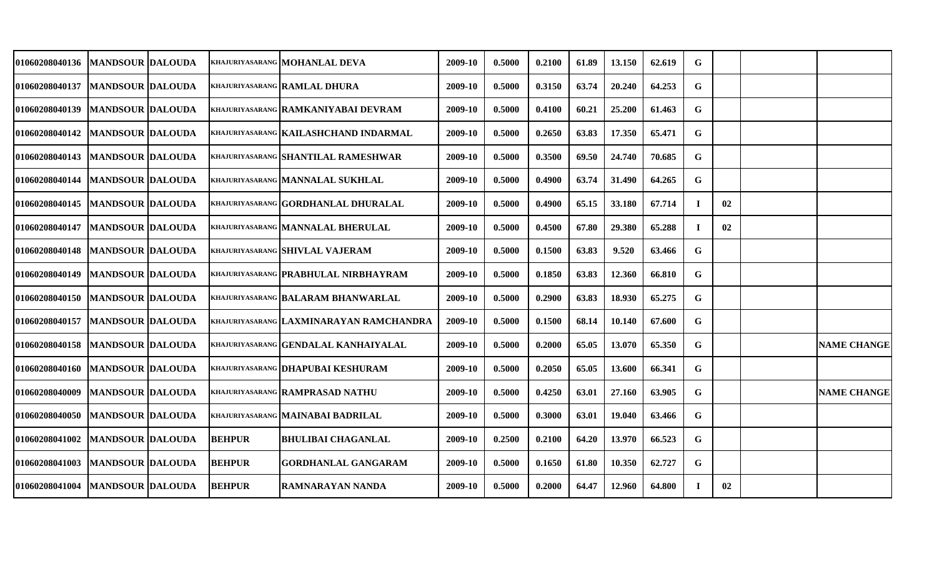| <b>01060208040136</b> | <b>MANDSOUR DALOUDA</b> |               | KHAJURIYASARANG MOHANLAL DEVA            | 2009-10 | 0.5000 | 0.2100 | 61.89 | 13.150 | 62.619 | G        |    |                    |
|-----------------------|-------------------------|---------------|------------------------------------------|---------|--------|--------|-------|--------|--------|----------|----|--------------------|
| 01060208040137        | <b>MANDSOUR DALOUDA</b> |               | KHAJURIYASARANG RAMLAL DHURA             | 2009-10 | 0.5000 | 0.3150 | 63.74 | 20.240 | 64.253 | G        |    |                    |
| 01060208040139        | <b>MANDSOUR DALOUDA</b> |               | KHAJURIYASARANG RAMKANIYABAI DEVRAM      | 2009-10 | 0.5000 | 0.4100 | 60.21 | 25.200 | 61.463 | G        |    |                    |
| 01060208040142        | <b>MANDSOUR DALOUDA</b> |               | KHAJURIYASARANG KAILASHCHAND INDARMAL    | 2009-10 | 0.5000 | 0.2650 | 63.83 | 17.350 | 65.471 | G        |    |                    |
| <b>01060208040143</b> | <b>MANDSOUR DALOUDA</b> |               | KHAJURIYASARANG SHANTILAL RAMESHWAR      | 2009-10 | 0.5000 | 0.3500 | 69.50 | 24.740 | 70.685 | G        |    |                    |
| <b>01060208040144</b> | <b>MANDSOUR DALOUDA</b> |               | KHAJURIYASARANG MANNALAL SUKHLAL         | 2009-10 | 0.5000 | 0.4900 | 63.74 | 31.490 | 64.265 | G        |    |                    |
| <b>01060208040145</b> | <b>MANDSOUR DALOUDA</b> |               | KHAJURIYASARANG GORDHANLAL DHURALAL      | 2009-10 | 0.5000 | 0.4900 | 65.15 | 33.180 | 67.714 | $\bf{I}$ | 02 |                    |
| <b>01060208040147</b> | <b>MANDSOUR DALOUDA</b> |               | KHAJURIYASARANG MANNALAL BHERULAL        | 2009-10 | 0.5000 | 0.4500 | 67.80 | 29.380 | 65.288 | T        | 02 |                    |
| <b>01060208040148</b> | <b>MANDSOUR DALOUDA</b> |               | KHAJURIYASARANG SHIVLAL VAJERAM          | 2009-10 | 0.5000 | 0.1500 | 63.83 | 9.520  | 63.466 | G        |    |                    |
| <b>01060208040149</b> | <b>MANDSOUR DALOUDA</b> |               | KHAJURIYASARANG PRABHULAL NIRBHAYRAM     | 2009-10 | 0.5000 | 0.1850 | 63.83 | 12.360 | 66.810 | G        |    |                    |
| 01060208040150        | <b>MANDSOUR DALOUDA</b> |               | KHAJURIYASARANG BALARAM BHANWARLAL       | 2009-10 | 0.5000 | 0.2900 | 63.83 | 18.930 | 65.275 | G        |    |                    |
| <b>01060208040157</b> | <b>MANDSOUR DALOUDA</b> |               | KHAJURIYASARANG LAXMINARAYAN RAMCHANDRA  | 2009-10 | 0.5000 | 0.1500 | 68.14 | 10.140 | 67.600 | G        |    |                    |
| <b>01060208040158</b> | <b>MANDSOUR DALOUDA</b> |               | KHAJURIYASARANG GENDALAL KANHAIYALAL     | 2009-10 | 0.5000 | 0.2000 | 65.05 | 13.070 | 65.350 | G        |    | <b>NAME CHANGE</b> |
| <b>01060208040160</b> | <b>MANDSOUR DALOUDA</b> |               | khajuriyasarang <b>DHAPUBAI KESHURAM</b> | 2009-10 | 0.5000 | 0.2050 | 65.05 | 13.600 | 66.341 | G        |    |                    |
| <b>01060208040009</b> | <b>MANDSOUR DALOUDA</b> |               | KHAJURIYASARANG RAMPRASAD NATHU          | 2009-10 | 0.5000 | 0.4250 | 63.01 | 27.160 | 63.905 | G        |    | <b>NAME CHANGE</b> |
| 01060208040050        | <b>MANDSOUR DALOUDA</b> |               | KHAJURIYASARANG MAINABAI BADRILAL        | 2009-10 | 0.5000 | 0.3000 | 63.01 | 19.040 | 63.466 | G        |    |                    |
| 01060208041002        | <b>MANDSOUR DALOUDA</b> | <b>BEHPUR</b> | <b>BHULIBAI CHAGANLAL</b>                | 2009-10 | 0.2500 | 0.2100 | 64.20 | 13.970 | 66.523 | G        |    |                    |
| 01060208041003        | <b>MANDSOUR DALOUDA</b> | <b>BEHPUR</b> | <b>GORDHANLAL GANGARAM</b>               | 2009-10 | 0.5000 | 0.1650 | 61.80 | 10.350 | 62.727 | G        |    |                    |
| <b>01060208041004</b> | <b>MANDSOUR DALOUDA</b> | <b>BEHPUR</b> | <b>RAMNARAYAN NANDA</b>                  | 2009-10 | 0.5000 | 0.2000 | 64.47 | 12.960 | 64.800 | -1       | 02 |                    |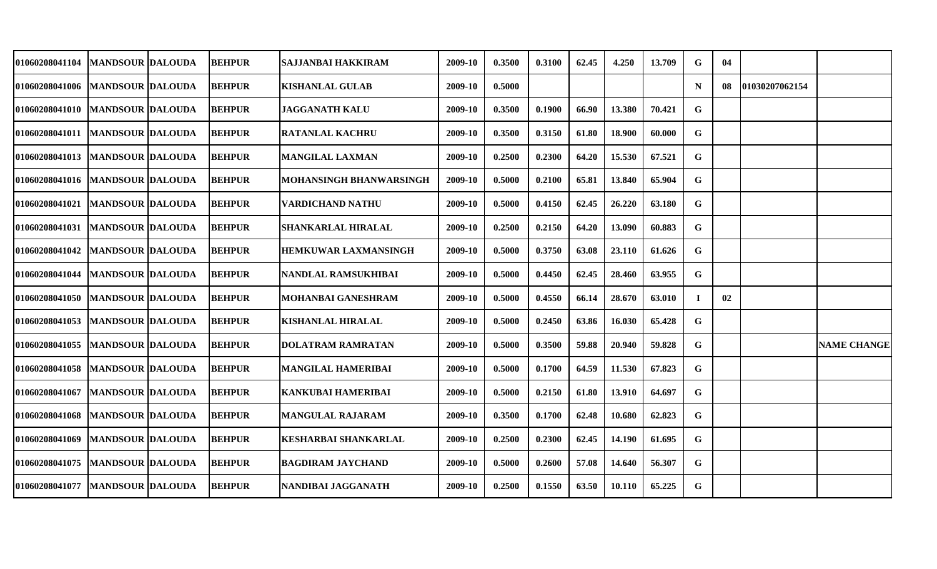| 01060208041104                    | MANDSOUR  DALOUDA       | <b>BEHPUR</b> | SAJJANBAI HAKKIRAM             | 2009-10 | 0.3500 | 0.3100 | 62.45 | 4.250  | 13.709 | G  | 04  |                |                    |
|-----------------------------------|-------------------------|---------------|--------------------------------|---------|--------|--------|-------|--------|--------|----|-----|----------------|--------------------|
| 01060208041006   MANDSOUR DALOUDA |                         | <b>BEHPUR</b> | <b>KISHANLAL GULAB</b>         | 2009-10 | 0.5000 |        |       |        |        | N  | -08 | 01030207062154 |                    |
| 01060208041010   MANDSOUR DALOUDA |                         | <b>BEHPUR</b> | <b>JAGGANATH KALU</b>          | 2009-10 | 0.3500 | 0.1900 | 66.90 | 13.380 | 70.421 | G  |     |                |                    |
| 01060208041011   MANDSOUR DALOUDA |                         | <b>BEHPUR</b> | <b>RATANLAL KACHRU</b>         | 2009-10 | 0.3500 | 0.3150 | 61.80 | 18.900 | 60.000 | G  |     |                |                    |
| 01060208041013   MANDSOUR DALOUDA |                         | <b>BEHPUR</b> | <b>MANGILAL LAXMAN</b>         | 2009-10 | 0.2500 | 0.2300 | 64.20 | 15.530 | 67.521 | G  |     |                |                    |
| 01060208041016   MANDSOUR DALOUDA |                         | <b>BEHPUR</b> | <b>MOHANSINGH BHANWARSINGH</b> | 2009-10 | 0.5000 | 0.2100 | 65.81 | 13.840 | 65.904 | G  |     |                |                    |
| <b>01060208041021</b>             | <b>MANDSOUR DALOUDA</b> | <b>BEHPUR</b> | <b>VARDICHAND NATHU</b>        | 2009-10 | 0.5000 | 0.4150 | 62.45 | 26.220 | 63.180 | G  |     |                |                    |
| 01060208041031                    | <b>MANDSOUR DALOUDA</b> | <b>BEHPUR</b> | SHANKARLAL HIRALAL             | 2009-10 | 0.2500 | 0.2150 | 64.20 | 13.090 | 60.883 | G  |     |                |                    |
| <b>01060208041042</b>             | <b>MANDSOUR DALOUDA</b> | <b>BEHPUR</b> | HEMKUWAR LAXMANSINGH           | 2009-10 | 0.5000 | 0.3750 | 63.08 | 23.110 | 61.626 | G  |     |                |                    |
| <b>01060208041044</b>             | <b>MANDSOUR DALOUDA</b> | <b>BEHPUR</b> | NANDLAL RAMSUKHIBAI            | 2009-10 | 0.5000 | 0.4450 | 62.45 | 28.460 | 63.955 | G  |     |                |                    |
| <b>01060208041050</b>             | <b>MANDSOUR DALOUDA</b> | <b>BEHPUR</b> | <b>MOHANBAI GANESHRAM</b>      | 2009-10 | 0.5000 | 0.4550 | 66.14 | 28.670 | 63.010 | Т. | 02  |                |                    |
| 01060208041053                    | <b>MANDSOUR DALOUDA</b> | <b>BEHPUR</b> | <b>KISHANLAL HIRALAL</b>       | 2009-10 | 0.5000 | 0.2450 | 63.86 | 16.030 | 65.428 | G  |     |                |                    |
| <b>01060208041055</b>             | <b>MANDSOUR DALOUDA</b> | <b>BEHPUR</b> | <b>DOLATRAM RAMRATAN</b>       | 2009-10 | 0.5000 | 0.3500 | 59.88 | 20.940 | 59.828 | G  |     |                | <b>NAME CHANGE</b> |
| 01060208041058                    | <b>MANDSOUR DALOUDA</b> | <b>BEHPUR</b> | MANGILAL HAMERIBAI             | 2009-10 | 0.5000 | 0.1700 | 64.59 | 11.530 | 67.823 | G  |     |                |                    |
| 01060208041067                    | <b>MANDSOUR DALOUDA</b> | <b>BEHPUR</b> | <b>KANKUBAI HAMERIBAI</b>      | 2009-10 | 0.5000 | 0.2150 | 61.80 | 13.910 | 64.697 | G  |     |                |                    |
| 01060208041068                    | <b>MANDSOUR DALOUDA</b> | <b>BEHPUR</b> | <b>MANGULAL RAJARAM</b>        | 2009-10 | 0.3500 | 0.1700 | 62.48 | 10.680 | 62.823 | G. |     |                |                    |
| 01060208041069                    | <b>MANDSOUR DALOUDA</b> | <b>BEHPUR</b> | <b>KESHARBAI SHANKARLAL</b>    | 2009-10 | 0.2500 | 0.2300 | 62.45 | 14.190 | 61.695 | G. |     |                |                    |
| 01060208041075                    | <b>MANDSOUR DALOUDA</b> | <b>BEHPUR</b> | <b>BAGDIRAM JAYCHAND</b>       | 2009-10 | 0.5000 | 0.2600 | 57.08 | 14.640 | 56.307 | G  |     |                |                    |
| <b>01060208041077</b>             | <b>MANDSOUR DALOUDA</b> | <b>BEHPUR</b> | NANDIBAI JAGGANATH             | 2009-10 | 0.2500 | 0.1550 | 63.50 | 10.110 | 65.225 | G  |     |                |                    |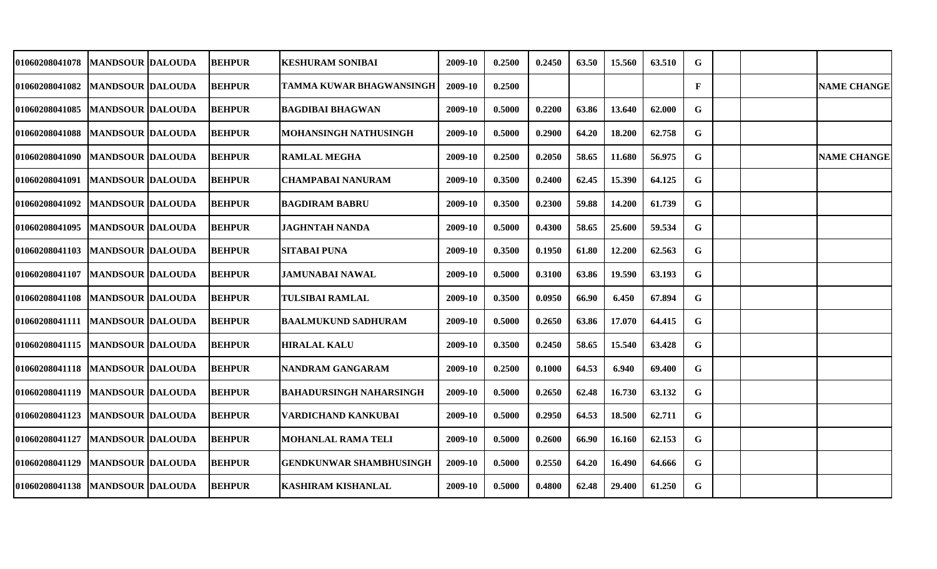| <b>01060208041078</b>             | <b>MANDSOUR DALOUDA</b>   | <b>BEHPUR</b> | <b>KESHURAM SONIBAI</b>         | 2009-10 | 0.2500 | 0.2450 | 63.50 | 15.560 | 63.510 | G |  |                    |
|-----------------------------------|---------------------------|---------------|---------------------------------|---------|--------|--------|-------|--------|--------|---|--|--------------------|
| <b>01060208041082</b>             | <b>MANDSOUR DALOUDA</b>   | <b>BEHPUR</b> | <b>TAMMA KUWAR BHAGWANSINGH</b> | 2009-10 | 0.2500 |        |       |        |        | F |  | <b>NAME CHANGE</b> |
| <b>01060208041085</b>             | <b>MANDSOUR DALOUDA</b>   | <b>BEHPUR</b> | <b>BAGDIBAI BHAGWAN</b>         | 2009-10 | 0.5000 | 0.2200 | 63.86 | 13.640 | 62.000 | G |  |                    |
| 01060208041088                    | <b>MANDSOUR DALOUDA</b>   | <b>BEHPUR</b> | <b>MOHANSINGH NATHUSINGH</b>    | 2009-10 | 0.5000 | 0.2900 | 64.20 | 18.200 | 62.758 | G |  |                    |
| 01060208041090   MANDSOUR DALOUDA |                           | <b>BEHPUR</b> | <b>RAMLAL MEGHA</b>             | 2009-10 | 0.2500 | 0.2050 | 58.65 | 11.680 | 56.975 | G |  | <b>NAME CHANGE</b> |
| <b>01060208041091</b>             | <b>MANDSOUR DALOUDA</b>   | <b>BEHPUR</b> | <b>CHAMPABAI NANURAM</b>        | 2009-10 | 0.3500 | 0.2400 | 62.45 | 15.390 | 64.125 | G |  |                    |
| 01060208041092                    | <b>MANDSOUR DALOUDA</b>   | <b>BEHPUR</b> | <b>BAGDIRAM BABRU</b>           | 2009-10 | 0.3500 | 0.2300 | 59.88 | 14.200 | 61.739 | G |  |                    |
| <b>01060208041095</b>             | <b>MANDSOUR DALOUDA</b>   | <b>BEHPUR</b> | <b>JAGHNTAH NANDA</b>           | 2009-10 | 0.5000 | 0.4300 | 58.65 | 25.600 | 59.534 | G |  |                    |
| <b>01060208041103</b>             | <b>IMANDSOUR IDALOUDA</b> | <b>BEHPUR</b> | <b>SITABAI PUNA</b>             | 2009-10 | 0.3500 | 0.1950 | 61.80 | 12.200 | 62.563 | G |  |                    |
| 01060208041107                    | <b>MANDSOUR DALOUDA</b>   | <b>BEHPUR</b> | <b>JAMUNABAI NAWAL</b>          | 2009-10 | 0.5000 | 0.3100 | 63.86 | 19.590 | 63.193 | G |  |                    |
| 01060208041108   MANDSOUR DALOUDA |                           | <b>BEHPUR</b> | TULSIBAI RAMLAL                 | 2009-10 | 0.3500 | 0.0950 | 66.90 | 6.450  | 67.894 | G |  |                    |
| 01060208041111   MANDSOUR DALOUDA |                           | <b>BEHPUR</b> | <b>BAALMUKUND SADHURAM</b>      | 2009-10 | 0.5000 | 0.2650 | 63.86 | 17.070 | 64.415 | G |  |                    |
| <b>01060208041115</b>             | <b>MANDSOUR DALOUDA</b>   | <b>BEHPUR</b> | <b>HIRALAL KALU</b>             | 2009-10 | 0.3500 | 0.2450 | 58.65 | 15.540 | 63.428 | G |  |                    |
| 01060208041118                    | <b>MANDSOUR DALOUDA</b>   | <b>BEHPUR</b> | <b>NANDRAM GANGARAM</b>         | 2009-10 | 0.2500 | 0.1000 | 64.53 | 6.940  | 69.400 | G |  |                    |
| 01060208041119                    | <b>MANDSOUR DALOUDA</b>   | <b>BEHPUR</b> | <b>BAHADURSINGH NAHARSINGH</b>  | 2009-10 | 0.5000 | 0.2650 | 62.48 | 16.730 | 63.132 | G |  |                    |
| 01060208041123                    | <b>MANDSOUR DALOUDA</b>   | <b>BEHPUR</b> | <b>VARDICHAND KANKUBAI</b>      | 2009-10 | 0.5000 | 0.2950 | 64.53 | 18.500 | 62.711 | G |  |                    |
| 01060208041127                    | <b>MANDSOUR DALOUDA</b>   | <b>BEHPUR</b> | <b>MOHANLAL RAMA TELI</b>       | 2009-10 | 0.5000 | 0.2600 | 66.90 | 16.160 | 62.153 | G |  |                    |
| 01060208041129                    | <b>MANDSOUR DALOUDA</b>   | <b>BEHPUR</b> | <b>GENDKUNWAR SHAMBHUSINGH</b>  | 2009-10 | 0.5000 | 0.2550 | 64.20 | 16.490 | 64.666 | G |  |                    |
| 01060208041138                    | <b>MANDSOUR DALOUDA</b>   | <b>BEHPUR</b> | <b>KASHIRAM KISHANLAL</b>       | 2009-10 | 0.5000 | 0.4800 | 62.48 | 29.400 | 61.250 | G |  |                    |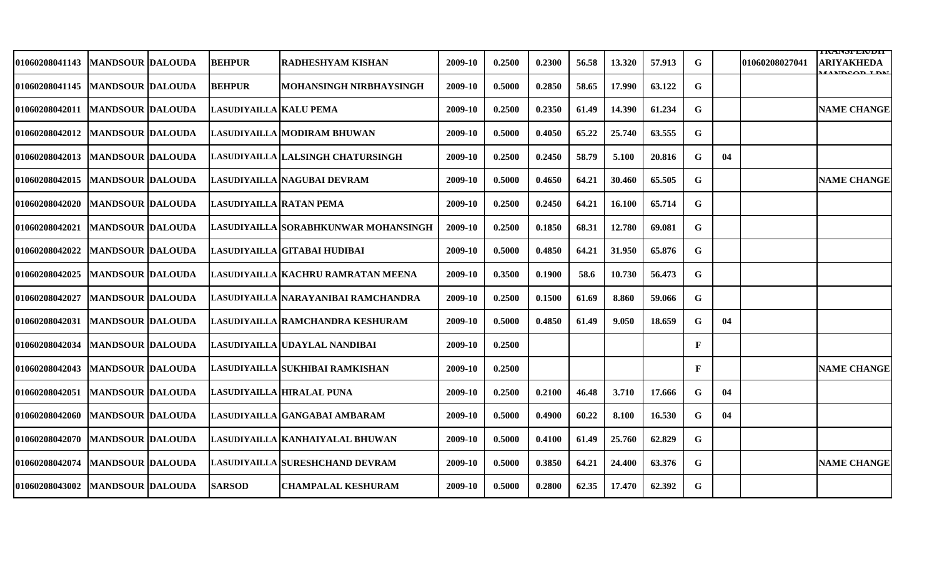|                                   |                          |                         |                                        |         |        |        |       |        |        |              |    |                | I IVAN DI LAVIJI                        |
|-----------------------------------|--------------------------|-------------------------|----------------------------------------|---------|--------|--------|-------|--------|--------|--------------|----|----------------|-----------------------------------------|
| 01060208041143                    | <b>IMANDSOUR DALOUDA</b> | <b>BEHPUR</b>           | <b>RADHESHYAM KISHAN</b>               | 2009-10 | 0.2500 | 0.2300 | 56.58 | 13.320 | 57.913 | G            |    | 01060208027041 | ARIYAKHEDA<br><b><i>LANDCOD LDM</i></b> |
| 01060208041145                    | <b>IMANDSOUR DALOUDA</b> | <b>BEHPUR</b>           | MOHANSINGH NIRBHAYSINGH                | 2009-10 | 0.5000 | 0.2850 | 58.65 | 17.990 | 63.122 | G            |    |                |                                         |
| 01060208042011                    | <b>MANDSOUR DALOUDA</b>  | LASUDIYAILLA KALU PEMA  |                                        | 2009-10 | 0.2500 | 0.2350 | 61.49 | 14.390 | 61.234 | G            |    |                | <b>NAME CHANGE</b>                      |
| <b>01060208042012</b>             | <b>MANDSOUR DALOUDA</b>  |                         | LASUDIYAILLA   MODIRAM BHUWAN          | 2009-10 | 0.5000 | 0.4050 | 65.22 | 25.740 | 63.555 | G            |    |                |                                         |
| <b>01060208042013</b>             | <b>MANDSOUR DALOUDA</b>  |                         | LASUDIYAILLA LALSINGH CHATURSINGH      | 2009-10 | 0.2500 | 0.2450 | 58.79 | 5.100  | 20.816 | G            | 04 |                |                                         |
| 01060208042015                    | <b>MANDSOUR DALOUDA</b>  |                         | LASUDIYAILLA   NAGUBAI DEVRAM          | 2009-10 | 0.5000 | 0.4650 | 64.21 | 30.460 | 65.505 | G            |    |                | <b>NAME CHANGE</b>                      |
| <b>01060208042020</b>             | <b>IMANDSOUR DALOUDA</b> | LASUDIYAILLA RATAN PEMA |                                        | 2009-10 | 0.2500 | 0.2450 | 64.21 | 16.100 | 65.714 | G            |    |                |                                         |
| 01060208042021                    | <b>MANDSOUR DALOUDA</b>  |                         | LASUDIYAILLA  SORABHKUNWAR MOHANSINGH  | 2009-10 | 0.2500 | 0.1850 | 68.31 | 12.780 | 69.081 | G            |    |                |                                         |
| 01060208042022                    | <b>IMANDSOUR DALOUDA</b> |                         | LASUDIYAILLA   GITABAI HUDIBAI         | 2009-10 | 0.5000 | 0.4850 | 64.21 | 31.950 | 65.876 | G            |    |                |                                         |
| 01060208042025                    | <b>MANDSOUR DALOUDA</b>  |                         | LASUDIYAILLA KACHRU RAMRATAN MEENA     | 2009-10 | 0.3500 | 0.1900 | 58.6  | 10.730 | 56.473 | G            |    |                |                                         |
| 01060208042027                    | <b>MANDSOUR DALOUDA</b>  |                         | LASUDIYAILLA NARAYANIBAI RAMCHANDRA    | 2009-10 | 0.2500 | 0.1500 | 61.69 | 8.860  | 59.066 | G            |    |                |                                         |
| 01060208042031  MANDSOUR  DALOUDA |                          |                         | LASUDIYAILLA RAMCHANDRA KESHURAM       | 2009-10 | 0.5000 | 0.4850 | 61.49 | 9.050  | 18.659 | G            | 04 |                |                                         |
| 01060208042034                    | <b>MANDSOUR DALOUDA</b>  |                         | LASUDIYAILLA UDAYLAL NANDIBAI          | 2009-10 | 0.2500 |        |       |        |        | F            |    |                |                                         |
| 01060208042043                    | <b>MANDSOUR DALOUDA</b>  |                         | LASUDIYAILLA SUKHIBAI RAMKISHAN        | 2009-10 | 0.2500 |        |       |        |        | $\mathbf{F}$ |    |                | <b>NAME CHANGE</b>                      |
| 01060208042051                    | <b>MANDSOUR DALOUDA</b>  |                         | LASUDIYAILLA HIRALAL PUNA              | 2009-10 | 0.2500 | 0.2100 | 46.48 | 3.710  | 17.666 | G            | 04 |                |                                         |
| 01060208042060                    | <b>MANDSOUR DALOUDA</b>  |                         | LASUDIYAILLA GANGABAI AMBARAM          | 2009-10 | 0.5000 | 0.4900 | 60.22 | 8.100  | 16.530 | G            | 04 |                |                                         |
| 01060208042070                    | <b>MANDSOUR DALOUDA</b>  |                         | LASUDIYAILLA   KANHAIYALAL BHUWAN      | 2009-10 | 0.5000 | 0.4100 | 61.49 | 25.760 | 62.829 | G            |    |                |                                         |
| 01060208042074                    | <b>MANDSOUR DALOUDA</b>  |                         | <b>LASUDIYAILLA SURESHCHAND DEVRAM</b> | 2009-10 | 0.5000 | 0.3850 | 64.21 | 24.400 | 63.376 | G            |    |                | <b>NAME CHANGE</b>                      |
| 01060208043002                    | <b>MANDSOUR DALOUDA</b>  | <b>SARSOD</b>           | <b>CHAMPALAL KESHURAM</b>              | 2009-10 | 0.5000 | 0.2800 | 62.35 | 17.470 | 62.392 | $\mathbf G$  |    |                |                                         |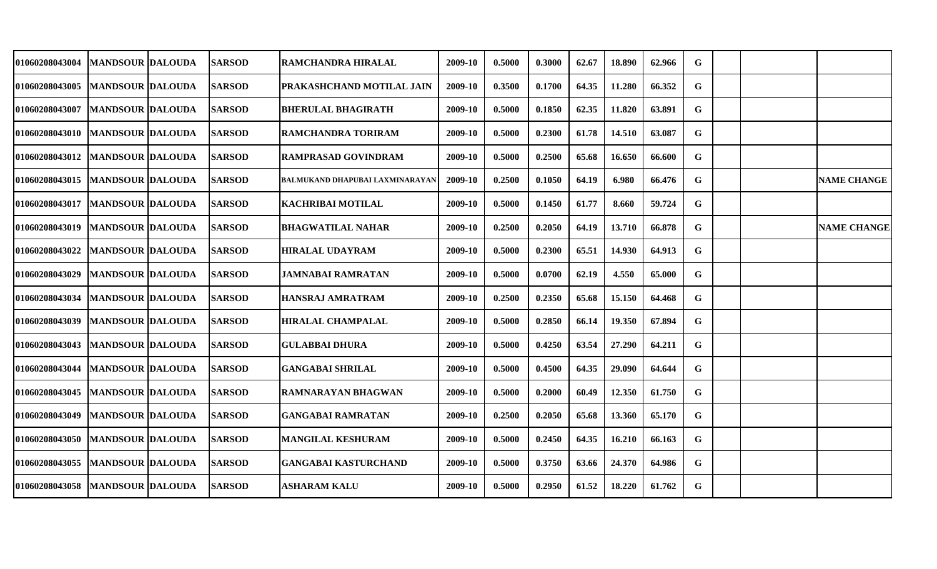| <b>01060208043004</b>             | MANDSOUR  DALOUDA       | <b>SARSOD</b> | RAMCHANDRA HIRALAL              | 2009-10 | 0.5000 | 0.3000 | 62.67 | 18.890 | 62.966 | G  |  |                    |
|-----------------------------------|-------------------------|---------------|---------------------------------|---------|--------|--------|-------|--------|--------|----|--|--------------------|
| 01060208043005                    | <b>MANDSOUR DALOUDA</b> | <b>SARSOD</b> | PRAKASHCHAND MOTILAL JAIN       | 2009-10 | 0.3500 | 0.1700 | 64.35 | 11.280 | 66.352 | G  |  |                    |
| 01060208043007                    | <b>MANDSOUR DALOUDA</b> | <b>SARSOD</b> | <b>BHERULAL BHAGIRATH</b>       | 2009-10 | 0.5000 | 0.1850 | 62.35 | 11.820 | 63.891 | G  |  |                    |
| 01060208043010   MANDSOUR DALOUDA |                         | <b>SARSOD</b> | <b>RAMCHANDRA TORIRAM</b>       | 2009-10 | 0.5000 | 0.2300 | 61.78 | 14.510 | 63.087 | G  |  |                    |
| 01060208043012   MANDSOUR DALOUDA |                         | <b>SARSOD</b> | <b>RAMPRASAD GOVINDRAM</b>      | 2009-10 | 0.5000 | 0.2500 | 65.68 | 16.650 | 66.600 | G  |  |                    |
| <b>01060208043015</b>             | <b>MANDSOUR DALOUDA</b> | <b>SARSOD</b> | BALMUKAND DHAPUBAI LAXMINARAYAN | 2009-10 | 0.2500 | 0.1050 | 64.19 | 6.980  | 66.476 | G  |  | <b>NAME CHANGE</b> |
| <b>01060208043017</b>             | <b>MANDSOUR DALOUDA</b> | <b>SARSOD</b> | KACHRIBAI MOTILAL               | 2009-10 | 0.5000 | 0.1450 | 61.77 | 8.660  | 59.724 | G  |  |                    |
| 01060208043019                    | <b>MANDSOUR DALOUDA</b> | <b>SARSOD</b> | BHAGWATILAL NAHAR               | 2009-10 | 0.2500 | 0.2050 | 64.19 | 13.710 | 66.878 | G  |  | <b>NAME CHANGE</b> |
| <b>01060208043022</b>             | <b>MANDSOUR DALOUDA</b> | <b>SARSOD</b> | <b>HIRALAL UDAYRAM</b>          | 2009-10 | 0.5000 | 0.2300 | 65.51 | 14.930 | 64.913 | G  |  |                    |
| <b>01060208043029</b>             | <b>MANDSOUR DALOUDA</b> | <b>SARSOD</b> | JAMNABAI RAMRATAN               | 2009-10 | 0.5000 | 0.0700 | 62.19 | 4.550  | 65.000 | G  |  |                    |
| <b>01060208043034</b>             | <b>MANDSOUR DALOUDA</b> | <b>SARSOD</b> | <b>HANSRAJ AMRATRAM</b>         | 2009-10 | 0.2500 | 0.2350 | 65.68 | 15.150 | 64.468 | G  |  |                    |
| 01060208043039                    | <b>MANDSOUR DALOUDA</b> | <b>SARSOD</b> | <b>HIRALAL CHAMPALAL</b>        | 2009-10 | 0.5000 | 0.2850 | 66.14 | 19.350 | 67.894 | G  |  |                    |
| <b>01060208043043</b>             | <b>MANDSOUR DALOUDA</b> | <b>SARSOD</b> | <b>GULABBAI DHURA</b>           | 2009-10 | 0.5000 | 0.4250 | 63.54 | 27.290 | 64.211 | G  |  |                    |
| <b>01060208043044</b>             | <b>MANDSOUR DALOUDA</b> | <b>SARSOD</b> | <b>GANGABAI SHRILAL</b>         | 2009-10 | 0.5000 | 0.4500 | 64.35 | 29.090 | 64.644 | G  |  |                    |
| 01060208043045                    | <b>MANDSOUR DALOUDA</b> | <b>SARSOD</b> | RAMNARAYAN BHAGWAN              | 2009-10 | 0.5000 | 0.2000 | 60.49 | 12.350 | 61.750 | G  |  |                    |
| 01060208043049                    | <b>MANDSOUR DALOUDA</b> | <b>SARSOD</b> | <b>GANGABAI RAMRATAN</b>        | 2009-10 | 0.2500 | 0.2050 | 65.68 | 13.360 | 65.170 | G. |  |                    |
| 01060208043050   MANDSOUR DALOUDA |                         | <b>SARSOD</b> | <b>MANGILAL KESHURAM</b>        | 2009-10 | 0.5000 | 0.2450 | 64.35 | 16.210 | 66.163 | G  |  |                    |
| 01060208043055                    | <b>MANDSOUR DALOUDA</b> | <b>SARSOD</b> | <b>GANGABAI KASTURCHAND</b>     | 2009-10 | 0.5000 | 0.3750 | 63.66 | 24.370 | 64.986 | G  |  |                    |
| 01060208043058                    | <b>MANDSOUR DALOUDA</b> | <b>SARSOD</b> | <b>ASHARAM KALU</b>             | 2009-10 | 0.5000 | 0.2950 | 61.52 | 18.220 | 61.762 | G  |  |                    |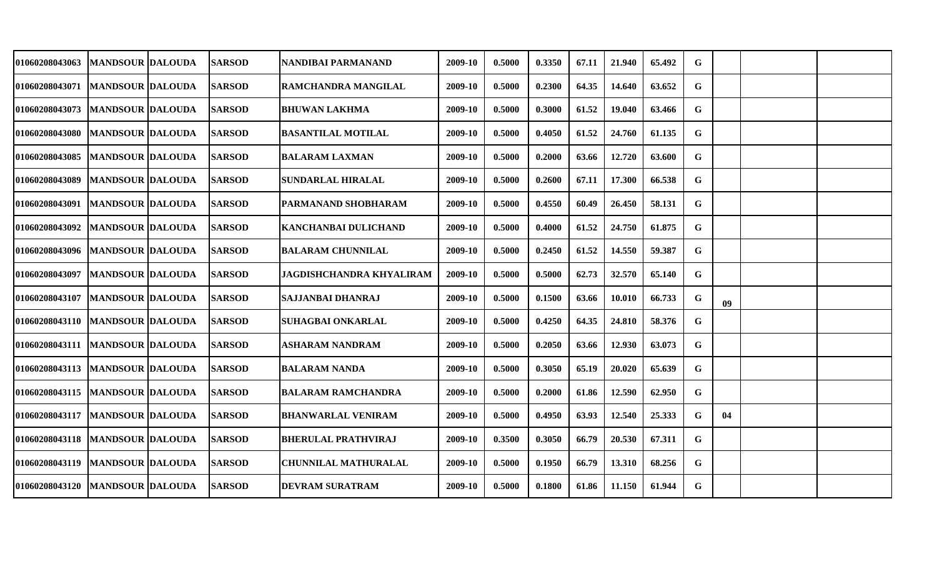| <b>01060208043063</b>             | <b>MANDSOUR DALOUDA</b> | <b>SARSOD</b> | NANDIBAI PARMANAND              | 2009-10 | 0.5000 | 0.3350 | 67.11 | 21.940 | 65.492 | G  |    |  |
|-----------------------------------|-------------------------|---------------|---------------------------------|---------|--------|--------|-------|--------|--------|----|----|--|
| 01060208043071                    | <b>MANDSOUR DALOUDA</b> | <b>SARSOD</b> | RAMCHANDRA MANGILAL             | 2009-10 | 0.5000 | 0.2300 | 64.35 | 14.640 | 63.652 | G  |    |  |
| 01060208043073                    | <b>MANDSOUR DALOUDA</b> | <b>SARSOD</b> | <b>BHUWAN LAKHMA</b>            | 2009-10 | 0.5000 | 0.3000 | 61.52 | 19.040 | 63.466 | G  |    |  |
| 01060208043080                    | <b>MANDSOUR DALOUDA</b> | <b>SARSOD</b> | <b>BASANTILAL MOTILAL</b>       | 2009-10 | 0.5000 | 0.4050 | 61.52 | 24.760 | 61.135 | G  |    |  |
| 01060208043085                    | <b>MANDSOUR DALOUDA</b> | <b>SARSOD</b> | <b>BALARAM LAXMAN</b>           | 2009-10 | 0.5000 | 0.2000 | 63.66 | 12.720 | 63.600 | G  |    |  |
| 01060208043089                    | <b>MANDSOUR DALOUDA</b> | <b>SARSOD</b> | SUNDARLAL HIRALAL               | 2009-10 | 0.5000 | 0.2600 | 67.11 | 17.300 | 66.538 | G  |    |  |
| 01060208043091                    | <b>MANDSOUR DALOUDA</b> | <b>SARSOD</b> | PARMANAND SHOBHARAM             | 2009-10 | 0.5000 | 0.4550 | 60.49 | 26.450 | 58.131 | G  |    |  |
| 01060208043092                    | <b>MANDSOUR DALOUDA</b> | <b>SARSOD</b> | KANCHANBAI DULICHAND            | 2009-10 | 0.5000 | 0.4000 | 61.52 | 24.750 | 61.875 | G  |    |  |
| 01060208043096   MANDSOUR DALOUDA |                         | <b>SARSOD</b> | <b>BALARAM CHUNNILAL</b>        | 2009-10 | 0.5000 | 0.2450 | 61.52 | 14.550 | 59.387 | G  |    |  |
| <b>01060208043097</b>             | <b>MANDSOUR DALOUDA</b> | <b>SARSOD</b> | <b>JAGDISHCHANDRA KHYALIRAM</b> | 2009-10 | 0.5000 | 0.5000 | 62.73 | 32.570 | 65.140 | G  |    |  |
| <b>01060208043107</b>             | <b>MANDSOUR DALOUDA</b> | <b>SARSOD</b> | SAJJANBAI DHANRAJ               | 2009-10 | 0.5000 | 0.1500 | 63.66 | 10.010 | 66.733 | G  | 09 |  |
| 01060208043110   MANDSOUR DALOUDA |                         | <b>SARSOD</b> | <b>SUHAGBAI ONKARLAL</b>        | 2009-10 | 0.5000 | 0.4250 | 64.35 | 24.810 | 58.376 | G  |    |  |
| 01060208043111                    | <b>MANDSOUR DALOUDA</b> | <b>SARSOD</b> | <b>ASHARAM NANDRAM</b>          | 2009-10 | 0.5000 | 0.2050 | 63.66 | 12.930 | 63.073 | G  |    |  |
| <b>01060208043113</b>             | MANDSOUR  DALOUDA       | <b>SARSOD</b> | <b>BALARAM NANDA</b>            | 2009-10 | 0.5000 | 0.3050 | 65.19 | 20.020 | 65.639 | G  |    |  |
| 01060208043115                    | <b>MANDSOUR DALOUDA</b> | <b>SARSOD</b> | <b>BALARAM RAMCHANDRA</b>       | 2009-10 | 0.5000 | 0.2000 | 61.86 | 12.590 | 62.950 | G  |    |  |
| 01060208043117                    | <b>MANDSOUR DALOUDA</b> | <b>SARSOD</b> | <b>BHANWARLAL VENIRAM</b>       | 2009-10 | 0.5000 | 0.4950 | 63.93 | 12.540 | 25.333 | G. | 04 |  |
| 01060208043118   MANDSOUR DALOUDA |                         | <b>SARSOD</b> | <b>BHERULAL PRATHVIRAJ</b>      | 2009-10 | 0.3500 | 0.3050 | 66.79 | 20.530 | 67.311 | G  |    |  |
| 01060208043119                    | <b>MANDSOUR DALOUDA</b> | <b>SARSOD</b> | <b>CHUNNILAL MATHURALAL</b>     | 2009-10 | 0.5000 | 0.1950 | 66.79 | 13.310 | 68.256 | G  |    |  |
| <b>01060208043120</b>             | <b>MANDSOUR DALOUDA</b> | <b>SARSOD</b> | <b>DEVRAM SURATRAM</b>          | 2009-10 | 0.5000 | 0.1800 | 61.86 | 11.150 | 61.944 | G  |    |  |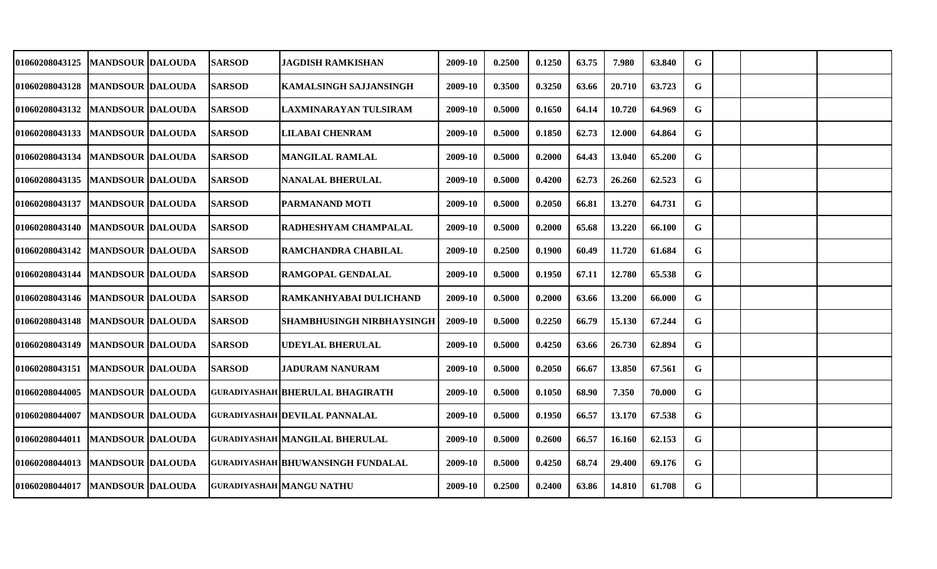| 01060208043125                    | MANDSOUR  DALOUDA       | <b>SARSOD</b> | JAGDISH RAMKISHAN                        | 2009-10 | 0.2500 | 0.1250 | 63.75 | 7.980  | 63.840 | G |  |  |
|-----------------------------------|-------------------------|---------------|------------------------------------------|---------|--------|--------|-------|--------|--------|---|--|--|
| 01060208043128                    | <b>MANDSOUR DALOUDA</b> | <b>SARSOD</b> | KAMALSINGH SAJJANSINGH                   | 2009-10 | 0.3500 | 0.3250 | 63.66 | 20.710 | 63.723 | G |  |  |
| 01060208043132                    | <b>MANDSOUR DALOUDA</b> | <b>SARSOD</b> | LAXMINARAYAN TULSIRAM                    | 2009-10 | 0.5000 | 0.1650 | 64.14 | 10.720 | 64.969 | G |  |  |
| 01060208043133                    | <b>MANDSOUR DALOUDA</b> | <b>SARSOD</b> | <b>LILABAI CHENRAM</b>                   | 2009-10 | 0.5000 | 0.1850 | 62.73 | 12.000 | 64.864 | G |  |  |
| 01060208043134                    | <b>MANDSOUR DALOUDA</b> | <b>SARSOD</b> | <b>MANGILAL RAMLAL</b>                   | 2009-10 | 0.5000 | 0.2000 | 64.43 | 13.040 | 65.200 | G |  |  |
| <b>01060208043135</b>             | <b>MANDSOUR DALOUDA</b> | <b>SARSOD</b> | <b>NANALAL BHERULAL</b>                  | 2009-10 | 0.5000 | 0.4200 | 62.73 | 26.260 | 62.523 | G |  |  |
| 01060208043137                    | <b>MANDSOUR DALOUDA</b> | <b>SARSOD</b> | PARMANAND MOTI                           | 2009-10 | 0.5000 | 0.2050 | 66.81 | 13.270 | 64.731 | G |  |  |
| 01060208043140   MANDSOUR DALOUDA |                         | <b>SARSOD</b> | RADHESHYAM CHAMPALAL                     | 2009-10 | 0.5000 | 0.2000 | 65.68 | 13.220 | 66.100 | G |  |  |
| 01060208043142   MANDSOUR DALOUDA |                         | <b>SARSOD</b> | RAMCHANDRA CHABILAL                      | 2009-10 | 0.2500 | 0.1900 | 60.49 | 11.720 | 61.684 | G |  |  |
| <b>01060208043144</b>             | <b>MANDSOUR DALOUDA</b> | <b>SARSOD</b> | RAMGOPAL GENDALAL                        | 2009-10 | 0.5000 | 0.1950 | 67.11 | 12.780 | 65.538 | G |  |  |
| 01060208043146   MANDSOUR DALOUDA |                         | <b>SARSOD</b> | <b>RAMKANHYABAI DULICHAND</b>            | 2009-10 | 0.5000 | 0.2000 | 63.66 | 13.200 | 66.000 | G |  |  |
| <b>01060208043148</b>             | <b>MANDSOUR DALOUDA</b> | <b>SARSOD</b> | <b>SHAMBHUSINGH NIRBHAYSINGH</b>         | 2009-10 | 0.5000 | 0.2250 | 66.79 | 15.130 | 67.244 | G |  |  |
| 01060208043149                    | <b>MANDSOUR DALOUDA</b> | <b>SARSOD</b> | <b>UDEYLAL BHERULAL</b>                  | 2009-10 | 0.5000 | 0.4250 | 63.66 | 26.730 | 62.894 | G |  |  |
| 01060208043151                    | MANDSOUR  DALOUDA       | <b>SARSOD</b> | JADURAM NANURAM                          | 2009-10 | 0.5000 | 0.2050 | 66.67 | 13.850 | 67.561 | G |  |  |
| 01060208044005                    | <b>MANDSOUR DALOUDA</b> |               | <b>GURADIYASHAH BHERULAL BHAGIRATH</b>   | 2009-10 | 0.5000 | 0.1050 | 68.90 | 7.350  | 70.000 | G |  |  |
| 01060208044007                    | <b>MANDSOUR DALOUDA</b> |               | <b>GURADIYASHAH DEVILAL PANNALAL</b>     | 2009-10 | 0.5000 | 0.1950 | 66.57 | 13.170 | 67.538 | G |  |  |
| 01060208044011  MANDSOUR DALOUDA  |                         |               | <b>GURADIYASHAH MANGILAL BHERULAL</b>    | 2009-10 | 0.5000 | 0.2600 | 66.57 | 16.160 | 62.153 | G |  |  |
| 01060208044013                    | <b>MANDSOUR DALOUDA</b> |               | <b>GURADIYASHAH BHUWANSINGH FUNDALAL</b> | 2009-10 | 0.5000 | 0.4250 | 68.74 | 29.400 | 69.176 | G |  |  |
| <b>01060208044017</b>             | <b>MANDSOUR DALOUDA</b> |               | <b>GURADIYASHAH MANGU NATHU</b>          | 2009-10 | 0.2500 | 0.2400 | 63.86 | 14.810 | 61.708 | G |  |  |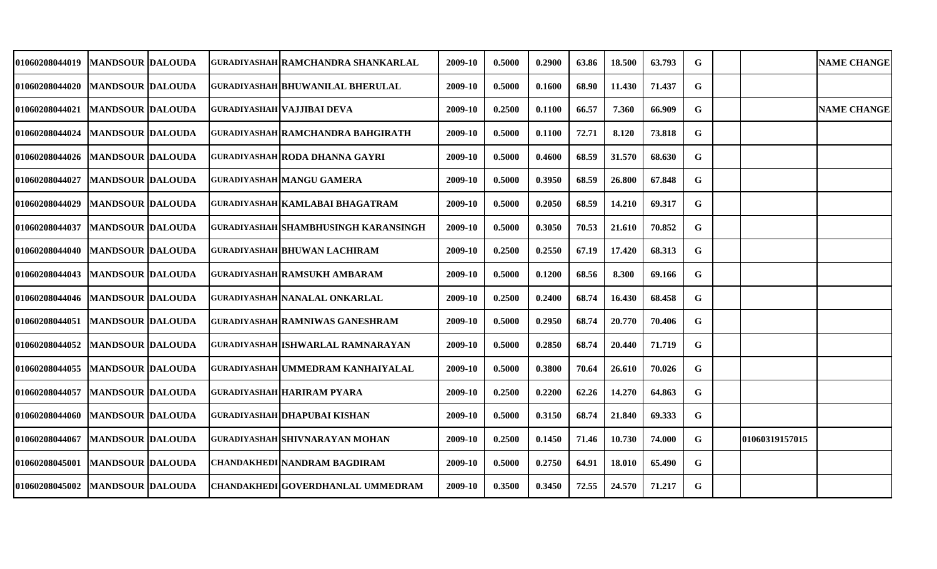| 01060208044019                    | <b>MANDSOUR DALOUDA</b>   |  | GURADIYASHAH RAMCHANDRA SHANKARLAL       | 2009-10 | 0.5000 | 0.2900 | 63.86 | 18.500 | 63.793 | G |                | <b>NAME CHANGE</b> |
|-----------------------------------|---------------------------|--|------------------------------------------|---------|--------|--------|-------|--------|--------|---|----------------|--------------------|
| 01060208044020                    | <b>MANDSOUR DALOUDA</b>   |  | <b>GURADIYASHAH BHUWANILAL BHERULAL</b>  | 2009-10 | 0.5000 | 0.1600 | 68.90 | 11.430 | 71.437 | G |                |                    |
| 01060208044021                    | <b>MANDSOUR DALOUDA</b>   |  | <b>GURADIYASHAH VAJJIBAI DEVA</b>        | 2009-10 | 0.2500 | 0.1100 | 66.57 | 7.360  | 66.909 | G |                | <b>NAME CHANGE</b> |
| 01060208044024                    | <b>MANDSOUR DALOUDA</b>   |  | <b>GURADIYASHAH RAMCHANDRA BAHGIRATH</b> | 2009-10 | 0.5000 | 0.1100 | 72.71 | 8.120  | 73.818 | G |                |                    |
| 01060208044026                    | <b>MANDSOUR DALOUDA</b>   |  | <b>GURADIYASHAH RODA DHANNA GAYRI</b>    | 2009-10 | 0.5000 | 0.4600 | 68.59 | 31.570 | 68.630 | G |                |                    |
| 01060208044027                    | <b>MANDSOUR DALOUDA</b>   |  | <b>GURADIYASHAH MANGU GAMERA</b>         | 2009-10 | 0.5000 | 0.3950 | 68.59 | 26.800 | 67.848 | G |                |                    |
| 01060208044029                    | MANDSOUR  DALOUDA         |  | GURADIYASHAH KAMLABAI BHAGATRAM          | 2009-10 | 0.5000 | 0.2050 | 68.59 | 14.210 | 69.317 | G |                |                    |
| 01060208044037                    | <b>IMANDSOUR IDALOUDA</b> |  | GURADIYASHAH SHAMBHUSINGH KARANSINGH     | 2009-10 | 0.5000 | 0.3050 | 70.53 | 21.610 | 70.852 | G |                |                    |
| 01060208044040                    | <b>MANDSOUR DALOUDA</b>   |  | <b>GURADIYASHAH BHUWAN LACHIRAM</b>      | 2009-10 | 0.2500 | 0.2550 | 67.19 | 17.420 | 68.313 | G |                |                    |
| 01060208044043   MANDSOUR DALOUDA |                           |  | <b>GURADIYASHAH RAMSUKH AMBARAM</b>      | 2009-10 | 0.5000 | 0.1200 | 68.56 | 8.300  | 69.166 | G |                |                    |
| 01060208044046   MANDSOUR DALOUDA |                           |  | <b>GURADIYASHAH NANALAL ONKARLAL</b>     | 2009-10 | 0.2500 | 0.2400 | 68.74 | 16.430 | 68.458 | G |                |                    |
| 01060208044051                    | <b>MANDSOUR DALOUDA</b>   |  | <b>GURADIYASHAH RAMNIWAS GANESHRAM</b>   | 2009-10 | 0.5000 | 0.2950 | 68.74 | 20.770 | 70.406 | G |                |                    |
| 01060208044052                    | <b>MANDSOUR DALOUDA</b>   |  | GURADIYASHAH ISHWARLAL RAMNARAYAN        | 2009-10 | 0.5000 | 0.2850 | 68.74 | 20.440 | 71.719 | G |                |                    |
| 01060208044055                    | <b>MANDSOUR DALOUDA</b>   |  | GURADIYASHAH UMMEDRAM KANHAIYALAL        | 2009-10 | 0.5000 | 0.3800 | 70.64 | 26.610 | 70.026 | G |                |                    |
| 01060208044057                    | <b>MANDSOUR DALOUDA</b>   |  | <b>GURADIYASHAH HARIRAM PYARA</b>        | 2009-10 | 0.2500 | 0.2200 | 62.26 | 14.270 | 64.863 | G |                |                    |
| 01060208044060                    | <b>MANDSOUR DALOUDA</b>   |  | <b>GURADIYASHAH DHAPUBAI KISHAN</b>      | 2009-10 | 0.5000 | 0.3150 | 68.74 | 21.840 | 69.333 | G |                |                    |
| 01060208044067                    | <b>MANDSOUR DALOUDA</b>   |  | GURADIYASHAH SHIVNARAYAN MOHAN           | 2009-10 | 0.2500 | 0.1450 | 71.46 | 10.730 | 74.000 | G | 01060319157015 |                    |
| 01060208045001                    | <b>MANDSOUR DALOUDA</b>   |  | <b>CHANDAKHEDI NANDRAM BAGDIRAM</b>      | 2009-10 | 0.5000 | 0.2750 | 64.91 | 18.010 | 65.490 | G |                |                    |
| 01060208045002                    | <b>MANDSOUR DALOUDA</b>   |  | <b>CHANDAKHEDI GOVERDHANLAL UMMEDRAM</b> | 2009-10 | 0.3500 | 0.3450 | 72.55 | 24.570 | 71.217 | G |                |                    |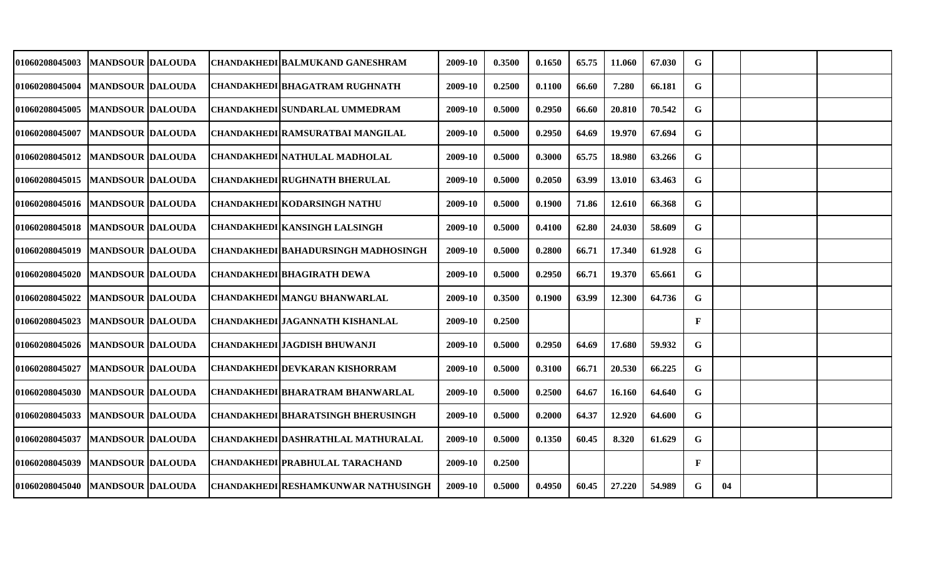| 01060208045003                    | <b>MANDSOUR DALOUDA</b> |  | CHANDAKHEDI BALMUKAND GANESHRAM            | 2009-10 | 0.3500 | 0.1650 | 65.75 | 11.060 | 67.030 | G            |    |  |
|-----------------------------------|-------------------------|--|--------------------------------------------|---------|--------|--------|-------|--------|--------|--------------|----|--|
| <b>01060208045004</b>             | <b>MANDSOUR DALOUDA</b> |  | CHANDAKHEDI BHAGATRAM RUGHNATH             | 2009-10 | 0.2500 | 0.1100 | 66.60 | 7.280  | 66.181 | G            |    |  |
| 01060208045005                    | <b>MANDSOUR DALOUDA</b> |  | <b>CHANDAKHEDI SUNDARLAL UMMEDRAM</b>      | 2009-10 | 0.5000 | 0.2950 | 66.60 | 20.810 | 70.542 | G            |    |  |
| 01060208045007   MANDSOUR DALOUDA |                         |  | <b>CHANDAKHEDI RAMSURATBAI MANGILAL</b>    | 2009-10 | 0.5000 | 0.2950 | 64.69 | 19.970 | 67.694 | G            |    |  |
| 01060208045012   MANDSOUR DALOUDA |                         |  | CHANDAKHEDI NATHULAL MADHOLAL              | 2009-10 | 0.5000 | 0.3000 | 65.75 | 18.980 | 63.266 | G            |    |  |
| <b>01060208045015</b>             | <b>MANDSOUR DALOUDA</b> |  | <b>CHANDAKHEDI RUGHNATH BHERULAL</b>       | 2009-10 | 0.5000 | 0.2050 | 63.99 | 13.010 | 63.463 | G            |    |  |
| 01060208045016   MANDSOUR DALOUDA |                         |  | CHANDAKHEDI KODARSINGH NATHU               | 2009-10 | 0.5000 | 0.1900 | 71.86 | 12.610 | 66.368 | G            |    |  |
| 01060208045018  MANDSOUR DALOUDA  |                         |  | CHANDAKHEDI KANSINGH LALSINGH              | 2009-10 | 0.5000 | 0.4100 | 62.80 | 24.030 | 58.609 | G            |    |  |
| 01060208045019                    | <b>MANDSOUR DALOUDA</b> |  | CHANDAKHEDI BAHADURSINGH MADHOSINGH        | 2009-10 | 0.5000 | 0.2800 | 66.71 | 17.340 | 61.928 | G            |    |  |
| 01060208045020   MANDSOUR DALOUDA |                         |  | <b>CHANDAKHEDI BHAGIRATH DEWA</b>          | 2009-10 | 0.5000 | 0.2950 | 66.71 | 19.370 | 65.661 | G            |    |  |
| 01060208045022                    | <b>MANDSOUR DALOUDA</b> |  | <b>CHANDAKHEDI MANGU BHANWARLAL</b>        | 2009-10 | 0.3500 | 0.1900 | 63.99 | 12.300 | 64.736 | G            |    |  |
| 01060208045023                    | <b>MANDSOUR DALOUDA</b> |  | CHANDAKHEDI JAGANNATH KISHANLAL            | 2009-10 | 0.2500 |        |       |        |        | $\mathbf{F}$ |    |  |
| <b>01060208045026</b>             | <b>MANDSOUR DALOUDA</b> |  | CHANDAKHEDI JAGDISH BHUWANJI               | 2009-10 | 0.5000 | 0.2950 | 64.69 | 17.680 | 59.932 | G            |    |  |
| <b>01060208045027</b>             | <b>MANDSOUR DALOUDA</b> |  | <b>CHANDAKHEDI DEVKARAN KISHORRAM</b>      | 2009-10 | 0.5000 | 0.3100 | 66.71 | 20.530 | 66.225 | G            |    |  |
| <b>01060208045030</b>             | <b>MANDSOUR DALOUDA</b> |  | CHANDAKHEDI BHARATRAM BHANWARLAL           | 2009-10 | 0.5000 | 0.2500 | 64.67 | 16.160 | 64.640 | G            |    |  |
| 01060208045033                    | <b>MANDSOUR DALOUDA</b> |  | CHANDAKHEDI BHARATSINGH BHERUSINGH         | 2009-10 | 0.5000 | 0.2000 | 64.37 | 12.920 | 64.600 | G            |    |  |
| 01060208045037                    | <b>MANDSOUR DALOUDA</b> |  | CHANDAKHEDI DASHRATHLAL MATHURALAL         | 2009-10 | 0.5000 | 0.1350 | 60.45 | 8.320  | 61.629 | G            |    |  |
| 01060208045039                    | <b>MANDSOUR DALOUDA</b> |  | <b>CHANDAKHEDI PRABHULAL TARACHAND</b>     | 2009-10 | 0.2500 |        |       |        |        | $\mathbf{F}$ |    |  |
| 01060208045040                    | <b>MANDSOUR DALOUDA</b> |  | <b>CHANDAKHEDI RESHAMKUNWAR NATHUSINGH</b> | 2009-10 | 0.5000 | 0.4950 | 60.45 | 27.220 | 54.989 | G            | 04 |  |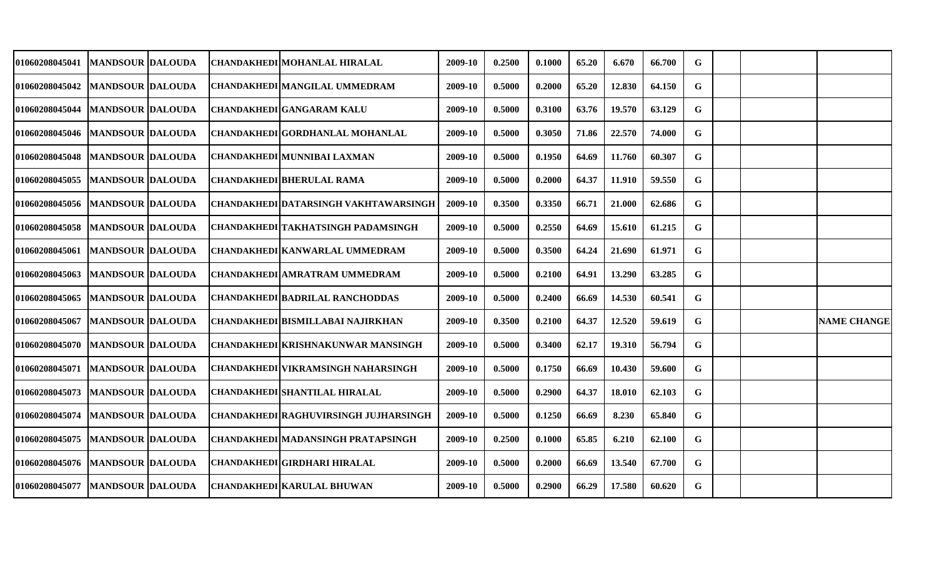| 01060208045041                    | <b>MANDSOUR DALOUDA</b> |  | CHANDAKHEDI MOHANLAL HIRALAL              | 2009-10 | 0.2500 | 0.1000 | 65.20 | 6.670  | 66.700 | G |  |                    |
|-----------------------------------|-------------------------|--|-------------------------------------------|---------|--------|--------|-------|--------|--------|---|--|--------------------|
| <b>01060208045042</b>             | <b>MANDSOUR DALOUDA</b> |  | <b>CHANDAKHEDI MANGILAL UMMEDRAM</b>      | 2009-10 | 0.5000 | 0.2000 | 65.20 | 12.830 | 64.150 | G |  |                    |
| <b>01060208045044</b>             | <b>MANDSOUR DALOUDA</b> |  | <b>CHANDAKHEDI GANGARAM KALU</b>          | 2009-10 | 0.5000 | 0.3100 | 63.76 | 19.570 | 63.129 | G |  |                    |
| 01060208045046   MANDSOUR DALOUDA |                         |  | CHANDAKHEDI GORDHANLAL MOHANLAL           | 2009-10 | 0.5000 | 0.3050 | 71.86 | 22.570 | 74.000 | G |  |                    |
| 01060208045048                    | <b>MANDSOUR DALOUDA</b> |  | CHANDAKHEDI MUNNIBAI LAXMAN               | 2009-10 | 0.5000 | 0.1950 | 64.69 | 11.760 | 60.307 | G |  |                    |
| <b>01060208045055</b>             | <b>MANDSOUR DALOUDA</b> |  | CHANDAKHEDI BHERULAL RAMA                 | 2009-10 | 0.5000 | 0.2000 | 64.37 | 11.910 | 59.550 | G |  |                    |
| <b>01060208045056</b>             | <b>MANDSOUR DALOUDA</b> |  | CHANDAKHEDI DATARSINGH VAKHTAWARSINGH     | 2009-10 | 0.3500 | 0.3350 | 66.71 | 21.000 | 62.686 | G |  |                    |
| <b>01060208045058</b>             | MANDSOUR  DALOUDA       |  | <b>CHANDAKHEDI TAKHATSINGH PADAMSINGH</b> | 2009-10 | 0.5000 | 0.2550 | 64.69 | 15.610 | 61.215 | G |  |                    |
| 01060208045061                    | <b>MANDSOUR DALOUDA</b> |  | <b>CHANDAKHEDI KANWARLAL UMMEDRAM</b>     | 2009-10 | 0.5000 | 0.3500 | 64.24 | 21.690 | 61.971 | G |  |                    |
| 01060208045063   MANDSOUR DALOUDA |                         |  | CHANDAKHEDI AMRATRAM UMMEDRAM             | 2009-10 | 0.5000 | 0.2100 | 64.91 | 13.290 | 63.285 | G |  |                    |
| <b>01060208045065</b>             | <b>MANDSOUR DALOUDA</b> |  | <b>CHANDAKHEDI BADRILAL RANCHODDAS</b>    | 2009-10 | 0.5000 | 0.2400 | 66.69 | 14.530 | 60.541 | G |  |                    |
| 01060208045067                    | <b>MANDSOUR DALOUDA</b> |  | <b>CHANDAKHEDI BISMILLABAI NAJIRKHAN</b>  | 2009-10 | 0.3500 | 0.2100 | 64.37 | 12.520 | 59.619 | G |  | <b>NAME CHANGE</b> |
| <b>01060208045070</b>             | <b>MANDSOUR DALOUDA</b> |  | CHANDAKHEDI KRISHNAKUNWAR MANSINGH        | 2009-10 | 0.5000 | 0.3400 | 62.17 | 19.310 | 56.794 | G |  |                    |
| 01060208045071                    | <b>MANDSOUR DALOUDA</b> |  | <b>CHANDAKHEDI VIKRAMSINGH NAHARSINGH</b> | 2009-10 | 0.5000 | 0.1750 | 66.69 | 10.430 | 59.600 | G |  |                    |
| 01060208045073                    | <b>MANDSOUR DALOUDA</b> |  | <b>CHANDAKHEDI SHANTILAL HIRALAL</b>      | 2009-10 | 0.5000 | 0.2900 | 64.37 | 18.010 | 62.103 | G |  |                    |
| <b>01060208045074</b>             | <b>MANDSOUR DALOUDA</b> |  | CHANDAKHEDI RAGHUVIRSINGH JUJHARSINGH     | 2009-10 | 0.5000 | 0.1250 | 66.69 | 8.230  | 65.840 | G |  |                    |
| 01060208045075                    | <b>MANDSOUR DALOUDA</b> |  | <b>CHANDAKHEDI MADANSINGH PRATAPSINGH</b> | 2009-10 | 0.2500 | 0.1000 | 65.85 | 6.210  | 62.100 | G |  |                    |
| 01060208045076   MANDSOUR DALOUDA |                         |  | <b>CHANDAKHEDI GIRDHARI HIRALAL</b>       | 2009-10 | 0.5000 | 0.2000 | 66.69 | 13.540 | 67.700 | G |  |                    |
| 01060208045077                    | <b>MANDSOUR DALOUDA</b> |  | <b>CHANDAKHEDI KARULAL BHUWAN</b>         | 2009-10 | 0.5000 | 0.2900 | 66.29 | 17.580 | 60.620 | G |  |                    |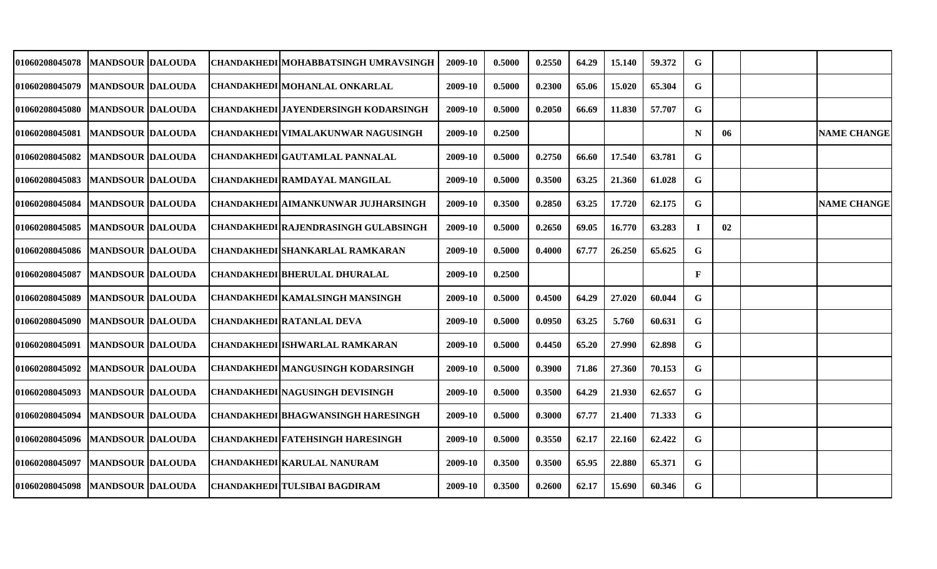| 01060208045078                    | <b>MANDSOUR DALOUDA</b>   |  | CHANDAKHEDI MOHABBATSINGH UMRAVSINGH        | 2009-10 | 0.5000 | 0.2550 | 64.29 | 15.140 | 59.372 | G           |    |                    |
|-----------------------------------|---------------------------|--|---------------------------------------------|---------|--------|--------|-------|--------|--------|-------------|----|--------------------|
| 01060208045079                    | <b>MANDSOUR DALOUDA</b>   |  | CHANDAKHEDI MOHANLAL ONKARLAL               | 2009-10 | 0.5000 | 0.2300 | 65.06 | 15.020 | 65.304 | G           |    |                    |
| 01060208045080                    | <b>MANDSOUR DALOUDA</b>   |  | CHANDAKHEDI JAYENDERSINGH KODARSINGH        | 2009-10 | 0.5000 | 0.2050 | 66.69 | 11.830 | 57.707 | G           |    |                    |
| 01060208045081                    | <b>MANDSOUR DALOUDA</b>   |  | CHANDAKHEDI VIMALAKUNWAR NAGUSINGH          | 2009-10 | 0.2500 |        |       |        |        | $\mathbf N$ | 06 | <b>NAME CHANGE</b> |
| 01060208045082                    | <b>MANDSOUR DALOUDA</b>   |  | <b>CHANDAKHEDI GAUTAMLAL PANNALAL</b>       | 2009-10 | 0.5000 | 0.2750 | 66.60 | 17.540 | 63.781 | G           |    |                    |
| 01060208045083                    | <b>MANDSOUR DALOUDA</b>   |  | <b>CHANDAKHEDI RAMDAYAL MANGILAL</b>        | 2009-10 | 0.5000 | 0.3500 | 63.25 | 21.360 | 61.028 | G           |    |                    |
| 01060208045084                    | MANDSOUR  DALOUDA         |  | CHANDAKHEDI AIMANKUNWAR JUJHARSINGH         | 2009-10 | 0.3500 | 0.2850 | 63.25 | 17.720 | 62.175 | G           |    | <b>NAME CHANGE</b> |
| 01060208045085                    | <b>IMANDSOUR IDALOUDA</b> |  | <b>CHANDAKHEDI RAJENDRASINGH GULABSINGH</b> | 2009-10 | 0.5000 | 0.2650 | 69.05 | 16.770 | 63.283 |             | 02 |                    |
| 01060208045086   MANDSOUR DALOUDA |                           |  | <b>CHANDAKHEDI SHANKARLAL RAMKARAN</b>      | 2009-10 | 0.5000 | 0.4000 | 67.77 | 26.250 | 65.625 | G           |    |                    |
| 01060208045087                    | <b>MANDSOUR DALOUDA</b>   |  | CHANDAKHEDI BHERULAL DHURALAL               | 2009-10 | 0.2500 |        |       |        |        | F           |    |                    |
| 01060208045089                    | <b>MANDSOUR DALOUDA</b>   |  | CHANDAKHEDI KAMALSINGH MANSINGH             | 2009-10 | 0.5000 | 0.4500 | 64.29 | 27.020 | 60.044 | G           |    |                    |
| 01060208045090                    | <b>MANDSOUR DALOUDA</b>   |  | <b>CHANDAKHEDI RATANLAL DEVA</b>            | 2009-10 | 0.5000 | 0.0950 | 63.25 | 5.760  | 60.631 | G           |    |                    |
| 01060208045091                    | <b>MANDSOUR DALOUDA</b>   |  | <b>CHANDAKHEDI ISHWARLAL RAMKARAN</b>       | 2009-10 | 0.5000 | 0.4450 | 65.20 | 27.990 | 62.898 | G           |    |                    |
| 01060208045092                    | <b>MANDSOUR DALOUDA</b>   |  | CHANDAKHEDI MANGUSINGH KODARSINGH           | 2009-10 | 0.5000 | 0.3900 | 71.86 | 27.360 | 70.153 | G           |    |                    |
| 01060208045093                    | <b>MANDSOUR DALOUDA</b>   |  | CHANDAKHEDI NAGUSINGH DEVISINGH             | 2009-10 | 0.5000 | 0.3500 | 64.29 | 21.930 | 62.657 | G           |    |                    |
| 01060208045094                    | <b>MANDSOUR DALOUDA</b>   |  | CHANDAKHEDI BHAGWANSINGH HARESINGH          | 2009-10 | 0.5000 | 0.3000 | 67.77 | 21.400 | 71.333 | G           |    |                    |
| 01060208045096                    | <b>MANDSOUR DALOUDA</b>   |  | <b>CHANDAKHEDI FATEHSINGH HARESINGH</b>     | 2009-10 | 0.5000 | 0.3550 | 62.17 | 22.160 | 62.422 | G           |    |                    |
| 01060208045097                    | <b>IMANDSOUR DALOUDA</b>  |  | <b>CHANDAKHEDI KARULAL NANURAM</b>          | 2009-10 | 0.3500 | 0.3500 | 65.95 | 22.880 | 65.371 | G           |    |                    |
| 01060208045098                    | <b>MANDSOUR DALOUDA</b>   |  | CHANDAKHEDI TULSIBAI BAGDIRAM               | 2009-10 | 0.3500 | 0.2600 | 62.17 | 15.690 | 60.346 | G           |    |                    |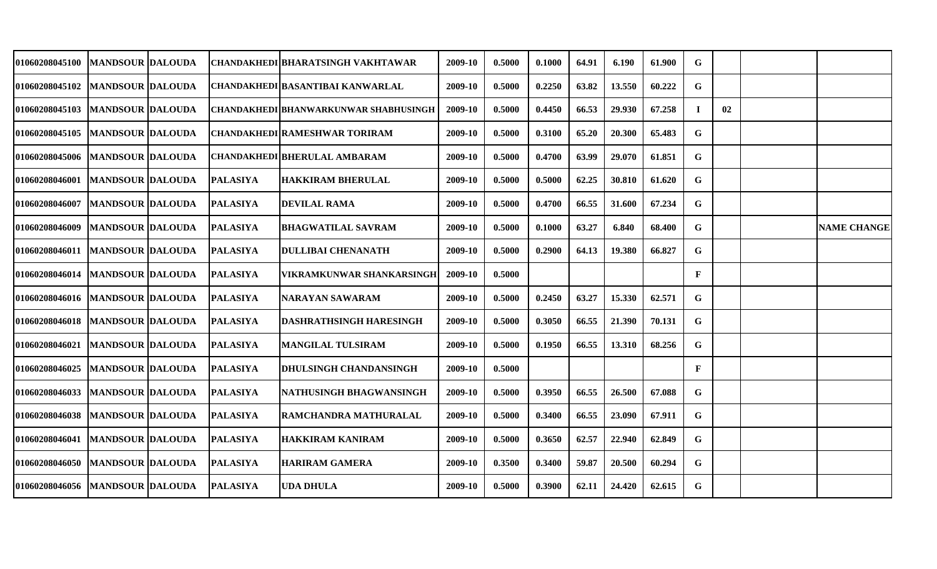| 01060208045100  MANDSOUR  DALOUDA |                          |                 | CHANDAKHEDI BHARATSINGH VAKHTAWAR     | 2009-10 | 0.5000 | 0.1000 | 64.91 | 6.190  | 61.900 | G |               |                    |
|-----------------------------------|--------------------------|-----------------|---------------------------------------|---------|--------|--------|-------|--------|--------|---|---------------|--------------------|
| 01060208045102  MANDSOUR  DALOUDA |                          |                 | CHANDAKHEDI BASANTIBAI KANWARLAL      | 2009-10 | 0.5000 | 0.2250 | 63.82 | 13.550 | 60.222 | G |               |                    |
| 01060208045103   MANDSOUR DALOUDA |                          |                 | CHANDAKHEDI BHANWARKUNWAR SHABHUSINGH | 2009-10 | 0.5000 | 0.4450 | 66.53 | 29.930 | 67.258 |   | $\mathbf{02}$ |                    |
| 01060208045105                    | <b>MANDSOUR DALOUDA</b>  |                 | <b>CHANDAKHEDI RAMESHWAR TORIRAM</b>  | 2009-10 | 0.5000 | 0.3100 | 65.20 | 20.300 | 65.483 | G |               |                    |
| 01060208045006   MANDSOUR DALOUDA |                          |                 | <b>CHANDAKHEDI BHERULAL AMBARAM</b>   | 2009-10 | 0.5000 | 0.4700 | 63.99 | 29.070 | 61.851 | G |               |                    |
| 01060208046001                    | <b>MANDSOUR DALOUDA</b>  | <b>PALASIYA</b> | <b>HAKKIRAM BHERULAL</b>              | 2009-10 | 0.5000 | 0.5000 | 62.25 | 30.810 | 61.620 | G |               |                    |
| 01060208046007                    | <b>IMANDSOUR DALOUDA</b> | <b>PALASIYA</b> | <b>DEVILAL RAMA</b>                   | 2009-10 | 0.5000 | 0.4700 | 66.55 | 31.600 | 67.234 | G |               |                    |
| 01060208046009                    | <b>MANDSOUR DALOUDA</b>  | <b>PALASIYA</b> | <b>BHAGWATILAL SAVRAM</b>             | 2009-10 | 0.5000 | 0.1000 | 63.27 | 6.840  | 68.400 | G |               | <b>NAME CHANGE</b> |
| 01060208046011 IMANDSOUR  DALOUDA |                          | <b>PALASIYA</b> | <b>DULLIBAI CHENANATH</b>             | 2009-10 | 0.5000 | 0.2900 | 64.13 | 19.380 | 66.827 | G |               |                    |
| 01060208046014   MANDSOUR DALOUDA |                          | <b>PALASIYA</b> | <b>VIKRAMKUNWAR SHANKARSINGH</b>      | 2009-10 | 0.5000 |        |       |        |        | F |               |                    |
| 01060208046016   MANDSOUR DALOUDA |                          | <b>PALASIYA</b> | <b>NARAYAN SAWARAM</b>                | 2009-10 | 0.5000 | 0.2450 | 63.27 | 15.330 | 62.571 | G |               |                    |
| 01060208046018                    | <b>MANDSOUR DALOUDA</b>  | <b>PALASIYA</b> | <b>DASHRATHSINGH HARESINGH</b>        | 2009-10 | 0.5000 | 0.3050 | 66.55 | 21.390 | 70.131 | G |               |                    |
| 01060208046021                    | <b>MANDSOUR DALOUDA</b>  | <b>PALASIYA</b> | <b>MANGILAL TULSIRAM</b>              | 2009-10 | 0.5000 | 0.1950 | 66.55 | 13.310 | 68.256 | G |               |                    |
| 01060208046025                    | <b>MANDSOUR DALOUDA</b>  | <b>PALASIYA</b> | <b>DHULSINGH CHANDANSINGH</b>         | 2009-10 | 0.5000 |        |       |        |        | F |               |                    |
| 01060208046033                    | <b>MANDSOUR DALOUDA</b>  | <b>PALASIYA</b> | NATHUSINGH BHAGWANSINGH               | 2009-10 | 0.5000 | 0.3950 | 66.55 | 26.500 | 67.088 | G |               |                    |
| 01060208046038                    | <b>MANDSOUR DALOUDA</b>  | <b>PALASIYA</b> | RAMCHANDRA MATHURALAL                 | 2009-10 | 0.5000 | 0.3400 | 66.55 | 23.090 | 67.911 | G |               |                    |
| 01060208046041                    | <b>MANDSOUR DALOUDA</b>  | <b>PALASIYA</b> | <b>HAKKIRAM KANIRAM</b>               | 2009-10 | 0.5000 | 0.3650 | 62.57 | 22.940 | 62.849 | G |               |                    |
| 01060208046050   MANDSOUR DALOUDA |                          | <b>PALASIYA</b> | <b>HARIRAM GAMERA</b>                 | 2009-10 | 0.3500 | 0.3400 | 59.87 | 20.500 | 60.294 | G |               |                    |
| 01060208046056   MANDSOUR DALOUDA |                          | <b>PALASIYA</b> | <b>UDA DHULA</b>                      | 2009-10 | 0.5000 | 0.3900 | 62.11 | 24.420 | 62.615 | G |               |                    |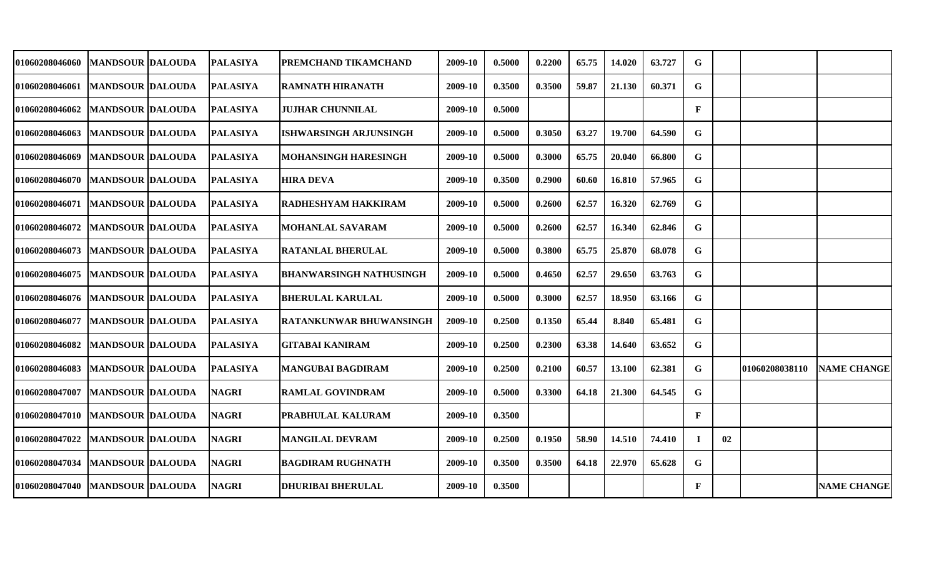| 01060208046060                    | <b>MANDSOUR DALOUDA</b>  | <b>PALASIYA</b> | PREMCHAND TIKAMCHAND           | 2009-10 | 0.5000 | 0.2200 | 65.75 | 14.020 | 63.727 | G            |    |                |                    |
|-----------------------------------|--------------------------|-----------------|--------------------------------|---------|--------|--------|-------|--------|--------|--------------|----|----------------|--------------------|
| 01060208046061                    | <b>MANDSOUR DALOUDA</b>  | <b>PALASIYA</b> | <b>RAMNATH HIRANATH</b>        | 2009-10 | 0.3500 | 0.3500 | 59.87 | 21.130 | 60.371 | G            |    |                |                    |
| 01060208046062                    | <b>MANDSOUR DALOUDA</b>  | <b>PALASIYA</b> | <b>JUJHAR CHUNNILAL</b>        | 2009-10 | 0.5000 |        |       |        |        | $\mathbf{F}$ |    |                |                    |
| 01060208046063                    | <b>MANDSOUR DALOUDA</b>  | <b>PALASIYA</b> | <b>ISHWARSINGH ARJUNSINGH</b>  | 2009-10 | 0.5000 | 0.3050 | 63.27 | 19.700 | 64.590 | G            |    |                |                    |
| 01060208046069                    | <b>MANDSOUR DALOUDA</b>  | <b>PALASIYA</b> | <b>MOHANSINGH HARESINGH</b>    | 2009-10 | 0.5000 | 0.3000 | 65.75 | 20.040 | 66.800 | $\mathbf G$  |    |                |                    |
| <b>01060208046070</b>             | <b>MANDSOUR DALOUDA</b>  | <b>PALASIYA</b> | <b>HIRA DEVA</b>               | 2009-10 | 0.3500 | 0.2900 | 60.60 | 16.810 | 57.965 | G            |    |                |                    |
| <b>01060208046071</b>             | <b>MANDSOUR DALOUDA</b>  | <b>PALASIYA</b> | <b>RADHESHYAM HAKKIRAM</b>     | 2009-10 | 0.5000 | 0.2600 | 62.57 | 16.320 | 62.769 | G            |    |                |                    |
| <b>01060208046072</b>             | <b>MANDSOUR IDALOUDA</b> | <b>PALASIYA</b> | <b>MOHANLAL SAVARAM</b>        | 2009-10 | 0.5000 | 0.2600 | 62.57 | 16.340 | 62.846 | G            |    |                |                    |
| <b>01060208046073</b>             | <b>MANDSOUR DALOUDA</b>  | <b>PALASIYA</b> | <b>RATANLAL BHERULAL</b>       | 2009-10 | 0.5000 | 0.3800 | 65.75 | 25.870 | 68.078 | G            |    |                |                    |
| <b>01060208046075</b>             | <b>MANDSOUR DALOUDA</b>  | <b>PALASIYA</b> | <b>BHANWARSINGH NATHUSINGH</b> | 2009-10 | 0.5000 | 0.4650 | 62.57 | 29.650 | 63.763 | G            |    |                |                    |
| 01060208046076   MANDSOUR DALOUDA |                          | <b>PALASIYA</b> | <b>BHERULAL KARULAL</b>        | 2009-10 | 0.5000 | 0.3000 | 62.57 | 18.950 | 63.166 | G            |    |                |                    |
| 01060208046077                    | <b>MANDSOUR DALOUDA</b>  | <b>PALASIYA</b> | <b>RATANKUNWAR BHUWANSINGH</b> | 2009-10 | 0.2500 | 0.1350 | 65.44 | 8.840  | 65.481 | G            |    |                |                    |
| <b>01060208046082</b>             | <b>MANDSOUR DALOUDA</b>  | <b>PALASIYA</b> | <b>GITABAI KANIRAM</b>         | 2009-10 | 0.2500 | 0.2300 | 63.38 | 14.640 | 63.652 | G            |    |                |                    |
| 01060208046083                    | <b>MANDSOUR DALOUDA</b>  | <b>PALASIYA</b> | <b>MANGUBAI BAGDIRAM</b>       | 2009-10 | 0.2500 | 0.2100 | 60.57 | 13.100 | 62.381 | G            |    | 01060208038110 | <b>NAME CHANGE</b> |
| 01060208047007                    | <b>MANDSOUR DALOUDA</b>  | <b>NAGRI</b>    | <b>RAMLAL GOVINDRAM</b>        | 2009-10 | 0.5000 | 0.3300 | 64.18 | 21.300 | 64.545 | G            |    |                |                    |
| 01060208047010                    | <b>MANDSOUR DALOUDA</b>  | <b>NAGRI</b>    | PRABHULAL KALURAM              | 2009-10 | 0.3500 |        |       |        |        | F            |    |                |                    |
| 01060208047022                    | <b>MANDSOUR DALOUDA</b>  | <b>NAGRI</b>    | <b>MANGILAL DEVRAM</b>         | 2009-10 | 0.2500 | 0.1950 | 58.90 | 14.510 | 74.410 | Т.           | 02 |                |                    |
| 01060208047034                    | <b>MANDSOUR DALOUDA</b>  | <b>NAGRI</b>    | <b>BAGDIRAM RUGHNATH</b>       | 2009-10 | 0.3500 | 0.3500 | 64.18 | 22.970 | 65.628 | G            |    |                |                    |
| 01060208047040                    | <b>MANDSOUR DALOUDA</b>  | <b>NAGRI</b>    | <b>DHURIBAI BHERULAL</b>       | 2009-10 | 0.3500 |        |       |        |        | F            |    |                | <b>NAME CHANGE</b> |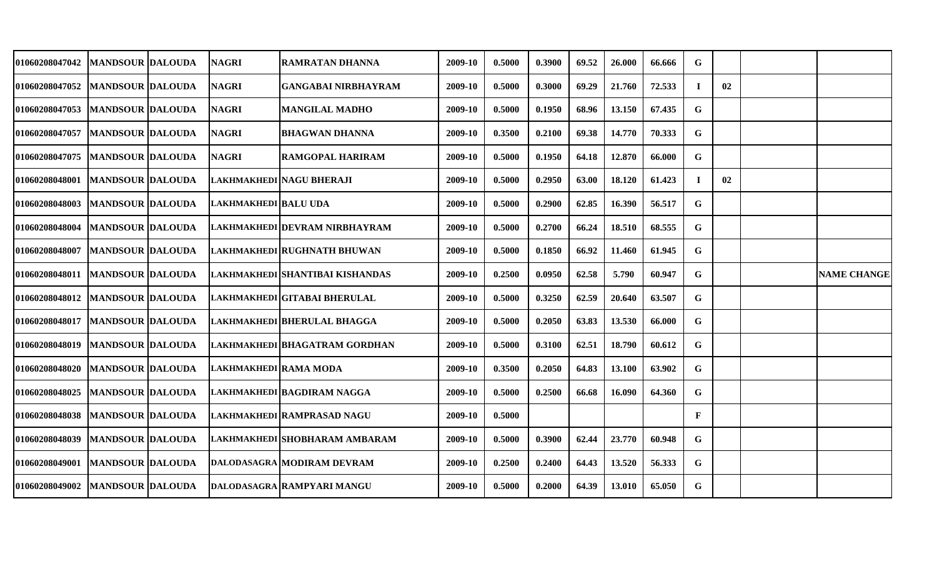| <b>01060208047042</b>               | <b>MANDSOUR DALOUDA</b>  | <b>NAGRI</b>                | <b>RAMRATAN DHANNA</b>            | 2009-10 | 0.5000 | 0.3900 | 69.52 | 26.000 | 66.666 | G  |    |                    |
|-------------------------------------|--------------------------|-----------------------------|-----------------------------------|---------|--------|--------|-------|--------|--------|----|----|--------------------|
| <b>01060208047052</b>               | <b>MANDSOUR DALOUDA</b>  | <b>NAGRI</b>                | <b>GANGABAI NIRBHAYRAM</b>        | 2009-10 | 0.5000 | 0.3000 | 69.29 | 21.760 | 72.533 | -1 | 02 |                    |
| <b>01060208047053</b>               | <b>MANDSOUR DALOUDA</b>  | <b>NAGRI</b>                | <b>MANGILAL MADHO</b>             | 2009-10 | 0.5000 | 0.1950 | 68.96 | 13.150 | 67.435 | G  |    |                    |
| <b>01060208047057</b>               | <b>MANDSOUR DALOUDA</b>  | <b>NAGRI</b>                | <b>BHAGWAN DHANNA</b>             | 2009-10 | 0.3500 | 0.2100 | 69.38 | 14.770 | 70.333 | G  |    |                    |
| 01060208047075                      | <b>MANDSOUR DALOUDA</b>  | <b>NAGRI</b>                | <b>RAMGOPAL HARIRAM</b>           | 2009-10 | 0.5000 | 0.1950 | 64.18 | 12.870 | 66.000 | G  |    |                    |
| 01060208048001                      | <b>MANDSOUR DALOUDA</b>  |                             | LAKHMAKHEDI NAGU BHERAJI          | 2009-10 | 0.5000 | 0.2950 | 63.00 | 18.120 | 61.423 | Т. | 02 |                    |
| 01060208048003                      | <b>MANDSOUR DALOUDA</b>  | <b>LAKHMAKHEDI BALU UDA</b> |                                   | 2009-10 | 0.5000 | 0.2900 | 62.85 | 16.390 | 56.517 | G  |    |                    |
| <b>01060208048004</b>               | MANDSOUR  DALOUDA        |                             | LAKHMAKHEDI   DEVRAM NIRBHAYRAM   | 2009-10 | 0.5000 | 0.2700 | 66.24 | 18.510 | 68.555 | G  |    |                    |
| 01060208048007                      | <b>IMANDSOUR DALOUDA</b> |                             | LAKHMAKHEDI RUGHNATH BHUWAN       | 2009-10 | 0.5000 | 0.1850 | 66.92 | 11.460 | 61.945 | G  |    |                    |
| 01060208048011   IMANDSOUR  DALOUDA |                          |                             | LAKHMAKHEDI SHANTIBAI KISHANDAS   | 2009-10 | 0.2500 | 0.0950 | 62.58 | 5.790  | 60.947 | G  |    | <b>NAME CHANGE</b> |
| 01060208048012   MANDSOUR DALOUDA   |                          |                             | LAKHMAKHEDI GITABAI BHERULAL      | 2009-10 | 0.5000 | 0.3250 | 62.59 | 20.640 | 63.507 | G  |    |                    |
| 01060208048017   MANDSOUR DALOUDA   |                          |                             | LAKHMAKHEDI BHERULAL BHAGGA       | 2009-10 | 0.5000 | 0.2050 | 63.83 | 13.530 | 66.000 | G  |    |                    |
| <b>01060208048019</b>               | <b>MANDSOUR DALOUDA</b>  |                             | LAKHMAKHEDI BHAGATRAM GORDHAN     | 2009-10 | 0.5000 | 0.3100 | 62.51 | 18.790 | 60.612 | G  |    |                    |
| 01060208048020                      | <b>MANDSOUR DALOUDA</b>  | LAKHMAKHEDI RAMA MODA       |                                   | 2009-10 | 0.3500 | 0.2050 | 64.83 | 13.100 | 63.902 | G  |    |                    |
| 01060208048025                      | <b>MANDSOUR DALOUDA</b>  |                             | <b>LAKHMAKHEDI BAGDIRAM NAGGA</b> | 2009-10 | 0.5000 | 0.2500 | 66.68 | 16.090 | 64.360 | G  |    |                    |
| 01060208048038                      | <b>MANDSOUR DALOUDA</b>  |                             | LAKHMAKHEDI RAMPRASAD NAGU        | 2009-10 | 0.5000 |        |       |        |        | F  |    |                    |
| 01060208048039                      | <b>MANDSOUR DALOUDA</b>  |                             | LAKHMAKHEDI SHOBHARAM AMBARAM     | 2009-10 | 0.5000 | 0.3900 | 62.44 | 23.770 | 60.948 | G  |    |                    |
| 01060208049001                      | <b>MANDSOUR DALOUDA</b>  |                             | <b>DALODASAGRA MODIRAM DEVRAM</b> | 2009-10 | 0.2500 | 0.2400 | 64.43 | 13.520 | 56.333 | G  |    |                    |
| 01060208049002                      | <b>MANDSOUR DALOUDA</b>  |                             | DALODASAGRA RAMPYARI MANGU        | 2009-10 | 0.5000 | 0.2000 | 64.39 | 13.010 | 65.050 | G  |    |                    |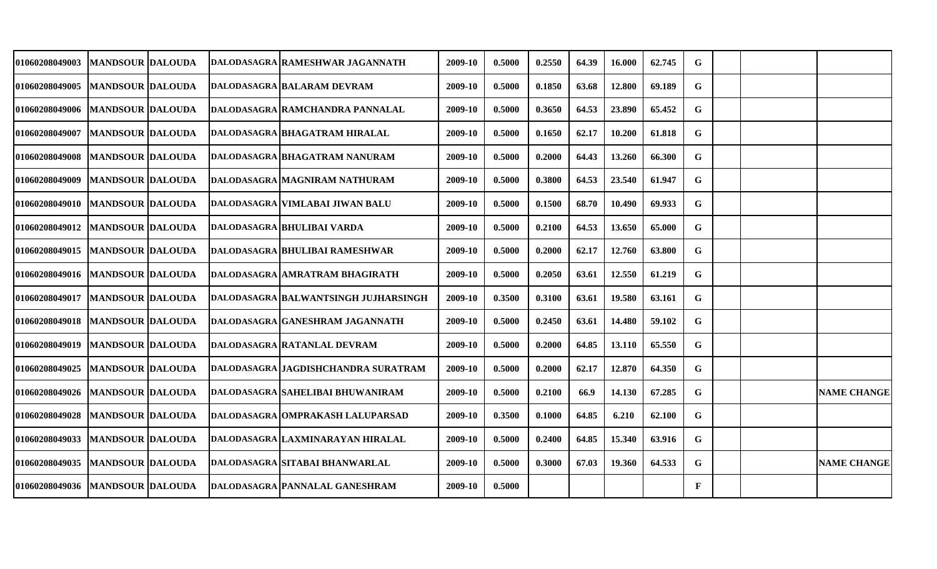| 01060208049003                    | <b>MANDSOUR DALOUDA</b>  |  | <b>DALODASAGRA RAMESHWAR JAGANNATH</b>  | 2009-10 | 0.5000 | 0.2550 | 64.39 | 16.000 | 62.745 | G            |  |                    |
|-----------------------------------|--------------------------|--|-----------------------------------------|---------|--------|--------|-------|--------|--------|--------------|--|--------------------|
| 01060208049005                    | <b>MANDSOUR DALOUDA</b>  |  | DALODASAGRA BALARAM DEVRAM              | 2009-10 | 0.5000 | 0.1850 | 63.68 | 12.800 | 69.189 | G            |  |                    |
| 01060208049006   MANDSOUR DALOUDA |                          |  | DALODASAGRA RAMCHANDRA PANNALAL         | 2009-10 | 0.5000 | 0.3650 | 64.53 | 23.890 | 65.452 | G            |  |                    |
| 01060208049007                    | <b>MANDSOUR DALOUDA</b>  |  | DALODASAGRA BHAGATRAM HIRALAL           | 2009-10 | 0.5000 | 0.1650 | 62.17 | 10.200 | 61.818 | G            |  |                    |
| 01060208049008                    | <b>MANDSOUR DALOUDA</b>  |  | DALODASAGRA BHAGATRAM NANURAM           | 2009-10 | 0.5000 | 0.2000 | 64.43 | 13.260 | 66.300 | G            |  |                    |
| 01060208049009                    | <b>MANDSOUR DALOUDA</b>  |  | DALODASAGRA   MAGNIRAM NATHURAM         | 2009-10 | 0.5000 | 0.3800 | 64.53 | 23.540 | 61.947 | $\mathbf G$  |  |                    |
| 01060208049010                    | <b>IMANDSOUR DALOUDA</b> |  | DALODASAGRA   VIMLABAI JIWAN BALU       | 2009-10 | 0.5000 | 0.1500 | 68.70 | 10.490 | 69.933 | G            |  |                    |
| <b>01060208049012</b>             | <b>MANDSOUR DALOUDA</b>  |  | <b>DALODASAGRA BHULIBAI VARDA</b>       | 2009-10 | 0.5000 | 0.2100 | 64.53 | 13.650 | 65.000 | G            |  |                    |
| 01060208049015  MANDSOUR  DALOUDA |                          |  | DALODASAGRA  BHULIBAI RAMESHWAR         | 2009-10 | 0.5000 | 0.2000 | 62.17 | 12.760 | 63.800 | G            |  |                    |
| 01060208049016   MANDSOUR DALOUDA |                          |  | DALODASAGRA   AMRATRAM BHAGIRATH        | 2009-10 | 0.5000 | 0.2050 | 63.61 | 12.550 | 61.219 | G            |  |                    |
| 01060208049017                    | <b>MANDSOUR DALOUDA</b>  |  | DALODASAGRA  BALWANTSINGH JUJHARSINGH   | 2009-10 | 0.3500 | 0.3100 | 63.61 | 19.580 | 63.161 | G            |  |                    |
| 01060208049018                    | <b>MANDSOUR DALOUDA</b>  |  | DALODASAGRA GANESHRAM JAGANNATH         | 2009-10 | 0.5000 | 0.2450 | 63.61 | 14.480 | 59.102 | G            |  |                    |
| 01060208049019                    | <b>MANDSOUR DALOUDA</b>  |  | DALODASAGRA RATANLAL DEVRAM             | 2009-10 | 0.5000 | 0.2000 | 64.85 | 13.110 | 65.550 | G            |  |                    |
| 01060208049025                    | <b>MANDSOUR DALOUDA</b>  |  | DALODASAGRA   JAGDISHCHANDRA SURATRAM   | 2009-10 | 0.5000 | 0.2000 | 62.17 | 12.870 | 64.350 | G            |  |                    |
| 01060208049026                    | <b>MANDSOUR DALOUDA</b>  |  | <b>DALODASAGRA SAHELIBAI BHUWANIRAM</b> | 2009-10 | 0.5000 | 0.2100 | 66.9  | 14.130 | 67.285 | G            |  | <b>NAME CHANGE</b> |
| 01060208049028                    | <b>MANDSOUR DALOUDA</b>  |  | DALODASAGRA OMPRAKASH LALUPARSAD        | 2009-10 | 0.3500 | 0.1000 | 64.85 | 6.210  | 62.100 | G            |  |                    |
| 01060208049033                    | <b>MANDSOUR DALOUDA</b>  |  | DALODASAGRA   LAXMINARAYAN HIRALAL      | 2009-10 | 0.5000 | 0.2400 | 64.85 | 15.340 | 63.916 | G            |  |                    |
| 01060208049035                    | <b>MANDSOUR DALOUDA</b>  |  | DALODASAGRA SITABAI BHANWARLAL          | 2009-10 | 0.5000 | 0.3000 | 67.03 | 19.360 | 64.533 | G            |  | <b>NAME CHANGE</b> |
| 01060208049036   MANDSOUR DALOUDA |                          |  | DALODASAGRA PANNALAL GANESHRAM          | 2009-10 | 0.5000 |        |       |        |        | $\mathbf{F}$ |  |                    |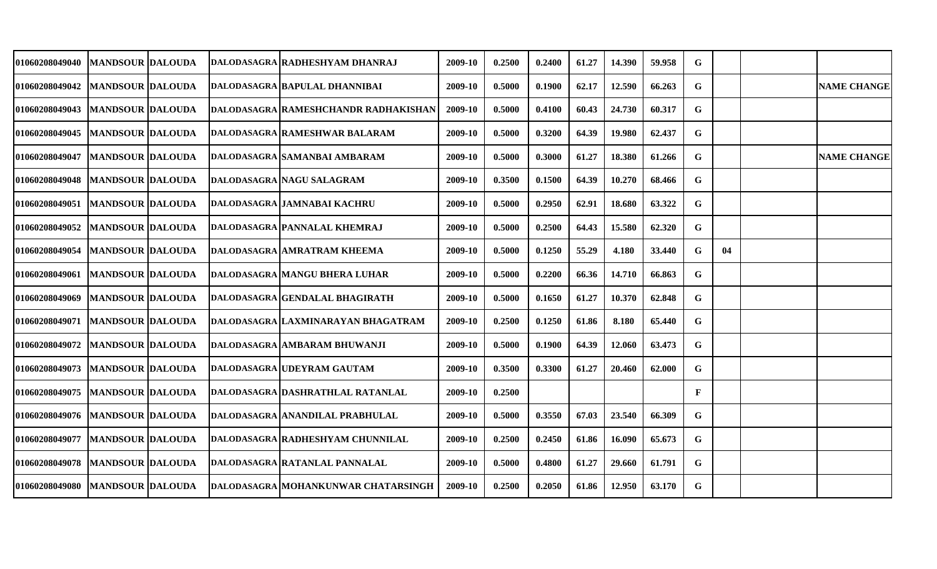| 01060208049040                      | <b>MANDSOUR  DALOUDA</b>  |  | DALODASAGRA   RADHESHYAM DHANRAJ     | 2009-10 | 0.2500 | 0.2400 | 61.27 | 14.390 | 59.958 | G           |    |                    |
|-------------------------------------|---------------------------|--|--------------------------------------|---------|--------|--------|-------|--------|--------|-------------|----|--------------------|
| 01060208049042                      | <b>MANDSOUR DALOUDA</b>   |  | DALODASAGRA BAPULAL DHANNIBAI        | 2009-10 | 0.5000 | 0.1900 | 62.17 | 12.590 | 66.263 | G           |    | <b>NAME CHANGE</b> |
| 01060208049043                      | <b>MANDSOUR DALOUDA</b>   |  | DALODASAGRA RAMESHCHANDR RADHAKISHAN | 2009-10 | 0.5000 | 0.4100 | 60.43 | 24.730 | 60.317 | G           |    |                    |
| 01060208049045                      | <b>MANDSOUR DALOUDA</b>   |  | DALODASAGRA RAMESHWAR BALARAM        | 2009-10 | 0.5000 | 0.3200 | 64.39 | 19.980 | 62.437 | G           |    |                    |
| 01060208049047                      | <b>MANDSOUR DALOUDA</b>   |  | DALODASAGRA SAMANBAI AMBARAM         | 2009-10 | 0.5000 | 0.3000 | 61.27 | 18.380 | 61.266 | G           |    | <b>NAME CHANGE</b> |
| 01060208049048                      | <b>MANDSOUR DALOUDA</b>   |  | DALODASAGRA NAGU SALAGRAM            | 2009-10 | 0.3500 | 0.1500 | 64.39 | 10.270 | 68.466 | G           |    |                    |
| 01060208049051                      | <b>MANDSOUR DALOUDA</b>   |  | DALODASAGRA JAMNABAI KACHRU          | 2009-10 | 0.5000 | 0.2950 | 62.91 | 18.680 | 63.322 | G           |    |                    |
| 01060208049052                      | <b>MANDSOUR DALOUDA</b>   |  | DALODASAGRA PANNALAL KHEMRAJ         | 2009-10 | 0.5000 | 0.2500 | 64.43 | 15.580 | 62.320 | $\mathbf G$ |    |                    |
| 01060208049054                      | <b>MANDSOUR DALOUDA</b>   |  | <b>DALODASAGRA AMRATRAM KHEEMA</b>   | 2009-10 | 0.5000 | 0.1250 | 55.29 | 4.180  | 33.440 | G           | 04 |                    |
| 01060208049061                      | <b>MANDSOUR DALOUDA</b>   |  | DALODASAGRA MANGU BHERA LUHAR        | 2009-10 | 0.5000 | 0.2200 | 66.36 | 14.710 | 66.863 | G           |    |                    |
| 01060208049069                      | <b>MANDSOUR DALOUDA</b>   |  | DALODASAGRA GENDALAL BHAGIRATH       | 2009-10 | 0.5000 | 0.1650 | 61.27 | 10.370 | 62.848 | $\mathbf G$ |    |                    |
| 01060208049071                      | <b>MANDSOUR DALOUDA</b>   |  | DALODASAGRA LAXMINARAYAN BHAGATRAM   | 2009-10 | 0.2500 | 0.1250 | 61.86 | 8.180  | 65.440 | G           |    |                    |
| 01060208049072                      | <b>MANDSOUR DALOUDA</b>   |  | DALODASAGRA AMBARAM BHUWANJI         | 2009-10 | 0.5000 | 0.1900 | 64.39 | 12.060 | 63.473 | G           |    |                    |
| 01060208049073                      | <b>MANDSOUR DALOUDA</b>   |  | <b>DALODASAGRA UDEYRAM GAUTAM</b>    | 2009-10 | 0.3500 | 0.3300 | 61.27 | 20.460 | 62.000 | G           |    |                    |
| 01060208049075                      | MANDSOUR  DALOUDA         |  | DALODASAGRA DASHRATHLAL RATANLAL     | 2009-10 | 0.2500 |        |       |        |        | $\mathbf F$ |    |                    |
| 01060208049076                      | <b>MANDSOUR DALOUDA</b>   |  | DALODASAGRA ANANDILAL PRABHULAL      | 2009-10 | 0.5000 | 0.3550 | 67.03 | 23.540 | 66.309 | G           |    |                    |
| 01060208049077                      | <b>MANDSOUR DALOUDA</b>   |  | DALODASAGRA RADHESHYAM CHUNNILAL     | 2009-10 | 0.2500 | 0.2450 | 61.86 | 16.090 | 65.673 | G           |    |                    |
| 01060208049078                      | <b> MANDSOUR  DALOUDA</b> |  | DALODASAGRA RATANLAL PANNALAL        | 2009-10 | 0.5000 | 0.4800 | 61.27 | 29.660 | 61.791 | G           |    |                    |
| 01060208049080   MANDSOUR   DALOUDA |                           |  | DALODASAGRA MOHANKUNWAR CHATARSINGH  | 2009-10 | 0.2500 | 0.2050 | 61.86 | 12.950 | 63.170 | G           |    |                    |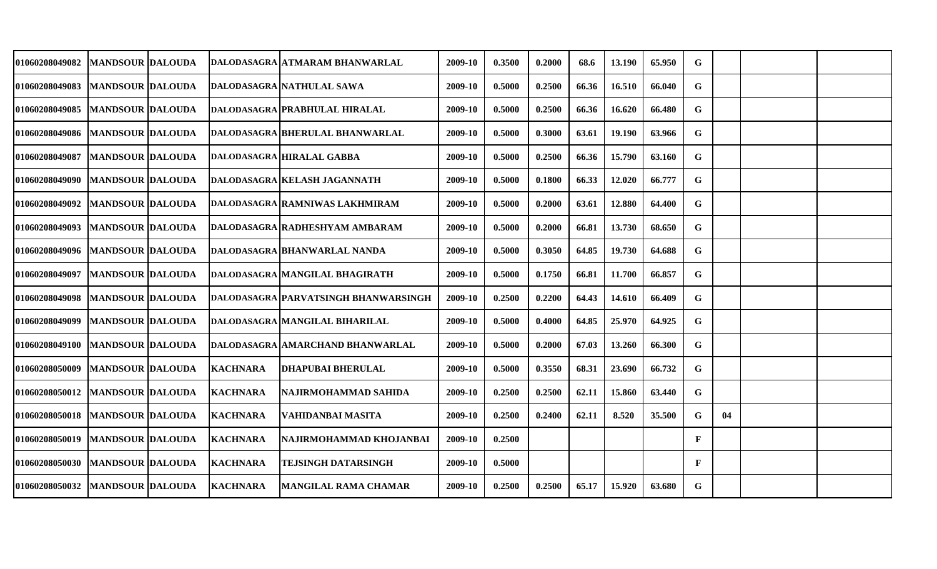|  |                                                                                                                                                                                                                                                                                                                                                                                                                                                                                                                                                          |                                                                                                                | 2009-10                                                                                                                                                                                                                                                                                                                                                                                                                                                                                           | 0.3500 | 0.2000 | 68.6  | 13.190 | 65.950 | G           |    |  |
|--|----------------------------------------------------------------------------------------------------------------------------------------------------------------------------------------------------------------------------------------------------------------------------------------------------------------------------------------------------------------------------------------------------------------------------------------------------------------------------------------------------------------------------------------------------------|----------------------------------------------------------------------------------------------------------------|---------------------------------------------------------------------------------------------------------------------------------------------------------------------------------------------------------------------------------------------------------------------------------------------------------------------------------------------------------------------------------------------------------------------------------------------------------------------------------------------------|--------|--------|-------|--------|--------|-------------|----|--|
|  |                                                                                                                                                                                                                                                                                                                                                                                                                                                                                                                                                          |                                                                                                                | 2009-10                                                                                                                                                                                                                                                                                                                                                                                                                                                                                           | 0.5000 | 0.2500 | 66.36 | 16.510 | 66.040 | G           |    |  |
|  |                                                                                                                                                                                                                                                                                                                                                                                                                                                                                                                                                          |                                                                                                                | 2009-10                                                                                                                                                                                                                                                                                                                                                                                                                                                                                           | 0.5000 | 0.2500 | 66.36 | 16.620 | 66.480 | G           |    |  |
|  |                                                                                                                                                                                                                                                                                                                                                                                                                                                                                                                                                          |                                                                                                                | 2009-10                                                                                                                                                                                                                                                                                                                                                                                                                                                                                           | 0.5000 | 0.3000 | 63.61 | 19.190 | 63.966 | G           |    |  |
|  |                                                                                                                                                                                                                                                                                                                                                                                                                                                                                                                                                          |                                                                                                                | 2009-10                                                                                                                                                                                                                                                                                                                                                                                                                                                                                           | 0.5000 | 0.2500 | 66.36 | 15.790 | 63.160 | G           |    |  |
|  |                                                                                                                                                                                                                                                                                                                                                                                                                                                                                                                                                          |                                                                                                                | 2009-10                                                                                                                                                                                                                                                                                                                                                                                                                                                                                           | 0.5000 | 0.1800 | 66.33 | 12.020 | 66.777 | $\mathbf G$ |    |  |
|  |                                                                                                                                                                                                                                                                                                                                                                                                                                                                                                                                                          |                                                                                                                | 2009-10                                                                                                                                                                                                                                                                                                                                                                                                                                                                                           | 0.5000 | 0.2000 | 63.61 | 12.880 | 64.400 | G           |    |  |
|  |                                                                                                                                                                                                                                                                                                                                                                                                                                                                                                                                                          |                                                                                                                | 2009-10                                                                                                                                                                                                                                                                                                                                                                                                                                                                                           | 0.5000 | 0.2000 | 66.81 | 13.730 | 68.650 | G           |    |  |
|  |                                                                                                                                                                                                                                                                                                                                                                                                                                                                                                                                                          |                                                                                                                | 2009-10                                                                                                                                                                                                                                                                                                                                                                                                                                                                                           | 0.5000 | 0.3050 | 64.85 | 19.730 | 64.688 | G           |    |  |
|  |                                                                                                                                                                                                                                                                                                                                                                                                                                                                                                                                                          |                                                                                                                | 2009-10                                                                                                                                                                                                                                                                                                                                                                                                                                                                                           | 0.5000 | 0.1750 | 66.81 | 11.700 | 66.857 | G           |    |  |
|  |                                                                                                                                                                                                                                                                                                                                                                                                                                                                                                                                                          |                                                                                                                | 2009-10                                                                                                                                                                                                                                                                                                                                                                                                                                                                                           | 0.2500 | 0.2200 | 64.43 | 14.610 | 66.409 | G           |    |  |
|  |                                                                                                                                                                                                                                                                                                                                                                                                                                                                                                                                                          |                                                                                                                | 2009-10                                                                                                                                                                                                                                                                                                                                                                                                                                                                                           | 0.5000 | 0.4000 | 64.85 | 25.970 | 64.925 | G           |    |  |
|  |                                                                                                                                                                                                                                                                                                                                                                                                                                                                                                                                                          |                                                                                                                | 2009-10                                                                                                                                                                                                                                                                                                                                                                                                                                                                                           | 0.5000 | 0.2000 | 67.03 | 13.260 | 66.300 | G           |    |  |
|  |                                                                                                                                                                                                                                                                                                                                                                                                                                                                                                                                                          | <b>DHAPUBAI BHERULAL</b>                                                                                       | 2009-10                                                                                                                                                                                                                                                                                                                                                                                                                                                                                           | 0.5000 | 0.3550 | 68.31 | 23.690 | 66.732 | G           |    |  |
|  |                                                                                                                                                                                                                                                                                                                                                                                                                                                                                                                                                          | NAJIRMOHAMMAD SAHIDA                                                                                           | 2009-10                                                                                                                                                                                                                                                                                                                                                                                                                                                                                           | 0.2500 | 0.2500 | 62.11 | 15.860 | 63.440 | G           |    |  |
|  |                                                                                                                                                                                                                                                                                                                                                                                                                                                                                                                                                          | VAHIDANBAI MASITA                                                                                              | 2009-10                                                                                                                                                                                                                                                                                                                                                                                                                                                                                           | 0.2500 | 0.2400 | 62.11 | 8.520  | 35.500 | G           | 04 |  |
|  |                                                                                                                                                                                                                                                                                                                                                                                                                                                                                                                                                          | NAJIRMOHAMMAD KHOJANBAI                                                                                        | 2009-10                                                                                                                                                                                                                                                                                                                                                                                                                                                                                           | 0.2500 |        |       |        |        | F           |    |  |
|  |                                                                                                                                                                                                                                                                                                                                                                                                                                                                                                                                                          | <b>TEJSINGH DATARSINGH</b>                                                                                     | 2009-10                                                                                                                                                                                                                                                                                                                                                                                                                                                                                           | 0.5000 |        |       |        |        | F           |    |  |
|  |                                                                                                                                                                                                                                                                                                                                                                                                                                                                                                                                                          |                                                                                                                | 2009-10                                                                                                                                                                                                                                                                                                                                                                                                                                                                                           | 0.2500 | 0.2500 | 65.17 | 15.920 | 63.680 | G           |    |  |
|  | <b>MANDSOUR DALOUDA</b><br><b>MANDSOUR DALOUDA</b><br><b>MANDSOUR DALOUDA</b><br>01060208049086   MANDSOUR DALOUDA<br><b>MANDSOUR DALOUDA</b><br><b>MANDSOUR DALOUDA</b><br> MANDSOUR  DALOUDA<br><b>MANDSOUR DALOUDA</b><br>01060208049096   IMANDSOUR  DALOUDA<br><b>MANDSOUR DALOUDA</b><br>01060208049098   MANDSOUR DALOUDA<br><b>MANDSOUR DALOUDA</b><br><b>MANDSOUR DALOUDA</b><br><b>MANDSOUR DALOUDA</b><br><b>MANDSOUR DALOUDA</b><br><b>MANDSOUR DALOUDA</b><br><b>MANDSOUR DALOUDA</b><br><b>MANDSOUR DALOUDA</b><br><b>MANDSOUR DALOUDA</b> | <b>KACHNARA</b><br><b>KACHNARA</b><br><b>KACHNARA</b><br><b>KACHNARA</b><br><b>KACHNARA</b><br><b>KACHNARA</b> | <b>DALODASAGRA ATMARAM BHANWARLAL</b><br>DALODASAGRA NATHULAL SAWA<br>DALODASAGRA PRABHULAL HIRALAL<br>DALODASAGRA BHERULAL BHANWARLAL<br>DALODASAGRA HIRALAL GABBA<br>DALODASAGRA KELASH JAGANNATH<br>DALODASAGRA RAMNIWAS LAKHMIRAM<br>DALODASAGRA RADHESHYAM AMBARAM<br> DALODASAGRA  BHANWARLAL NANDA<br><b>DALODASAGRA MANGILAL BHAGIRATH</b><br> DALODASAGRA  PARVATSINGH BHANWARSINGH<br>DALODASAGRA MANGILAL BIHARILAL<br>DALODASAGRA AMARCHAND BHANWARLAL<br><b>MANGILAL RAMA CHAMAR</b> |        |        |       |        |        |             |    |  |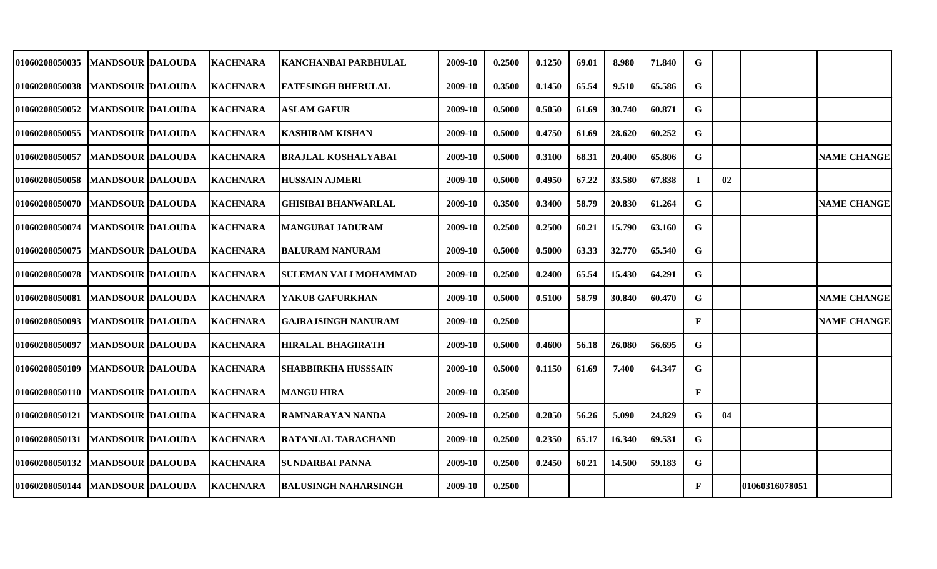| <b>01060208050035</b> | <b>MANDSOUR DALOUDA</b>   | <b>KACHNARA</b> | <b>KANCHANBAI PARBHULAL</b>  | 2009-10 | 0.2500 | 0.1250 | 69.01 | 8.980  | 71.840 | G            |    |                |                    |
|-----------------------|---------------------------|-----------------|------------------------------|---------|--------|--------|-------|--------|--------|--------------|----|----------------|--------------------|
| 01060208050038        | <b>MANDSOUR DALOUDA</b>   | <b>KACHNARA</b> | <b>FATESINGH BHERULAL</b>    | 2009-10 | 0.3500 | 0.1450 | 65.54 | 9.510  | 65.586 | G            |    |                |                    |
| <b>01060208050052</b> | <b>MANDSOUR DALOUDA</b>   | <b>KACHNARA</b> | <b>ASLAM GAFUR</b>           | 2009-10 | 0.5000 | 0.5050 | 61.69 | 30.740 | 60.871 | G            |    |                |                    |
| <b>01060208050055</b> | <b>MANDSOUR DALOUDA</b>   | <b>KACHNARA</b> | <b>KASHIRAM KISHAN</b>       | 2009-10 | 0.5000 | 0.4750 | 61.69 | 28.620 | 60.252 | G            |    |                |                    |
| 01060208050057        | <b>MANDSOUR DALOUDA</b>   | <b>KACHNARA</b> | <b>BRAJLAL KOSHALYABAI</b>   | 2009-10 | 0.5000 | 0.3100 | 68.31 | 20.400 | 65.806 | $\mathbf G$  |    |                | <b>NAME CHANGE</b> |
| <b>01060208050058</b> | <b>MANDSOUR DALOUDA</b>   | <b>KACHNARA</b> | <b>HUSSAIN AJMERI</b>        | 2009-10 | 0.5000 | 0.4950 | 67.22 | 33.580 | 67.838 | л.           | 02 |                |                    |
| <b>01060208050070</b> | <b>MANDSOUR DALOUDA</b>   | <b>KACHNARA</b> | <b>GHISIBAI BHANWARLAL</b>   | 2009-10 | 0.3500 | 0.3400 | 58.79 | 20.830 | 61.264 | G            |    |                | <b>NAME CHANGE</b> |
| <b>01060208050074</b> | <b>MANDSOUR DALOUDA</b>   | <b>KACHNARA</b> | <b>MANGUBAI JADURAM</b>      | 2009-10 | 0.2500 | 0.2500 | 60.21 | 15.790 | 63.160 | G            |    |                |                    |
| <b>01060208050075</b> | <b>IMANDSOUR IDALOUDA</b> | <b>KACHNARA</b> | IBALURAM NANURAM             | 2009-10 | 0.5000 | 0.5000 | 63.33 | 32.770 | 65.540 | G            |    |                |                    |
| 01060208050078        | <b>MANDSOUR DALOUDA</b>   | <b>KACHNARA</b> | <b>SULEMAN VALI MOHAMMAD</b> | 2009-10 | 0.2500 | 0.2400 | 65.54 | 15.430 | 64.291 | G            |    |                |                    |
| <b>01060208050081</b> | <b>MANDSOUR DALOUDA</b>   | <b>KACHNARA</b> | YAKUB GAFURKHAN              | 2009-10 | 0.5000 | 0.5100 | 58.79 | 30.840 | 60.470 | G            |    |                | <b>NAME CHANGE</b> |
| 01060208050093        | <b>MANDSOUR DALOUDA</b>   | <b>KACHNARA</b> | <b>GAJRAJSINGH NANURAM</b>   | 2009-10 | 0.2500 |        |       |        |        | F            |    |                | <b>NAME CHANGE</b> |
| <b>01060208050097</b> | <b>MANDSOUR DALOUDA</b>   | <b>KACHNARA</b> | <b>HIRALAL BHAGIRATH</b>     | 2009-10 | 0.5000 | 0.4600 | 56.18 | 26.080 | 56.695 | G            |    |                |                    |
| 01060208050109        | <b>MANDSOUR DALOUDA</b>   | <b>KACHNARA</b> | <b>SHABBIRKHA HUSSSAIN</b>   | 2009-10 | 0.5000 | 0.1150 | 61.69 | 7.400  | 64.347 | G            |    |                |                    |
| <b>01060208050110</b> | <b>MANDSOUR DALOUDA</b>   | <b>KACHNARA</b> | <b>MANGU HIRA</b>            | 2009-10 | 0.3500 |        |       |        |        | F            |    |                |                    |
| 01060208050121        | <b>MANDSOUR DALOUDA</b>   | <b>KACHNARA</b> | <b>RAMNARAYAN NANDA</b>      | 2009-10 | 0.2500 | 0.2050 | 56.26 | 5.090  | 24.829 | G.           | 04 |                |                    |
| 01060208050131        | <b>MANDSOUR DALOUDA</b>   | <b>KACHNARA</b> | <b>RATANLAL TARACHAND</b>    | 2009-10 | 0.2500 | 0.2350 | 65.17 | 16.340 | 69.531 | G            |    |                |                    |
| 01060208050132        | <b>MANDSOUR DALOUDA</b>   | <b>KACHNARA</b> | <b>SUNDARBAI PANNA</b>       | 2009-10 | 0.2500 | 0.2450 | 60.21 | 14.500 | 59.183 | G            |    |                |                    |
| 01060208050144        | <b>MANDSOUR DALOUDA</b>   | <b>KACHNARA</b> | <b>BALUSINGH NAHARSINGH</b>  | 2009-10 | 0.2500 |        |       |        |        | $\mathbf{F}$ |    | 01060316078051 |                    |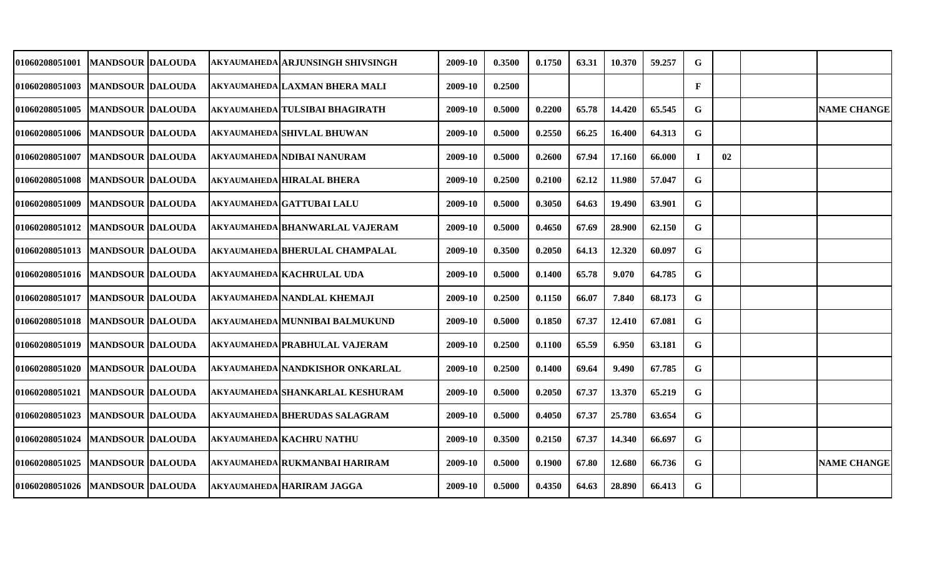| <b>01060208051001</b>               | <b>MANDSOUR DALOUDA</b>   |  | AKYAUMAHEDA ARJUNSINGH SHIVSINGH     | 2009-10 | 0.3500 | 0.1750 | 63.31 | 10.370 | 59.257 | G            |    |                    |
|-------------------------------------|---------------------------|--|--------------------------------------|---------|--------|--------|-------|--------|--------|--------------|----|--------------------|
| 01060208051003                      | <b>IMANDSOUR IDALOUDA</b> |  | AKYAUMAHEDA LAXMAN BHERA MALI        | 2009-10 | 0.2500 |        |       |        |        | $\mathbf{F}$ |    |                    |
| 01060208051005                      | <b>MANDSOUR DALOUDA</b>   |  | AKYAUMAHEDA TULSIBAI BHAGIRATH       | 2009-10 | 0.5000 | 0.2200 | 65.78 | 14.420 | 65.545 | G            |    | <b>NAME CHANGE</b> |
| 01060208051006   MANDSOUR DALOUDA   |                           |  | <b>AKYAUMAHEDA SHIVLAL BHUWAN</b>    | 2009-10 | 0.5000 | 0.2550 | 66.25 | 16.400 | 64.313 | G            |    |                    |
| 01060208051007                      | <b>MANDSOUR DALOUDA</b>   |  | <b>AKYAUMAHEDA NDIBAI NANURAM</b>    | 2009-10 | 0.5000 | 0.2600 | 67.94 | 17.160 | 66.000 |              | 02 |                    |
| 01060208051008                      | <b>IMANDSOUR IDALOUDA</b> |  | <b>AKYAUMAHEDA HIRALAL BHERA</b>     | 2009-10 | 0.2500 | 0.2100 | 62.12 | 11.980 | 57.047 | G            |    |                    |
| 01060208051009                      | <b>IMANDSOUR DALOUDA</b>  |  | <b>AKYAUMAHEDA GATTUBAI LALU</b>     | 2009-10 | 0.5000 | 0.3050 | 64.63 | 19.490 | 63.901 | G            |    |                    |
| <b>01060208051012</b>               | <b>MANDSOUR DALOUDA</b>   |  | AKYAUMAHEDA BHANWARLAL VAJERAM       | 2009-10 | 0.5000 | 0.4650 | 67.69 | 28.900 | 62.150 | G            |    |                    |
| 01060208051013  MANDSOUR  DALOUDA   |                           |  | AKYAUMAHEDA BHERULAL CHAMPALAL       | 2009-10 | 0.3500 | 0.2050 | 64.13 | 12.320 | 60.097 | G            |    |                    |
| 01060208051016   MANDSOUR   DALOUDA |                           |  | <b>AKYAUMAHEDA KACHRULAL UDA</b>     | 2009-10 | 0.5000 | 0.1400 | 65.78 | 9.070  | 64.785 | G            |    |                    |
| 01060208051017                      | <b>MANDSOUR DALOUDA</b>   |  | <b>AKYAUMAHEDA NANDLAL KHEMAJI</b>   | 2009-10 | 0.2500 | 0.1150 | 66.07 | 7.840  | 68.173 | G            |    |                    |
| 01060208051018                      | <b>MANDSOUR DALOUDA</b>   |  | AKYAUMAHEDA MUNNIBAI BALMUKUND       | 2009-10 | 0.5000 | 0.1850 | 67.37 | 12.410 | 67.081 | G            |    |                    |
| 01060208051019                      | <b>MANDSOUR DALOUDA</b>   |  | <b>AKYAUMAHEDA PRABHULAL VAJERAM</b> | 2009-10 | 0.2500 | 0.1100 | 65.59 | 6.950  | 63.181 | G            |    |                    |
| 01060208051020                      | <b>MANDSOUR DALOUDA</b>   |  | AKYAUMAHEDA NANDKISHOR ONKARLAL      | 2009-10 | 0.2500 | 0.1400 | 69.64 | 9.490  | 67.785 | G            |    |                    |
| 01060208051021                      | <b>MANDSOUR DALOUDA</b>   |  | AKYAUMAHEDA SHANKARLAL KESHURAM      | 2009-10 | 0.5000 | 0.2050 | 67.37 | 13.370 | 65.219 | G            |    |                    |
| 01060208051023                      | <b>MANDSOUR DALOUDA</b>   |  | <b>AKYAUMAHEDA BHERUDAS SALAGRAM</b> | 2009-10 | 0.5000 | 0.4050 | 67.37 | 25.780 | 63.654 | G            |    |                    |
| 01060208051024                      | <b>MANDSOUR DALOUDA</b>   |  | <b>AKYAUMAHEDA KACHRU NATHU</b>      | 2009-10 | 0.3500 | 0.2150 | 67.37 | 14.340 | 66.697 | G            |    |                    |
| 01060208051025                      | <b>MANDSOUR DALOUDA</b>   |  | AKYAUMAHEDA RUKMANBAI HARIRAM        | 2009-10 | 0.5000 | 0.1900 | 67.80 | 12.680 | 66.736 | G            |    | <b>NAME CHANGE</b> |
| 01060208051026                      | <b>MANDSOUR DALOUDA</b>   |  | <b>AKYAUMAHEDA HARIRAM JAGGA</b>     | 2009-10 | 0.5000 | 0.4350 | 64.63 | 28.890 | 66.413 | G            |    |                    |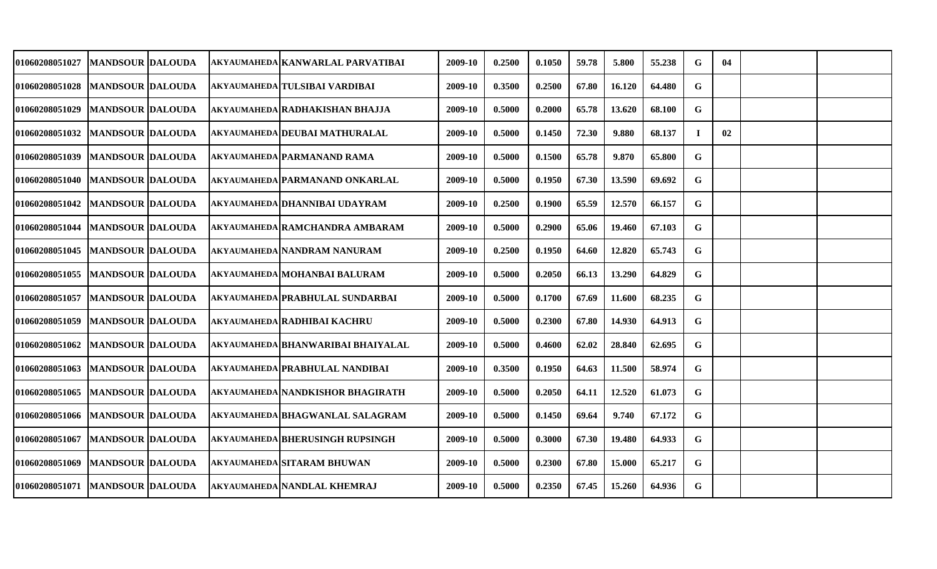|  |                                                                                                                                                                                                                                                                                                                                                                                                                                                                                                                     | 2009-10                                                                                                                                                                                                                                                                                                                                                                                                                                                                                                                                                                                                                                                                            | 0.2500 | 0.1050 | 59.78 | 5.800  | 55.238 | G           | 04 |  |
|--|---------------------------------------------------------------------------------------------------------------------------------------------------------------------------------------------------------------------------------------------------------------------------------------------------------------------------------------------------------------------------------------------------------------------------------------------------------------------------------------------------------------------|------------------------------------------------------------------------------------------------------------------------------------------------------------------------------------------------------------------------------------------------------------------------------------------------------------------------------------------------------------------------------------------------------------------------------------------------------------------------------------------------------------------------------------------------------------------------------------------------------------------------------------------------------------------------------------|--------|--------|-------|--------|--------|-------------|----|--|
|  |                                                                                                                                                                                                                                                                                                                                                                                                                                                                                                                     | 2009-10                                                                                                                                                                                                                                                                                                                                                                                                                                                                                                                                                                                                                                                                            | 0.3500 | 0.2500 | 67.80 | 16.120 | 64.480 | G           |    |  |
|  |                                                                                                                                                                                                                                                                                                                                                                                                                                                                                                                     | 2009-10                                                                                                                                                                                                                                                                                                                                                                                                                                                                                                                                                                                                                                                                            | 0.5000 | 0.2000 | 65.78 | 13.620 | 68.100 | G           |    |  |
|  |                                                                                                                                                                                                                                                                                                                                                                                                                                                                                                                     | 2009-10                                                                                                                                                                                                                                                                                                                                                                                                                                                                                                                                                                                                                                                                            | 0.5000 | 0.1450 | 72.30 | 9.880  | 68.137 | -1          | 02 |  |
|  |                                                                                                                                                                                                                                                                                                                                                                                                                                                                                                                     | 2009-10                                                                                                                                                                                                                                                                                                                                                                                                                                                                                                                                                                                                                                                                            | 0.5000 | 0.1500 | 65.78 | 9.870  | 65.800 | G           |    |  |
|  |                                                                                                                                                                                                                                                                                                                                                                                                                                                                                                                     | 2009-10                                                                                                                                                                                                                                                                                                                                                                                                                                                                                                                                                                                                                                                                            | 0.5000 | 0.1950 | 67.30 | 13.590 | 69.692 | $\mathbf G$ |    |  |
|  |                                                                                                                                                                                                                                                                                                                                                                                                                                                                                                                     | 2009-10                                                                                                                                                                                                                                                                                                                                                                                                                                                                                                                                                                                                                                                                            | 0.2500 | 0.1900 | 65.59 | 12.570 | 66.157 | G           |    |  |
|  |                                                                                                                                                                                                                                                                                                                                                                                                                                                                                                                     | 2009-10                                                                                                                                                                                                                                                                                                                                                                                                                                                                                                                                                                                                                                                                            | 0.5000 | 0.2900 | 65.06 | 19.460 | 67.103 | G           |    |  |
|  |                                                                                                                                                                                                                                                                                                                                                                                                                                                                                                                     | 2009-10                                                                                                                                                                                                                                                                                                                                                                                                                                                                                                                                                                                                                                                                            | 0.2500 | 0.1950 | 64.60 | 12.820 | 65.743 | G           |    |  |
|  |                                                                                                                                                                                                                                                                                                                                                                                                                                                                                                                     | 2009-10                                                                                                                                                                                                                                                                                                                                                                                                                                                                                                                                                                                                                                                                            | 0.5000 | 0.2050 | 66.13 | 13.290 | 64.829 | G           |    |  |
|  |                                                                                                                                                                                                                                                                                                                                                                                                                                                                                                                     | 2009-10                                                                                                                                                                                                                                                                                                                                                                                                                                                                                                                                                                                                                                                                            | 0.5000 | 0.1700 | 67.69 | 11.600 | 68.235 | G           |    |  |
|  |                                                                                                                                                                                                                                                                                                                                                                                                                                                                                                                     | 2009-10                                                                                                                                                                                                                                                                                                                                                                                                                                                                                                                                                                                                                                                                            | 0.5000 | 0.2300 | 67.80 | 14.930 | 64.913 | G           |    |  |
|  |                                                                                                                                                                                                                                                                                                                                                                                                                                                                                                                     | 2009-10                                                                                                                                                                                                                                                                                                                                                                                                                                                                                                                                                                                                                                                                            | 0.5000 | 0.4600 | 62.02 | 28.840 | 62.695 | G           |    |  |
|  |                                                                                                                                                                                                                                                                                                                                                                                                                                                                                                                     | 2009-10                                                                                                                                                                                                                                                                                                                                                                                                                                                                                                                                                                                                                                                                            | 0.3500 | 0.1950 | 64.63 | 11.500 | 58.974 | G           |    |  |
|  |                                                                                                                                                                                                                                                                                                                                                                                                                                                                                                                     | 2009-10                                                                                                                                                                                                                                                                                                                                                                                                                                                                                                                                                                                                                                                                            | 0.5000 | 0.2050 | 64.11 | 12.520 | 61.073 | G           |    |  |
|  |                                                                                                                                                                                                                                                                                                                                                                                                                                                                                                                     | 2009-10                                                                                                                                                                                                                                                                                                                                                                                                                                                                                                                                                                                                                                                                            | 0.5000 | 0.1450 | 69.64 | 9.740  | 67.172 | G           |    |  |
|  |                                                                                                                                                                                                                                                                                                                                                                                                                                                                                                                     | 2009-10                                                                                                                                                                                                                                                                                                                                                                                                                                                                                                                                                                                                                                                                            | 0.5000 | 0.3000 | 67.30 | 19.480 | 64.933 | G           |    |  |
|  |                                                                                                                                                                                                                                                                                                                                                                                                                                                                                                                     | 2009-10                                                                                                                                                                                                                                                                                                                                                                                                                                                                                                                                                                                                                                                                            | 0.5000 | 0.2300 | 67.80 | 15.000 | 65.217 | G           |    |  |
|  |                                                                                                                                                                                                                                                                                                                                                                                                                                                                                                                     | 2009-10                                                                                                                                                                                                                                                                                                                                                                                                                                                                                                                                                                                                                                                                            | 0.5000 | 0.2350 | 67.45 |        | 64.936 | G           |    |  |
|  | MANDSOUR  DALOUDA<br><b>MANDSOUR DALOUDA</b><br><b>MANDSOUR DALOUDA</b><br><b>MANDSOUR DALOUDA</b><br><b>MANDSOUR DALOUDA</b><br><b>MANDSOUR DALOUDA</b><br> MANDSOUR  DALOUDA<br><b>MANDSOUR DALOUDA</b><br><b>IMANDSOUR DALOUDA</b><br><b>MANDSOUR DALOUDA</b><br><b>MANDSOUR DALOUDA</b><br><b>MANDSOUR DALOUDA</b><br><b>MANDSOUR DALOUDA</b><br><b>MANDSOUR DALOUDA</b><br><b>MANDSOUR DALOUDA</b><br><b>MANDSOUR DALOUDA</b><br><b>MANDSOUR DALOUDA</b><br><b>MANDSOUR DALOUDA</b><br><b>MANDSOUR DALOUDA</b> | AKYAUMAHEDA KANWARLAL PARVATIBAI<br>AKYAUMAHEDA TULSIBAI VARDIBAI<br>AKYAUMAHEDA RADHAKISHAN BHAJJA<br>AKYAUMAHEDA DEUBAI MATHURALAL<br><b>AKYAUMAHEDA PARMANAND RAMA</b><br>AKYAUMAHEDA PARMANAND ONKARLAL<br>AKYAUMAHEDA DHANNIBAI UDAYRAM<br>AKYAUMAHEDA RAMCHANDRA AMBARAM<br>AKYAUMAHEDA NANDRAM NANURAM<br>AKYAUMAHEDA MOHANBAI BALURAM<br>AKYAUMAHEDA PRABHULAL SUNDARBAI<br>AKYAUMAHEDA RADHIBAI KACHRU<br>AKYAUMAHEDA BHANWARIBAI BHAIYALAL<br>AKYAUMAHEDA PRABHULAL NANDIBAI<br>AKYAUMAHEDA NANDKISHOR BHAGIRATH<br>AKYAUMAHEDA BHAGWANLAL SALAGRAM<br><b>AKYAUMAHEDA BHERUSINGH RUPSINGH</b><br><b>AKYAUMAHEDA SITARAM BHUWAN</b><br><b>AKYAUMAHEDA NANDLAL KHEMRAJ</b> |        |        |       |        | 15.260 |             |    |  |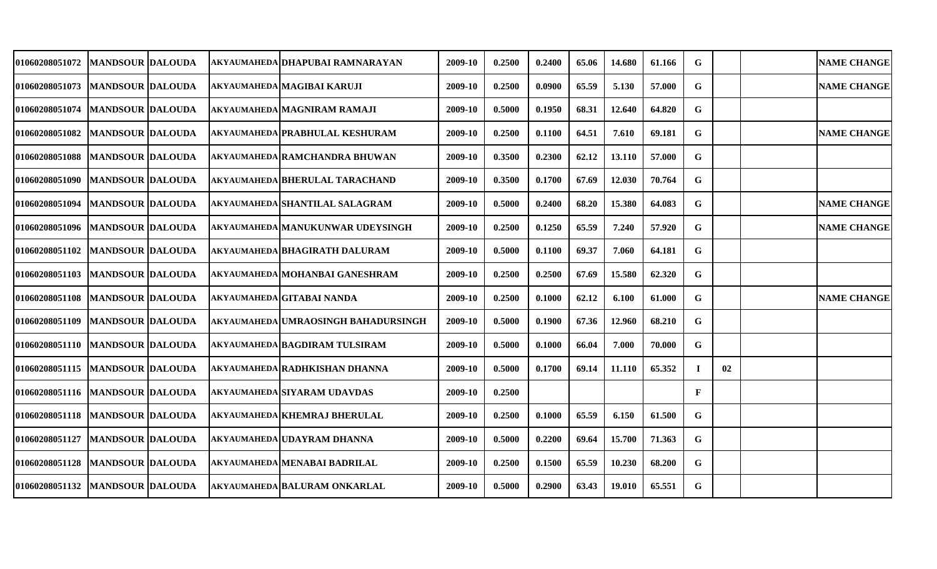| 01060208051072                    | <b>MANDSOUR DALOUDA</b>   |  | AKYAUMAHEDA DHAPUBAI RAMNARAYAN       | 2009-10 | 0.2500 | 0.2400 | 65.06 | 14.680 | 61.166 | G            |    | <b>NAME CHANGE</b> |
|-----------------------------------|---------------------------|--|---------------------------------------|---------|--------|--------|-------|--------|--------|--------------|----|--------------------|
| <b>01060208051073</b>             | <b>MANDSOUR DALOUDA</b>   |  | AKYAUMAHEDA MAGIBAI KARUJI            | 2009-10 | 0.2500 | 0.0900 | 65.59 | 5.130  | 57.000 | G            |    | <b>NAME CHANGE</b> |
| 01060208051074                    | <b>MANDSOUR DALOUDA</b>   |  | <b>AKYAUMAHEDA MAGNIRAM RAMAJI</b>    | 2009-10 | 0.5000 | 0.1950 | 68.31 | 12.640 | 64.820 | G            |    |                    |
| 01060208051082                    | <b>MANDSOUR DALOUDA</b>   |  | <b>AKYAUMAHEDA PRABHULAL KESHURAM</b> | 2009-10 | 0.2500 | 0.1100 | 64.51 | 7.610  | 69.181 | G            |    | <b>NAME CHANGE</b> |
| 01060208051088                    | <b>MANDSOUR DALOUDA</b>   |  | akyaumaheda RAMCHANDRA BHUWAN         | 2009-10 | 0.3500 | 0.2300 | 62.12 | 13.110 | 57.000 | G            |    |                    |
| <b>01060208051090</b>             | <b>MANDSOUR DALOUDA</b>   |  | AKYAUMAHEDA BHERULAL TARACHAND        | 2009-10 | 0.3500 | 0.1700 | 67.69 | 12.030 | 70.764 | G            |    |                    |
| 01060208051094                    | <b>IMANDSOUR IDALOUDA</b> |  | AKYAUMAHEDA SHANTILAL SALAGRAM        | 2009-10 | 0.5000 | 0.2400 | 68.20 | 15.380 | 64.083 | G            |    | <b>NAME CHANGE</b> |
| 01060208051096  MANDSOUR  DALOUDA |                           |  | AKYAUMAHEDA MANUKUNWAR UDEYSINGH      | 2009-10 | 0.2500 | 0.1250 | 65.59 | 7.240  | 57.920 | G            |    | <b>NAME CHANGE</b> |
| 01060208051102   MANDSOUR DALOUDA |                           |  | AKYAUMAHEDA BHAGIRATH DALURAM         | 2009-10 | 0.5000 | 0.1100 | 69.37 | 7.060  | 64.181 | G            |    |                    |
| 01060208051103                    | <b>MANDSOUR DALOUDA</b>   |  | AKYAUMAHEDA MOHANBAI GANESHRAM        | 2009-10 | 0.2500 | 0.2500 | 67.69 | 15.580 | 62.320 | G            |    |                    |
| 01060208051108   MANDSOUR DALOUDA |                           |  | AKYAUMAHEDA GITABAI NANDA             | 2009-10 | 0.2500 | 0.1000 | 62.12 | 6.100  | 61.000 | G            |    | <b>NAME CHANGE</b> |
| 01060208051109                    | <b>MANDSOUR DALOUDA</b>   |  | AKYAUMAHEDA UMRAOSINGH BAHADURSINGH   | 2009-10 | 0.5000 | 0.1900 | 67.36 | 12.960 | 68.210 | G            |    |                    |
| 01060208051110   MANDSOUR DALOUDA |                           |  | AKYAUMAHEDA BAGDIRAM TULSIRAM         | 2009-10 | 0.5000 | 0.1000 | 66.04 | 7.000  | 70.000 | G            |    |                    |
| 01060208051115                    | <b>MANDSOUR DALOUDA</b>   |  | AKYAUMAHEDA RADHKISHAN DHANNA         | 2009-10 | 0.5000 | 0.1700 | 69.14 | 11.110 | 65.352 |              | 02 |                    |
| 01060208051116  MANDSOUR DALOUDA  |                           |  | AKYAUMAHEDA SIYARAM UDAVDAS           | 2009-10 | 0.2500 |        |       |        |        | $\mathbf{F}$ |    |                    |
| 01060208051118   MANDSOUR DALOUDA |                           |  | <b>AKYAUMAHEDA KHEMRAJ BHERULAL</b>   | 2009-10 | 0.2500 | 0.1000 | 65.59 | 6.150  | 61.500 | G            |    |                    |
| 01060208051127                    | <b>MANDSOUR DALOUDA</b>   |  | AKYAUMAHEDA UDAYRAM DHANNA            | 2009-10 | 0.5000 | 0.2200 | 69.64 | 15.700 | 71.363 | G            |    |                    |
| 01060208051128                    | <b>MANDSOUR DALOUDA</b>   |  | AKYAUMAHEDA MENABAI BADRILAL          | 2009-10 | 0.2500 | 0.1500 | 65.59 | 10.230 | 68.200 | G            |    |                    |
| 01060208051132                    | <b>MANDSOUR DALOUDA</b>   |  | <b>AKYAUMAHEDA BALURAM ONKARLAL</b>   | 2009-10 | 0.5000 | 0.2900 | 63.43 | 19.010 | 65.551 | G            |    |                    |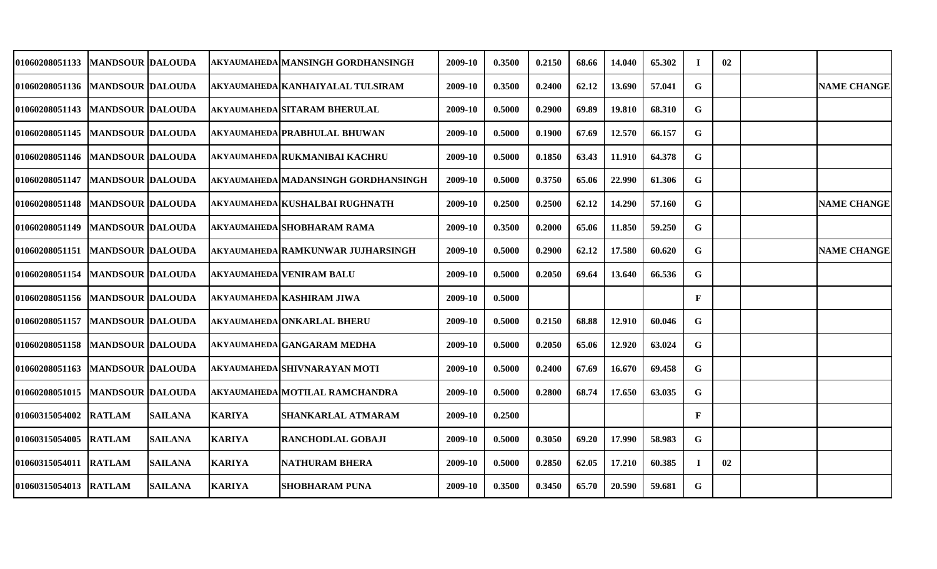| 01060208051133                    | <b>MANDSOUR DALOUDA</b>  |                |               | AKYAUMAHEDA MANSINGH GORDHANSINGH   | 2009-10 | 0.3500 | 0.2150 | 68.66 | 14.040 | 65.302 |   | 02 |                    |
|-----------------------------------|--------------------------|----------------|---------------|-------------------------------------|---------|--------|--------|-------|--------|--------|---|----|--------------------|
| 01060208051136  MANDSOUR DALOUDA  |                          |                |               | AKYAUMAHEDA KANHAIYALAL TULSIRAM    | 2009-10 | 0.3500 | 0.2400 | 62.12 | 13.690 | 57.041 | G |    | <b>NAME CHANGE</b> |
| 01060208051143  MANDSOUR DALOUDA  |                          |                |               | <b>AKYAUMAHEDA SITARAM BHERULAL</b> | 2009-10 | 0.5000 | 0.2900 | 69.89 | 19.810 | 68.310 | G |    |                    |
| <b>01060208051145</b>             | <b>MANDSOUR DALOUDA</b>  |                |               | <b>AKYAUMAHEDA PRABHULAL BHUWAN</b> | 2009-10 | 0.5000 | 0.1900 | 67.69 | 12.570 | 66.157 | G |    |                    |
| 01060208051146   MANDSOUR DALOUDA |                          |                |               | AKYAUMAHEDA RUKMANIBAI KACHRU       | 2009-10 | 0.5000 | 0.1850 | 63.43 | 11.910 | 64.378 | G |    |                    |
| <b>01060208051147</b>             | <b>MANDSOUR DALOUDA</b>  |                |               | AKYAUMAHEDA MADANSINGH GORDHANSINGH | 2009-10 | 0.5000 | 0.3750 | 65.06 | 22.990 | 61.306 | G |    |                    |
| <b>01060208051148</b>             | <b>MANDSOUR DALOUDA</b>  |                |               | AKYAUMAHEDA KUSHALBAI RUGHNATH      | 2009-10 | 0.2500 | 0.2500 | 62.12 | 14.290 | 57.160 | G |    | <b>NAME CHANGE</b> |
| <b>01060208051149</b>             | <b>MANDSOUR  DALOUDA</b> |                |               | AKYAUMAHEDA SHOBHARAM RAMA          | 2009-10 | 0.3500 | 0.2000 | 65.06 | 11.850 | 59.250 | G |    |                    |
| 01060208051151  MANDSOUR DALOUDA  |                          |                |               | AKYAUMAHEDA RAMKUNWAR JUJHARSINGH   | 2009-10 | 0.5000 | 0.2900 | 62.12 | 17.580 | 60.620 | G |    | <b>NAME CHANGE</b> |
| <b>01060208051154</b>             | <b>MANDSOUR DALOUDA</b>  |                |               | <b>AKYAUMAHEDA VENIRAM BALU</b>     | 2009-10 | 0.5000 | 0.2050 | 69.64 | 13.640 | 66.536 | G |    |                    |
| 01060208051156  MANDSOUR DALOUDA  |                          |                |               | <b>AKYAUMAHEDA KASHIRAM JIWA</b>    | 2009-10 | 0.5000 |        |       |        |        | F |    |                    |
| 01060208051157                    | <b>MANDSOUR DALOUDA</b>  |                |               | <b>AKYAUMAHEDA ONKARLAL BHERU</b>   | 2009-10 | 0.5000 | 0.2150 | 68.88 | 12.910 | 60.046 | G |    |                    |
| <b>01060208051158</b>             | <b>MANDSOUR DALOUDA</b>  |                |               | AKYAUMAHEDA GANGARAM MEDHA          | 2009-10 | 0.5000 | 0.2050 | 65.06 | 12.920 | 63.024 | G |    |                    |
| 01060208051163                    | MANDSOUR  DALOUDA        |                |               | AKYAUMAHEDA SHIVNARAYAN MOTI        | 2009-10 | 0.5000 | 0.2400 | 67.69 | 16.670 | 69.458 | G |    |                    |
| 01060208051015                    | <b>MANDSOUR DALOUDA</b>  |                |               | AKYAUMAHEDA MOTILAL RAMCHANDRA      | 2009-10 | 0.5000 | 0.2800 | 68.74 | 17.650 | 63.035 | G |    |                    |
| <b>01060315054002</b>             | <b>RATLAM</b>            | <b>SAILANA</b> | <b>KARIYA</b> | SHANKARLAL ATMARAM                  | 2009-10 | 0.2500 |        |       |        |        | F |    |                    |
| 01060315054005                    | <b>RATLAM</b>            | <b>SAILANA</b> | <b>KARIYA</b> | <b>RANCHODLAL GOBAJI</b>            | 2009-10 | 0.5000 | 0.3050 | 69.20 | 17.990 | 58.983 | G |    |                    |
| 01060315054011 RATLAM             |                          | <b>SAILANA</b> | <b>KARIYA</b> | <b>NATHURAM BHERA</b>               | 2009-10 | 0.5000 | 0.2850 | 62.05 | 17.210 | 60.385 | I | 02 |                    |
| 01060315054013                    | <b>RATLAM</b>            | <b>SAILANA</b> | <b>KARIYA</b> | <b>SHOBHARAM PUNA</b>               | 2009-10 | 0.3500 | 0.3450 | 65.70 | 20.590 | 59.681 | G |    |                    |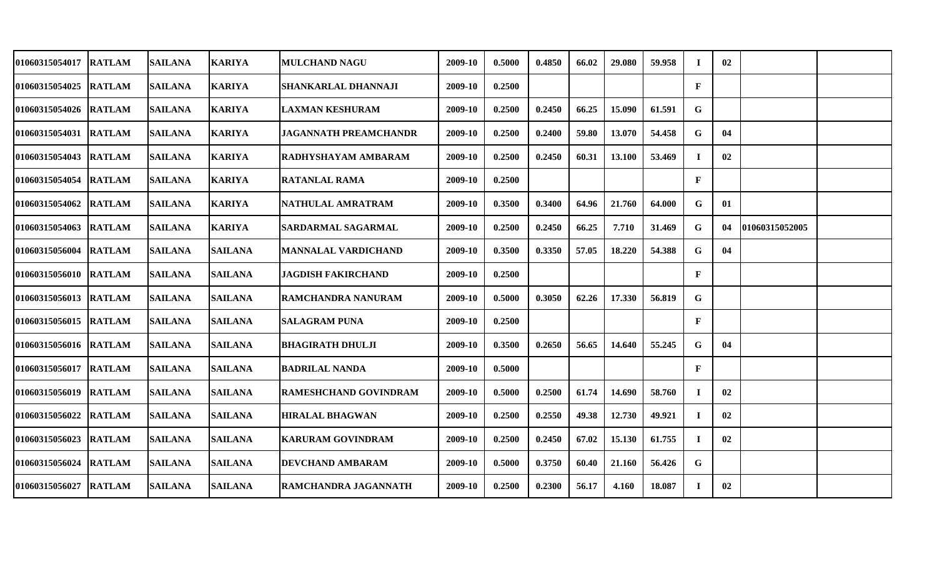| 01060315054017        | <b>RATLAM</b> | <b>SAILANA</b> | <b>KARIYA</b>  | <b>MULCHAND NAGU</b>         | 2009-10 | 0.5000 | 0.4850 | 66.02 | 29.080 | 59.958 | $\mathbf I$  | 02 |                |  |
|-----------------------|---------------|----------------|----------------|------------------------------|---------|--------|--------|-------|--------|--------|--------------|----|----------------|--|
| 01060315054025        | <b>RATLAM</b> | <b>SAILANA</b> | <b>KARIYA</b>  | SHANKARLAL DHANNAJI          | 2009-10 | 0.2500 |        |       |        |        | $\mathbf F$  |    |                |  |
| 01060315054026 RATLAM |               | <b>SAILANA</b> | <b>KARIYA</b>  | <b>LAXMAN KESHURAM</b>       | 2009-10 | 0.2500 | 0.2450 | 66.25 | 15.090 | 61.591 | G            |    |                |  |
| 01060315054031        | <b>RATLAM</b> | <b>SAILANA</b> | <b>KARIYA</b>  | <b>JAGANNATH PREAMCHANDR</b> | 2009-10 | 0.2500 | 0.2400 | 59.80 | 13.070 | 54.458 | G            | 04 |                |  |
| <b>01060315054043</b> | <b>RATLAM</b> | <b>SAILANA</b> | <b>KARIYA</b>  | RADHYSHAYAM AMBARAM          | 2009-10 | 0.2500 | 0.2450 | 60.31 | 13.100 | 53.469 | Т.           | 02 |                |  |
| <b>01060315054054</b> | <b>RATLAM</b> | <b>SAILANA</b> | <b>KARIYA</b>  | <b>RATANLAL RAMA</b>         | 2009-10 | 0.2500 |        |       |        |        | $\mathbf{F}$ |    |                |  |
| <b>01060315054062</b> | <b>RATLAM</b> | <b>SAILANA</b> | <b>KARIYA</b>  | NATHULAL AMRATRAM            | 2009-10 | 0.3500 | 0.3400 | 64.96 | 21.760 | 64.000 | G            | 01 |                |  |
| 01060315054063        | <b>RATLAM</b> | <b>SAILANA</b> | <b>KARIYA</b>  | SARDARMAL SAGARMAL           | 2009-10 | 0.2500 | 0.2450 | 66.25 | 7.710  | 31.469 | G            | 04 | 01060315052005 |  |
| 01060315056004 RATLAM |               | <b>SAILANA</b> | <b>SAILANA</b> | MANNALAL VARDICHAND          | 2009-10 | 0.3500 | 0.3350 | 57.05 | 18.220 | 54.388 | G            | 04 |                |  |
| 01060315056010 RATLAM |               | <b>SAILANA</b> | <b>SAILANA</b> | <b>JAGDISH FAKIRCHAND</b>    | 2009-10 | 0.2500 |        |       |        |        | $\mathbf{F}$ |    |                |  |
| 01060315056013 RATLAM |               | <b>SAILANA</b> | <b>SAILANA</b> | <b>RAMCHANDRA NANURAM</b>    | 2009-10 | 0.5000 | 0.3050 | 62.26 | 17.330 | 56.819 | G            |    |                |  |
| 01060315056015 RATLAM |               | <b>SAILANA</b> | <b>SAILANA</b> | <b>SALAGRAM PUNA</b>         | 2009-10 | 0.2500 |        |       |        |        | $\mathbf{F}$ |    |                |  |
| 01060315056016 RATLAM |               | <b>SAILANA</b> | <b>SAILANA</b> | <b>BHAGIRATH DHULJI</b>      | 2009-10 | 0.3500 | 0.2650 | 56.65 | 14.640 | 55.245 | G            | 04 |                |  |
| <b>01060315056017</b> | <b>RATLAM</b> | <b>SAILANA</b> | <b>SAILANA</b> | <b>BADRILAL NANDA</b>        | 2009-10 | 0.5000 |        |       |        |        | $\mathbf{F}$ |    |                |  |
| 01060315056019        | <b>RATLAM</b> | <b>SAILANA</b> | <b>SAILANA</b> | RAMESHCHAND GOVINDRAM        | 2009-10 | 0.5000 | 0.2500 | 61.74 | 14.690 | 58.760 | $\bf{I}$     | 02 |                |  |
| 01060315056022        | <b>RATLAM</b> | <b>SAILANA</b> | <b>SAILANA</b> | <b>HIRALAL BHAGWAN</b>       | 2009-10 | 0.2500 | 0.2550 | 49.38 | 12.730 | 49.921 | $\bf{I}$     | 02 |                |  |
| 01060315056023        | <b>RATLAM</b> | <b>SAILANA</b> | <b>SAILANA</b> | <b>KARURAM GOVINDRAM</b>     | 2009-10 | 0.2500 | 0.2450 | 67.02 | 15.130 | 61.755 | $\mathbf{I}$ | 02 |                |  |
| 01060315056024        | <b>RATLAM</b> | <b>SAILANA</b> | <b>SAILANA</b> | <b>DEVCHAND AMBARAM</b>      | 2009-10 | 0.5000 | 0.3750 | 60.40 | 21.160 | 56.426 | G            |    |                |  |
| 01060315056027        | <b>RATLAM</b> | <b>SAILANA</b> | <b>SAILANA</b> | RAMCHANDRA JAGANNATH         | 2009-10 | 0.2500 | 0.2300 | 56.17 | 4.160  | 18.087 | Т.           | 02 |                |  |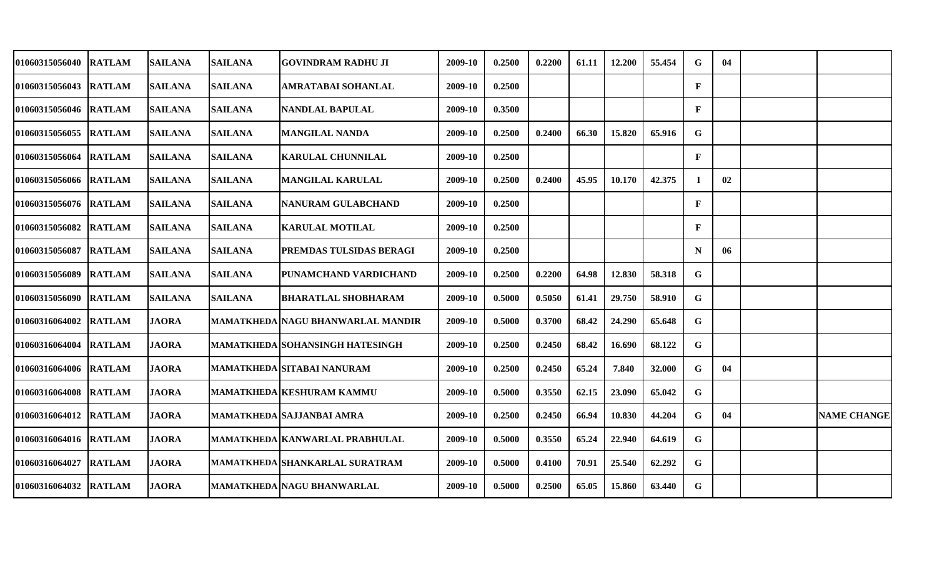| <b>01060315056040</b> | <b>RATLAM</b> | <b>SAILANA</b> | <b>SAILANA</b> | GOVINDRAM RADHU JI                  | 2009-10 | 0.2500 | 0.2200 | 61.11 | 12.200 | 55.454 | G            | 04 |                    |
|-----------------------|---------------|----------------|----------------|-------------------------------------|---------|--------|--------|-------|--------|--------|--------------|----|--------------------|
| 01060315056043        | <b>RATLAM</b> | <b>SAILANA</b> | <b>SAILANA</b> | AMRATABAI SOHANLAL                  | 2009-10 | 0.2500 |        |       |        |        | $\mathbf{F}$ |    |                    |
| 01060315056046        | <b>RATLAM</b> | <b>SAILANA</b> | <b>SAILANA</b> | <b>NANDLAL BAPULAL</b>              | 2009-10 | 0.3500 |        |       |        |        | F            |    |                    |
| 01060315056055        | <b>RATLAM</b> | <b>SAILANA</b> | <b>SAILANA</b> | <b>MANGILAL NANDA</b>               | 2009-10 | 0.2500 | 0.2400 | 66.30 | 15.820 | 65.916 | G            |    |                    |
| 01060315056064        | <b>RATLAM</b> | <b>SAILANA</b> | <b>SAILANA</b> | <b>KARULAL CHUNNILAL</b>            | 2009-10 | 0.2500 |        |       |        |        | F            |    |                    |
| 01060315056066 RATLAM |               | <b>SAILANA</b> | <b>SAILANA</b> | <b>MANGILAL KARULAL</b>             | 2009-10 | 0.2500 | 0.2400 | 45.95 | 10.170 | 42.375 | $\bf{I}$     | 02 |                    |
| 01060315056076        | <b>RATLAM</b> | <b>SAILANA</b> | <b>SAILANA</b> | <b>NANURAM GULABCHAND</b>           | 2009-10 | 0.2500 |        |       |        |        | $\mathbf{F}$ |    |                    |
| 01060315056082        | <b>RATLAM</b> | <b>SAILANA</b> | <b>SAILANA</b> | <b>KARULAL MOTILAL</b>              | 2009-10 | 0.2500 |        |       |        |        | $\mathbf{F}$ |    |                    |
| 01060315056087        | <b>RATLAM</b> | <b>SAILANA</b> | <b>SAILANA</b> | <b>PREMDAS TULSIDAS BERAGI</b>      | 2009-10 | 0.2500 |        |       |        |        | N            | 06 |                    |
| 01060315056089        | <b>RATLAM</b> | <b>SAILANA</b> | <b>SAILANA</b> | PUNAMCHAND VARDICHAND               | 2009-10 | 0.2500 | 0.2200 | 64.98 | 12.830 | 58.318 | G            |    |                    |
| 01060315056090        | <b>RATLAM</b> | <b>SAILANA</b> | <b>SAILANA</b> | <b>BHARATLAL SHOBHARAM</b>          | 2009-10 | 0.5000 | 0.5050 | 61.41 | 29.750 | 58.910 | G            |    |                    |
| 01060316064002        | <b>RATLAM</b> | <b>JAORA</b>   |                | MAMATKHEDA   NAGU BHANWARLAL MANDIR | 2009-10 | 0.5000 | 0.3700 | 68.42 | 24.290 | 65.648 | G            |    |                    |
| 01060316064004        | <b>RATLAM</b> | <b>JAORA</b>   |                | MAMATKHEDA  SOHANSINGH HATESINGH    | 2009-10 | 0.2500 | 0.2450 | 68.42 | 16.690 | 68.122 | G            |    |                    |
| 01060316064006        | <b>RATLAM</b> | <b>JAORA</b>   |                | MAMATKHEDA SITABAI NANURAM          | 2009-10 | 0.2500 | 0.2450 | 65.24 | 7.840  | 32.000 | G            | 04 |                    |
| 01060316064008        | <b>RATLAM</b> | <b>JAORA</b>   |                | MAMATKHEDA KESHURAM KAMMU           | 2009-10 | 0.5000 | 0.3550 | 62.15 | 23.090 | 65.042 | G            |    |                    |
| 01060316064012        | <b>RATLAM</b> | <b>JAORA</b>   |                | MAMATKHEDA SAJJANBAI AMRA           | 2009-10 | 0.2500 | 0.2450 | 66.94 | 10.830 | 44.204 | G            | 04 | <b>NAME CHANGE</b> |
| 01060316064016        | <b>RATLAM</b> | <b>JAORA</b>   |                | MAMATKHEDA KANWARLAL PRABHULAL      | 2009-10 | 0.5000 | 0.3550 | 65.24 | 22.940 | 64.619 | G            |    |                    |
| 01060316064027        | <b>RATLAM</b> | <b>JAORA</b>   |                | MAMATKHEDA SHANKARLAL SURATRAM      | 2009-10 | 0.5000 | 0.4100 | 70.91 | 25.540 | 62.292 | G            |    |                    |
| 01060316064032        | <b>RATLAM</b> | <b>JAORA</b>   |                | MAMATKHEDA   NAGU BHANWARLAL        | 2009-10 | 0.5000 | 0.2500 | 65.05 | 15.860 | 63.440 | G            |    |                    |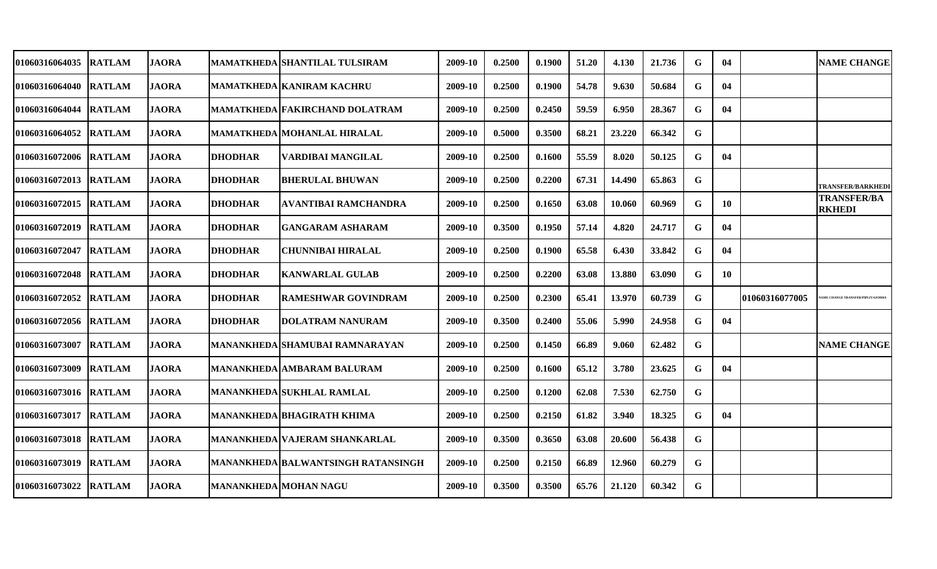| 01060316064035         | <b>RATLAM</b> | <b>JAORA</b> |                | MAMATKHEDA SHANTILAL TULSIRAM         | 2009-10 | 0.2500 | 0.1900 | 51.20 | 4.130  | 21.736 | G           | 04        |                | <b>NAME CHANGE</b>                    |
|------------------------|---------------|--------------|----------------|---------------------------------------|---------|--------|--------|-------|--------|--------|-------------|-----------|----------------|---------------------------------------|
| 01060316064040 IRATLAM |               | <b>JAORA</b> |                | MAMATKHEDA KANIRAM KACHRU             | 2009-10 | 0.2500 | 0.1900 | 54.78 | 9.630  | 50.684 | G           | 04        |                |                                       |
| 01060316064044         | <b>RATLAM</b> | <b>JAORA</b> |                | <b>MAMATKHEDA FAKIRCHAND DOLATRAM</b> | 2009-10 | 0.2500 | 0.2450 | 59.59 | 6.950  | 28.367 | G           | 04        |                |                                       |
| 01060316064052 RATLAM  |               | <b>JAORA</b> |                | <b>MAMATKHEDA MOHANLAL HIRALAL</b>    | 2009-10 | 0.5000 | 0.3500 | 68.21 | 23.220 | 66.342 | G           |           |                |                                       |
| 01060316072006 RATLAM  |               | <b>JAORA</b> | <b>DHODHAR</b> | <b>VARDIBAI MANGILAL</b>              | 2009-10 | 0.2500 | 0.1600 | 55.59 | 8.020  | 50.125 | G           | 04        |                |                                       |
| 01060316072013 RATLAM  |               | <b>JAORA</b> | <b>DHODHAR</b> | <b>BHERULAL BHUWAN</b>                | 2009-10 | 0.2500 | 0.2200 | 67.31 | 14.490 | 65.863 | $\mathbf G$ |           |                | <b>TRANSFER/BARKHEDI</b>              |
| 01060316072015 RATLAM  |               | <b>JAORA</b> | <b>DHODHAR</b> | AVANTIBAI RAMCHANDRA                  | 2009-10 | 0.2500 | 0.1650 | 63.08 | 10.060 | 60.969 | G           | <b>10</b> |                | <b>TRANSFER/BA</b><br><b>RKHEDI</b>   |
| 01060316072019 RATLAM  |               | <b>JAORA</b> | <b>DHODHAR</b> | <b>GANGARAM ASHARAM</b>               | 2009-10 | 0.3500 | 0.1950 | 57.14 | 4.820  | 24.717 | G           | 04        |                |                                       |
| 01060316072047         | <b>RATLAM</b> | <b>JAORA</b> | <b>DHODHAR</b> | CHUNNIBAI HIRALAL                     | 2009-10 | 0.2500 | 0.1900 | 65.58 | 6.430  | 33.842 | G           | 04        |                |                                       |
| 01060316072048 RATLAM  |               | <b>JAORA</b> | <b>DHODHAR</b> | <b>KANWARLAL GULAB</b>                | 2009-10 | 0.2500 | 0.2200 | 63.08 | 13.880 | 63.090 | G           | 10        |                |                                       |
| 01060316072052 RATLAM  |               | <b>JAORA</b> | <b>DHODHAR</b> | <b>RAMESHWAR GOVINDRAM</b>            | 2009-10 | 0.2500 | 0.2300 | 65.41 | 13.970 | 60.739 | G           |           | 01060316077005 | <b>ME CHANGE TRANSFER/PIPLIYAJODH</b> |
| 01060316072056 RATLAM  |               | <b>JAORA</b> | <b>DHODHAR</b> | <b>DOLATRAM NANURAM</b>               | 2009-10 | 0.3500 | 0.2400 | 55.06 | 5.990  | 24.958 | G           | 04        |                |                                       |
| 01060316073007         | <b>RATLAM</b> | <b>JAORA</b> |                | <b>MANANKHEDA SHAMUBAI RAMNARAYAN</b> | 2009-10 | 0.2500 | 0.1450 | 66.89 | 9.060  | 62.482 | $\mathbf G$ |           |                | <b>NAME CHANGE</b>                    |
| 01060316073009         | <b>RATLAM</b> | <b>JAORA</b> |                | MANANKHEDA AMBARAM BALURAM            | 2009-10 | 0.2500 | 0.1600 | 65.12 | 3.780  | 23.625 | G           | 04        |                |                                       |
| 01060316073016 RATLAM  |               | <b>JAORA</b> |                | <b>MANANKHEDA SUKHLAL RAMLAL</b>      | 2009-10 | 0.2500 | 0.1200 | 62.08 | 7.530  | 62.750 | G           |           |                |                                       |
| 01060316073017         | <b>RATLAM</b> | <b>JAORA</b> |                | MANANKHEDA BHAGIRATH KHIMA            | 2009-10 | 0.2500 | 0.2150 | 61.82 | 3.940  | 18.325 | G           | 04        |                |                                       |
| 01060316073018         | <b>RATLAM</b> | <b>JAORA</b> |                | MANANKHEDA VAJERAM SHANKARLAL         | 2009-10 | 0.3500 | 0.3650 | 63.08 | 20.600 | 56.438 | G           |           |                |                                       |
| 01060316073019         | <b>RATLAM</b> | <b>JAORA</b> |                | MANANKHEDA   BALWANTSINGH RATANSINGH  | 2009-10 | 0.2500 | 0.2150 | 66.89 | 12.960 | 60.279 | G           |           |                |                                       |
| 01060316073022         | <b>RATLAM</b> | <b>JAORA</b> |                | <b>MANANKHEDA MOHAN NAGU</b>          | 2009-10 | 0.3500 | 0.3500 | 65.76 | 21.120 | 60.342 | G           |           |                |                                       |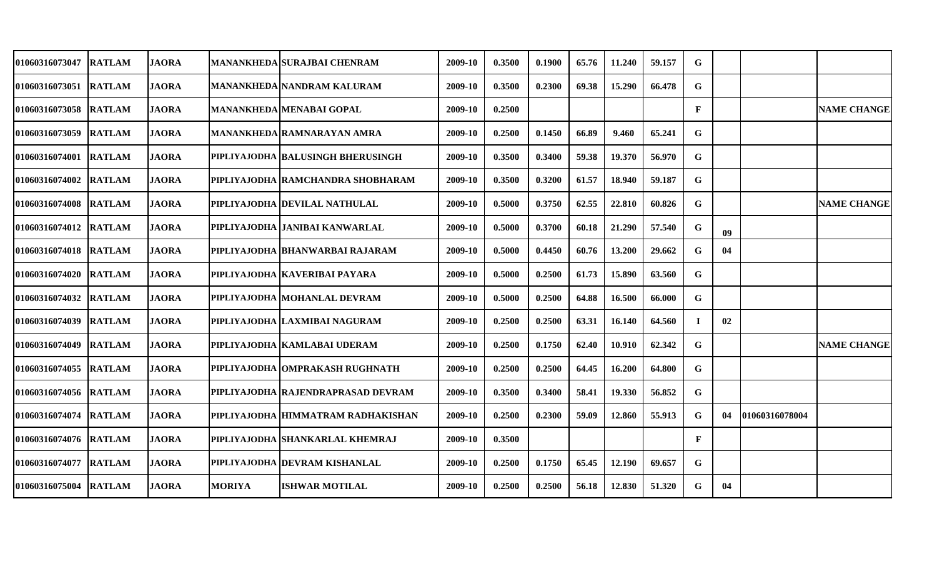| 01060316073047        | <b>RATLAM</b> | <b>JAORA</b> |               | MANANKHEDA SURAJBAI CHENRAM              | 2009-10 | 0.3500 | 0.1900 | 65.76 | 11.240 | 59.157 | G  |    |                |                    |
|-----------------------|---------------|--------------|---------------|------------------------------------------|---------|--------|--------|-------|--------|--------|----|----|----------------|--------------------|
| <b>01060316073051</b> | <b>RATLAM</b> | <b>JAORA</b> |               | MANANKHEDA NANDRAM KALURAM               | 2009-10 | 0.3500 | 0.2300 | 69.38 | 15.290 | 66.478 | G  |    |                |                    |
| 01060316073058        | <b>RATLAM</b> | <b>JAORA</b> |               | <b>MANANKHEDA MENABAI GOPAL</b>          | 2009-10 | 0.2500 |        |       |        |        | F  |    |                | <b>NAME CHANGE</b> |
| <b>01060316073059</b> | <b>RATLAM</b> | <b>JAORA</b> |               | MANANKHEDA RAMNARAYAN AMRA               | 2009-10 | 0.2500 | 0.1450 | 66.89 | 9.460  | 65.241 | G  |    |                |                    |
| <b>01060316074001</b> | <b>RATLAM</b> | <b>JAORA</b> |               | <b>PIPLIYAJODHA BALUSINGH BHERUSINGH</b> | 2009-10 | 0.3500 | 0.3400 | 59.38 | 19.370 | 56.970 | G  |    |                |                    |
| <b>01060316074002</b> | <b>RATLAM</b> | <b>JAORA</b> |               | PIPLIYAJODHA RAMCHANDRA SHOBHARAM        | 2009-10 | 0.3500 | 0.3200 | 61.57 | 18.940 | 59.187 | G  |    |                |                    |
| 01060316074008        | <b>RATLAM</b> | <b>JAORA</b> |               | PIPLIYAJODHA   DEVILAL NATHULAL          | 2009-10 | 0.5000 | 0.3750 | 62.55 | 22.810 | 60.826 | G  |    |                | <b>NAME CHANGE</b> |
| <b>01060316074012</b> | <b>RATLAM</b> | <b>JAORA</b> |               | PIPLIYAJODHA  JANIBAI KANWARLAL          | 2009-10 | 0.5000 | 0.3700 | 60.18 | 21.290 | 57.540 | G  | 09 |                |                    |
| 01060316074018 RATLAM |               | <b>JAORA</b> |               | PIPLIYAJODHA  BHANWARBAI RAJARAM         | 2009-10 | 0.5000 | 0.4450 | 60.76 | 13.200 | 29.662 | G  | 04 |                |                    |
| 01060316074020 RATLAM |               | <b>JAORA</b> |               | PIPLIYAJODHA   KAVERIBAI PAYARA          | 2009-10 | 0.5000 | 0.2500 | 61.73 | 15.890 | 63.560 | G  |    |                |                    |
| <b>01060316074032</b> | <b>RATLAM</b> | <b>JAORA</b> |               | PIPLIYAJODHA  MOHANLAL DEVRAM            | 2009-10 | 0.5000 | 0.2500 | 64.88 | 16.500 | 66.000 | G  |    |                |                    |
| 01060316074039        | <b>RATLAM</b> | <b>JAORA</b> |               | PIPLIYAJODHA LAXMIBAI NAGURAM            | 2009-10 | 0.2500 | 0.2500 | 63.31 | 16.140 | 64.560 | -1 | 02 |                |                    |
| 01060316074049        | <b>RATLAM</b> | <b>JAORA</b> |               | PIPLIYAJODHA  KAMLABAI UDERAM            | 2009-10 | 0.2500 | 0.1750 | 62.40 | 10.910 | 62.342 | G  |    |                | <b>NAME CHANGE</b> |
| 01060316074055        | <b>RATLAM</b> | <b>JAORA</b> |               | PIPLIYAJODHA OMPRAKASH RUGHNATH          | 2009-10 | 0.2500 | 0.2500 | 64.45 | 16.200 | 64.800 | G  |    |                |                    |
| 01060316074056        | <b>RATLAM</b> | <b>JAORA</b> |               | PIPLIYAJODHA RAJENDRAPRASAD DEVRAM       | 2009-10 | 0.3500 | 0.3400 | 58.41 | 19.330 | 56.852 | G  |    |                |                    |
| 01060316074074        | <b>RATLAM</b> | <b>JAORA</b> |               | PIPLIYAJODHA HIMMATRAM RADHAKISHAN       | 2009-10 | 0.2500 | 0.2300 | 59.09 | 12.860 | 55.913 | G  | 04 | 01060316078004 |                    |
| 01060316074076 RATLAM |               | <b>JAORA</b> |               | PIPLIYAJODHA SHANKARLAL KHEMRAJ          | 2009-10 | 0.3500 |        |       |        |        | F  |    |                |                    |
| 01060316074077        | <b>RATLAM</b> | <b>JAORA</b> |               | PIPLIYAJODHA  DEVRAM KISHANLAL           | 2009-10 | 0.2500 | 0.1750 | 65.45 | 12.190 | 69.657 | G  |    |                |                    |
| 01060316075004        | <b>RATLAM</b> | <b>JAORA</b> | <b>MORIYA</b> | <b>ISHWAR MOTILAL</b>                    | 2009-10 | 0.2500 | 0.2500 | 56.18 | 12.830 | 51.320 | G  | 04 |                |                    |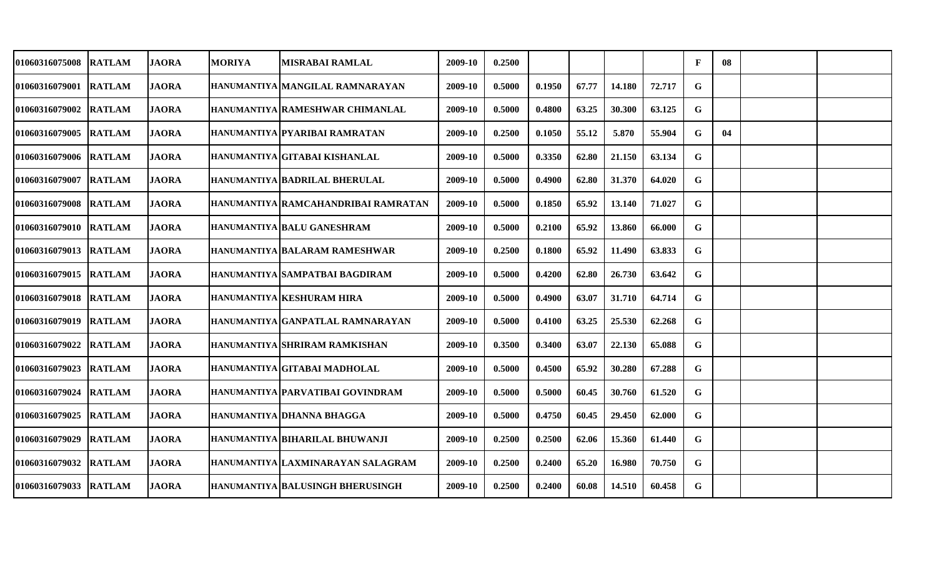| <b>01060316075008</b>  | <b>RATLAM</b> | JAORA        | <b>MORIYA</b> | <b>MISRABAI RAMLAL</b>                  | 2009-10 | 0.2500 |        |       |        |        | $\mathbf{F}$ | 08 |  |
|------------------------|---------------|--------------|---------------|-----------------------------------------|---------|--------|--------|-------|--------|--------|--------------|----|--|
| 01060316079001         | <b>RATLAM</b> | <b>JAORA</b> |               | HANUMANTIYA MANGILAL RAMNARAYAN         | 2009-10 | 0.5000 | 0.1950 | 67.77 | 14.180 | 72.717 | G            |    |  |
| <b>01060316079002</b>  | <b>RATLAM</b> | <b>JAORA</b> |               | HANUMANTIYA RAMESHWAR CHIMANLAL         | 2009-10 | 0.5000 | 0.4800 | 63.25 | 30.300 | 63.125 | G            |    |  |
| 01060316079005         | <b>RATLAM</b> | <b>JAORA</b> |               | HANUMANTIYA PYARIBAI RAMRATAN           | 2009-10 | 0.2500 | 0.1050 | 55.12 | 5.870  | 55.904 | G            | 04 |  |
| 01060316079006 RATLAM  |               | <b>JAORA</b> |               | HANUMANTIYA GITABAI KISHANLAL           | 2009-10 | 0.5000 | 0.3350 | 62.80 | 21.150 | 63.134 | G            |    |  |
| 01060316079007         | <b>RATLAM</b> | <b>JAORA</b> |               | HANUMANTIYA BADRILAL BHERULAL           | 2009-10 | 0.5000 | 0.4900 | 62.80 | 31.370 | 64.020 | $\mathbf G$  |    |  |
| 01060316079008         | <b>RATLAM</b> | <b>JAORA</b> |               | HANUMANTIYA RAMCAHANDRIBAI RAMRATAN     | 2009-10 | 0.5000 | 0.1850 | 65.92 | 13.140 | 71.027 | G            |    |  |
| 01060316079010  RATLAM |               | <b>JAORA</b> |               | HANUMANTIYA BALU GANESHRAM              | 2009-10 | 0.5000 | 0.2100 | 65.92 | 13.860 | 66.000 | G            |    |  |
| 01060316079013  RATLAM |               | <b>JAORA</b> |               | HANUMANTIYA BALARAM RAMESHWAR           | 2009-10 | 0.2500 | 0.1800 | 65.92 | 11.490 | 63.833 | G            |    |  |
| 01060316079015 RATLAM  |               | <b>JAORA</b> |               | HANUMANTIYA SAMPATBAI BAGDIRAM          | 2009-10 | 0.5000 | 0.4200 | 62.80 | 26.730 | 63.642 | G            |    |  |
| 01060316079018 RATLAM  |               | <b>JAORA</b> |               | HANUMANTIYA KESHURAM HIRA               | 2009-10 | 0.5000 | 0.4900 | 63.07 | 31.710 | 64.714 | G            |    |  |
| 01060316079019 RATLAM  |               | <b>JAORA</b> |               | HANUMANTIYA GANPATLAL RAMNARAYAN        | 2009-10 | 0.5000 | 0.4100 | 63.25 | 25.530 | 62.268 | G            |    |  |
| <b>01060316079022</b>  | <b>RATLAM</b> | <b>JAORA</b> |               | HANUMANTIYA SHRIRAM RAMKISHAN           | 2009-10 | 0.3500 | 0.3400 | 63.07 | 22.130 | 65.088 | G            |    |  |
| 01060316079023         | <b>RATLAM</b> | <b>JAORA</b> |               | HANUMANTIYA GITABAI MADHOLAL            | 2009-10 | 0.5000 | 0.4500 | 65.92 | 30.280 | 67.288 | G            |    |  |
| <b>01060316079024</b>  | <b>RATLAM</b> | <b>JAORA</b> |               | HANUMANTIYA PARVATIBAI GOVINDRAM        | 2009-10 | 0.5000 | 0.5000 | 60.45 | 30.760 | 61.520 | G            |    |  |
| 01060316079025         | <b>RATLAM</b> | <b>JAORA</b> |               | HANUMANTIYA DHANNA BHAGGA               | 2009-10 | 0.5000 | 0.4750 | 60.45 | 29.450 | 62.000 | G            |    |  |
| 01060316079029         | <b>RATLAM</b> | <b>JAORA</b> |               | HANUMANTIYA BIHARILAL BHUWANJI          | 2009-10 | 0.2500 | 0.2500 | 62.06 | 15.360 | 61.440 | G            |    |  |
| 01060316079032         | <b>RATLAM</b> | <b>JAORA</b> |               | HANUMANTIYA LAXMINARAYAN SALAGRAM       | 2009-10 | 0.2500 | 0.2400 | 65.20 | 16.980 | 70.750 | G            |    |  |
| 01060316079033         | <b>RATLAM</b> | <b>JAORA</b> |               | <b>HANUMANTIYA BALUSINGH BHERUSINGH</b> | 2009-10 | 0.2500 | 0.2400 | 60.08 | 14.510 | 60.458 | G            |    |  |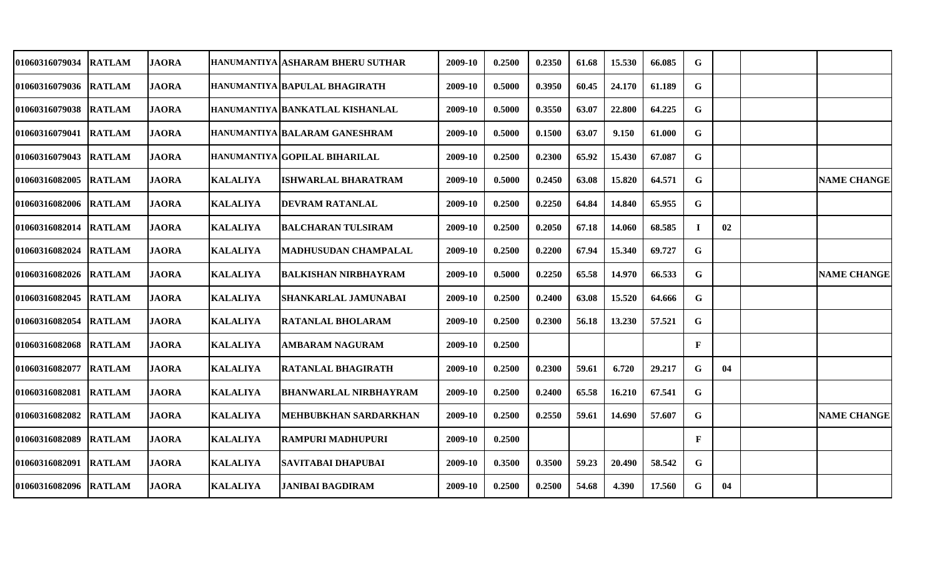| 01060316079034         | <b>RATLAM</b> | <b>JAORA</b> |                 | HANUMANTIYA ASHARAM BHERU SUTHAR | 2009-10 | 0.2500 | 0.2350 | 61.68 | 15.530 | 66.085 | G           |    |                    |
|------------------------|---------------|--------------|-----------------|----------------------------------|---------|--------|--------|-------|--------|--------|-------------|----|--------------------|
| 01060316079036  RATLAM |               | <b>JAORA</b> |                 | HANUMANTIYA BAPULAL BHAGIRATH    | 2009-10 | 0.5000 | 0.3950 | 60.45 | 24.170 | 61.189 | G           |    |                    |
| 01060316079038         | <b>RATLAM</b> | <b>JAORA</b> |                 | HANUMANTIYA BANKATLAL KISHANLAL  | 2009-10 | 0.5000 | 0.3550 | 63.07 | 22.800 | 64.225 | $\mathbf G$ |    |                    |
| 01060316079041         | <b>RATLAM</b> | <b>JAORA</b> |                 | HANUMANTIYA BALARAM GANESHRAM    | 2009-10 | 0.5000 | 0.1500 | 63.07 | 9.150  | 61.000 | G           |    |                    |
| <b>01060316079043</b>  | <b>RATLAM</b> | <b>JAORA</b> |                 | HANUMANTIYA GOPILAL BIHARILAL    | 2009-10 | 0.2500 | 0.2300 | 65.92 | 15.430 | 67.087 | G           |    |                    |
| <b>01060316082005</b>  | <b>RATLAM</b> | <b>JAORA</b> | <b>KALALIYA</b> | ISHWARLAL BHARATRAM              | 2009-10 | 0.5000 | 0.2450 | 63.08 | 15.820 | 64.571 | $\mathbf G$ |    | <b>NAME CHANGE</b> |
| 01060316082006 RATLAM  |               | <b>JAORA</b> | <b>KALALIYA</b> | <b>DEVRAM RATANLAL</b>           | 2009-10 | 0.2500 | 0.2250 | 64.84 | 14.840 | 65.955 | G           |    |                    |
| <b>01060316082014</b>  | <b>RATLAM</b> | <b>JAORA</b> | <b>KALALIYA</b> | <b>BALCHARAN TULSIRAM</b>        | 2009-10 | 0.2500 | 0.2050 | 67.18 | 14.060 | 68.585 |             | 02 |                    |
| <b>01060316082024</b>  | <b>RATLAM</b> | <b>JAORA</b> | <b>KALALIYA</b> | <b>MADHUSUDAN CHAMPALAL</b>      | 2009-10 | 0.2500 | 0.2200 | 67.94 | 15.340 | 69.727 | G           |    |                    |
| 01060316082026 RATLAM  |               | <b>JAORA</b> | <b>KALALIYA</b> | <b>BALKISHAN NIRBHAYRAM</b>      | 2009-10 | 0.5000 | 0.2250 | 65.58 | 14.970 | 66.533 | G           |    | <b>NAME CHANGE</b> |
| <b>01060316082045</b>  | <b>RATLAM</b> | <b>JAORA</b> | <b>KALALIYA</b> | <b>SHANKARLAL JAMUNABAI</b>      | 2009-10 | 0.2500 | 0.2400 | 63.08 | 15.520 | 64.666 | G           |    |                    |
| 01060316082054         | <b>RATLAM</b> | <b>JAORA</b> | <b>KALALIYA</b> | <b>RATANLAL BHOLARAM</b>         | 2009-10 | 0.2500 | 0.2300 | 56.18 | 13.230 | 57.521 | G           |    |                    |
| 01060316082068         | <b>RATLAM</b> | <b>JAORA</b> | <b>KALALIYA</b> | <b>AMBARAM NAGURAM</b>           | 2009-10 | 0.2500 |        |       |        |        | F           |    |                    |
| <b>01060316082077</b>  | <b>RATLAM</b> | <b>JAORA</b> | <b>KALALIYA</b> | <b>RATANLAL BHAGIRATH</b>        | 2009-10 | 0.2500 | 0.2300 | 59.61 | 6.720  | 29.217 | G           | 04 |                    |
| 01060316082081         | <b>RATLAM</b> | <b>JAORA</b> | <b>KALALIYA</b> | <b>BHANWARLAL NIRBHAYRAM</b>     | 2009-10 | 0.2500 | 0.2400 | 65.58 | 16.210 | 67.541 | G           |    |                    |
| <b>01060316082082</b>  | <b>RATLAM</b> | <b>JAORA</b> | <b>KALALIYA</b> | MEHBUBKHAN SARDARKHAN            | 2009-10 | 0.2500 | 0.2550 | 59.61 | 14.690 | 57.607 | G.          |    | <b>NAME CHANGE</b> |
| 01060316082089         | <b>RATLAM</b> | <b>JAORA</b> | <b>KALALIYA</b> | <b>RAMPURI MADHUPURI</b>         | 2009-10 | 0.2500 |        |       |        |        | $\mathbf F$ |    |                    |
| 01060316082091         | <b>RATLAM</b> | <b>JAORA</b> | <b>KALALIYA</b> | <b>SAVITABAI DHAPUBAI</b>        | 2009-10 | 0.3500 | 0.3500 | 59.23 | 20.490 | 58.542 | G           |    |                    |
| 01060316082096         | <b>RATLAM</b> | <b>JAORA</b> | <b>KALALIYA</b> | <b>JANIBAI BAGDIRAM</b>          | 2009-10 | 0.2500 | 0.2500 | 54.68 | 4.390  | 17.560 | G           | 04 |                    |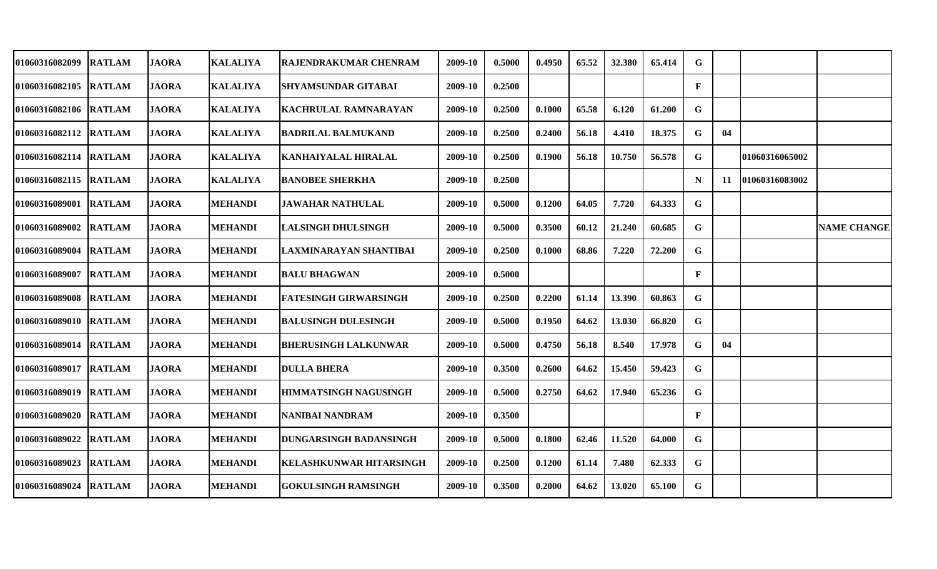| 01060316082099        | <b>RATLAM</b> | <b>JAORA</b> | <b>KALALIYA</b> | RAJENDRAKUMAR CHENRAM          | 2009-10 | 0.5000 | 0.4950 | 65.52 | 32.380 | 65.414 | G            |     |                |                    |
|-----------------------|---------------|--------------|-----------------|--------------------------------|---------|--------|--------|-------|--------|--------|--------------|-----|----------------|--------------------|
| 01060316082105 RATLAM |               | <b>JAORA</b> | <b>KALALIYA</b> | <b>SHYAMSUNDAR GITABAI</b>     | 2009-10 | 0.2500 |        |       |        |        | $\mathbf{F}$ |     |                |                    |
| 01060316082106 RATLAM |               | <b>JAORA</b> | <b>KALALIYA</b> | KACHRULAL RAMNARAYAN           | 2009-10 | 0.2500 | 0.1000 | 65.58 | 6.120  | 61.200 | G            |     |                |                    |
| 01060316082112 RATLAM |               | <b>JAORA</b> | <b>KALALIYA</b> | <b>BADRILAL BALMUKAND</b>      | 2009-10 | 0.2500 | 0.2400 | 56.18 | 4.410  | 18.375 | G            | 04  |                |                    |
| 01060316082114 RATLAM |               | <b>JAORA</b> | <b>KALALIYA</b> | <b>KANHAIYALAL HIRALAL</b>     | 2009-10 | 0.2500 | 0.1900 | 56.18 | 10.750 | 56.578 | G            |     | 01060316065002 |                    |
| 01060316082115 RATLAM |               | <b>JAORA</b> | <b>KALALIYA</b> | <b>BANOBEE SHERKHA</b>         | 2009-10 | 0.2500 |        |       |        |        | N            | -11 | 01060316083002 |                    |
| 01060316089001        | <b>RATLAM</b> | <b>JAORA</b> | <b>MEHANDI</b>  | <b>JAWAHAR NATHULAL</b>        | 2009-10 | 0.5000 | 0.1200 | 64.05 | 7.720  | 64.333 | G            |     |                |                    |
| 01060316089002        | <b>RATLAM</b> | <b>JAORA</b> | <b>MEHANDI</b>  | <b>LALSINGH DHULSINGH</b>      | 2009-10 | 0.5000 | 0.3500 | 60.12 | 21.240 | 60.685 | G            |     |                | <b>NAME CHANGE</b> |
| 01060316089004 RATLAM |               | <b>JAORA</b> | <b>MEHANDI</b>  | LAXMINARAYAN SHANTIBAI         | 2009-10 | 0.2500 | 0.1000 | 68.86 | 7.220  | 72.200 | G            |     |                |                    |
| 01060316089007        | <b>RATLAM</b> | <b>JAORA</b> | <b>MEHANDI</b>  | <b>BALU BHAGWAN</b>            | 2009-10 | 0.5000 |        |       |        |        | F            |     |                |                    |
| 01060316089008 RATLAM |               | <b>JAORA</b> | <b>MEHANDI</b>  | <b>FATESINGH GIRWARSINGH</b>   | 2009-10 | 0.2500 | 0.2200 | 61.14 | 13.390 | 60.863 | G            |     |                |                    |
| 01060316089010 RATLAM |               | <b>JAORA</b> | <b>MEHANDI</b>  | <b>BALUSINGH DULESINGH</b>     | 2009-10 | 0.5000 | 0.1950 | 64.62 | 13.030 | 66.820 | G            |     |                |                    |
| 01060316089014        | <b>RATLAM</b> | <b>JAORA</b> | <b>MEHANDI</b>  | <b>BHERUSINGH LALKUNWAR</b>    | 2009-10 | 0.5000 | 0.4750 | 56.18 | 8.540  | 17.978 | G            | 04  |                |                    |
| 01060316089017        | <b>RATLAM</b> | <b>JAORA</b> | <b>MEHANDI</b>  | <b>DULLA BHERA</b>             | 2009-10 | 0.3500 | 0.2600 | 64.62 | 15.450 | 59.423 | G            |     |                |                    |
| 01060316089019        | <b>RATLAM</b> | <b>JAORA</b> | <b>MEHANDI</b>  | <b>HIMMATSINGH NAGUSINGH</b>   | 2009-10 | 0.5000 | 0.2750 | 64.62 | 17.940 | 65.236 | G            |     |                |                    |
| 01060316089020        | <b>RATLAM</b> | <b>JAORA</b> | <b>MEHANDI</b>  | <b>NANIBAI NANDRAM</b>         | 2009-10 | 0.3500 |        |       |        |        | F            |     |                |                    |
| 01060316089022        | <b>RATLAM</b> | <b>JAORA</b> | <b>MEHANDI</b>  | <b>DUNGARSINGH BADANSINGH</b>  | 2009-10 | 0.5000 | 0.1800 | 62.46 | 11.520 | 64.000 | G            |     |                |                    |
| 01060316089023        | <b>RATLAM</b> | <b>JAORA</b> | <b>MEHANDI</b>  | <b>KELASHKUNWAR HITARSINGH</b> | 2009-10 | 0.2500 | 0.1200 | 61.14 | 7.480  | 62.333 | G            |     |                |                    |
| 01060316089024        | <b>RATLAM</b> | <b>JAORA</b> | <b>MEHANDI</b>  | <b>GOKULSINGH RAMSINGH</b>     | 2009-10 | 0.3500 | 0.2000 | 64.62 | 13.020 | 65.100 | G            |     |                |                    |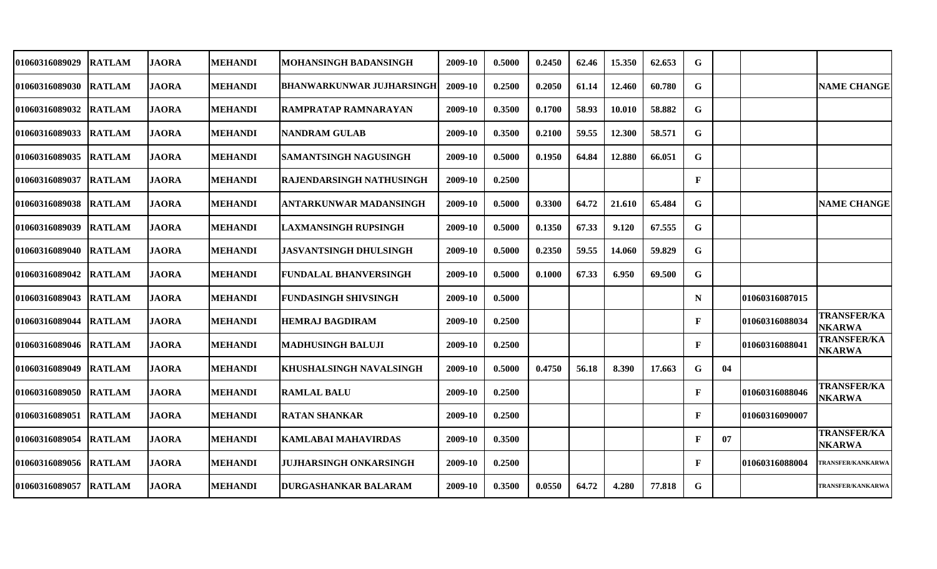| 01060316089029        | <b>RATLAM</b> | <b>JAORA</b> | <b>MEHANDI</b> | MOHANSINGH BADANSINGH            | 2009-10 | 0.5000 | 0.2450 | 62.46 | 15.350 | 62.653 | G            |    |                |                                     |
|-----------------------|---------------|--------------|----------------|----------------------------------|---------|--------|--------|-------|--------|--------|--------------|----|----------------|-------------------------------------|
| 01060316089030 RATLAM |               | <b>JAORA</b> | <b>MEHANDI</b> | <b>BHANWARKUNWAR JUJHARSINGH</b> | 2009-10 | 0.2500 | 0.2050 | 61.14 | 12.460 | 60.780 | G            |    |                | <b>NAME CHANGE</b>                  |
| 01060316089032        | <b>RATLAM</b> | <b>JAORA</b> | <b>MEHANDI</b> | RAMPRATAP RAMNARAYAN             | 2009-10 | 0.3500 | 0.1700 | 58.93 | 10.010 | 58.882 | G            |    |                |                                     |
| 01060316089033        | <b>RATLAM</b> | <b>JAORA</b> | <b>MEHANDI</b> | <b>NANDRAM GULAB</b>             | 2009-10 | 0.3500 | 0.2100 | 59.55 | 12.300 | 58.571 | G            |    |                |                                     |
| 01060316089035        | <b>RATLAM</b> | <b>JAORA</b> | <b>MEHANDI</b> | <b>SAMANTSINGH NAGUSINGH</b>     | 2009-10 | 0.5000 | 0.1950 | 64.84 | 12.880 | 66.051 | G            |    |                |                                     |
| 01060316089037        | <b>RATLAM</b> | <b>JAORA</b> | <b>MEHANDI</b> | RAJENDARSINGH NATHUSINGH         | 2009-10 | 0.2500 |        |       |        |        | $\mathbf{F}$ |    |                |                                     |
| 01060316089038        | <b>RATLAM</b> | <b>JAORA</b> | <b>MEHANDI</b> | <b>ANTARKUNWAR MADANSINGH</b>    | 2009-10 | 0.5000 | 0.3300 | 64.72 | 21.610 | 65.484 | G            |    |                | <b>NAME CHANGE</b>                  |
| 01060316089039        | <b>RATLAM</b> | <b>JAORA</b> | <b>MEHANDI</b> | <b>LAXMANSINGH RUPSINGH</b>      | 2009-10 | 0.5000 | 0.1350 | 67.33 | 9.120  | 67.555 | G            |    |                |                                     |
| 01060316089040 RATLAM |               | <b>JAORA</b> | <b>MEHANDI</b> | JASVANTSINGH DHULSINGH           | 2009-10 | 0.5000 | 0.2350 | 59.55 | 14.060 | 59.829 | G            |    |                |                                     |
| 01060316089042 RATLAM |               | <b>JAORA</b> | <b>MEHANDI</b> | <b>FUNDALAL BHANVERSINGH</b>     | 2009-10 | 0.5000 | 0.1000 | 67.33 | 6.950  | 69.500 | G            |    |                |                                     |
| 01060316089043 RATLAM |               | <b>JAORA</b> | <b>MEHANDI</b> | <b>FUNDASINGH SHIVSINGH</b>      | 2009-10 | 0.5000 |        |       |        |        | $\mathbf N$  |    | 01060316087015 |                                     |
| 01060316089044        | <b>RATLAM</b> | <b>JAORA</b> | <b>MEHANDI</b> | <b>HEMRAJ BAGDIRAM</b>           | 2009-10 | 0.2500 |        |       |        |        | F            |    | 01060316088034 | <b>TRANSFER/KA</b><br><b>NKARWA</b> |
| 01060316089046        | <b>RATLAM</b> | <b>JAORA</b> | <b>MEHANDI</b> | <b>MADHUSINGH BALUJI</b>         | 2009-10 | 0.2500 |        |       |        |        | F            |    | 01060316088041 | <b>TRANSFER/KA</b><br><b>NKARWA</b> |
| 01060316089049        | <b>RATLAM</b> | <b>JAORA</b> | <b>MEHANDI</b> | <b>KHUSHALSINGH NAVALSINGH</b>   | 2009-10 | 0.5000 | 0.4750 | 56.18 | 8.390  | 17.663 | G            | 04 |                |                                     |
| 01060316089050        | <b>RATLAM</b> | <b>JAORA</b> | <b>MEHANDI</b> | <b>RAMLAL BALU</b>               | 2009-10 | 0.2500 |        |       |        |        | F            |    | 01060316088046 | <b>TRANSFER/KA</b><br><b>NKARWA</b> |
| 01060316089051        | <b>RATLAM</b> | <b>JAORA</b> | <b>MEHANDI</b> | <b>RATAN SHANKAR</b>             | 2009-10 | 0.2500 |        |       |        |        | F            |    | 01060316090007 |                                     |
| 01060316089054        | <b>RATLAM</b> | <b>JAORA</b> | <b>MEHANDI</b> | <b>KAMLABAI MAHAVIRDAS</b>       | 2009-10 | 0.3500 |        |       |        |        | $\mathbf{F}$ | 07 |                | <b>TRANSFER/KA</b><br><b>NKARWA</b> |
| 01060316089056 RATLAM |               | <b>JAORA</b> | <b>MEHANDI</b> | <b>JUJHARSINGH ONKARSINGH</b>    | 2009-10 | 0.2500 |        |       |        |        | $\mathbf{F}$ |    | 01060316088004 | <b>TRANSFER/KANKARWA</b>            |
| 01060316089057        | <b>RATLAM</b> | <b>JAORA</b> | <b>MEHANDI</b> | <b>DURGASHANKAR BALARAM</b>      | 2009-10 | 0.3500 | 0.0550 | 64.72 | 4.280  | 77.818 | G            |    |                | <b>TRANSFER/KANKARWA</b>            |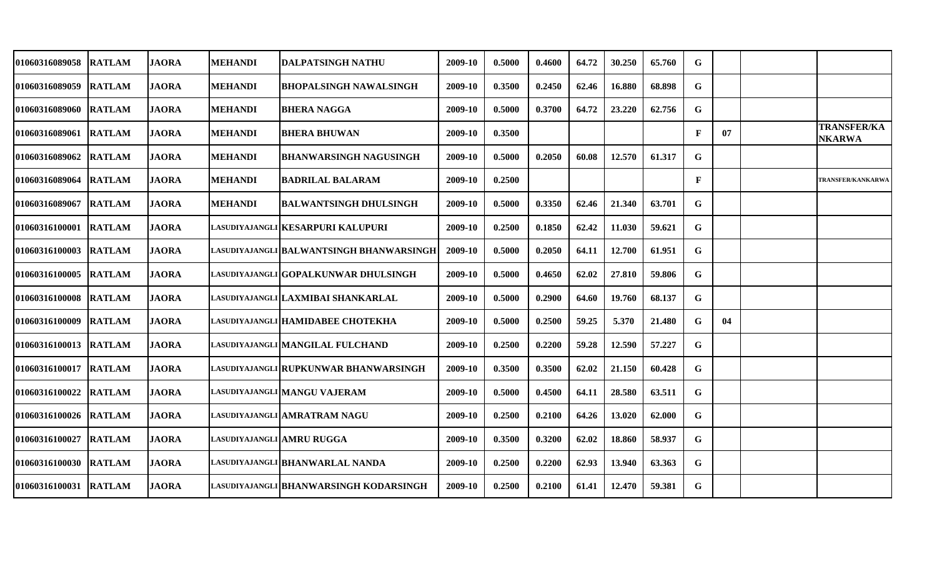| <b>01060316089058</b> | <b>RATLAM</b> | <b>JAORA</b> | <b>MEHANDI</b>            | DALPATSINGH NATHU                        | 2009-10 | 0.5000 | 0.4600 | 64.72 | 30.250 | 65.760 | G            |    |                                     |
|-----------------------|---------------|--------------|---------------------------|------------------------------------------|---------|--------|--------|-------|--------|--------|--------------|----|-------------------------------------|
| 01060316089059        | <b>RATLAM</b> | <b>JAORA</b> | <b>MEHANDI</b>            | <b>BHOPALSINGH NAWALSINGH</b>            | 2009-10 | 0.3500 | 0.2450 | 62.46 | 16.880 | 68.898 | G            |    |                                     |
| 01060316089060 RATLAM |               | <b>JAORA</b> | <b>MEHANDI</b>            | <b>BHERA NAGGA</b>                       | 2009-10 | 0.5000 | 0.3700 | 64.72 | 23.220 | 62.756 | G            |    |                                     |
| 01060316089061 RATLAM |               | <b>JAORA</b> | <b>MEHANDI</b>            | <b>BHERA BHUWAN</b>                      | 2009-10 | 0.3500 |        |       |        |        | $\mathbf{F}$ | 07 | <b>TRANSFER/KA</b><br><b>NKARWA</b> |
| 01060316089062        | <b>RATLAM</b> | <b>JAORA</b> | <b>MEHANDI</b>            | <b>BHANWARSINGH NAGUSINGH</b>            | 2009-10 | 0.5000 | 0.2050 | 60.08 | 12.570 | 61.317 | G            |    |                                     |
| 01060316089064        | <b>RATLAM</b> | <b>JAORA</b> | <b>MEHANDI</b>            | <b>BADRILAL BALARAM</b>                  | 2009-10 | 0.2500 |        |       |        |        | $\mathbf{F}$ |    | <b>TRANSFER/KANKARWA</b>            |
| 01060316089067        | <b>RATLAM</b> | <b>JAORA</b> | <b>MEHANDI</b>            | <b>BALWANTSINGH DHULSINGH</b>            | 2009-10 | 0.5000 | 0.3350 | 62.46 | 21.340 | 63.701 | G            |    |                                     |
| 01060316100001        | <b>RATLAM</b> | <b>JAORA</b> |                           | lasudiyajangli KESARPURI KALUPURI        | 2009-10 | 0.2500 | 0.1850 | 62.42 | 11.030 | 59.621 | G            |    |                                     |
| 01060316100003 RATLAM |               | <b>JAORA</b> |                           | LASUDIYAJANGLI BALWANTSINGH BHANWARSINGH | 2009-10 | 0.5000 | 0.2050 | 64.11 | 12.700 | 61.951 | G            |    |                                     |
| <b>01060316100005</b> | <b>RATLAM</b> | <b>JAORA</b> |                           | LASUDIYAJANGLI GOPALKUNWAR DHULSINGH     | 2009-10 | 0.5000 | 0.4650 | 62.02 | 27.810 | 59.806 | G            |    |                                     |
| 01060316100008        | <b>RATLAM</b> | <b>JAORA</b> |                           | LASUDIYAJANGLI LAXMIBAI SHANKARLAL       | 2009-10 | 0.5000 | 0.2900 | 64.60 | 19.760 | 68.137 | G            |    |                                     |
| 01060316100009        | <b>RATLAM</b> | <b>JAORA</b> |                           | LASUDIYAJANGLI HAMIDABEE CHOTEKHA        | 2009-10 | 0.5000 | 0.2500 | 59.25 | 5.370  | 21.480 | G            | 04 |                                     |
| <b>01060316100013</b> | <b>RATLAM</b> | <b>JAORA</b> |                           | LASUDIYAJANGLI MANGILAL FULCHAND         | 2009-10 | 0.2500 | 0.2200 | 59.28 | 12.590 | 57.227 | G            |    |                                     |
| <b>01060316100017</b> | <b>RATLAM</b> | <b>JAORA</b> |                           | lasudiyajangli RUPKUNWAR BHANWARSINGH    | 2009-10 | 0.3500 | 0.3500 | 62.02 | 21.150 | 60.428 | G            |    |                                     |
| 01060316100022        | <b>RATLAM</b> | <b>JAORA</b> |                           | LASUDIYAJANGLI MANGU VAJERAM             | 2009-10 | 0.5000 | 0.4500 | 64.11 | 28.580 | 63.511 | G            |    |                                     |
| 01060316100026 RATLAM |               | <b>JAORA</b> |                           | lasudiyajangli AMRATRAM NAGU             | 2009-10 | 0.2500 | 0.2100 | 64.26 | 13.020 | 62.000 | G            |    |                                     |
| 01060316100027        | <b>RATLAM</b> | <b>JAORA</b> | LASUDIYAJANGLI AMRU RUGGA |                                          | 2009-10 | 0.3500 | 0.3200 | 62.02 | 18.860 | 58.937 | G            |    |                                     |
| 01060316100030        | <b>RATLAM</b> | <b>JAORA</b> |                           | LASUDIYAJANGLI BHANWARLAL NANDA          | 2009-10 | 0.2500 | 0.2200 | 62.93 | 13.940 | 63.363 | G            |    |                                     |
| 01060316100031        | <b>RATLAM</b> | <b>JAORA</b> |                           | LASUDIYAJANGLI BHANWARSINGH KODARSINGH   | 2009-10 | 0.2500 | 0.2100 | 61.41 | 12.470 | 59.381 | G            |    |                                     |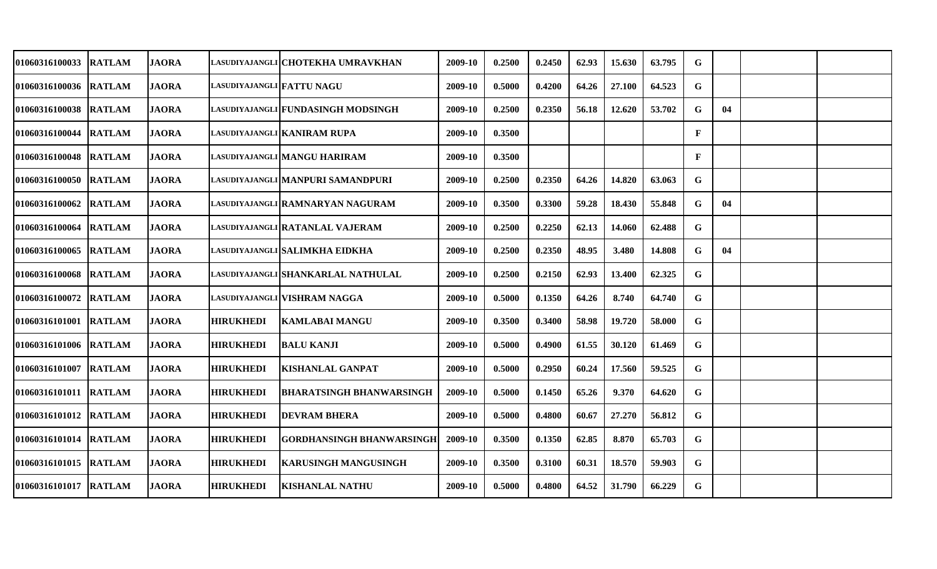| 01060316100033         | <b>RATLAM</b> | <b>JAORA</b> |                                  | LASUDIYAJANGLI CHOTEKHA UMRAVKHAN    | 2009-10 | 0.2500 | 0.2450 | 62.93 | 15.630 | 63.795 | G           |    |  |
|------------------------|---------------|--------------|----------------------------------|--------------------------------------|---------|--------|--------|-------|--------|--------|-------------|----|--|
| 01060316100036 RATLAM  |               | <b>JAORA</b> | <b>LASUDIYAJANGLI FATTU NAGU</b> |                                      | 2009-10 | 0.5000 | 0.4200 | 64.26 | 27.100 | 64.523 | G           |    |  |
| 01060316100038  RATLAM |               | <b>JAORA</b> |                                  | LASUDIYAJANGLI FUNDASINGH MODSINGH   | 2009-10 | 0.2500 | 0.2350 | 56.18 | 12.620 | 53.702 | G.          | 04 |  |
| 01060316100044 IRATLAM |               | <b>JAORA</b> |                                  | lasudiyajangli KANIRAM RUPA          | 2009-10 | 0.3500 |        |       |        |        | $\mathbf F$ |    |  |
| 01060316100048 RATLAM  |               | <b>JAORA</b> |                                  | LASUDIYAJANGLI MANGU HARIRAM         | 2009-10 | 0.3500 |        |       |        |        | $\mathbf F$ |    |  |
| 01060316100050 RATLAM  |               | <b>JAORA</b> |                                  | LASUDIYAJANGLI MANPURI SAMANDPURI    | 2009-10 | 0.2500 | 0.2350 | 64.26 | 14.820 | 63.063 | G           |    |  |
| 01060316100062         | <b>RATLAM</b> | <b>JAORA</b> |                                  | LASUDIYAJANGLI RAMNARYAN NAGURAM     | 2009-10 | 0.3500 | 0.3300 | 59.28 | 18.430 | 55.848 | G           | 04 |  |
| 01060316100064         | <b>RATLAM</b> | <b>JAORA</b> |                                  | LASUDIYAJANGLI RATANLAL VAJERAM      | 2009-10 | 0.2500 | 0.2250 | 62.13 | 14.060 | 62.488 | G           |    |  |
| 01060316100065         | <b>RATLAM</b> | <b>JAORA</b> |                                  | LASUDIYAJANGLI SALIMKHA EIDKHA       | 2009-10 | 0.2500 | 0.2350 | 48.95 | 3.480  | 14.808 | G           | 04 |  |
| 01060316100068         | <b>RATLAM</b> | <b>JAORA</b> |                                  | LASUDIYAJANGLI SHANKARLAL NATHULAL   | 2009-10 | 0.2500 | 0.2150 | 62.93 | 13.400 | 62.325 | G           |    |  |
| <b>01060316100072</b>  | <b>RATLAM</b> | <b>JAORA</b> |                                  | LASUDIYAJANGLI  <b>VISHRAM NAGGA</b> | 2009-10 | 0.5000 | 0.1350 | 64.26 | 8.740  | 64.740 | G           |    |  |
| 01060316101001 RATLAM  |               | <b>JAORA</b> | <b>HIRUKHEDI</b>                 | <b>KAMLABAI MANGU</b>                | 2009-10 | 0.3500 | 0.3400 | 58.98 | 19.720 | 58.000 | G           |    |  |
| 01060316101006  RATLAM |               | <b>JAORA</b> | <b>HIRUKHEDI</b>                 | <b>BALU KANJI</b>                    | 2009-10 | 0.5000 | 0.4900 | 61.55 | 30.120 | 61.469 | G           |    |  |
| <b>01060316101007</b>  | <b>RATLAM</b> | <b>JAORA</b> | <b>HIRUKHEDI</b>                 | <b>KISHANLAL GANPAT</b>              | 2009-10 | 0.5000 | 0.2950 | 60.24 | 17.560 | 59.525 | G           |    |  |
| 01060316101011  RATLAM |               | <b>JAORA</b> | <b>HIRUKHEDI</b>                 | <b>BHARATSINGH BHANWARSINGH</b>      | 2009-10 | 0.5000 | 0.1450 | 65.26 | 9.370  | 64.620 | G           |    |  |
| 01060316101012 RATLAM  |               | <b>JAORA</b> | <b>HIRUKHEDI</b>                 | <b>DEVRAM BHERA</b>                  | 2009-10 | 0.5000 | 0.4800 | 60.67 | 27.270 | 56.812 | G           |    |  |
| 01060316101014 RATLAM  |               | <b>JAORA</b> | <b>HIRUKHEDI</b>                 | GORDHANSINGH BHANWARSINGH            | 2009-10 | 0.3500 | 0.1350 | 62.85 | 8.870  | 65.703 | G           |    |  |
| 01060316101015 RATLAM  |               | <b>JAORA</b> | <b>HIRUKHEDI</b>                 | <b>KARUSINGH MANGUSINGH</b>          | 2009-10 | 0.3500 | 0.3100 | 60.31 | 18.570 | 59.903 | G           |    |  |
| 01060316101017 RATLAM  |               | <b>JAORA</b> | <b>HIRUKHEDI</b>                 | <b>KISHANLAL NATHU</b>               | 2009-10 | 0.5000 | 0.4800 | 64.52 | 31.790 | 66.229 | $\mathbf G$ |    |  |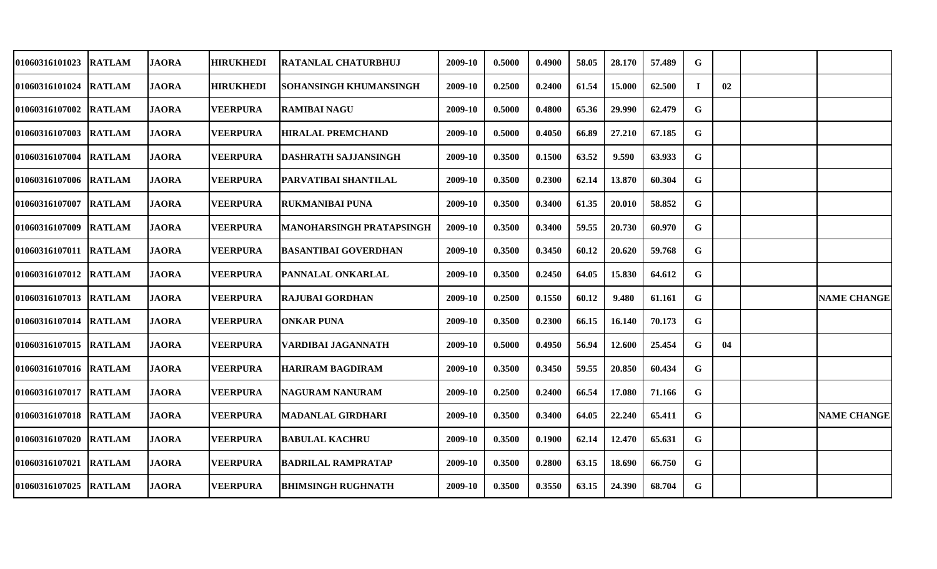| 01060316101023        | <b>RATLAM</b> | JAORA        | <b>HIRUKHEDI</b> | <b>RATANLAL CHATURBHUJ</b>      | 2009-10 | 0.5000 | 0.4900 | 58.05 | 28.170 | 57.489 | G  |    |                    |
|-----------------------|---------------|--------------|------------------|---------------------------------|---------|--------|--------|-------|--------|--------|----|----|--------------------|
| 01060316101024        | <b>RATLAM</b> | <b>JAORA</b> | <b>HIRUKHEDI</b> | SOHANSINGH KHUMANSINGH          | 2009-10 | 0.2500 | 0.2400 | 61.54 | 15.000 | 62.500 | Т. | 02 |                    |
| 01060316107002        | <b>RATLAM</b> | <b>JAORA</b> | <b>VEERPURA</b>  | <b>RAMIBAI NAGU</b>             | 2009-10 | 0.5000 | 0.4800 | 65.36 | 29.990 | 62.479 | G  |    |                    |
| 01060316107003        | <b>RATLAM</b> | <b>JAORA</b> | <b>VEERPURA</b>  | <b>HIRALAL PREMCHAND</b>        | 2009-10 | 0.5000 | 0.4050 | 66.89 | 27.210 | 67.185 | G  |    |                    |
| 01060316107004 RATLAM |               | <b>JAORA</b> | <b>VEERPURA</b>  | <b>DASHRATH SAJJANSINGH</b>     | 2009-10 | 0.3500 | 0.1500 | 63.52 | 9.590  | 63.933 | G  |    |                    |
| 01060316107006 RATLAM |               | <b>JAORA</b> | <b>VEERPURA</b>  | PARVATIBAI SHANTILAL            | 2009-10 | 0.3500 | 0.2300 | 62.14 | 13.870 | 60.304 | G  |    |                    |
| 01060316107007        | <b>RATLAM</b> | <b>JAORA</b> | <b>VEERPURA</b>  | <b>RUKMANIBAI PUNA</b>          | 2009-10 | 0.3500 | 0.3400 | 61.35 | 20.010 | 58.852 | G  |    |                    |
| 01060316107009        | <b>RATLAM</b> | <b>JAORA</b> | <b>VEERPURA</b>  | <b>MANOHARSINGH PRATAPSINGH</b> | 2009-10 | 0.3500 | 0.3400 | 59.55 | 20.730 | 60.970 | G  |    |                    |
| 01060316107011 RATLAM |               | <b>JAORA</b> | <b>VEERPURA</b>  | <b>BASANTIBAI GOVERDHAN</b>     | 2009-10 | 0.3500 | 0.3450 | 60.12 | 20.620 | 59.768 | G  |    |                    |
| 01060316107012 RATLAM |               | <b>JAORA</b> | <b>VEERPURA</b>  | PANNALAL ONKARLAL               | 2009-10 | 0.3500 | 0.2450 | 64.05 | 15.830 | 64.612 | G  |    |                    |
| 01060316107013 RATLAM |               | <b>JAORA</b> | <b>VEERPURA</b>  | <b>RAJUBAI GORDHAN</b>          | 2009-10 | 0.2500 | 0.1550 | 60.12 | 9.480  | 61.161 | G  |    | <b>NAME CHANGE</b> |
| 01060316107014 RATLAM |               | <b>JAORA</b> | <b>VEERPURA</b>  | <b>ONKAR PUNA</b>               | 2009-10 | 0.3500 | 0.2300 | 66.15 | 16.140 | 70.173 | G  |    |                    |
| 01060316107015 RATLAM |               | <b>JAORA</b> | <b>VEERPURA</b>  | VARDIBAI JAGANNATH              | 2009-10 | 0.5000 | 0.4950 | 56.94 | 12.600 | 25.454 | G  | 04 |                    |
| 01060316107016 RATLAM |               | <b>JAORA</b> | <b>VEERPURA</b>  | <b>HARIRAM BAGDIRAM</b>         | 2009-10 | 0.3500 | 0.3450 | 59.55 | 20.850 | 60.434 | G  |    |                    |
| <b>01060316107017</b> | <b>RATLAM</b> | <b>JAORA</b> | <b>VEERPURA</b>  | <b>NAGURAM NANURAM</b>          | 2009-10 | 0.2500 | 0.2400 | 66.54 | 17.080 | 71.166 | G  |    |                    |
| 01060316107018 RATLAM |               | <b>JAORA</b> | <b>VEERPURA</b>  | <b>MADANLAL GIRDHARI</b>        | 2009-10 | 0.3500 | 0.3400 | 64.05 | 22.240 | 65.411 | G. |    | <b>NAME CHANGE</b> |
| 01060316107020 RATLAM |               | <b>JAORA</b> | <b>VEERPURA</b>  | <b>BABULAL KACHRU</b>           | 2009-10 | 0.3500 | 0.1900 | 62.14 | 12.470 | 65.631 | G  |    |                    |
| 01060316107021        | <b>RATLAM</b> | <b>JAORA</b> | <b>VEERPURA</b>  | <b>BADRILAL RAMPRATAP</b>       | 2009-10 | 0.3500 | 0.2800 | 63.15 | 18.690 | 66.750 | G  |    |                    |
| 01060316107025        | <b>RATLAM</b> | <b>JAORA</b> | <b>VEERPURA</b>  | <b>BHIMSINGH RUGHNATH</b>       | 2009-10 | 0.3500 | 0.3550 | 63.15 | 24.390 | 68.704 | G  |    |                    |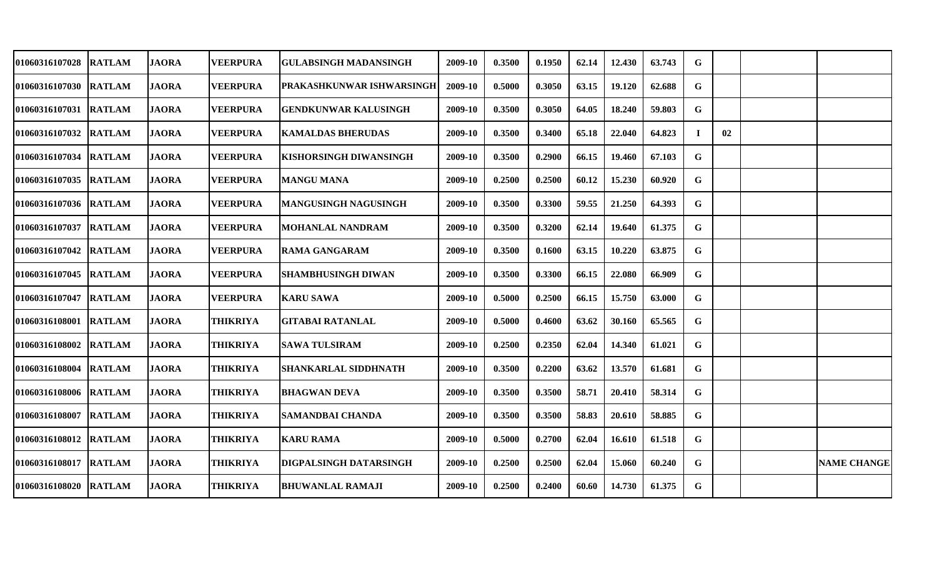| <b>01060316107028</b>  | <b>RATLAM</b> | <b>JAORA</b> | <b>VEERPURA</b> | GULABSINGH MADANSINGH       | 2009-10 | 0.3500 | 0.1950 | 62.14 | 12.430 | 63.743 | G           |    |                    |
|------------------------|---------------|--------------|-----------------|-----------------------------|---------|--------|--------|-------|--------|--------|-------------|----|--------------------|
| 01060316107030 RATLAM  |               | <b>JAORA</b> | <b>VEERPURA</b> | PRAKASHKUNWAR ISHWARSINGH   | 2009-10 | 0.5000 | 0.3050 | 63.15 | 19.120 | 62.688 | G           |    |                    |
| 01060316107031  RATLAM |               | <b>JAORA</b> | <b>VEERPURA</b> | <b>GENDKUNWAR KALUSINGH</b> | 2009-10 | 0.3500 | 0.3050 | 64.05 | 18.240 | 59.803 | G           |    |                    |
| 01060316107032 IRATLAM |               | <b>JAORA</b> | <b>VEERPURA</b> | <b>KAMALDAS BHERUDAS</b>    | 2009-10 | 0.3500 | 0.3400 | 65.18 | 22.040 | 64.823 | $\bf{I}$    | 02 |                    |
| 01060316107034         | <b>RATLAM</b> | <b>JAORA</b> | <b>VEERPURA</b> | KISHORSINGH DIWANSINGH      | 2009-10 | 0.3500 | 0.2900 | 66.15 | 19.460 | 67.103 | G           |    |                    |
| 01060316107035 RATLAM  |               | <b>JAORA</b> | <b>VEERPURA</b> | <b>MANGU MANA</b>           | 2009-10 | 0.2500 | 0.2500 | 60.12 | 15.230 | 60.920 | $\mathbf G$ |    |                    |
| 01060316107036  RATLAM |               | <b>JAORA</b> | <b>VEERPURA</b> | <b>MANGUSINGH NAGUSINGH</b> | 2009-10 | 0.3500 | 0.3300 | 59.55 | 21.250 | 64.393 | $\mathbf G$ |    |                    |
| 01060316107037         | <b>RATLAM</b> | <b>JAORA</b> | <b>VEERPURA</b> | <b>MOHANLAL NANDRAM</b>     | 2009-10 | 0.3500 | 0.3200 | 62.14 | 19.640 | 61.375 | G           |    |                    |
| 01060316107042         | <b>RATLAM</b> | <b>JAORA</b> | <b>VEERPURA</b> | <b>RAMA GANGARAM</b>        | 2009-10 | 0.3500 | 0.1600 | 63.15 | 10.220 | 63.875 | $\mathbf G$ |    |                    |
| <b>01060316107045</b>  | <b>RATLAM</b> | <b>JAORA</b> | <b>VEERPURA</b> | <b>SHAMBHUSINGH DIWAN</b>   | 2009-10 | 0.3500 | 0.3300 | 66.15 | 22.080 | 66.909 | $\mathbf G$ |    |                    |
| <b>01060316107047</b>  | <b>RATLAM</b> | <b>JAORA</b> | <b>VEERPURA</b> | <b>KARU SAWA</b>            | 2009-10 | 0.5000 | 0.2500 | 66.15 | 15.750 | 63.000 | G           |    |                    |
| 01060316108001         | <b>RATLAM</b> | <b>JAORA</b> | <b>THIKRIYA</b> | <b>GITABAI RATANLAL</b>     | 2009-10 | 0.5000 | 0.4600 | 63.62 | 30.160 | 65.565 | G           |    |                    |
| <b>01060316108002</b>  | <b>RATLAM</b> | <b>JAORA</b> | <b>THIKRIYA</b> | <b>SAWA TULSIRAM</b>        | 2009-10 | 0.2500 | 0.2350 | 62.04 | 14.340 | 61.021 | G           |    |                    |
| 01060316108004         | <b>RATLAM</b> | <b>JAORA</b> | <b>THIKRIYA</b> | SHANKARLAL SIDDHNATH        | 2009-10 | 0.3500 | 0.2200 | 63.62 | 13.570 | 61.681 | $\mathbf G$ |    |                    |
| 01060316108006 RATLAM  |               | <b>JAORA</b> | <b>THIKRIYA</b> | <b>BHAGWAN DEVA</b>         | 2009-10 | 0.3500 | 0.3500 | 58.71 | 20.410 | 58.314 | G           |    |                    |
| 01060316108007  RATLAM |               | <b>JAORA</b> | <b>THIKRIYA</b> | <b>SAMANDBAI CHANDA</b>     | 2009-10 | 0.3500 | 0.3500 | 58.83 | 20.610 | 58.885 | G           |    |                    |
| 01060316108012 RATLAM  |               | <b>JAORA</b> | <b>THIKRIYA</b> | <b>KARU RAMA</b>            | 2009-10 | 0.5000 | 0.2700 | 62.04 | 16.610 | 61.518 | G           |    |                    |
| 01060316108017 RATLAM  |               | <b>JAORA</b> | <b>THIKRIYA</b> | DIGPALSINGH DATARSINGH      | 2009-10 | 0.2500 | 0.2500 | 62.04 | 15.060 | 60.240 | $\mathbf G$ |    | <b>NAME CHANGE</b> |
| 01060316108020 RATLAM  |               | <b>JAORA</b> | <b>THIKRIYA</b> | <b>BHUWANLAL RAMAJI</b>     | 2009-10 | 0.2500 | 0.2400 | 60.60 | 14.730 | 61.375 | $\mathbf G$ |    |                    |
|                        |               |              |                 |                             |         |        |        |       |        |        |             |    |                    |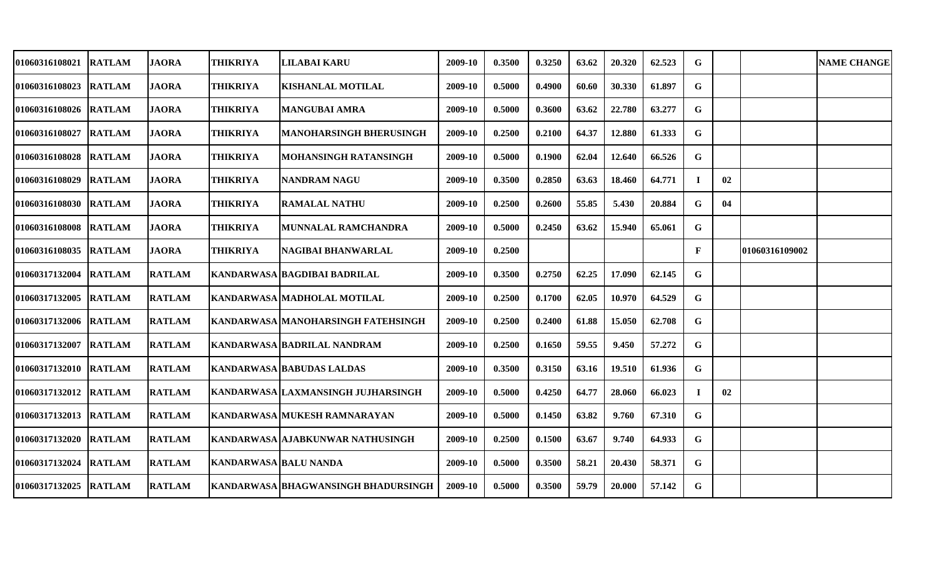| 01060316108021        | <b>RATLAM</b> | <b>JAORA</b>  | <b>THIKRIYA</b>              | <b>LILABAI KARU</b>                        | 2009-10 | 0.3500 | 0.3250 | 63.62 | 20.320 | 62.523 | G            |    |                | <b>NAME CHANGE</b> |
|-----------------------|---------------|---------------|------------------------------|--------------------------------------------|---------|--------|--------|-------|--------|--------|--------------|----|----------------|--------------------|
| 01060316108023 RATLAM |               | <b>JAORA</b>  | <b>THIKRIYA</b>              | <b>KISHANLAL MOTILAL</b>                   | 2009-10 | 0.5000 | 0.4900 | 60.60 | 30.330 | 61.897 | G            |    |                |                    |
| 01060316108026 RATLAM |               | <b>JAORA</b>  | <b>THIKRIYA</b>              | <b>MANGUBAI AMRA</b>                       | 2009-10 | 0.5000 | 0.3600 | 63.62 | 22.780 | 63.277 | G            |    |                |                    |
| 01060316108027        | <b>RATLAM</b> | <b>JAORA</b>  | <b>THIKRIYA</b>              | <b>MANOHARSINGH BHERUSINGH</b>             | 2009-10 | 0.2500 | 0.2100 | 64.37 | 12.880 | 61.333 | G            |    |                |                    |
| 01060316108028        | <b>RATLAM</b> | <b>JAORA</b>  | <b>THIKRIYA</b>              | MOHANSINGH RATANSINGH                      | 2009-10 | 0.5000 | 0.1900 | 62.04 | 12.640 | 66.526 | G            |    |                |                    |
| <b>01060316108029</b> | <b>RATLAM</b> | <b>JAORA</b>  | <b>THIKRIYA</b>              | <b>NANDRAM NAGU</b>                        | 2009-10 | 0.3500 | 0.2850 | 63.63 | 18.460 | 64.771 | л.           | 02 |                |                    |
| 01060316108030        | <b>RATLAM</b> | <b>JAORA</b>  | <b>THIKRIYA</b>              | <b>RAMALAL NATHU</b>                       | 2009-10 | 0.2500 | 0.2600 | 55.85 | 5.430  | 20.884 | G            | 04 |                |                    |
| 01060316108008 RATLAM |               | <b>JAORA</b>  | <b>THIKRIYA</b>              | MUNNALAL RAMCHANDRA                        | 2009-10 | 0.5000 | 0.2450 | 63.62 | 15.940 | 65.061 | G            |    |                |                    |
| 01060316108035 RATLAM |               | <b>JAORA</b>  | <b>THIKRIYA</b>              | NAGIBAI BHANWARLAL                         | 2009-10 | 0.2500 |        |       |        |        | $\mathbf{F}$ |    | 01060316109002 |                    |
| 01060317132004 RATLAM |               | <b>RATLAM</b> |                              | KANDARWASA BAGDIBAI BADRILAL               | 2009-10 | 0.3500 | 0.2750 | 62.25 | 17.090 | 62.145 | G            |    |                |                    |
| 01060317132005 RATLAM |               | <b>RATLAM</b> |                              | KANDARWASA MADHOLAL MOTILAL                | 2009-10 | 0.2500 | 0.1700 | 62.05 | 10.970 | 64.529 | G            |    |                |                    |
| 01060317132006 RATLAM |               | <b>RATLAM</b> |                              | KANDARWASA MANOHARSINGH FATEHSINGH         | 2009-10 | 0.2500 | 0.2400 | 61.88 | 15.050 | 62.708 | $\mathbf G$  |    |                |                    |
| 01060317132007        | <b>RATLAM</b> | <b>RATLAM</b> |                              | <b>KANDARWASA BADRILAL NANDRAM</b>         | 2009-10 | 0.2500 | 0.1650 | 59.55 | 9.450  | 57.272 | G            |    |                |                    |
| 01060317132010        | <b>RATLAM</b> | <b>RATLAM</b> |                              | <b>KANDARWASA BABUDAS LALDAS</b>           | 2009-10 | 0.3500 | 0.3150 | 63.16 | 19.510 | 61.936 | G            |    |                |                    |
| 01060317132012 RATLAM |               | <b>RATLAM</b> |                              | KANDARWASA LAXMANSINGH JUJHARSINGH         | 2009-10 | 0.5000 | 0.4250 | 64.77 | 28.060 | 66.023 |              | 02 |                |                    |
| 01060317132013 RATLAM |               | <b>RATLAM</b> |                              | KANDARWASA MUKESH RAMNARAYAN               | 2009-10 | 0.5000 | 0.1450 | 63.82 | 9.760  | 67.310 | G            |    |                |                    |
| 01060317132020        | <b>RATLAM</b> | <b>RATLAM</b> |                              | KANDARWASA AJABKUNWAR NATHUSINGH           | 2009-10 | 0.2500 | 0.1500 | 63.67 | 9.740  | 64.933 | G            |    |                |                    |
| 01060317132024        | <b>RATLAM</b> | <b>RATLAM</b> | <b>KANDARWASA BALU NANDA</b> |                                            | 2009-10 | 0.5000 | 0.3500 | 58.21 | 20.430 | 58.371 | G            |    |                |                    |
| 01060317132025        | <b>RATLAM</b> | <b>RATLAM</b> |                              | <b>KANDARWASA BHAGWANSINGH BHADURSINGH</b> | 2009-10 | 0.5000 | 0.3500 | 59.79 | 20.000 | 57.142 | G            |    |                |                    |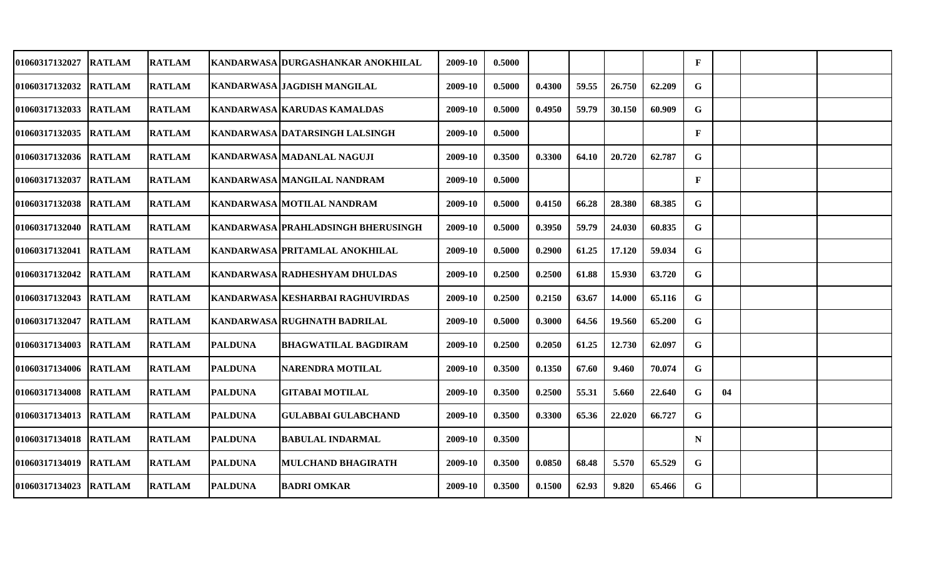| 01060317132027        | <b>RATLAM</b> | <b>RATLAM</b> |                | KANDARWASA   DURGASHANKAR ANOKHILAL | 2009-10 | 0.5000 |        |       |        |        | $\mathbf{F}$ |    |  |
|-----------------------|---------------|---------------|----------------|-------------------------------------|---------|--------|--------|-------|--------|--------|--------------|----|--|
| 01060317132032        | <b>RATLAM</b> | <b>RATLAM</b> |                | KANDARWASA JAGDISH MANGILAL         | 2009-10 | 0.5000 | 0.4300 | 59.55 | 26.750 | 62.209 | G            |    |  |
| 01060317132033 RATLAM |               | <b>RATLAM</b> |                | KANDARWASA KARUDAS KAMALDAS         | 2009-10 | 0.5000 | 0.4950 | 59.79 | 30.150 | 60.909 | G            |    |  |
| 01060317132035 RATLAM |               | <b>RATLAM</b> |                | KANDARWASA DATARSINGH LALSINGH      | 2009-10 | 0.5000 |        |       |        |        | $\mathbf{F}$ |    |  |
| 01060317132036 RATLAM |               | <b>RATLAM</b> |                | KANDARWASA MADANLAL NAGUJI          | 2009-10 | 0.3500 | 0.3300 | 64.10 | 20.720 | 62.787 | G            |    |  |
| <b>01060317132037</b> | <b>RATLAM</b> | <b>RATLAM</b> |                | KANDARWASA MANGILAL NANDRAM         | 2009-10 | 0.5000 |        |       |        |        | $\mathbf{F}$ |    |  |
| 01060317132038 RATLAM |               | <b>RATLAM</b> |                | KANDARWASA MOTILAL NANDRAM          | 2009-10 | 0.5000 | 0.4150 | 66.28 | 28.380 | 68.385 | G            |    |  |
| 01060317132040 RATLAM |               | <b>RATLAM</b> |                | KANDARWASA PRAHLADSINGH BHERUSINGH  | 2009-10 | 0.5000 | 0.3950 | 59.79 | 24.030 | 60.835 | G            |    |  |
| 01060317132041 RATLAM |               | <b>RATLAM</b> |                | KANDARWASA PRITAMLAL ANOKHILAL      | 2009-10 | 0.5000 | 0.2900 | 61.25 | 17.120 | 59.034 | G            |    |  |
| 01060317132042 RATLAM |               | <b>RATLAM</b> |                | KANDARWASA RADHESHYAM DHULDAS       | 2009-10 | 0.2500 | 0.2500 | 61.88 | 15.930 | 63.720 | G            |    |  |
| 01060317132043 RATLAM |               | <b>RATLAM</b> |                | KANDARWASA KESHARBAI RAGHUVIRDAS    | 2009-10 | 0.2500 | 0.2150 | 63.67 | 14.000 | 65.116 | G            |    |  |
| <b>01060317132047</b> | <b>RATLAM</b> | <b>RATLAM</b> |                | KANDARWASA RUGHNATH BADRILAL        | 2009-10 | 0.5000 | 0.3000 | 64.56 | 19.560 | 65.200 | G            |    |  |
| 01060317134003        | <b>RATLAM</b> | <b>RATLAM</b> | <b>PALDUNA</b> | <b>BHAGWATILAL BAGDIRAM</b>         | 2009-10 | 0.2500 | 0.2050 | 61.25 | 12.730 | 62.097 | G            |    |  |
| 01060317134006        | <b>RATLAM</b> | <b>RATLAM</b> | <b>PALDUNA</b> | <b>NARENDRA MOTILAL</b>             | 2009-10 | 0.3500 | 0.1350 | 67.60 | 9.460  | 70.074 | G            |    |  |
| 01060317134008 RATLAM |               | <b>RATLAM</b> | <b>PALDUNA</b> | <b>GITABAI MOTILAL</b>              | 2009-10 | 0.3500 | 0.2500 | 55.31 | 5.660  | 22.640 | G            | 04 |  |
| 01060317134013 RATLAM |               | <b>RATLAM</b> | <b>PALDUNA</b> | <b>GULABBAI GULABCHAND</b>          | 2009-10 | 0.3500 | 0.3300 | 65.36 | 22.020 | 66.727 | G            |    |  |
| 01060317134018 RATLAM |               | <b>RATLAM</b> | <b>PALDUNA</b> | <b>BABULAL INDARMAL</b>             | 2009-10 | 0.3500 |        |       |        |        | N            |    |  |
| 01060317134019        | <b>RATLAM</b> | <b>RATLAM</b> | <b>PALDUNA</b> | <b>MULCHAND BHAGIRATH</b>           | 2009-10 | 0.3500 | 0.0850 | 68.48 | 5.570  | 65.529 | G            |    |  |
| 01060317134023 RATLAM |               | <b>RATLAM</b> | <b>PALDUNA</b> | <b>BADRI OMKAR</b>                  | 2009-10 | 0.3500 | 0.1500 | 62.93 | 9.820  | 65.466 | G            |    |  |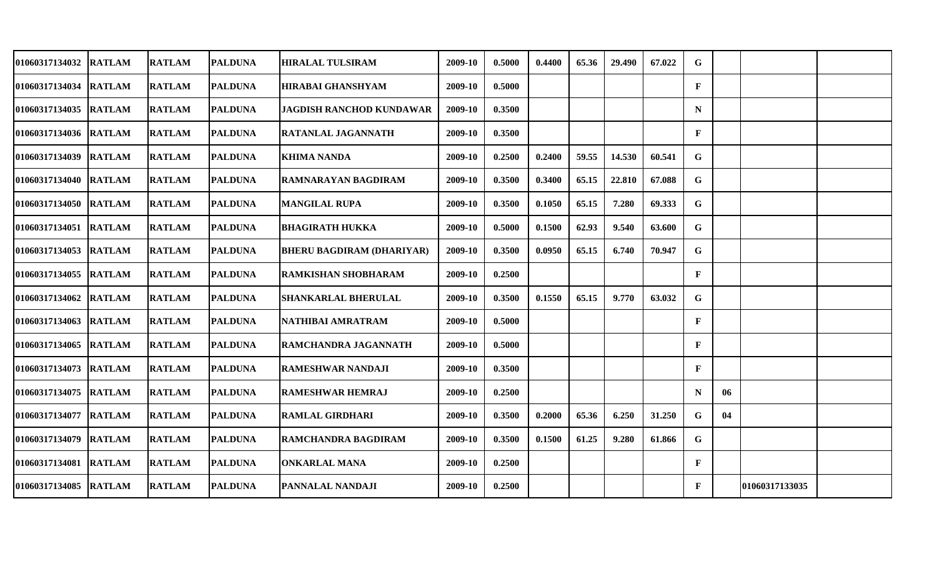| 01060317134032        | <b>RATLAM</b> | <b>RATLAM</b> | <b>PALDUNA</b> | <b>HIRALAL TULSIRAM</b>          | 2009-10 | 0.5000 | 0.4400 | 65.36 | 29.490 | 67.022 | G            |    |                |  |
|-----------------------|---------------|---------------|----------------|----------------------------------|---------|--------|--------|-------|--------|--------|--------------|----|----------------|--|
| 01060317134034        | <b>RATLAM</b> | <b>RATLAM</b> | <b>PALDUNA</b> | <b>HIRABAI GHANSHYAM</b>         | 2009-10 | 0.5000 |        |       |        |        | $\mathbf{F}$ |    |                |  |
| 01060317134035 RATLAM |               | <b>RATLAM</b> | <b>PALDUNA</b> | <b>JAGDISH RANCHOD KUNDAWAR</b>  | 2009-10 | 0.3500 |        |       |        |        | N            |    |                |  |
| 01060317134036 RATLAM |               | <b>RATLAM</b> | <b>PALDUNA</b> | <b>RATANLAL JAGANNATH</b>        | 2009-10 | 0.3500 |        |       |        |        | $\mathbf{F}$ |    |                |  |
| 01060317134039 RATLAM |               | <b>RATLAM</b> | <b>PALDUNA</b> | <b>KHIMA NANDA</b>               | 2009-10 | 0.2500 | 0.2400 | 59.55 | 14.530 | 60.541 | G            |    |                |  |
| 01060317134040 RATLAM |               | <b>RATLAM</b> | <b>PALDUNA</b> | RAMNARAYAN BAGDIRAM              | 2009-10 | 0.3500 | 0.3400 | 65.15 | 22.810 | 67.088 | G            |    |                |  |
| 01060317134050 RATLAM |               | <b>RATLAM</b> | <b>PALDUNA</b> | <b>MANGILAL RUPA</b>             | 2009-10 | 0.3500 | 0.1050 | 65.15 | 7.280  | 69.333 | G            |    |                |  |
| 01060317134051 RATLAM |               | <b>RATLAM</b> | <b>PALDUNA</b> | <b>BHAGIRATH HUKKA</b>           | 2009-10 | 0.5000 | 0.1500 | 62.93 | 9.540  | 63.600 | G            |    |                |  |
| 01060317134053 RATLAM |               | <b>RATLAM</b> | <b>PALDUNA</b> | <b>BHERU BAGDIRAM (DHARIYAR)</b> | 2009-10 | 0.3500 | 0.0950 | 65.15 | 6.740  | 70.947 | G            |    |                |  |
| 01060317134055 RATLAM |               | <b>RATLAM</b> | <b>PALDUNA</b> | <b>RAMKISHAN SHOBHARAM</b>       | 2009-10 | 0.2500 |        |       |        |        | $\mathbf{F}$ |    |                |  |
| 01060317134062 RATLAM |               | <b>RATLAM</b> | <b>PALDUNA</b> | <b>SHANKARLAL BHERULAL</b>       | 2009-10 | 0.3500 | 0.1550 | 65.15 | 9.770  | 63.032 | G            |    |                |  |
| 01060317134063 RATLAM |               | <b>RATLAM</b> | <b>PALDUNA</b> | NATHIBAI AMRATRAM                | 2009-10 | 0.5000 |        |       |        |        | $\mathbf{F}$ |    |                |  |
| 01060317134065        | <b>RATLAM</b> | <b>RATLAM</b> | <b>PALDUNA</b> | <b>RAMCHANDRA JAGANNATH</b>      | 2009-10 | 0.5000 |        |       |        |        | $\mathbf{F}$ |    |                |  |
| 01060317134073        | <b>RATLAM</b> | <b>RATLAM</b> | <b>PALDUNA</b> | <b>RAMESHWAR NANDAJI</b>         | 2009-10 | 0.3500 |        |       |        |        | $\mathbf{F}$ |    |                |  |
| 01060317134075 RATLAM |               | <b>RATLAM</b> | <b>PALDUNA</b> | <b>RAMESHWAR HEMRAJ</b>          | 2009-10 | 0.2500 |        |       |        |        | N            | 06 |                |  |
| 01060317134077 RATLAM |               | <b>RATLAM</b> | <b>PALDUNA</b> | <b>RAMLAL GIRDHARI</b>           | 2009-10 | 0.3500 | 0.2000 | 65.36 | 6.250  | 31.250 | G            | 04 |                |  |
| 01060317134079 RATLAM |               | <b>RATLAM</b> | <b>PALDUNA</b> | RAMCHANDRA BAGDIRAM              | 2009-10 | 0.3500 | 0.1500 | 61.25 | 9.280  | 61.866 | G            |    |                |  |
| 01060317134081        | <b>RATLAM</b> | <b>RATLAM</b> | <b>PALDUNA</b> | <b>ONKARLAL MANA</b>             | 2009-10 | 0.2500 |        |       |        |        | $\mathbf{F}$ |    |                |  |
| 01060317134085        | <b>RATLAM</b> | <b>RATLAM</b> | <b>PALDUNA</b> | PANNALAL NANDAJI                 | 2009-10 | 0.2500 |        |       |        |        | $\mathbf{F}$ |    | 01060317133035 |  |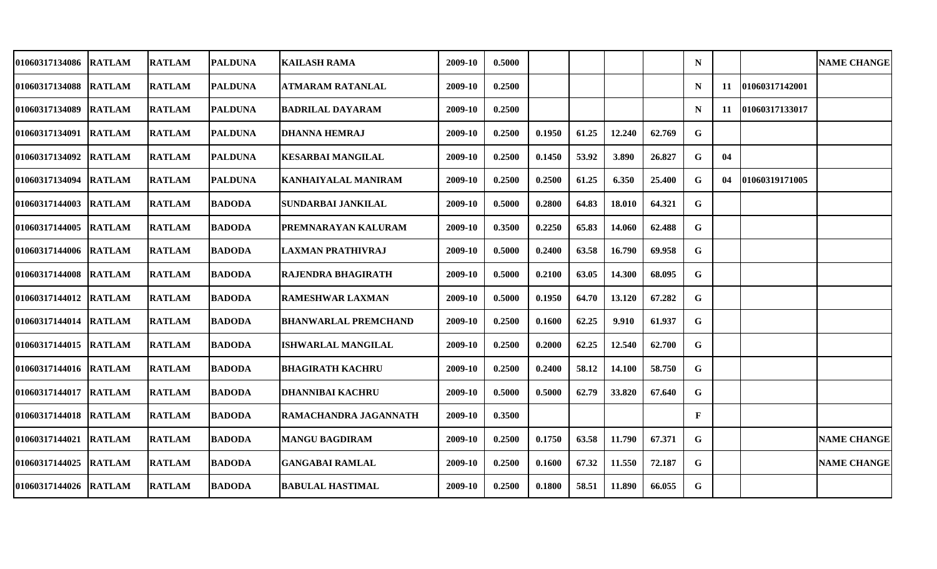| 01060317134086        | <b>RATLAM</b> | <b>RATLAM</b> | <b>PALDUNA</b> | <b>KAILASH RAMA</b>         | 2009-10 | 0.5000 |        |       |        |        | N            |    |                | <b>NAME CHANGE</b> |
|-----------------------|---------------|---------------|----------------|-----------------------------|---------|--------|--------|-------|--------|--------|--------------|----|----------------|--------------------|
| 01060317134088        | <b>RATLAM</b> | <b>RATLAM</b> | <b>PALDUNA</b> | ATMARAM RATANLAL            | 2009-10 | 0.2500 |        |       |        |        | N            | 11 | 01060317142001 |                    |
| 01060317134089        | <b>RATLAM</b> | <b>RATLAM</b> | <b>PALDUNA</b> | <b>BADRILAL DAYARAM</b>     | 2009-10 | 0.2500 |        |       |        |        | N            | 11 | 01060317133017 |                    |
| 01060317134091        | <b>RATLAM</b> | <b>RATLAM</b> | <b>PALDUNA</b> | <b>DHANNA HEMRAJ</b>        | 2009-10 | 0.2500 | 0.1950 | 61.25 | 12.240 | 62.769 | G            |    |                |                    |
| 01060317134092        | <b>RATLAM</b> | <b>RATLAM</b> | <b>PALDUNA</b> | <b>KESARBAI MANGILAL</b>    | 2009-10 | 0.2500 | 0.1450 | 53.92 | 3.890  | 26.827 | $\mathbf G$  | 04 |                |                    |
| 01060317134094        | <b>RATLAM</b> | <b>RATLAM</b> | <b>PALDUNA</b> | <b>KANHAIYALAL MANIRAM</b>  | 2009-10 | 0.2500 | 0.2500 | 61.25 | 6.350  | 25.400 | G            | 04 | 01060319171005 |                    |
| 01060317144003        | <b>RATLAM</b> | <b>RATLAM</b> | <b>BADODA</b>  | <b>SUNDARBAI JANKILAL</b>   | 2009-10 | 0.5000 | 0.2800 | 64.83 | 18.010 | 64.321 | $\mathbf G$  |    |                |                    |
| 01060317144005        | <b>RATLAM</b> | <b>RATLAM</b> | <b>BADODA</b>  | <b>PREMNARAYAN KALURAM</b>  | 2009-10 | 0.3500 | 0.2250 | 65.83 | 14.060 | 62.488 | $\mathbf G$  |    |                |                    |
| 01060317144006        | <b>RATLAM</b> | <b>RATLAM</b> | <b>BADODA</b>  | <b>LAXMAN PRATHIVRAJ</b>    | 2009-10 | 0.5000 | 0.2400 | 63.58 | 16.790 | 69.958 | $\mathbf G$  |    |                |                    |
| 01060317144008        | <b>RATLAM</b> | <b>RATLAM</b> | <b>BADODA</b>  | <b>RAJENDRA BHAGIRATH</b>   | 2009-10 | 0.5000 | 0.2100 | 63.05 | 14.300 | 68.095 | G            |    |                |                    |
| 01060317144012        | <b>RATLAM</b> | <b>RATLAM</b> | <b>BADODA</b>  | <b>RAMESHWAR LAXMAN</b>     | 2009-10 | 0.5000 | 0.1950 | 64.70 | 13.120 | 67.282 | G            |    |                |                    |
| 01060317144014        | <b>RATLAM</b> | <b>RATLAM</b> | <b>BADODA</b>  | <b>BHANWARLAL PREMCHAND</b> | 2009-10 | 0.2500 | 0.1600 | 62.25 | 9.910  | 61.937 | $\mathbf G$  |    |                |                    |
| 01060317144015        | <b>RATLAM</b> | <b>RATLAM</b> | <b>BADODA</b>  | <b>ISHWARLAL MANGILAL</b>   | 2009-10 | 0.2500 | 0.2000 | 62.25 | 12.540 | 62.700 | $\mathbf G$  |    |                |                    |
| 01060317144016        | <b>RATLAM</b> | <b>RATLAM</b> | <b>BADODA</b>  | <b>BHAGIRATH KACHRU</b>     | 2009-10 | 0.2500 | 0.2400 | 58.12 | 14.100 | 58.750 | G            |    |                |                    |
| 01060317144017        | <b>RATLAM</b> | <b>RATLAM</b> | <b>BADODA</b>  | <b>DHANNIBAI KACHRU</b>     | 2009-10 | 0.5000 | 0.5000 | 62.79 | 33.820 | 67.640 | $\mathbf G$  |    |                |                    |
| 01060317144018        | <b>RATLAM</b> | <b>RATLAM</b> | <b>BADODA</b>  | RAMACHANDRA JAGANNATH       | 2009-10 | 0.3500 |        |       |        |        | $\mathbf{F}$ |    |                |                    |
| 01060317144021 RATLAM |               | <b>RATLAM</b> | <b>BADODA</b>  | <b>MANGU BAGDIRAM</b>       | 2009-10 | 0.2500 | 0.1750 | 63.58 | 11.790 | 67.371 | G            |    |                | <b>NAME CHANGE</b> |
| 01060317144025        | <b>RATLAM</b> | <b>RATLAM</b> | <b>BADODA</b>  | <b>GANGABAI RAMLAL</b>      | 2009-10 | 0.2500 | 0.1600 | 67.32 | 11.550 | 72.187 | G            |    |                | <b>NAME CHANGE</b> |
| 01060317144026        | <b>RATLAM</b> | <b>RATLAM</b> | <b>BADODA</b>  | <b>BABULAL HASTIMAL</b>     | 2009-10 | 0.2500 | 0.1800 | 58.51 | 11.890 | 66.055 | $\mathbf G$  |    |                |                    |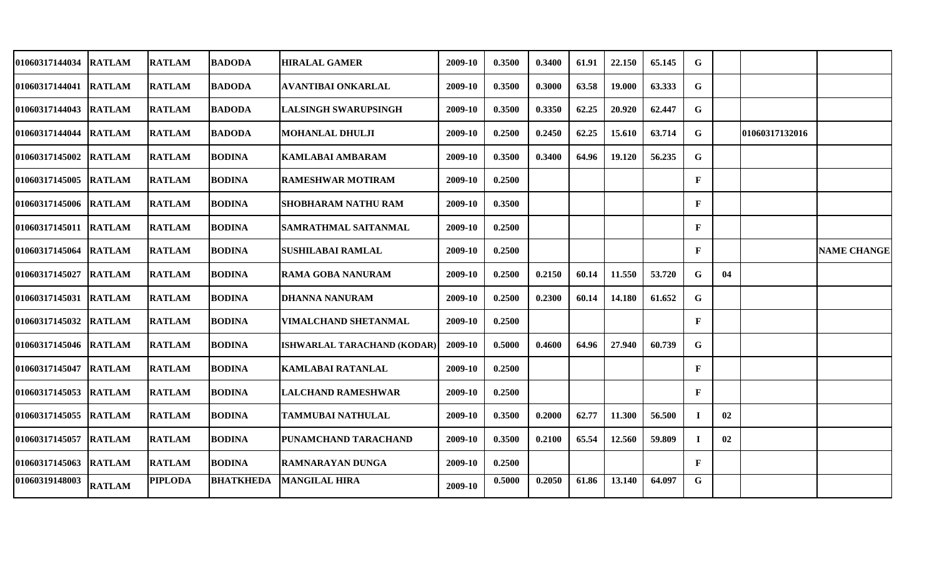| 01060317144034        | <b>RATLAM</b> | <b>IRATLAM</b> | <b>BADODA</b>    | <b>HIRALAL GAMER</b>        | 2009-10 | 0.3500 | 0.3400 | 61.91 | 22.150 | 65.145 | G            |    |                |                    |
|-----------------------|---------------|----------------|------------------|-----------------------------|---------|--------|--------|-------|--------|--------|--------------|----|----------------|--------------------|
| 01060317144041        | <b>RATLAM</b> | <b>RATLAM</b>  | <b>BADODA</b>    | <b>AVANTIBAI ONKARLAL</b>   | 2009-10 | 0.3500 | 0.3000 | 63.58 | 19.000 | 63.333 | G            |    |                |                    |
| 01060317144043        | <b>RATLAM</b> | <b>RATLAM</b>  | <b>BADODA</b>    | <b>LALSINGH SWARUPSINGH</b> | 2009-10 | 0.3500 | 0.3350 | 62.25 | 20.920 | 62.447 | $\mathbf G$  |    |                |                    |
| <b>01060317144044</b> | <b>RATLAM</b> | <b>RATLAM</b>  | <b>BADODA</b>    | <b>MOHANLAL DHULJI</b>      | 2009-10 | 0.2500 | 0.2450 | 62.25 | 15.610 | 63.714 | G            |    | 01060317132016 |                    |
| 01060317145002        | <b>RATLAM</b> | <b>RATLAM</b>  | <b>BODINA</b>    | <b>KAMLABAI AMBARAM</b>     | 2009-10 | 0.3500 | 0.3400 | 64.96 | 19.120 | 56.235 | G            |    |                |                    |
| 01060317145005        | <b>RATLAM</b> | <b>RATLAM</b>  | <b>BODINA</b>    | <b>RAMESHWAR MOTIRAM</b>    | 2009-10 | 0.2500 |        |       |        |        | $\mathbf{F}$ |    |                |                    |
| 01060317145006 RATLAM |               | <b>RATLAM</b>  | <b>BODINA</b>    | <b>SHOBHARAM NATHU RAM</b>  | 2009-10 | 0.3500 |        |       |        |        | $\mathbf{F}$ |    |                |                    |
| 01060317145011        | <b>RATLAM</b> | <b>RATLAM</b>  | <b>BODINA</b>    | <b>SAMRATHMAL SAITANMAL</b> | 2009-10 | 0.2500 |        |       |        |        | $\mathbf{F}$ |    |                |                    |
| 01060317145064        | <b>RATLAM</b> | <b>RATLAM</b>  | <b>BODINA</b>    | <b>SUSHILABAI RAMLAL</b>    | 2009-10 | 0.2500 |        |       |        |        | $\mathbf{F}$ |    |                | <b>NAME CHANGE</b> |
| 01060317145027        | <b>RATLAM</b> | <b>RATLAM</b>  | <b>BODINA</b>    | <b>RAMA GOBA NANURAM</b>    | 2009-10 | 0.2500 | 0.2150 | 60.14 | 11.550 | 53.720 | G            | 04 |                |                    |
| 01060317145031        | <b>RATLAM</b> | <b>RATLAM</b>  | <b>BODINA</b>    | <b>DHANNA NANURAM</b>       | 2009-10 | 0.2500 | 0.2300 | 60.14 | 14.180 | 61.652 | G            |    |                |                    |
| 01060317145032        | <b>RATLAM</b> | <b>RATLAM</b>  | <b>BODINA</b>    | VIMALCHAND SHETANMAL        | 2009-10 | 0.2500 |        |       |        |        | $\mathbf{F}$ |    |                |                    |
| 01060317145046        | <b>RATLAM</b> | <b>RATLAM</b>  | <b>BODINA</b>    | ISHWARLAL TARACHAND (KODAR) | 2009-10 | 0.5000 | 0.4600 | 64.96 | 27.940 | 60.739 | G            |    |                |                    |
| 01060317145047        | <b>RATLAM</b> | <b>RATLAM</b>  | <b>BODINA</b>    | <b>KAMLABAI RATANLAL</b>    | 2009-10 | 0.2500 |        |       |        |        | $\mathbf F$  |    |                |                    |
| 01060317145053        | <b>RATLAM</b> | <b>RATLAM</b>  | <b>BODINA</b>    | <b>LALCHAND RAMESHWAR</b>   | 2009-10 | 0.2500 |        |       |        |        | $\mathbf{F}$ |    |                |                    |
| 01060317145055        | <b>RATLAM</b> | <b>RATLAM</b>  | <b>BODINA</b>    | TAMMUBAI NATHULAL           | 2009-10 | 0.3500 | 0.2000 | 62.77 | 11.300 | 56.500 | $\mathbf I$  | 02 |                |                    |
| 01060317145057        | <b>RATLAM</b> | <b>RATLAM</b>  | <b>BODINA</b>    | PUNAMCHAND TARACHAND        | 2009-10 | 0.3500 | 0.2100 | 65.54 | 12.560 | 59.809 | $\bf{I}$     | 02 |                |                    |
| 01060317145063        | <b>RATLAM</b> | <b>RATLAM</b>  | <b>BODINA</b>    | <b>RAMNARAYAN DUNGA</b>     | 2009-10 | 0.2500 |        |       |        |        | $\mathbf{F}$ |    |                |                    |
| 01060319148003        | <b>RATLAM</b> | <b>PIPLODA</b> | <b>BHATKHEDA</b> | <b>MANGILAL HIRA</b>        | 2009-10 | 0.5000 | 0.2050 | 61.86 | 13.140 | 64.097 | $\mathbf G$  |    |                |                    |
|                       |               |                |                  |                             |         |        |        |       |        |        |              |    |                |                    |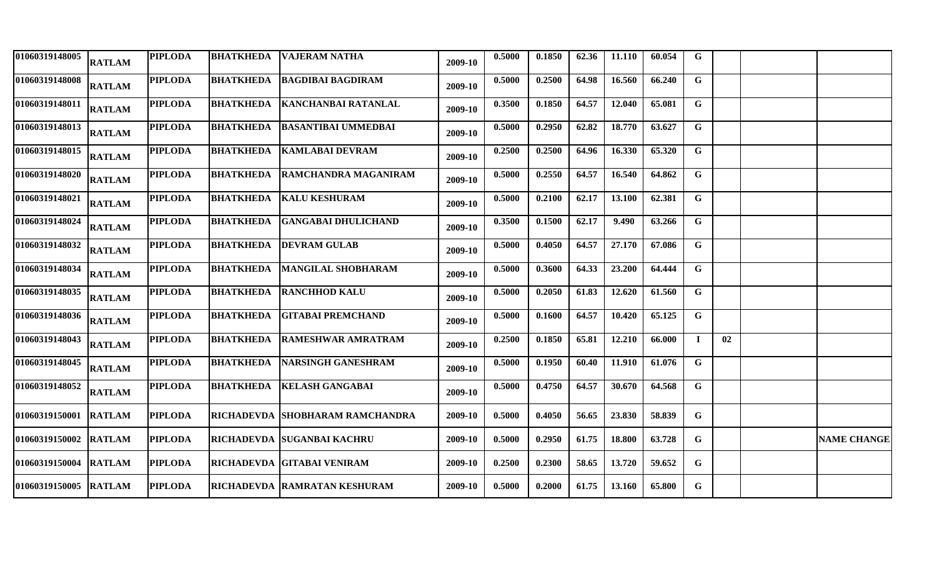| 01060319148005        | <b>RATLAM</b> | <b>PIPLODA</b> | <b>BHATKHEDA</b> | <b>VAJERAM NATHA</b>            | 2009-10 | 0.5000 | 0.1850 | 62.36 | 11.110 | 60.054 | G              |    |                    |
|-----------------------|---------------|----------------|------------------|---------------------------------|---------|--------|--------|-------|--------|--------|----------------|----|--------------------|
| 01060319148008        | <b>RATLAM</b> | <b>PIPLODA</b> | <b>BHATKHEDA</b> | <b>BAGDIBAI BAGDIRAM</b>        | 2009-10 | 0.5000 | 0.2500 | 64.98 | 16.560 | 66.240 | G              |    |                    |
| 01060319148011        | <b>RATLAM</b> | <b>PIPLODA</b> | <b>BHATKHEDA</b> | <b>KANCHANBAI RATANLAL</b>      | 2009-10 | 0.3500 | 0.1850 | 64.57 | 12.040 | 65.081 | $\mathbf G$    |    |                    |
| 01060319148013        | <b>RATLAM</b> | <b>PIPLODA</b> | <b>BHATKHEDA</b> | <b>BASANTIBAI UMMEDBAI</b>      | 2009-10 | 0.5000 | 0.2950 | 62.82 | 18.770 | 63.627 | G              |    |                    |
| 01060319148015        | <b>RATLAM</b> | <b>PIPLODA</b> | <b>BHATKHEDA</b> | <b>KAMLABAI DEVRAM</b>          | 2009-10 | 0.2500 | 0.2500 | 64.96 | 16.330 | 65.320 | $\mathbf G$    |    |                    |
| 01060319148020        | <b>RATLAM</b> | <b>PIPLODA</b> | <b>BHATKHEDA</b> | RAMCHANDRA MAGANIRAM            | 2009-10 | 0.5000 | 0.2550 | 64.57 | 16.540 | 64.862 | $\mathbf G$    |    |                    |
| 01060319148021        | <b>RATLAM</b> | <b>PIPLODA</b> | <b>BHATKHEDA</b> | <b>KALU KESHURAM</b>            | 2009-10 | 0.5000 | 0.2100 | 62.17 | 13.100 | 62.381 | $\mathbf G$    |    |                    |
| 01060319148024        | <b>RATLAM</b> | <b>PIPLODA</b> | <b>BHATKHEDA</b> | <b>GANGABAI DHULICHAND</b>      | 2009-10 | 0.3500 | 0.1500 | 62.17 | 9.490  | 63.266 | $\mathbf G$    |    |                    |
| 01060319148032        | <b>RATLAM</b> | <b>PIPLODA</b> | <b>BHATKHEDA</b> | <b>DEVRAM GULAB</b>             | 2009-10 | 0.5000 | 0.4050 | 64.57 | 27.170 | 67.086 | $\mathbf G$    |    |                    |
| 01060319148034        | <b>RATLAM</b> | <b>PIPLODA</b> | <b>BHATKHEDA</b> | <b>MANGILAL SHOBHARAM</b>       | 2009-10 | 0.5000 | 0.3600 | 64.33 | 23.200 | 64.444 | $\mathbf G$    |    |                    |
| 01060319148035        | <b>RATLAM</b> | <b>PIPLODA</b> | <b>BHATKHEDA</b> | <b>RANCHHOD KALU</b>            | 2009-10 | 0.5000 | 0.2050 | 61.83 | 12.620 | 61.560 | $\overline{G}$ |    |                    |
| 01060319148036        | <b>RATLAM</b> | <b>PIPLODA</b> | <b>BHATKHEDA</b> | <b>GITABAI PREMCHAND</b>        | 2009-10 | 0.5000 | 0.1600 | 64.57 | 10.420 | 65.125 | $\mathbf G$    |    |                    |
| 01060319148043        | <b>RATLAM</b> | <b>PIPLODA</b> | <b>BHATKHEDA</b> | <b>RAMESHWAR AMRATRAM</b>       | 2009-10 | 0.2500 | 0.1850 | 65.81 | 12.210 | 66.000 | $\mathbf I$    | 02 |                    |
| 01060319148045        | <b>RATLAM</b> | <b>PIPLODA</b> | <b>BHATKHEDA</b> | <b>NARSINGH GANESHRAM</b>       | 2009-10 | 0.5000 | 0.1950 | 60.40 | 11.910 | 61.076 | $\mathbf G$    |    |                    |
| 01060319148052        | <b>RATLAM</b> | <b>PIPLODA</b> | <b>BHATKHEDA</b> | <b>KELASH GANGABAI</b>          | 2009-10 | 0.5000 | 0.4750 | 64.57 | 30.670 | 64.568 | G              |    |                    |
| 01060319150001        | <b>RATLAM</b> | <b>PIPLODA</b> |                  | RICHADEVDA SHOBHARAM RAMCHANDRA | 2009-10 | 0.5000 | 0.4050 | 56.65 | 23.830 | 58.839 | G              |    |                    |
| 01060319150002 RATLAM |               | <b>PIPLODA</b> |                  | RICHADEVDA SUGANBAI KACHRU      | 2009-10 | 0.5000 | 0.2950 | 61.75 | 18.800 | 63.728 | G              |    | <b>NAME CHANGE</b> |
| 01060319150004        | <b>RATLAM</b> | <b>PIPLODA</b> |                  | RICHADEVDA GITABAI VENIRAM      | 2009-10 | 0.2500 | 0.2300 | 58.65 | 13.720 | 59.652 | $\mathbf G$    |    |                    |
| 01060319150005        | <b>RATLAM</b> | <b>PIPLODA</b> |                  | RICHADEVDA RAMRATAN KESHURAM    | 2009-10 | 0.5000 | 0.2000 | 61.75 | 13.160 | 65.800 | $\mathbf G$    |    |                    |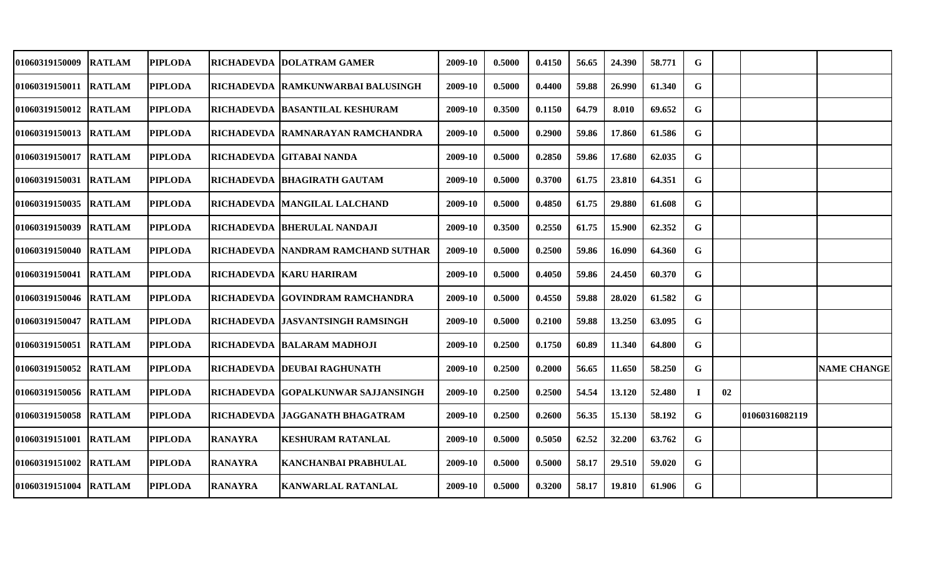| 01060319150009        | <b>RATLAM</b> | <b>PIPLODA</b> |                   | RICHADEVDA   DOLATRAM GAMER          | 2009-10 | 0.5000 | 0.4150 | 56.65 | 24.390 | 58.771 | G  |    |                 |                    |
|-----------------------|---------------|----------------|-------------------|--------------------------------------|---------|--------|--------|-------|--------|--------|----|----|-----------------|--------------------|
| 01060319150011 RATLAM |               | <b>PIPLODA</b> |                   | RICHADEVDA RAMKUNWARBAI BALUSINGH    | 2009-10 | 0.5000 | 0.4400 | 59.88 | 26.990 | 61.340 | G  |    |                 |                    |
| 01060319150012 RATLAM |               | <b>PIPLODA</b> |                   | RICHADEVDA   BASANTILAL KESHURAM     | 2009-10 | 0.3500 | 0.1150 | 64.79 | 8.010  | 69.652 | G  |    |                 |                    |
| 01060319150013 RATLAM |               | <b>PIPLODA</b> |                   | RICHADEVDA RAMNARAYAN RAMCHANDRA     | 2009-10 | 0.5000 | 0.2900 | 59.86 | 17.860 | 61.586 | G  |    |                 |                    |
| 01060319150017 RATLAM |               | <b>PIPLODA</b> |                   | RICHADEVDA GITABAI NANDA             | 2009-10 | 0.5000 | 0.2850 | 59.86 | 17.680 | 62.035 | G  |    |                 |                    |
| <b>01060319150031</b> | <b>RATLAM</b> | <b>PIPLODA</b> |                   | RICHADEVDA BHAGIRATH GAUTAM          | 2009-10 | 0.5000 | 0.3700 | 61.75 | 23.810 | 64.351 | G  |    |                 |                    |
| <b>01060319150035</b> | <b>RATLAM</b> | <b>PIPLODA</b> | RICHADEVDA        | <b>IMANGILAL LALCHAND</b>            | 2009-10 | 0.5000 | 0.4850 | 61.75 | 29.880 | 61.608 | G  |    |                 |                    |
| 01060319150039        | <b>RATLAM</b> | <b>PIPLODA</b> |                   | RICHADEVDA BHERULAL NANDAJI          | 2009-10 | 0.3500 | 0.2550 | 61.75 | 15.900 | 62.352 | G  |    |                 |                    |
| 01060319150040 RATLAM |               | <b>PIPLODA</b> |                   | RICHADEVDA   NANDRAM RAMCHAND SUTHAR | 2009-10 | 0.5000 | 0.2500 | 59.86 | 16.090 | 64.360 | G  |    |                 |                    |
| 01060319150041 RATLAM |               | <b>PIPLODA</b> |                   | RICHADEVDA   KARU HARIRAM            | 2009-10 | 0.5000 | 0.4050 | 59.86 | 24.450 | 60.370 | G  |    |                 |                    |
| 01060319150046 RATLAM |               | <b>PIPLODA</b> |                   | RICHADEVDA GOVINDRAM RAMCHANDRA      | 2009-10 | 0.5000 | 0.4550 | 59.88 | 28.020 | 61.582 | G  |    |                 |                    |
| <b>01060319150047</b> | <b>RATLAM</b> | <b>PIPLODA</b> |                   | RICHADEVDA JASVANTSINGH RAMSINGH     | 2009-10 | 0.5000 | 0.2100 | 59.88 | 13.250 | 63.095 | G  |    |                 |                    |
| <b>01060319150051</b> | <b>RATLAM</b> | <b>PIPLODA</b> |                   | RICHADEVDA   BALARAM MADHOJI         | 2009-10 | 0.2500 | 0.1750 | 60.89 | 11.340 | 64.800 | G  |    |                 |                    |
| <b>01060319150052</b> | <b>RATLAM</b> | <b>PIPLODA</b> | <b>RICHADEVDA</b> | <b>DEUBAI RAGHUNATH</b>              | 2009-10 | 0.2500 | 0.2000 | 56.65 | 11.650 | 58.250 | G  |    |                 | <b>NAME CHANGE</b> |
| 01060319150056 RATLAM |               | <b>PIPLODA</b> | <b>RICHADEVDA</b> | <b>GOPALKUNWAR SAJJANSINGH</b>       | 2009-10 | 0.2500 | 0.2500 | 54.54 | 13.120 | 52.480 | Т. | 02 |                 |                    |
| 01060319150058 RATLAM |               | <b>PIPLODA</b> | <b>RICHADEVDA</b> | JAGGANATH BHAGATRAM                  | 2009-10 | 0.2500 | 0.2600 | 56.35 | 15.130 | 58.192 | G  |    | 101060316082119 |                    |
| 01060319151001        | <b>RATLAM</b> | <b>PIPLODA</b> | <b>RANAYRA</b>    | <b>KESHURAM RATANLAL</b>             | 2009-10 | 0.5000 | 0.5050 | 62.52 | 32.200 | 63.762 | G  |    |                 |                    |
| 01060319151002        | <b>RATLAM</b> | <b>PIPLODA</b> | <b>RANAYRA</b>    | <b>KANCHANBAI PRABHULAL</b>          | 2009-10 | 0.5000 | 0.5000 | 58.17 | 29.510 | 59.020 | G  |    |                 |                    |
| 01060319151004        | <b>RATLAM</b> | <b>PIPLODA</b> | <b>RANAYRA</b>    | <b>KANWARLAL RATANLAL</b>            | 2009-10 | 0.5000 | 0.3200 | 58.17 | 19.810 | 61.906 | G  |    |                 |                    |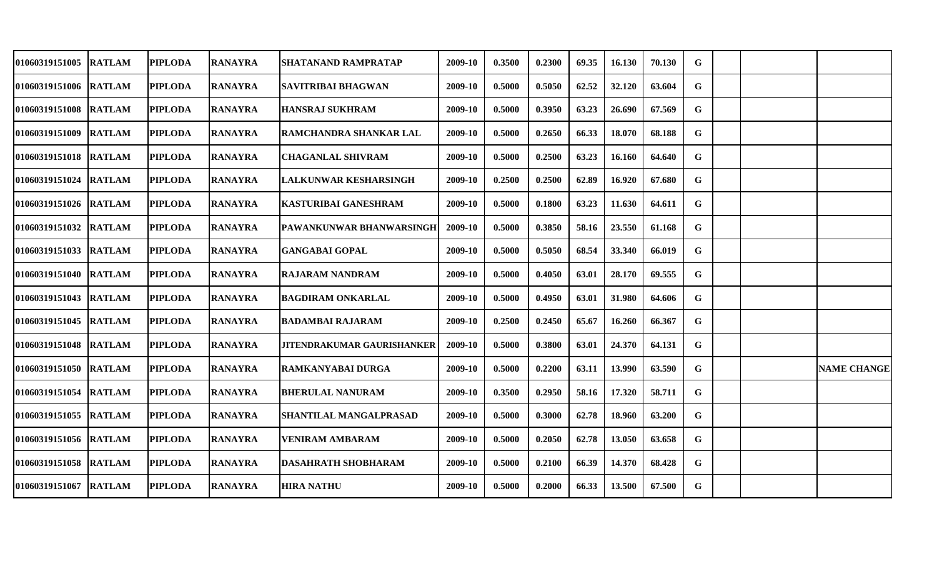| 01060319151005        | <b>RATLAM</b> | <b>PIPLODA</b> | <b>RANAYRA</b> | SHATANAND RAMPRATAP               | 2009-10 | 0.3500 | 0.2300 | 69.35 | 16.130 | 70.130 | G |  |                    |
|-----------------------|---------------|----------------|----------------|-----------------------------------|---------|--------|--------|-------|--------|--------|---|--|--------------------|
| 01060319151006 RATLAM |               | <b>PIPLODA</b> | <b>RANAYRA</b> | SAVITRIBAI BHAGWAN                | 2009-10 | 0.5000 | 0.5050 | 62.52 | 32.120 | 63.604 | G |  |                    |
| 01060319151008 RATLAM |               | <b>PIPLODA</b> | <b>RANAYRA</b> | HANSRAJ SUKHRAM                   | 2009-10 | 0.5000 | 0.3950 | 63.23 | 26.690 | 67.569 | G |  |                    |
| 01060319151009        | <b>RATLAM</b> | <b>PIPLODA</b> | <b>RANAYRA</b> | RAMCHANDRA SHANKAR LAL            | 2009-10 | 0.5000 | 0.2650 | 66.33 | 18.070 | 68.188 | G |  |                    |
| 01060319151018 RATLAM |               | <b>PIPLODA</b> | <b>RANAYRA</b> | <b>CHAGANLAL SHIVRAM</b>          | 2009-10 | 0.5000 | 0.2500 | 63.23 | 16.160 | 64.640 | G |  |                    |
| <b>01060319151024</b> | <b>RATLAM</b> | <b>PIPLODA</b> | <b>RANAYRA</b> | LALKUNWAR KESHARSINGH             | 2009-10 | 0.2500 | 0.2500 | 62.89 | 16.920 | 67.680 | G |  |                    |
| 01060319151026 RATLAM |               | <b>PIPLODA</b> | <b>RANAYRA</b> | KASTURIBAI GANESHRAM              | 2009-10 | 0.5000 | 0.1800 | 63.23 | 11.630 | 64.611 | G |  |                    |
| <b>01060319151032</b> | <b>RATLAM</b> | <b>PIPLODA</b> | <b>RANAYRA</b> | PAWANKUNWAR BHANWARSINGH          | 2009-10 | 0.5000 | 0.3850 | 58.16 | 23.550 | 61.168 | G |  |                    |
| 01060319151033 RATLAM |               | <b>PIPLODA</b> | <b>RANAYRA</b> | <b>GANGABAI GOPAL</b>             | 2009-10 | 0.5000 | 0.5050 | 68.54 | 33.340 | 66.019 | G |  |                    |
| 01060319151040 RATLAM |               | <b>PIPLODA</b> | <b>RANAYRA</b> | <b>RAJARAM NANDRAM</b>            | 2009-10 | 0.5000 | 0.4050 | 63.01 | 28.170 | 69.555 | G |  |                    |
| 01060319151043 RATLAM |               | <b>PIPLODA</b> | <b>RANAYRA</b> | <b>BAGDIRAM ONKARLAL</b>          | 2009-10 | 0.5000 | 0.4950 | 63.01 | 31.980 | 64.606 | G |  |                    |
| <b>01060319151045</b> | <b>RATLAM</b> | <b>PIPLODA</b> | <b>RANAYRA</b> | <b>BADAMBAI RAJARAM</b>           | 2009-10 | 0.2500 | 0.2450 | 65.67 | 16.260 | 66.367 | G |  |                    |
| 01060319151048        | <b>RATLAM</b> | <b>PIPLODA</b> | <b>RANAYRA</b> | <b>JITENDRAKUMAR GAURISHANKER</b> | 2009-10 | 0.5000 | 0.3800 | 63.01 | 24.370 | 64.131 | G |  |                    |
| <b>01060319151050</b> | <b>RATLAM</b> | <b>PIPLODA</b> | <b>RANAYRA</b> | RAMKANYABAI DURGA                 | 2009-10 | 0.5000 | 0.2200 | 63.11 | 13.990 | 63.590 | G |  | <b>NAME CHANGE</b> |
| 01060319151054        | <b>RATLAM</b> | <b>PIPLODA</b> | <b>RANAYRA</b> | <b>BHERULAL NANURAM</b>           | 2009-10 | 0.3500 | 0.2950 | 58.16 | 17.320 | 58.711 | G |  |                    |
| 01060319151055        | <b>RATLAM</b> | <b>PIPLODA</b> | <b>RANAYRA</b> | SHANTILAL MANGALPRASAD            | 2009-10 | 0.5000 | 0.3000 | 62.78 | 18.960 | 63.200 | G |  |                    |
| 01060319151056 RATLAM |               | <b>PIPLODA</b> | <b>RANAYRA</b> | <b>VENIRAM AMBARAM</b>            | 2009-10 | 0.5000 | 0.2050 | 62.78 | 13.050 | 63.658 | G |  |                    |
| 01060319151058        | <b>RATLAM</b> | <b>PIPLODA</b> | <b>RANAYRA</b> | <b>DASAHRATH SHOBHARAM</b>        | 2009-10 | 0.5000 | 0.2100 | 66.39 | 14.370 | 68.428 | G |  |                    |
| 01060319151067        | <b>RATLAM</b> | <b>PIPLODA</b> | <b>RANAYRA</b> | <b>HIRA NATHU</b>                 | 2009-10 | 0.5000 | 0.2000 | 66.33 | 13.500 | 67.500 | G |  |                    |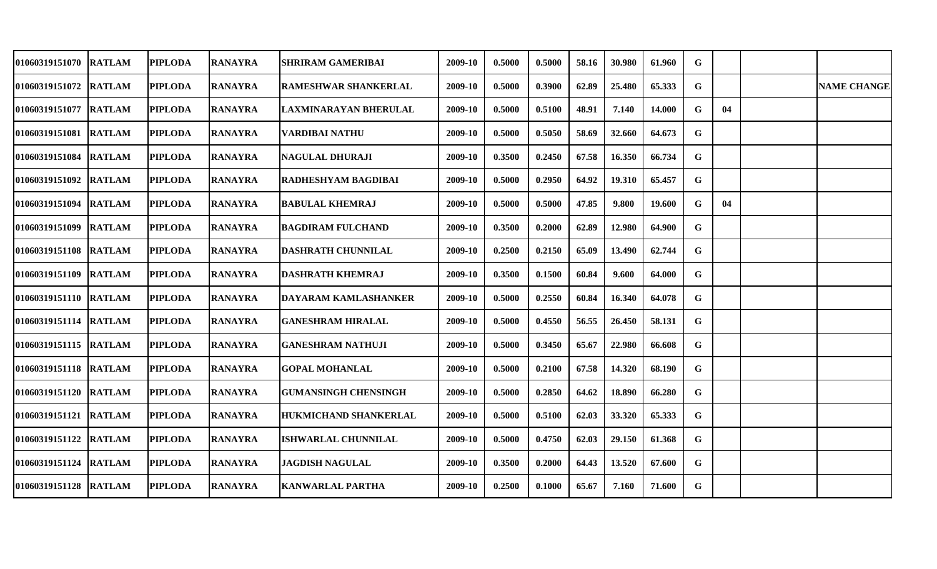| <b>01060319151070</b>  | <b>RATLAM</b> | <b>PIPLODA</b> | <b>RANAYRA</b> | SHRIRAM GAMERIBAI            | 2009-10 | 0.5000 | 0.5000 | 58.16 | 30.980 | 61.960 | G |    |                    |
|------------------------|---------------|----------------|----------------|------------------------------|---------|--------|--------|-------|--------|--------|---|----|--------------------|
| 01060319151072 RATLAM  |               | <b>PIPLODA</b> | <b>RANAYRA</b> | <b>RAMESHWAR SHANKERLAL</b>  | 2009-10 | 0.5000 | 0.3900 | 62.89 | 25.480 | 65.333 | G |    | <b>NAME CHANGE</b> |
| <b>01060319151077</b>  | <b>RATLAM</b> | <b>PIPLODA</b> | <b>RANAYRA</b> | <b>LAXMINARAYAN BHERULAL</b> | 2009-10 | 0.5000 | 0.5100 | 48.91 | 7.140  | 14.000 | G | 04 |                    |
| <b>01060319151081</b>  | <b>RATLAM</b> | <b>PIPLODA</b> | <b>RANAYRA</b> | <b>VARDIBAI NATHU</b>        | 2009-10 | 0.5000 | 0.5050 | 58.69 | 32.660 | 64.673 | G |    |                    |
| 01060319151084         | <b>RATLAM</b> | <b>PIPLODA</b> | <b>RANAYRA</b> | <b>NAGULAL DHURAJI</b>       | 2009-10 | 0.3500 | 0.2450 | 67.58 | 16.350 | 66.734 | G |    |                    |
| 01060319151092         | <b>RATLAM</b> | <b>PIPLODA</b> | <b>RANAYRA</b> | <b>RADHESHYAM BAGDIBAI</b>   | 2009-10 | 0.5000 | 0.2950 | 64.92 | 19.310 | 65.457 | G |    |                    |
| 01060319151094         | <b>RATLAM</b> | <b>PIPLODA</b> | <b>RANAYRA</b> | <b>BABULAL KHEMRAJ</b>       | 2009-10 | 0.5000 | 0.5000 | 47.85 | 9.800  | 19.600 | G | 04 |                    |
| 01060319151099         | <b>RATLAM</b> | <b>PIPLODA</b> | <b>RANAYRA</b> | <b>BAGDIRAM FULCHAND</b>     | 2009-10 | 0.3500 | 0.2000 | 62.89 | 12.980 | 64.900 | G |    |                    |
| 01060319151108  RATLAM |               | <b>PIPLODA</b> | <b>RANAYRA</b> | DASHRATH CHUNNILAL           | 2009-10 | 0.2500 | 0.2150 | 65.09 | 13.490 | 62.744 | G |    |                    |
| 01060319151109 RATLAM  |               | <b>PIPLODA</b> | <b>RANAYRA</b> | <b>DASHRATH KHEMRAJ</b>      | 2009-10 | 0.3500 | 0.1500 | 60.84 | 9.600  | 64.000 | G |    |                    |
| 01060319151110 RATLAM  |               | <b>PIPLODA</b> | <b>RANAYRA</b> | IDAYARAM KAMLASHANKER        | 2009-10 | 0.5000 | 0.2550 | 60.84 | 16.340 | 64.078 | G |    |                    |
| 01060319151114 RATLAM  |               | <b>PIPLODA</b> | <b>RANAYRA</b> | <b>GANESHRAM HIRALAL</b>     | 2009-10 | 0.5000 | 0.4550 | 56.55 | 26.450 | 58.131 | G |    |                    |
| 01060319151115 RATLAM  |               | <b>PIPLODA</b> | <b>RANAYRA</b> | <b>GANESHRAM NATHUJI</b>     | 2009-10 | 0.5000 | 0.3450 | 65.67 | 22.980 | 66.608 | G |    |                    |
| 01060319151118         | <b>RATLAM</b> | <b>PIPLODA</b> | <b>RANAYRA</b> | <b>GOPAL MOHANLAL</b>        | 2009-10 | 0.5000 | 0.2100 | 67.58 | 14.320 | 68.190 | G |    |                    |
| 01060319151120 RATLAM  |               | <b>PIPLODA</b> | <b>RANAYRA</b> | <b>GUMANSINGH CHENSINGH</b>  | 2009-10 | 0.5000 | 0.2850 | 64.62 | 18.890 | 66.280 | G |    |                    |
| 01060319151121         | <b>RATLAM</b> | <b>PIPLODA</b> | <b>RANAYRA</b> | <b>HUKMICHAND SHANKERLAL</b> | 2009-10 | 0.5000 | 0.5100 | 62.03 | 33.320 | 65.333 | G |    |                    |
| 01060319151122 RATLAM  |               | <b>PIPLODA</b> | <b>RANAYRA</b> | <b>ISHWARLAL CHUNNILAL</b>   | 2009-10 | 0.5000 | 0.4750 | 62.03 | 29.150 | 61.368 | G |    |                    |
| 01060319151124         | <b>RATLAM</b> | <b>PIPLODA</b> | <b>RANAYRA</b> | <b>JAGDISH NAGULAL</b>       | 2009-10 | 0.3500 | 0.2000 | 64.43 | 13.520 | 67.600 | G |    |                    |
| 01060319151128         | <b>RATLAM</b> | <b>PIPLODA</b> | <b>RANAYRA</b> | <b>KANWARLAL PARTHA</b>      | 2009-10 | 0.2500 | 0.1000 | 65.67 | 7.160  | 71.600 | G |    |                    |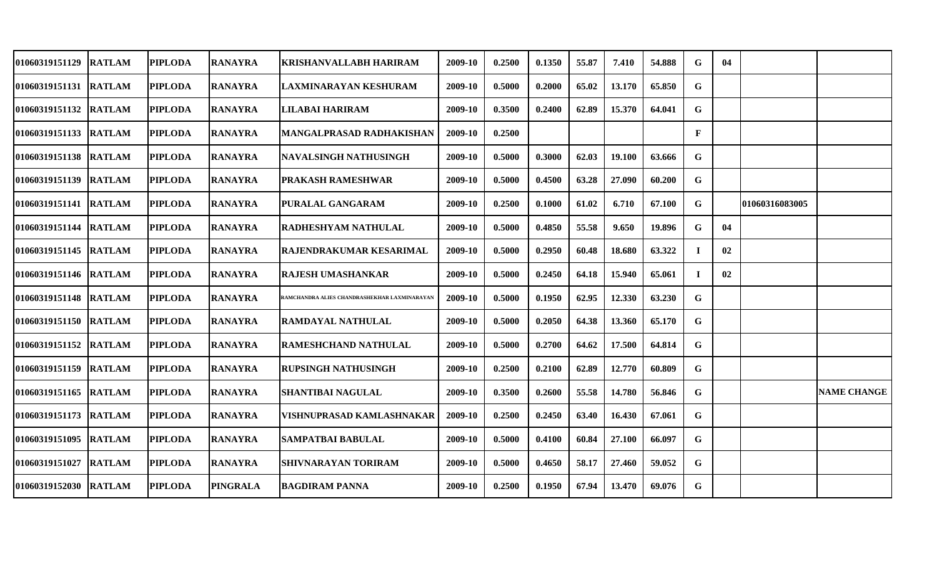| 01060319151129        | <b>RATLAM</b> | <b>PIPLODA</b> | <b>RANAYRA</b>  | KRISHANVALLABH HARIRAM                       | 2009-10 | 0.2500 | 0.1350 | 55.87 | 7.410  | 54.888 | G            | 04 |                |                    |
|-----------------------|---------------|----------------|-----------------|----------------------------------------------|---------|--------|--------|-------|--------|--------|--------------|----|----------------|--------------------|
| 01060319151131 RATLAM |               | <b>PIPLODA</b> | <b>RANAYRA</b>  | LAXMINARAYAN KESHURAM                        | 2009-10 | 0.5000 | 0.2000 | 65.02 | 13.170 | 65.850 | G            |    |                |                    |
| 01060319151132 RATLAM |               | <b>PIPLODA</b> | <b>RANAYRA</b>  | LILABAI HARIRAM                              | 2009-10 | 0.3500 | 0.2400 | 62.89 | 15.370 | 64.041 | G            |    |                |                    |
| 01060319151133 RATLAM |               | <b>PIPLODA</b> | <b>RANAYRA</b>  | MANGALPRASAD RADHAKISHAN                     | 2009-10 | 0.2500 |        |       |        |        | $\mathbf{F}$ |    |                |                    |
| 01060319151138 RATLAM |               | <b>PIPLODA</b> | <b>RANAYRA</b>  | NAVALSINGH NATHUSINGH                        | 2009-10 | 0.5000 | 0.3000 | 62.03 | 19.100 | 63.666 | G            |    |                |                    |
| 01060319151139 RATLAM |               | <b>PIPLODA</b> | <b>RANAYRA</b>  | PRAKASH RAMESHWAR                            | 2009-10 | 0.5000 | 0.4500 | 63.28 | 27.090 | 60.200 | G            |    |                |                    |
| 01060319151141 RATLAM |               | <b>PIPLODA</b> | <b>RANAYRA</b>  | PURALAL GANGARAM                             | 2009-10 | 0.2500 | 0.1000 | 61.02 | 6.710  | 67.100 | G            |    | 01060316083005 |                    |
| <b>01060319151144</b> | <b>RATLAM</b> | <b>PIPLODA</b> | <b>RANAYRA</b>  | RADHESHYAM NATHULAL                          | 2009-10 | 0.5000 | 0.4850 | 55.58 | 9.650  | 19.896 | G            | 04 |                |                    |
| 01060319151145 RATLAM |               | <b>PIPLODA</b> | <b>RANAYRA</b>  | RAJENDRAKUMAR KESARIMAL                      | 2009-10 | 0.5000 | 0.2950 | 60.48 | 18.680 | 63.322 | Т.           | 02 |                |                    |
| 01060319151146 RATLAM |               | <b>PIPLODA</b> | <b>RANAYRA</b>  | RAJESH UMASHANKAR                            | 2009-10 | 0.5000 | 0.2450 | 64.18 | 15.940 | 65.061 | Т.           | 02 |                |                    |
| 01060319151148 RATLAM |               | <b>PIPLODA</b> | <b>RANAYRA</b>  | RAMCHANDRA ALIES CHANDRASHEKHAR LAXMINARAYAN | 2009-10 | 0.5000 | 0.1950 | 62.95 | 12.330 | 63.230 | G            |    |                |                    |
| 01060319151150 RATLAM |               | <b>PIPLODA</b> | <b>RANAYRA</b>  | <b>RAMDAYAL NATHULAL</b>                     | 2009-10 | 0.5000 | 0.2050 | 64.38 | 13.360 | 65.170 | G            |    |                |                    |
| 01060319151152        | <b>RATLAM</b> | <b>PIPLODA</b> | <b>RANAYRA</b>  | RAMESHCHAND NATHULAL                         | 2009-10 | 0.5000 | 0.2700 | 64.62 | 17.500 | 64.814 | G            |    |                |                    |
| 01060319151159        | <b>RATLAM</b> | <b>PIPLODA</b> | <b>RANAYRA</b>  | RUPSINGH NATHUSINGH                          | 2009-10 | 0.2500 | 0.2100 | 62.89 | 12.770 | 60.809 | G            |    |                |                    |
| 01060319151165        | <b>RATLAM</b> | <b>PIPLODA</b> | <b>RANAYRA</b>  | <b>SHANTIBAI NAGULAL</b>                     | 2009-10 | 0.3500 | 0.2600 | 55.58 | 14.780 | 56.846 | G            |    |                | <b>NAME CHANGE</b> |
| 01060319151173 RATLAM |               | <b>PIPLODA</b> | <b>RANAYRA</b>  | VISHNUPRASAD KAMLASHNAKAR                    | 2009-10 | 0.2500 | 0.2450 | 63.40 | 16.430 | 67.061 | G            |    |                |                    |
| 01060319151095        | <b>RATLAM</b> | <b>PIPLODA</b> | <b>RANAYRA</b>  | <b>SAMPATBAI BABULAL</b>                     | 2009-10 | 0.5000 | 0.4100 | 60.84 | 27.100 | 66.097 | G            |    |                |                    |
| 01060319151027        | <b>RATLAM</b> | <b>PIPLODA</b> | <b>RANAYRA</b>  | <b>SHIVNARAYAN TORIRAM</b>                   | 2009-10 | 0.5000 | 0.4650 | 58.17 | 27.460 | 59.052 | G            |    |                |                    |
| 01060319152030 RATLAM |               | <b>PIPLODA</b> | <b>PINGRALA</b> | <b>BAGDIRAM PANNA</b>                        | 2009-10 | 0.2500 | 0.1950 | 67.94 | 13.470 | 69.076 | G            |    |                |                    |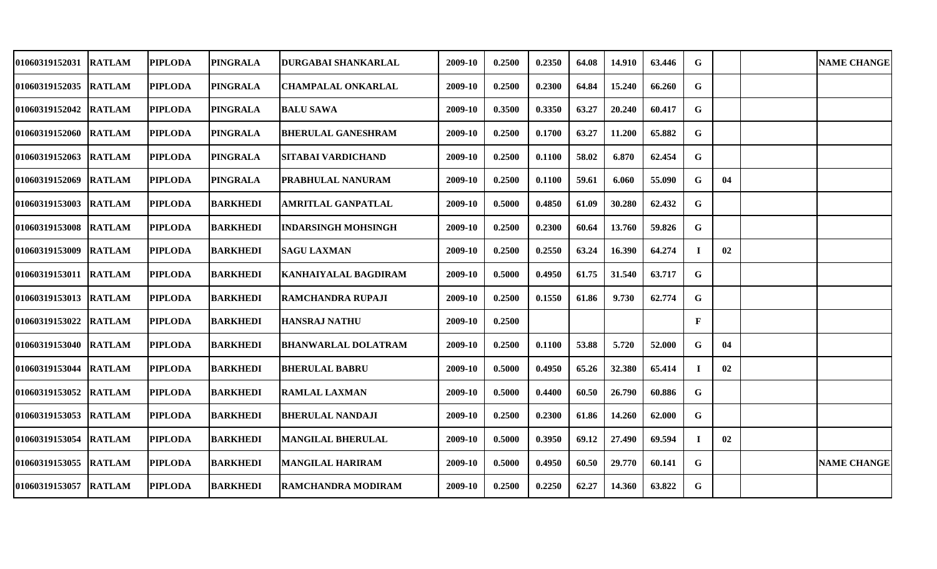| 01060319152031        | <b>RATLAM</b> | <b>PIPLODA</b> | <b>PINGRALA</b> | DURGABAI SHANKARLAL         | 2009-10 | 0.2500 | 0.2350 | 64.08 | 14.910 | 63.446 | G           |    | <b>NAME CHANGE</b> |
|-----------------------|---------------|----------------|-----------------|-----------------------------|---------|--------|--------|-------|--------|--------|-------------|----|--------------------|
| 01060319152035        | <b>RATLAM</b> | <b>PIPLODA</b> | <b>PINGRALA</b> | <b>CHAMPALAL ONKARLAL</b>   | 2009-10 | 0.2500 | 0.2300 | 64.84 | 15.240 | 66.260 | G           |    |                    |
| 01060319152042        | <b>RATLAM</b> | <b>PIPLODA</b> | <b>PINGRALA</b> | <b>BALU SAWA</b>            | 2009-10 | 0.3500 | 0.3350 | 63.27 | 20.240 | 60.417 | G           |    |                    |
| 01060319152060 RATLAM |               | <b>PIPLODA</b> | <b>PINGRALA</b> | <b>BHERULAL GANESHRAM</b>   | 2009-10 | 0.2500 | 0.1700 | 63.27 | 11.200 | 65.882 | G           |    |                    |
| 01060319152063 RATLAM |               | <b>PIPLODA</b> | <b>PINGRALA</b> | SITABAI VARDICHAND          | 2009-10 | 0.2500 | 0.1100 | 58.02 | 6.870  | 62.454 | G           |    |                    |
| 01060319152069        | <b>RATLAM</b> | <b>PIPLODA</b> | <b>PINGRALA</b> | PRABHULAL NANURAM           | 2009-10 | 0.2500 | 0.1100 | 59.61 | 6.060  | 55.090 | G           | 04 |                    |
| 01060319153003        | <b>RATLAM</b> | <b>PIPLODA</b> | <b>BARKHEDI</b> | AMRITLAL GANPATLAL          | 2009-10 | 0.5000 | 0.4850 | 61.09 | 30.280 | 62.432 | G           |    |                    |
| 01060319153008        | <b>RATLAM</b> | <b>PIPLODA</b> | <b>BARKHEDI</b> | <b>INDARSINGH MOHSINGH</b>  | 2009-10 | 0.2500 | 0.2300 | 60.64 | 13.760 | 59.826 | $\mathbf G$ |    |                    |
| 01060319153009        | <b>RATLAM</b> | <b>PIPLODA</b> | <b>BARKHEDI</b> | <b>SAGU LAXMAN</b>          | 2009-10 | 0.2500 | 0.2550 | 63.24 | 16.390 | 64.274 | $\bf{I}$    | 02 |                    |
| <b>01060319153011</b> | <b>RATLAM</b> | <b>PIPLODA</b> | <b>BARKHEDI</b> | <b>KANHAIYALAL BAGDIRAM</b> | 2009-10 | 0.5000 | 0.4950 | 61.75 | 31.540 | 63.717 | G           |    |                    |
| 01060319153013        | <b>RATLAM</b> | <b>PIPLODA</b> | <b>BARKHEDI</b> | <b>RAMCHANDRA RUPAJI</b>    | 2009-10 | 0.2500 | 0.1550 | 61.86 | 9.730  | 62.774 | G           |    |                    |
| 01060319153022        | <b>RATLAM</b> | <b>PIPLODA</b> | <b>BARKHEDI</b> | <b>HANSRAJ NATHU</b>        | 2009-10 | 0.2500 |        |       |        |        | F           |    |                    |
| 01060319153040        | <b>RATLAM</b> | <b>PIPLODA</b> | <b>BARKHEDI</b> | <b>BHANWARLAL DOLATRAM</b>  | 2009-10 | 0.2500 | 0.1100 | 53.88 | 5.720  | 52.000 | G           | 04 |                    |
| 01060319153044        | <b>RATLAM</b> | <b>PIPLODA</b> | <b>BARKHEDI</b> | <b>BHERULAL BABRU</b>       | 2009-10 | 0.5000 | 0.4950 | 65.26 | 32.380 | 65.414 | $\bf{I}$    | 02 |                    |
| 01060319153052        | <b>RATLAM</b> | <b>PIPLODA</b> | <b>BARKHEDI</b> | <b>RAMLAL LAXMAN</b>        | 2009-10 | 0.5000 | 0.4400 | 60.50 | 26.790 | 60.886 | G           |    |                    |
| 01060319153053        | <b>RATLAM</b> | <b>PIPLODA</b> | <b>BARKHEDI</b> | <b>BHERULAL NANDAJI</b>     | 2009-10 | 0.2500 | 0.2300 | 61.86 | 14.260 | 62.000 | $\mathbf G$ |    |                    |
| 01060319153054        | <b>RATLAM</b> | <b>PIPLODA</b> | <b>BARKHEDI</b> | <b>MANGILAL BHERULAL</b>    | 2009-10 | 0.5000 | 0.3950 | 69.12 | 27.490 | 69.594 | $\bf{I}$    | 02 |                    |
| 01060319153055 RATLAM |               | <b>PIPLODA</b> | <b>BARKHEDI</b> | <b>MANGILAL HARIRAM</b>     | 2009-10 | 0.5000 | 0.4950 | 60.50 | 29.770 | 60.141 | G           |    | <b>NAME CHANGE</b> |
| 01060319153057 RATLAM |               | <b>PIPLODA</b> | <b>BARKHEDI</b> | <b>RAMCHANDRA MODIRAM</b>   | 2009-10 | 0.2500 | 0.2250 | 62.27 | 14.360 | 63.822 | G           |    |                    |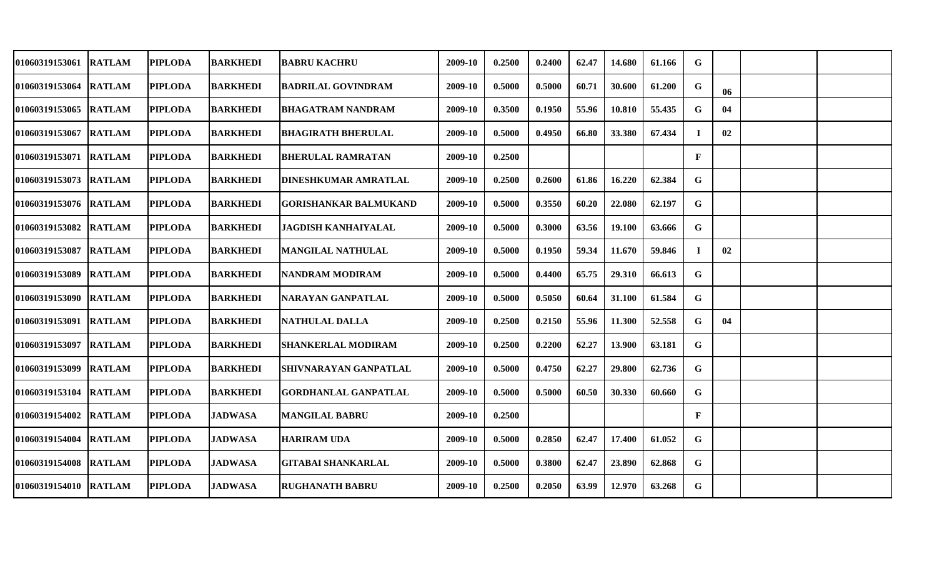| 01060319153061        | <b>RATLAM</b> | <b>PIPLODA</b> | <b>BARKHEDI</b> | <b>BABRU KACHRU</b>          | 2009-10 | 0.2500 | 0.2400 | 62.47 | 14.680 | 61.166 | G            |    |  |
|-----------------------|---------------|----------------|-----------------|------------------------------|---------|--------|--------|-------|--------|--------|--------------|----|--|
| 01060319153064        | <b>RATLAM</b> | <b>PIPLODA</b> | <b>BARKHEDI</b> | <b>BADRILAL GOVINDRAM</b>    | 2009-10 | 0.5000 | 0.5000 | 60.71 | 30.600 | 61.200 | G            | 06 |  |
| 01060319153065        | <b>RATLAM</b> | <b>PIPLODA</b> | <b>BARKHEDI</b> | <b>BHAGATRAM NANDRAM</b>     | 2009-10 | 0.3500 | 0.1950 | 55.96 | 10.810 | 55.435 | G            | 04 |  |
| 01060319153067        | <b>RATLAM</b> | <b>PIPLODA</b> | <b>BARKHEDI</b> | <b>BHAGIRATH BHERULAL</b>    | 2009-10 | 0.5000 | 0.4950 | 66.80 | 33.380 | 67.434 | $\bf I$      | 02 |  |
| 01060319153071 RATLAM |               | <b>PIPLODA</b> | <b>BARKHEDI</b> | <b>BHERULAL RAMRATAN</b>     | 2009-10 | 0.2500 |        |       |        |        | $\mathbf{F}$ |    |  |
| 01060319153073 RATLAM |               | <b>PIPLODA</b> | <b>BARKHEDI</b> | DINESHKUMAR AMRATLAL         | 2009-10 | 0.2500 | 0.2600 | 61.86 | 16.220 | 62.384 | G            |    |  |
| 01060319153076 RATLAM |               | <b>PIPLODA</b> | <b>BARKHEDI</b> | <b>GORISHANKAR BALMUKAND</b> | 2009-10 | 0.5000 | 0.3550 | 60.20 | 22.080 | 62.197 | G            |    |  |
| <b>01060319153082</b> | <b>RATLAM</b> | <b>PIPLODA</b> | <b>BARKHEDI</b> | <b>JAGDISH KANHAIYALAL</b>   | 2009-10 | 0.5000 | 0.3000 | 63.56 | 19.100 | 63.666 | G            |    |  |
| 01060319153087 RATLAM |               | <b>PIPLODA</b> | <b>BARKHEDI</b> | <b>MANGILAL NATHULAL</b>     | 2009-10 | 0.5000 | 0.1950 | 59.34 | 11.670 | 59.846 | Т.           | 02 |  |
| 01060319153089 RATLAM |               | <b>PIPLODA</b> | <b>BARKHEDI</b> | <b>NANDRAM MODIRAM</b>       | 2009-10 | 0.5000 | 0.4400 | 65.75 | 29.310 | 66.613 | G            |    |  |
| 01060319153090 RATLAM |               | <b>PIPLODA</b> | <b>BARKHEDI</b> | NARAYAN GANPATLAL            | 2009-10 | 0.5000 | 0.5050 | 60.64 | 31.100 | 61.584 | G            |    |  |
| 01060319153091        | <b>RATLAM</b> | <b>PIPLODA</b> | <b>BARKHEDI</b> | <b>NATHULAL DALLA</b>        | 2009-10 | 0.2500 | 0.2150 | 55.96 | 11.300 | 52.558 | G            | 04 |  |
| 01060319153097        | <b>RATLAM</b> | <b>PIPLODA</b> | <b>BARKHEDI</b> | <b>SHANKERLAL MODIRAM</b>    | 2009-10 | 0.2500 | 0.2200 | 62.27 | 13.900 | 63.181 | G            |    |  |
| 01060319153099        | <b>RATLAM</b> | <b>PIPLODA</b> | <b>BARKHEDI</b> | SHIVNARAYAN GANPATLAL        | 2009-10 | 0.5000 | 0.4750 | 62.27 | 29.800 | 62.736 | G            |    |  |
| 01060319153104        | <b>RATLAM</b> | <b>PIPLODA</b> | <b>BARKHEDI</b> | <b>GORDHANLAL GANPATLAL</b>  | 2009-10 | 0.5000 | 0.5000 | 60.50 | 30.330 | 60.660 | G            |    |  |
| 01060319154002        | <b>RATLAM</b> | <b>PIPLODA</b> | <b>JADWASA</b>  | <b>MANGILAL BABRU</b>        | 2009-10 | 0.2500 |        |       |        |        | $\mathbf{F}$ |    |  |
| 01060319154004        | <b>RATLAM</b> | <b>PIPLODA</b> | <b>JADWASA</b>  | <b>HARIRAM UDA</b>           | 2009-10 | 0.5000 | 0.2850 | 62.47 | 17.400 | 61.052 | G            |    |  |
| 01060319154008        | <b>RATLAM</b> | <b>PIPLODA</b> | <b>JADWASA</b>  | <b>GITABAI SHANKARLAL</b>    | 2009-10 | 0.5000 | 0.3800 | 62.47 | 23.890 | 62.868 | G            |    |  |
| 01060319154010 RATLAM |               | <b>PIPLODA</b> | <b>JADWASA</b>  | <b>RUGHANATH BABRU</b>       | 2009-10 | 0.2500 | 0.2050 | 63.99 | 12.970 | 63.268 | G            |    |  |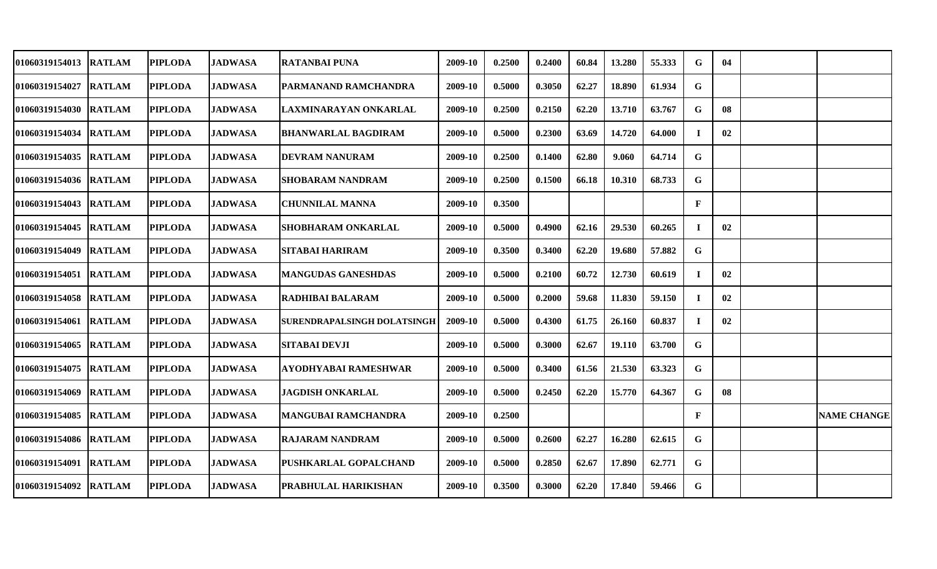| 01060319154013        | <b>RATLAM</b> | <b>PIPLODA</b> | JADWASA        | <b>RATANBAI PUNA</b>        | 2009-10 | 0.2500 | 0.2400 | 60.84 | 13.280 | 55.333 | G.           | 04 |                    |
|-----------------------|---------------|----------------|----------------|-----------------------------|---------|--------|--------|-------|--------|--------|--------------|----|--------------------|
| 01060319154027        | <b>RATLAM</b> | <b>PIPLODA</b> | <b>JADWASA</b> | PARMANAND RAMCHANDRA        | 2009-10 | 0.5000 | 0.3050 | 62.27 | 18.890 | 61.934 | G            |    |                    |
| 01060319154030 RATLAM |               | <b>PIPLODA</b> | <b>JADWASA</b> | LAXMINARAYAN ONKARLAL       | 2009-10 | 0.2500 | 0.2150 | 62.20 | 13.710 | 63.767 | G            | 08 |                    |
| 01060319154034        | <b>RATLAM</b> | <b>PIPLODA</b> | <b>JADWASA</b> | <b>BHANWARLAL BAGDIRAM</b>  | 2009-10 | 0.5000 | 0.2300 | 63.69 | 14.720 | 64.000 | $\bf I$      | 02 |                    |
| 01060319154035        | <b>RATLAM</b> | <b>PIPLODA</b> | <b>JADWASA</b> | <b>DEVRAM NANURAM</b>       | 2009-10 | 0.2500 | 0.1400 | 62.80 | 9.060  | 64.714 | G            |    |                    |
| 01060319154036 RATLAM |               | <b>PIPLODA</b> | <b>JADWASA</b> | SHOBARAM NANDRAM            | 2009-10 | 0.2500 | 0.1500 | 66.18 | 10.310 | 68.733 | G            |    |                    |
| <b>01060319154043</b> | <b>RATLAM</b> | <b>PIPLODA</b> | <b>JADWASA</b> | <b>CHUNNILAL MANNA</b>      | 2009-10 | 0.3500 |        |       |        |        | $\mathbf{F}$ |    |                    |
| <b>01060319154045</b> | <b>RATLAM</b> | <b>PIPLODA</b> | <b>JADWASA</b> | <b>SHOBHARAM ONKARLAL</b>   | 2009-10 | 0.5000 | 0.4900 | 62.16 | 29.530 | 60.265 | T.           | 02 |                    |
| 01060319154049 RATLAM |               | <b>PIPLODA</b> | <b>JADWASA</b> | <b>SITABAI HARIRAM</b>      | 2009-10 | 0.3500 | 0.3400 | 62.20 | 19.680 | 57.882 | G            |    |                    |
| 01060319154051 RATLAM |               | <b>PIPLODA</b> | <b>JADWASA</b> | <b>MANGUDAS GANESHDAS</b>   | 2009-10 | 0.5000 | 0.2100 | 60.72 | 12.730 | 60.619 | Т.           | 02 |                    |
| 01060319154058        | <b>RATLAM</b> | <b>PIPLODA</b> | <b>JADWASA</b> | <b>RADHIBAI BALARAM</b>     | 2009-10 | 0.5000 | 0.2000 | 59.68 | 11.830 | 59.150 | $\bf I$      | 02 |                    |
| 01060319154061        | <b>RATLAM</b> | <b>PIPLODA</b> | <b>JADWASA</b> | SURENDRAPALSINGH DOLATSINGH | 2009-10 | 0.5000 | 0.4300 | 61.75 | 26.160 | 60.837 | Т.           | 02 |                    |
| 01060319154065        | <b>RATLAM</b> | <b>PIPLODA</b> | <b>JADWASA</b> | <b>SITABAI DEVJI</b>        | 2009-10 | 0.5000 | 0.3000 | 62.67 | 19.110 | 63.700 | G            |    |                    |
| 01060319154075        | <b>RATLAM</b> | <b>PIPLODA</b> | <b>JADWASA</b> | AYODHYABAI RAMESHWAR        | 2009-10 | 0.5000 | 0.3400 | 61.56 | 21.530 | 63.323 | G            |    |                    |
| 01060319154069        | <b>RATLAM</b> | <b>PIPLODA</b> | <b>JADWASA</b> | <b>JAGDISH ONKARLAL</b>     | 2009-10 | 0.5000 | 0.2450 | 62.20 | 15.770 | 64.367 | G            | 08 |                    |
| 01060319154085        | <b>RATLAM</b> | <b>PIPLODA</b> | <b>JADWASA</b> | <b>MANGUBAI RAMCHANDRA</b>  | 2009-10 | 0.2500 |        |       |        |        | $\mathbf{F}$ |    | <b>NAME CHANGE</b> |
| 01060319154086 RATLAM |               | <b>PIPLODA</b> | <b>JADWASA</b> | <b>RAJARAM NANDRAM</b>      | 2009-10 | 0.5000 | 0.2600 | 62.27 | 16.280 | 62.615 | G            |    |                    |
| 01060319154091        | <b>RATLAM</b> | <b>PIPLODA</b> | <b>JADWASA</b> | PUSHKARLAL GOPALCHAND       | 2009-10 | 0.5000 | 0.2850 | 62.67 | 17.890 | 62.771 | G            |    |                    |
| 01060319154092        | <b>RATLAM</b> | <b>PIPLODA</b> | <b>JADWASA</b> | PRABHULAL HARIKISHAN        | 2009-10 | 0.3500 | 0.3000 | 62.20 | 17.840 | 59.466 | G            |    |                    |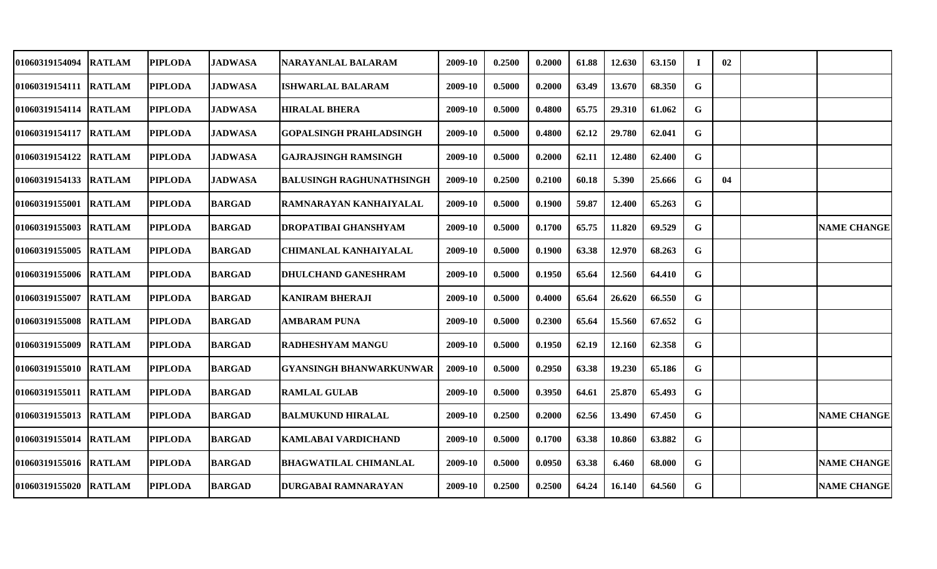| <b>01060319154094</b> | <b>RATLAM</b> | <b>PIPLODA</b> | <b>JADWASA</b> | NARAYANLAL BALARAM              | 2009-10 | 0.2500 | 0.2000 | 61.88 | 12.630 | 63.150 | $\mathbf I$ | 02 |                    |
|-----------------------|---------------|----------------|----------------|---------------------------------|---------|--------|--------|-------|--------|--------|-------------|----|--------------------|
| 01060319154111 RATLAM |               | <b>PIPLODA</b> | <b>JADWASA</b> | <b>ISHWARLAL BALARAM</b>        | 2009-10 | 0.5000 | 0.2000 | 63.49 | 13.670 | 68.350 | G           |    |                    |
| 01060319154114 RATLAM |               | <b>PIPLODA</b> | <b>JADWASA</b> | <b>HIRALAL BHERA</b>            | 2009-10 | 0.5000 | 0.4800 | 65.75 | 29.310 | 61.062 | G           |    |                    |
| 01060319154117 RATLAM |               | <b>PIPLODA</b> | <b>JADWASA</b> | <b>GOPALSINGH PRAHLADSINGH</b>  | 2009-10 | 0.5000 | 0.4800 | 62.12 | 29.780 | 62.041 | G           |    |                    |
| 01060319154122 RATLAM |               | <b>PIPLODA</b> | <b>JADWASA</b> | <b>GAJRAJSINGH RAMSINGH</b>     | 2009-10 | 0.5000 | 0.2000 | 62.11 | 12.480 | 62.400 | G           |    |                    |
| 01060319154133 RATLAM |               | <b>PIPLODA</b> | <b>JADWASA</b> | <b>BALUSINGH RAGHUNATHSINGH</b> | 2009-10 | 0.2500 | 0.2100 | 60.18 | 5.390  | 25.666 | G           | 04 |                    |
| <b>01060319155001</b> | <b>RATLAM</b> | <b>PIPLODA</b> | <b>BARGAD</b>  | RAMNARAYAN KANHAIYALAL          | 2009-10 | 0.5000 | 0.1900 | 59.87 | 12.400 | 65.263 | G           |    |                    |
| 01060319155003        | <b>RATLAM</b> | <b>PIPLODA</b> | <b>BARGAD</b>  | DROPATIBAI GHANSHYAM            | 2009-10 | 0.5000 | 0.1700 | 65.75 | 11.820 | 69.529 | G           |    | <b>NAME CHANGE</b> |
| 01060319155005 RATLAM |               | <b>PIPLODA</b> | <b>BARGAD</b>  | CHIMANLAL KANHAIYALAL           | 2009-10 | 0.5000 | 0.1900 | 63.38 | 12.970 | 68.263 | G           |    |                    |
| 01060319155006 RATLAM |               | <b>PIPLODA</b> | <b>BARGAD</b>  | DHULCHAND GANESHRAM             | 2009-10 | 0.5000 | 0.1950 | 65.64 | 12.560 | 64.410 | G           |    |                    |
| 01060319155007        | <b>RATLAM</b> | <b>PIPLODA</b> | <b>BARGAD</b>  | <b>KANIRAM BHERAJI</b>          | 2009-10 | 0.5000 | 0.4000 | 65.64 | 26.620 | 66.550 | G           |    |                    |
| 01060319155008 RATLAM |               | <b>PIPLODA</b> | <b>BARGAD</b>  | <b>AMBARAM PUNA</b>             | 2009-10 | 0.5000 | 0.2300 | 65.64 | 15.560 | 67.652 | G           |    |                    |
| <b>01060319155009</b> | <b>RATLAM</b> | <b>PIPLODA</b> | <b>BARGAD</b>  | <b>RADHESHYAM MANGU</b>         | 2009-10 | 0.5000 | 0.1950 | 62.19 | 12.160 | 62.358 | G           |    |                    |
| <b>01060319155010</b> | <b>RATLAM</b> | <b>PIPLODA</b> | <b>BARGAD</b>  | <b>GYANSINGH BHANWARKUNWAR</b>  | 2009-10 | 0.5000 | 0.2950 | 63.38 | 19.230 | 65.186 | G           |    |                    |
| 01060319155011 RATLAM |               | <b>PIPLODA</b> | <b>BARGAD</b>  | <b>RAMLAL GULAB</b>             | 2009-10 | 0.5000 | 0.3950 | 64.61 | 25.870 | 65.493 | G           |    |                    |
| 01060319155013 RATLAM |               | <b>PIPLODA</b> | <b>BARGAD</b>  | <b>BALMUKUND HIRALAL</b>        | 2009-10 | 0.2500 | 0.2000 | 62.56 | 13.490 | 67.450 | G           |    | <b>NAME CHANGE</b> |
| 01060319155014 RATLAM |               | <b>PIPLODA</b> | <b>BARGAD</b>  | KAMLABAI VARDICHAND             | 2009-10 | 0.5000 | 0.1700 | 63.38 | 10.860 | 63.882 | G.          |    |                    |
| 01060319155016 RATLAM |               | <b>PIPLODA</b> | <b>BARGAD</b>  | <b>BHAGWATILAL CHIMANLAL</b>    | 2009-10 | 0.5000 | 0.0950 | 63.38 | 6.460  | 68.000 | G           |    | <b>NAME CHANGE</b> |
| 01060319155020        | <b>RATLAM</b> | <b>PIPLODA</b> | <b>BARGAD</b>  | <b>DURGABAI RAMNARAYAN</b>      | 2009-10 | 0.2500 | 0.2500 | 64.24 | 16.140 | 64.560 | G           |    | <b>NAME CHANGE</b> |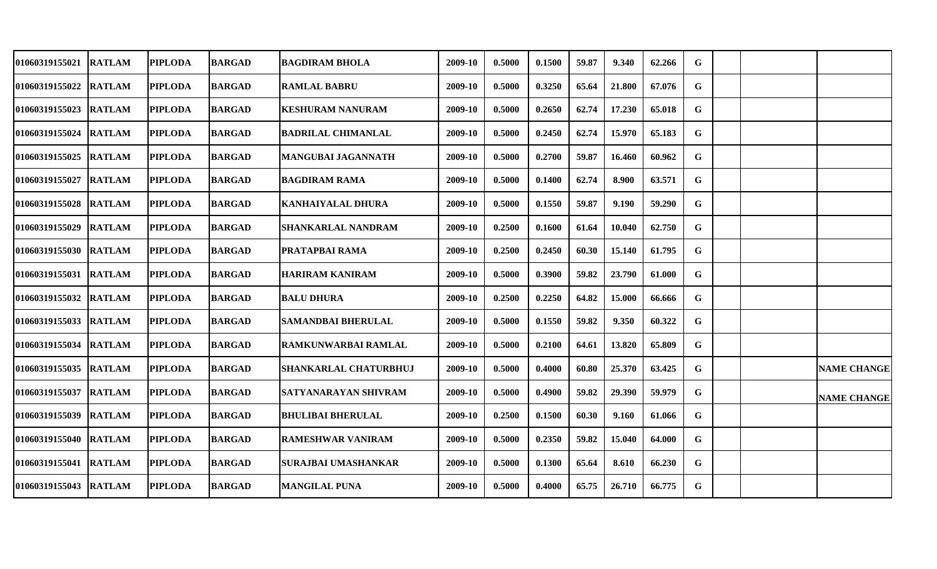| 01060319155021        | <b>RATLAM</b> | <b>PIPLODA</b> | <b>BARGAD</b> | <b>BAGDIRAM BHOLA</b>      | 2009-10 | 0.5000 | 0.1500 | 59.87 | 9.340  | 62.266 | G |  |                    |
|-----------------------|---------------|----------------|---------------|----------------------------|---------|--------|--------|-------|--------|--------|---|--|--------------------|
| 01060319155022        | <b>RATLAM</b> | <b>PIPLODA</b> | <b>BARGAD</b> | <b>RAMLAL BABRU</b>        | 2009-10 | 0.5000 | 0.3250 | 65.64 | 21.800 | 67.076 | G |  |                    |
| 01060319155023        | <b>RATLAM</b> | <b>PIPLODA</b> | <b>BARGAD</b> | <b>KESHURAM NANURAM</b>    | 2009-10 | 0.5000 | 0.2650 | 62.74 | 17.230 | 65.018 | G |  |                    |
| 01060319155024        | <b>RATLAM</b> | <b>PIPLODA</b> | <b>BARGAD</b> | <b>BADRILAL CHIMANLAL</b>  | 2009-10 | 0.5000 | 0.2450 | 62.74 | 15.970 | 65.183 | G |  |                    |
| 01060319155025        | <b>RATLAM</b> | <b>PIPLODA</b> | <b>BARGAD</b> | <b>MANGUBAI JAGANNATH</b>  | 2009-10 | 0.5000 | 0.2700 | 59.87 | 16.460 | 60.962 | G |  |                    |
| 01060319155027        | <b>RATLAM</b> | <b>PIPLODA</b> | <b>BARGAD</b> | <b>BAGDIRAM RAMA</b>       | 2009-10 | 0.5000 | 0.1400 | 62.74 | 8.900  | 63.571 | G |  |                    |
| <b>01060319155028</b> | <b>RATLAM</b> | <b>PIPLODA</b> | <b>BARGAD</b> | <b>KANHAIYALAL DHURA</b>   | 2009-10 | 0.5000 | 0.1550 | 59.87 | 9.190  | 59.290 | G |  |                    |
| <b>01060319155029</b> | <b>RATLAM</b> | <b>PIPLODA</b> | <b>BARGAD</b> | <b>SHANKARLAL NANDRAM</b>  | 2009-10 | 0.2500 | 0.1600 | 61.64 | 10.040 | 62.750 | G |  |                    |
| 01060319155030 RATLAM |               | <b>PIPLODA</b> | <b>BARGAD</b> | PRATAPBAI RAMA             | 2009-10 | 0.2500 | 0.2450 | 60.30 | 15.140 | 61.795 | G |  |                    |
| 01060319155031 RATLAM |               | <b>PIPLODA</b> | <b>BARGAD</b> | <b>HARIRAM KANIRAM</b>     | 2009-10 | 0.5000 | 0.3900 | 59.82 | 23.790 | 61.000 | G |  |                    |
| 01060319155032        | <b>RATLAM</b> | <b>PIPLODA</b> | <b>BARGAD</b> | <b>BALU DHURA</b>          | 2009-10 | 0.2500 | 0.2250 | 64.82 | 15.000 | 66.666 | G |  |                    |
| 01060319155033        | <b>RATLAM</b> | <b>PIPLODA</b> | <b>BARGAD</b> | <b>SAMANDBAI BHERULAL</b>  | 2009-10 | 0.5000 | 0.1550 | 59.82 | 9.350  | 60.322 | G |  |                    |
| 01060319155034        | <b>RATLAM</b> | <b>PIPLODA</b> | <b>BARGAD</b> | RAMKUNWARBAI RAMLAL        | 2009-10 | 0.5000 | 0.2100 | 64.61 | 13.820 | 65.809 | G |  |                    |
| 01060319155035        | <b>RATLAM</b> | <b>PIPLODA</b> | <b>BARGAD</b> | SHANKARLAL CHATURBHUJ      | 2009-10 | 0.5000 | 0.4000 | 60.80 | 25.370 | 63.425 | G |  | <b>NAME CHANGE</b> |
| 01060319155037        | <b>RATLAM</b> | <b>PIPLODA</b> | <b>BARGAD</b> | SATYANARAYAN SHIVRAM       | 2009-10 | 0.5000 | 0.4900 | 59.82 | 29.390 | 59.979 | G |  | <b>NAME CHANGE</b> |
| 01060319155039        | <b>RATLAM</b> | <b>PIPLODA</b> | <b>BARGAD</b> | <b>BHULIBAI BHERULAL</b>   | 2009-10 | 0.2500 | 0.1500 | 60.30 | 9.160  | 61.066 | G |  |                    |
| 01060319155040 RATLAM |               | <b>PIPLODA</b> | <b>BARGAD</b> | <b>RAMESHWAR VANIRAM</b>   | 2009-10 | 0.5000 | 0.2350 | 59.82 | 15.040 | 64.000 | G |  |                    |
| 01060319155041        | <b>RATLAM</b> | <b>PIPLODA</b> | <b>BARGAD</b> | <b>SURAJBAI UMASHANKAR</b> | 2009-10 | 0.5000 | 0.1300 | 65.64 | 8.610  | 66.230 | G |  |                    |
| 01060319155043        | <b>RATLAM</b> | <b>PIPLODA</b> | <b>BARGAD</b> | <b>MANGILAL PUNA</b>       | 2009-10 | 0.5000 | 0.4000 | 65.75 | 26.710 | 66.775 | G |  |                    |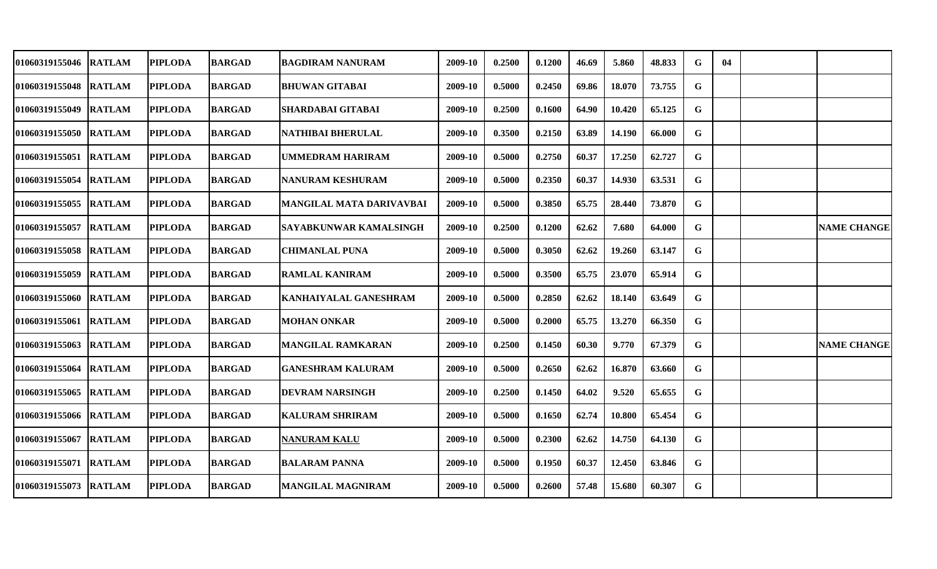| 01060319155046        | <b>RATLAM</b> | <b>PIPLODA</b> | <b>BARGAD</b> | BAGDIRAM NANURAM                | 2009-10 | 0.2500 | 0.1200 | 46.69 | 5.860  | 48.833 | G           | 04 |                    |
|-----------------------|---------------|----------------|---------------|---------------------------------|---------|--------|--------|-------|--------|--------|-------------|----|--------------------|
| 01060319155048        | <b>RATLAM</b> | <b>PIPLODA</b> | <b>BARGAD</b> | <b>BHUWAN GITABAI</b>           | 2009-10 | 0.5000 | 0.2450 | 69.86 | 18.070 | 73.755 | $\mathbf G$ |    |                    |
| 01060319155049        | <b>RATLAM</b> | <b>PIPLODA</b> | <b>BARGAD</b> | <b>SHARDABAI GITABAI</b>        | 2009-10 | 0.2500 | 0.1600 | 64.90 | 10.420 | 65.125 | $\mathbf G$ |    |                    |
| 01060319155050        | <b>RATLAM</b> | <b>PIPLODA</b> | <b>BARGAD</b> | <b>NATHIBAI BHERULAL</b>        | 2009-10 | 0.3500 | 0.2150 | 63.89 | 14.190 | 66.000 | $\mathbf G$ |    |                    |
| 01060319155051 RATLAM |               | <b>PIPLODA</b> | <b>BARGAD</b> | <b>UMMEDRAM HARIRAM</b>         | 2009-10 | 0.5000 | 0.2750 | 60.37 | 17.250 | 62.727 | G           |    |                    |
| 01060319155054        | <b>RATLAM</b> | <b>PIPLODA</b> | <b>BARGAD</b> | <b>NANURAM KESHURAM</b>         | 2009-10 | 0.5000 | 0.2350 | 60.37 | 14.930 | 63.531 | G           |    |                    |
| 01060319155055        | <b>RATLAM</b> | <b>PIPLODA</b> | <b>BARGAD</b> | <b>MANGILAL MATA DARIVAVBAI</b> | 2009-10 | 0.5000 | 0.3850 | 65.75 | 28.440 | 73.870 | $\mathbf G$ |    |                    |
| 01060319155057        | <b>RATLAM</b> | <b>PIPLODA</b> | <b>BARGAD</b> | <b>SAYABKUNWAR KAMALSINGH</b>   | 2009-10 | 0.2500 | 0.1200 | 62.62 | 7.680  | 64.000 | G           |    | <b>NAME CHANGE</b> |
| 01060319155058        | <b>RATLAM</b> | <b>PIPLODA</b> | <b>BARGAD</b> | <b>CHIMANLAL PUNA</b>           | 2009-10 | 0.5000 | 0.3050 | 62.62 | 19.260 | 63.147 | G           |    |                    |
| 01060319155059        | <b>RATLAM</b> | <b>PIPLODA</b> | <b>BARGAD</b> | <b>RAMLAL KANIRAM</b>           | 2009-10 | 0.5000 | 0.3500 | 65.75 | 23.070 | 65.914 | $\mathbf G$ |    |                    |
| 01060319155060        | <b>RATLAM</b> | <b>PIPLODA</b> | <b>BARGAD</b> | <b>KANHAIYALAL GANESHRAM</b>    | 2009-10 | 0.5000 | 0.2850 | 62.62 | 18.140 | 63.649 | G           |    |                    |
| 01060319155061        | <b>RATLAM</b> | <b>PIPLODA</b> | <b>BARGAD</b> | <b>MOHAN ONKAR</b>              | 2009-10 | 0.5000 | 0.2000 | 65.75 | 13.270 | 66.350 | G           |    |                    |
| 01060319155063        | <b>RATLAM</b> | <b>PIPLODA</b> | <b>BARGAD</b> | <b>MANGILAL RAMKARAN</b>        | 2009-10 | 0.2500 | 0.1450 | 60.30 | 9.770  | 67.379 | G           |    | <b>NAME CHANGE</b> |
| 01060319155064        | <b>RATLAM</b> | <b>PIPLODA</b> | <b>BARGAD</b> | <b>GANESHRAM KALURAM</b>        | 2009-10 | 0.5000 | 0.2650 | 62.62 | 16.870 | 63.660 | G           |    |                    |
| 01060319155065        | <b>RATLAM</b> | <b>PIPLODA</b> | <b>BARGAD</b> | <b>DEVRAM NARSINGH</b>          | 2009-10 | 0.2500 | 0.1450 | 64.02 | 9.520  | 65.655 | $\mathbf G$ |    |                    |
| 01060319155066        | <b>RATLAM</b> | <b>PIPLODA</b> | <b>BARGAD</b> | <b>KALURAM SHRIRAM</b>          | 2009-10 | 0.5000 | 0.1650 | 62.74 | 10.800 | 65.454 | G           |    |                    |
| 01060319155067        | <b>RATLAM</b> | <b>PIPLODA</b> | <b>BARGAD</b> | <b>NANURAM KALU</b>             | 2009-10 | 0.5000 | 0.2300 | 62.62 | 14.750 | 64.130 | G           |    |                    |
| 01060319155071 RATLAM |               | <b>PIPLODA</b> | <b>BARGAD</b> | <b>BALARAM PANNA</b>            | 2009-10 | 0.5000 | 0.1950 | 60.37 | 12.450 | 63.846 | G           |    |                    |
| 01060319155073        | <b>RATLAM</b> | <b>PIPLODA</b> | <b>BARGAD</b> | <b>MANGILAL MAGNIRAM</b>        | 2009-10 | 0.5000 | 0.2600 | 57.48 | 15.680 | 60.307 | $\mathbf G$ |    |                    |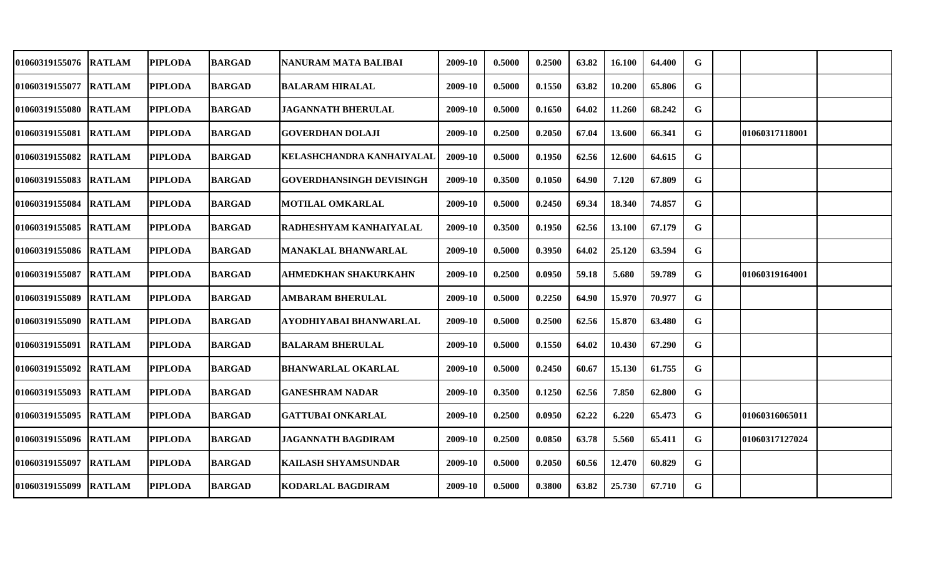| 01060319155076        | <b>RATLAM</b> | <b>PIPLODA</b> | BARGAD        | NANURAM MATA BALIBAI             | 2009-10 | 0.5000 | 0.2500 | 63.82 | 16.100 | 64.400 | G |                 |  |
|-----------------------|---------------|----------------|---------------|----------------------------------|---------|--------|--------|-------|--------|--------|---|-----------------|--|
| 01060319155077 RATLAM |               | <b>PIPLODA</b> | <b>BARGAD</b> | <b>BALARAM HIRALAL</b>           | 2009-10 | 0.5000 | 0.1550 | 63.82 | 10.200 | 65.806 | G |                 |  |
| 01060319155080 RATLAM |               | <b>PIPLODA</b> | <b>BARGAD</b> | <b>JAGANNATH BHERULAL</b>        | 2009-10 | 0.5000 | 0.1650 | 64.02 | 11.260 | 68.242 | G |                 |  |
| 01060319155081 RATLAM |               | <b>PIPLODA</b> | <b>BARGAD</b> | <b>GOVERDHAN DOLAJI</b>          | 2009-10 | 0.2500 | 0.2050 | 67.04 | 13.600 | 66.341 | G | 101060317118001 |  |
| 01060319155082        | <b>RATLAM</b> | <b>PIPLODA</b> | <b>BARGAD</b> | <b>KELASHCHANDRA KANHAIYALAL</b> | 2009-10 | 0.5000 | 0.1950 | 62.56 | 12.600 | 64.615 | G |                 |  |
| <b>01060319155083</b> | <b>RATLAM</b> | <b>PIPLODA</b> | <b>BARGAD</b> | <b>GOVERDHANSINGH DEVISINGH</b>  | 2009-10 | 0.3500 | 0.1050 | 64.90 | 7.120  | 67.809 | G |                 |  |
| <b>01060319155084</b> | <b>RATLAM</b> | <b>PIPLODA</b> | <b>BARGAD</b> | <b>MOTILAL OMKARLAL</b>          | 2009-10 | 0.5000 | 0.2450 | 69.34 | 18.340 | 74.857 | G |                 |  |
| <b>01060319155085</b> | <b>RATLAM</b> | <b>PIPLODA</b> | <b>BARGAD</b> | RADHESHYAM KANHAIYALAL           | 2009-10 | 0.3500 | 0.1950 | 62.56 | 13.100 | 67.179 | G |                 |  |
| 01060319155086 RATLAM |               | <b>PIPLODA</b> | <b>BARGAD</b> | <b>MANAKLAL BHANWARLAL</b>       | 2009-10 | 0.5000 | 0.3950 | 64.02 | 25.120 | 63.594 | G |                 |  |
| 01060319155087        | <b>RATLAM</b> | <b>PIPLODA</b> | <b>BARGAD</b> | <b>AHMEDKHAN SHAKURKAHN</b>      | 2009-10 | 0.2500 | 0.0950 | 59.18 | 5.680  | 59.789 | G | 01060319164001  |  |
| <b>01060319155089</b> | <b>RATLAM</b> | <b>PIPLODA</b> | <b>BARGAD</b> | <b>AMBARAM BHERULAL</b>          | 2009-10 | 0.5000 | 0.2250 | 64.90 | 15.970 | 70.977 | G |                 |  |
| 01060319155090        | <b>RATLAM</b> | <b>PIPLODA</b> | <b>BARGAD</b> | AYODHIYABAI BHANWARLAL           | 2009-10 | 0.5000 | 0.2500 | 62.56 | 15.870 | 63.480 | G |                 |  |
| 01060319155091        | <b>RATLAM</b> | <b>PIPLODA</b> | <b>BARGAD</b> | <b>BALARAM BHERULAL</b>          | 2009-10 | 0.5000 | 0.1550 | 64.02 | 10.430 | 67.290 | G |                 |  |
| 01060319155092        | <b>RATLAM</b> | <b>PIPLODA</b> | <b>BARGAD</b> | <b>BHANWARLAL OKARLAL</b>        | 2009-10 | 0.5000 | 0.2450 | 60.67 | 15.130 | 61.755 | G |                 |  |
| 01060319155093        | <b>RATLAM</b> | <b>PIPLODA</b> | <b>BARGAD</b> | <b>GANESHRAM NADAR</b>           | 2009-10 | 0.3500 | 0.1250 | 62.56 | 7.850  | 62.800 | G |                 |  |
| 01060319155095        | <b>RATLAM</b> | <b>PIPLODA</b> | <b>BARGAD</b> | <b>GATTUBAI ONKARLAL</b>         | 2009-10 | 0.2500 | 0.0950 | 62.22 | 6.220  | 65.473 | G | 01060316065011  |  |
| 01060319155096 RATLAM |               | <b>PIPLODA</b> | <b>BARGAD</b> | <b>JAGANNATH BAGDIRAM</b>        | 2009-10 | 0.2500 | 0.0850 | 63.78 | 5.560  | 65.411 | G | 01060317127024  |  |
| 01060319155097        | <b>RATLAM</b> | <b>PIPLODA</b> | <b>BARGAD</b> | <b>KAILASH SHYAMSUNDAR</b>       | 2009-10 | 0.5000 | 0.2050 | 60.56 | 12.470 | 60.829 | G |                 |  |
| 01060319155099        | <b>RATLAM</b> | <b>PIPLODA</b> | <b>BARGAD</b> | <b>KODARLAL BAGDIRAM</b>         | 2009-10 | 0.5000 | 0.3800 | 63.82 | 25.730 | 67.710 | G |                 |  |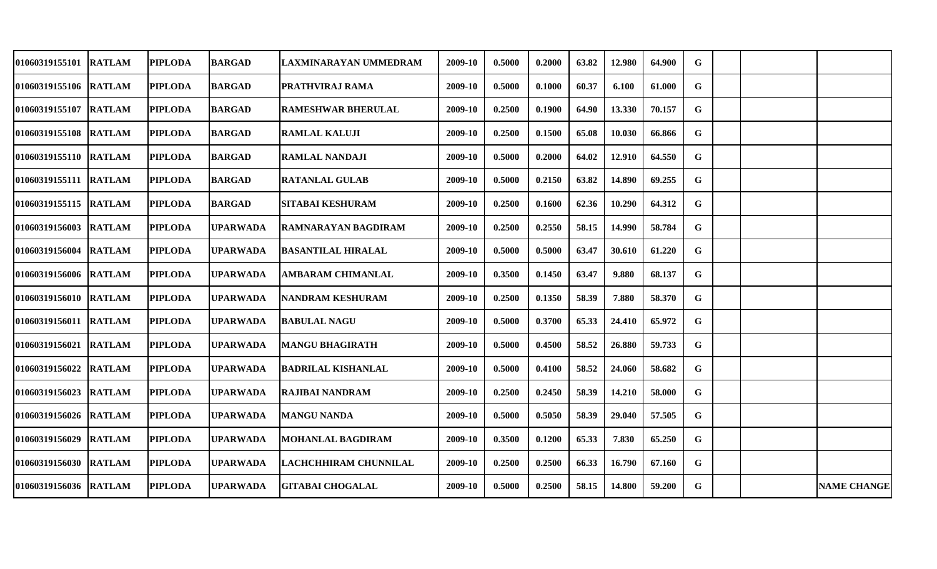| 01060319155101        | <b>RATLAM</b> | <b>PIPLODA</b> | <b>BARGAD</b>   | LAXMINARAYAN UMMEDRAM     | 2009-10 | 0.5000 | 0.2000 | 63.82 | 12.980 | 64.900 | G |  |                    |
|-----------------------|---------------|----------------|-----------------|---------------------------|---------|--------|--------|-------|--------|--------|---|--|--------------------|
| 01060319155106 RATLAM |               | <b>PIPLODA</b> | <b>BARGAD</b>   | PRATHVIRAJ RAMA           | 2009-10 | 0.5000 | 0.1000 | 60.37 | 6.100  | 61.000 | G |  |                    |
| 01060319155107 RATLAM |               | <b>PIPLODA</b> | <b>BARGAD</b>   | <b>RAMESHWAR BHERULAL</b> | 2009-10 | 0.2500 | 0.1900 | 64.90 | 13.330 | 70.157 | G |  |                    |
| 01060319155108 RATLAM |               | <b>PIPLODA</b> | <b>BARGAD</b>   | <b>RAMLAL KALUJI</b>      | 2009-10 | 0.2500 | 0.1500 | 65.08 | 10.030 | 66.866 | G |  |                    |
| 01060319155110 RATLAM |               | <b>PIPLODA</b> | <b>BARGAD</b>   | <b>RAMLAL NANDAJI</b>     | 2009-10 | 0.5000 | 0.2000 | 64.02 | 12.910 | 64.550 | G |  |                    |
| 01060319155111 RATLAM |               | <b>PIPLODA</b> | <b>BARGAD</b>   | <b>RATANLAL GULAB</b>     | 2009-10 | 0.5000 | 0.2150 | 63.82 | 14.890 | 69.255 | G |  |                    |
| 01060319155115 RATLAM |               | <b>PIPLODA</b> | <b>BARGAD</b>   | <b>SITABAI KESHURAM</b>   | 2009-10 | 0.2500 | 0.1600 | 62.36 | 10.290 | 64.312 | G |  |                    |
| 01060319156003        | <b>RATLAM</b> | <b>PIPLODA</b> | <b>UPARWADA</b> | RAMNARAYAN BAGDIRAM       | 2009-10 | 0.2500 | 0.2550 | 58.15 | 14.990 | 58.784 | G |  |                    |
| 01060319156004 RATLAM |               | <b>PIPLODA</b> | <b>UPARWADA</b> | <b>BASANTILAL HIRALAL</b> | 2009-10 | 0.5000 | 0.5000 | 63.47 | 30.610 | 61.220 | G |  |                    |
| 01060319156006 RATLAM |               | <b>PIPLODA</b> | <b>UPARWADA</b> | <b>AMBARAM CHIMANLAL</b>  | 2009-10 | 0.3500 | 0.1450 | 63.47 | 9.880  | 68.137 | G |  |                    |
| 01060319156010 RATLAM |               | <b>PIPLODA</b> | <b>UPARWADA</b> | <b>NANDRAM KESHURAM</b>   | 2009-10 | 0.2500 | 0.1350 | 58.39 | 7.880  | 58.370 | G |  |                    |
| 01060319156011 RATLAM |               | <b>PIPLODA</b> | <b>UPARWADA</b> | <b>BABULAL NAGU</b>       | 2009-10 | 0.5000 | 0.3700 | 65.33 | 24.410 | 65.972 | G |  |                    |
| 01060319156021        | <b>RATLAM</b> | <b>PIPLODA</b> | <b>UPARWADA</b> | <b>MANGU BHAGIRATH</b>    | 2009-10 | 0.5000 | 0.4500 | 58.52 | 26.880 | 59.733 | G |  |                    |
| 01060319156022        | <b>RATLAM</b> | <b>PIPLODA</b> | <b>UPARWADA</b> | <b>BADRILAL KISHANLAL</b> | 2009-10 | 0.5000 | 0.4100 | 58.52 | 24.060 | 58.682 | G |  |                    |
| 01060319156023        | <b>RATLAM</b> | <b>PIPLODA</b> | <b>UPARWADA</b> | <b>RAJIBAI NANDRAM</b>    | 2009-10 | 0.2500 | 0.2450 | 58.39 | 14.210 | 58.000 | G |  |                    |
| 01060319156026 RATLAM |               | <b>PIPLODA</b> | <b>UPARWADA</b> | <b>MANGU NANDA</b>        | 2009-10 | 0.5000 | 0.5050 | 58.39 | 29.040 | 57.505 | G |  |                    |
| 01060319156029        | <b>RATLAM</b> | <b>PIPLODA</b> | <b>UPARWADA</b> | <b>MOHANLAL BAGDIRAM</b>  | 2009-10 | 0.3500 | 0.1200 | 65.33 | 7.830  | 65.250 | G |  |                    |
| 01060319156030        | <b>RATLAM</b> | <b>PIPLODA</b> | <b>UPARWADA</b> | LACHCHHIRAM CHUNNILAL     | 2009-10 | 0.2500 | 0.2500 | 66.33 | 16.790 | 67.160 | G |  |                    |
| 01060319156036 RATLAM |               | <b>PIPLODA</b> | <b>UPARWADA</b> | <b>GITABAI CHOGALAL</b>   | 2009-10 | 0.5000 | 0.2500 | 58.15 | 14.800 | 59.200 | G |  | <b>NAME CHANGE</b> |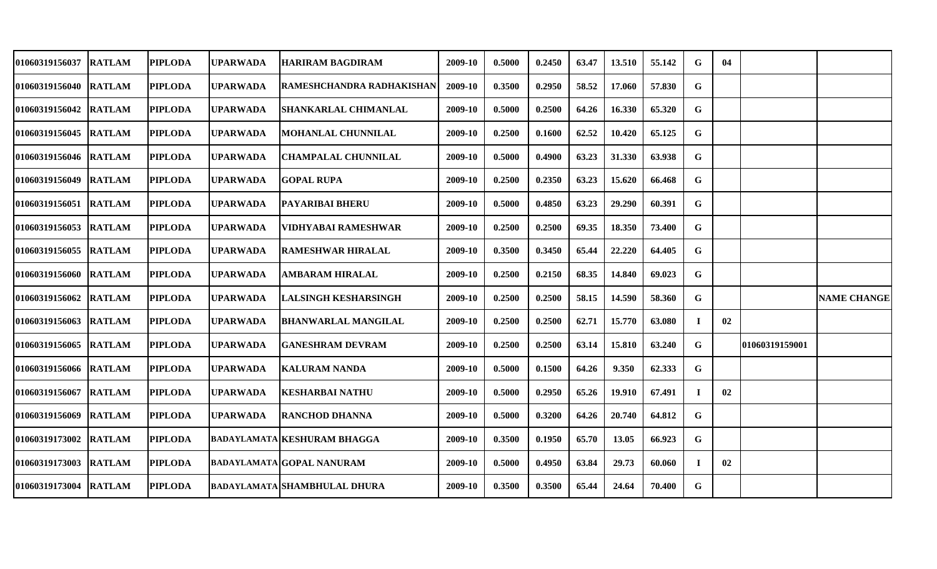| 01060319156037        | <b>RATLAM</b> | <b>PIPLODA</b> | <b>UPARWADA</b> | <b>HARIRAM BAGDIRAM</b>             | 2009-10 | 0.5000 | 0.2450 | 63.47 | 13.510 | 55.142 | G        | 04 |                |                    |
|-----------------------|---------------|----------------|-----------------|-------------------------------------|---------|--------|--------|-------|--------|--------|----------|----|----------------|--------------------|
| 01060319156040 RATLAM |               | <b>PIPLODA</b> | <b>UPARWADA</b> | RAMESHCHANDRA RADHAKISHAN           | 2009-10 | 0.3500 | 0.2950 | 58.52 | 17.060 | 57.830 | G        |    |                |                    |
| 01060319156042        | <b>RATLAM</b> | <b>PIPLODA</b> | <b>UPARWADA</b> | SHANKARLAL CHIMANLAL                | 2009-10 | 0.5000 | 0.2500 | 64.26 | 16.330 | 65.320 | G        |    |                |                    |
| 01060319156045        | <b>RATLAM</b> | <b>PIPLODA</b> | <b>UPARWADA</b> | MOHANLAL CHUNNILAL                  | 2009-10 | 0.2500 | 0.1600 | 62.52 | 10.420 | 65.125 | G        |    |                |                    |
| 01060319156046 RATLAM |               | <b>PIPLODA</b> | <b>UPARWADA</b> | <b>CHAMPALAL CHUNNILAL</b>          | 2009-10 | 0.5000 | 0.4900 | 63.23 | 31.330 | 63.938 | G        |    |                |                    |
| 01060319156049        | <b>RATLAM</b> | <b>PIPLODA</b> | <b>UPARWADA</b> | <b>GOPAL RUPA</b>                   | 2009-10 | 0.2500 | 0.2350 | 63.23 | 15.620 | 66.468 | G        |    |                |                    |
| <b>01060319156051</b> | <b>RATLAM</b> | <b>PIPLODA</b> | <b>UPARWADA</b> | PAYARIBAI BHERU                     | 2009-10 | 0.5000 | 0.4850 | 63.23 | 29.290 | 60.391 | G        |    |                |                    |
| <b>01060319156053</b> | <b>RATLAM</b> | <b>PIPLODA</b> | <b>UPARWADA</b> | VIDHYABAI RAMESHWAR                 | 2009-10 | 0.2500 | 0.2500 | 69.35 | 18.350 | 73.400 | G        |    |                |                    |
| 01060319156055 RATLAM |               | <b>PIPLODA</b> | <b>UPARWADA</b> | RAMESHWAR HIRALAL                   | 2009-10 | 0.3500 | 0.3450 | 65.44 | 22.220 | 64.405 | G        |    |                |                    |
| 01060319156060 RATLAM |               | <b>PIPLODA</b> | <b>UPARWADA</b> | <b>AMBARAM HIRALAL</b>              | 2009-10 | 0.2500 | 0.2150 | 68.35 | 14.840 | 69.023 | G        |    |                |                    |
| 01060319156062        | <b>RATLAM</b> | <b>PIPLODA</b> | <b>UPARWADA</b> | <b>LALSINGH KESHARSINGH</b>         | 2009-10 | 0.2500 | 0.2500 | 58.15 | 14.590 | 58.360 | G        |    |                | <b>NAME CHANGE</b> |
| 01060319156063        | <b>RATLAM</b> | <b>PIPLODA</b> | <b>UPARWADA</b> | <b>BHANWARLAL MANGILAL</b>          | 2009-10 | 0.2500 | 0.2500 | 62.71 | 15.770 | 63.080 | Т.       | 02 |                |                    |
| 01060319156065        | <b>RATLAM</b> | <b>PIPLODA</b> | <b>UPARWADA</b> | <b>GANESHRAM DEVRAM</b>             | 2009-10 | 0.2500 | 0.2500 | 63.14 | 15.810 | 63.240 | G        |    | 01060319159001 |                    |
| 01060319156066        | <b>RATLAM</b> | <b>PIPLODA</b> | <b>UPARWADA</b> | <b>KALURAM NANDA</b>                | 2009-10 | 0.5000 | 0.1500 | 64.26 | 9.350  | 62.333 | G        |    |                |                    |
| 01060319156067        | <b>RATLAM</b> | <b>PIPLODA</b> | <b>UPARWADA</b> | <b>KESHARBAI NATHU</b>              | 2009-10 | 0.5000 | 0.2950 | 65.26 | 19.910 | 67.491 | T.       | 02 |                |                    |
| 01060319156069        | <b>RATLAM</b> | <b>PIPLODA</b> | <b>UPARWADA</b> | <b>RANCHOD DHANNA</b>               | 2009-10 | 0.5000 | 0.3200 | 64.26 | 20.740 | 64.812 | G        |    |                |                    |
| 01060319173002        | <b>RATLAM</b> | <b>PIPLODA</b> |                 | <b>BADAYLAMATA KESHURAM BHAGGA</b>  | 2009-10 | 0.3500 | 0.1950 | 65.70 | 13.05  | 66.923 | G        |    |                |                    |
| 01060319173003        | <b>RATLAM</b> | <b>PIPLODA</b> |                 | <b>BADAYLAMATA GOPAL NANURAM</b>    | 2009-10 | 0.5000 | 0.4950 | 63.84 | 29.73  | 60.060 | $\bf{I}$ | 02 |                |                    |
| 01060319173004        | <b>RATLAM</b> | <b>PIPLODA</b> |                 | <b>BADAYLAMATA SHAMBHULAL DHURA</b> | 2009-10 | 0.3500 | 0.3500 | 65.44 | 24.64  | 70.400 | G        |    |                |                    |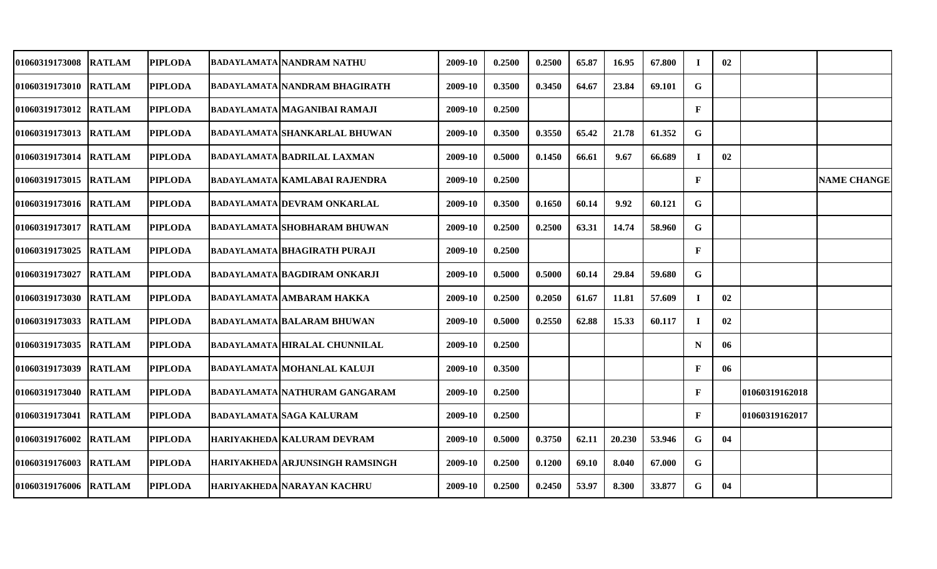| 01060319173008         | <b>RATLAM</b> | <b>PIPLODA</b> | BADAYLAMATA NANDRAM NATHU              | 2009-10 | 0.2500 | 0.2500 | 65.87 | 16.95  | 67.800 |              | 02 |                |                    |
|------------------------|---------------|----------------|----------------------------------------|---------|--------|--------|-------|--------|--------|--------------|----|----------------|--------------------|
| 01060319173010 RATLAM  |               | <b>PIPLODA</b> | BADAYLAMATA  NANDRAM BHAGIRATH         | 2009-10 | 0.3500 | 0.3450 | 64.67 | 23.84  | 69.101 | G            |    |                |                    |
| 01060319173012 RATLAM  |               | <b>PIPLODA</b> | <b>BADAYLAMATA MAGANIBAI RAMAJI</b>    | 2009-10 | 0.2500 |        |       |        |        | F            |    |                |                    |
| 01060319173013 RATLAM  |               | <b>PIPLODA</b> | <b>BADAYLAMATA SHANKARLAL BHUWAN</b>   | 2009-10 | 0.3500 | 0.3550 | 65.42 | 21.78  | 61.352 | G            |    |                |                    |
| <b>01060319173014</b>  | <b>RATLAM</b> | <b>PIPLODA</b> | <b>BADAYLAMATA BADRILAL LAXMAN</b>     | 2009-10 | 0.5000 | 0.1450 | 66.61 | 9.67   | 66.689 | T            | 02 |                |                    |
| 01060319173015 RATLAM  |               | <b>PIPLODA</b> | <b>BADAYLAMATA KAMLABAI RAJENDRA</b>   | 2009-10 | 0.2500 |        |       |        |        | $\mathbf{F}$ |    |                | <b>NAME CHANGE</b> |
| 01060319173016 IRATLAM |               | <b>PIPLODA</b> | BADAYLAMATA DEVRAM ONKARLAL            | 2009-10 | 0.3500 | 0.1650 | 60.14 | 9.92   | 60.121 | G            |    |                |                    |
| 01060319173017 RATLAM  |               | <b>PIPLODA</b> | <b>BADAYLAMATA SHOBHARAM BHUWAN</b>    | 2009-10 | 0.2500 | 0.2500 | 63.31 | 14.74  | 58.960 | G            |    |                |                    |
| 01060319173025 RATLAM  |               | <b>PIPLODA</b> | <b>BADAYLAMATA BHAGIRATH PURAJI</b>    | 2009-10 | 0.2500 |        |       |        |        | $\mathbf{F}$ |    |                |                    |
| 01060319173027 RATLAM  |               | <b>PIPLODA</b> | <b>BADAYLAMATA BAGDIRAM ONKARJI</b>    | 2009-10 | 0.5000 | 0.5000 | 60.14 | 29.84  | 59.680 | G            |    |                |                    |
| 01060319173030 RATLAM  |               | <b>PIPLODA</b> | <b>BADAYLAMATA AMBARAM HAKKA</b>       | 2009-10 | 0.2500 | 0.2050 | 61.67 | 11.81  | 57.609 | $\bf{I}$     | 02 |                |                    |
| 01060319173033 RATLAM  |               | <b>PIPLODA</b> | <b>BADAYLAMATA BALARAM BHUWAN</b>      | 2009-10 | 0.5000 | 0.2550 | 62.88 | 15.33  | 60.117 | 1            | 02 |                |                    |
| <b>01060319173035</b>  | <b>RATLAM</b> | <b>PIPLODA</b> | <b>BADAYLAMATA HIRALAL CHUNNILAL</b>   | 2009-10 | 0.2500 |        |       |        |        | N            | 06 |                |                    |
| 01060319173039         | <b>RATLAM</b> | <b>PIPLODA</b> | BADAYLAMATA MOHANLAL KALUJI            | 2009-10 | 0.3500 |        |       |        |        | F            | 06 |                |                    |
| 01060319173040 RATLAM  |               | <b>PIPLODA</b> | <b>BADAYLAMATA NATHURAM GANGARAM</b>   | 2009-10 | 0.2500 |        |       |        |        | ${\bf F}$    |    | 01060319162018 |                    |
| <b>01060319173041</b>  | <b>RATLAM</b> | <b>PIPLODA</b> | BADAYLAMATA SAGA KALURAM               | 2009-10 | 0.2500 |        |       |        |        | $\mathbf{F}$ |    | 01060319162017 |                    |
| 01060319176002         | <b>RATLAM</b> | <b>PIPLODA</b> | <b>HARIYAKHEDA KALURAM DEVRAM</b>      | 2009-10 | 0.5000 | 0.3750 | 62.11 | 20.230 | 53.946 | G            | 04 |                |                    |
| 01060319176003         | <b>RATLAM</b> | <b>PIPLODA</b> | <b>HARIYAKHEDA ARJUNSINGH RAMSINGH</b> | 2009-10 | 0.2500 | 0.1200 | 69.10 | 8.040  | 67.000 | G            |    |                |                    |
| 01060319176006 RATLAM  |               | <b>PIPLODA</b> | <b>HARIYAKHEDA NARAYAN KACHRU</b>      | 2009-10 | 0.2500 | 0.2450 | 53.97 | 8.300  | 33.877 | G            | 04 |                |                    |